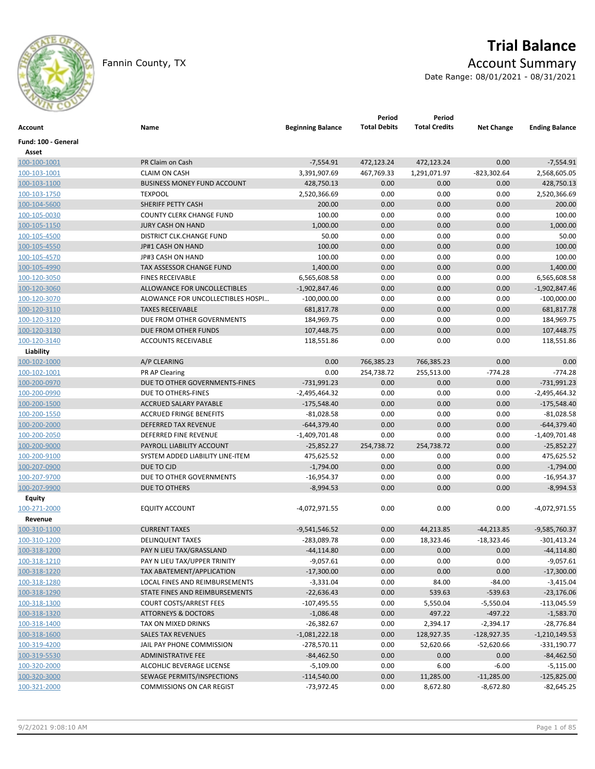

# **Trial Balance**

## Fannin County, TX **Account Summary**

Date Range: 08/01/2021 - 08/31/2021

| Account               | Name                               | <b>Beginning Balance</b> | Period<br><b>Total Debits</b> | Period<br><b>Total Credits</b> | <b>Net Change</b> | <b>Ending Balance</b> |
|-----------------------|------------------------------------|--------------------------|-------------------------------|--------------------------------|-------------------|-----------------------|
| Fund: 100 - General   |                                    |                          |                               |                                |                   |                       |
| Asset<br>100-100-1001 | PR Claim on Cash                   | $-7,554.91$              | 472,123.24                    | 472,123.24                     | 0.00              | $-7,554.91$           |
| 100-103-1001          | <b>CLAIM ON CASH</b>               | 3,391,907.69             | 467,769.33                    | 1,291,071.97                   | $-823,302.64$     | 2,568,605.05          |
| 100-103-1100          | <b>BUSINESS MONEY FUND ACCOUNT</b> | 428,750.13               | 0.00                          | 0.00                           | 0.00              | 428,750.13            |
|                       | <b>TEXPOOL</b>                     |                          | 0.00                          | 0.00                           | 0.00              | 2,520,366.69          |
| 100-103-1750          |                                    | 2,520,366.69             |                               |                                |                   |                       |
| 100-104-5600          | SHERIFF PETTY CASH                 | 200.00                   | 0.00                          | 0.00                           | 0.00              | 200.00                |
| 100-105-0030          | <b>COUNTY CLERK CHANGE FUND</b>    | 100.00                   | 0.00                          | 0.00                           | 0.00              | 100.00                |
| 100-105-1150          | <b>JURY CASH ON HAND</b>           | 1,000.00                 | 0.00                          | 0.00                           | 0.00              | 1,000.00              |
| 100-105-4500          | <b>DISTRICT CLK.CHANGE FUND</b>    | 50.00                    | 0.00                          | 0.00                           | 0.00              | 50.00                 |
| 100-105-4550          | JP#1 CASH ON HAND                  | 100.00                   | 0.00                          | 0.00                           | 0.00              | 100.00                |
| 100-105-4570          | JP#3 CASH ON HAND                  | 100.00                   | 0.00                          | 0.00                           | 0.00              | 100.00                |
| 100-105-4990          | TAX ASSESSOR CHANGE FUND           | 1,400.00                 | 0.00                          | 0.00                           | 0.00              | 1,400.00              |
| 100-120-3050          | <b>FINES RECEIVABLE</b>            | 6,565,608.58             | 0.00                          | 0.00                           | 0.00              | 6,565,608.58          |
| 100-120-3060          | ALLOWANCE FOR UNCOLLECTIBLES       | $-1,902,847.46$          | 0.00                          | 0.00                           | 0.00              | $-1,902,847.46$       |
| 100-120-3070          | ALOWANCE FOR UNCOLLECTIBLES HOSPI  | $-100,000.00$            | 0.00                          | 0.00                           | 0.00              | $-100,000.00$         |
| 100-120-3110          | <b>TAXES RECEIVABLE</b>            | 681,817.78               | 0.00                          | 0.00                           | 0.00              | 681,817.78            |
| 100-120-3120          | DUE FROM OTHER GOVERNMENTS         | 184,969.75               | 0.00                          | 0.00                           | 0.00              | 184,969.75            |
| 100-120-3130          | DUE FROM OTHER FUNDS               | 107,448.75               | 0.00                          | 0.00                           | 0.00              | 107,448.75            |
| 100-120-3140          | <b>ACCOUNTS RECEIVABLE</b>         | 118,551.86               | 0.00                          | 0.00                           | 0.00              | 118,551.86            |
| Liability             |                                    |                          |                               |                                |                   |                       |
| 100-102-1000          | A/P CLEARING                       | 0.00                     | 766,385.23                    | 766,385.23                     | 0.00              | 0.00                  |
| 100-102-1001          | PR AP Clearing                     | 0.00                     | 254,738.72                    | 255,513.00                     | $-774.28$         | $-774.28$             |
| 100-200-0970          | DUE TO OTHER GOVERNMENTS-FINES     | $-731,991.23$            | 0.00                          | 0.00                           | 0.00              | $-731,991.23$         |
| 100-200-0990          | DUE TO OTHERS-FINES                | $-2,495,464.32$          | 0.00                          | 0.00                           | 0.00              | $-2,495,464.32$       |
| 100-200-1500          | ACCRUED SALARY PAYABLE             | $-175,548.40$            | 0.00                          | 0.00                           | 0.00              | $-175,548.40$         |
| 100-200-1550          | <b>ACCRUED FRINGE BENEFITS</b>     | $-81,028.58$             | 0.00                          | 0.00                           | 0.00              | $-81,028.58$          |
| 100-200-2000          | <b>DEFERRED TAX REVENUE</b>        | $-644,379.40$            | 0.00                          | 0.00                           | 0.00              | $-644,379.40$         |
| 100-200-2050          | DEFERRED FINE REVENUE              | $-1,409,701.48$          | 0.00                          | 0.00                           | 0.00              | $-1,409,701.48$       |
| 100-200-9000          | PAYROLL LIABILITY ACCOUNT          | $-25,852.27$             | 254,738.72                    | 254,738.72                     | 0.00              | $-25,852.27$          |
| 100-200-9100          | SYSTEM ADDED LIABILITY LINE-ITEM   | 475,625.52               | 0.00                          | 0.00                           | 0.00              | 475,625.52            |
| 100-207-0900          | DUE TO CJD                         | $-1,794.00$              | 0.00                          | 0.00                           | 0.00              | $-1,794.00$           |
| 100-207-9700          | DUE TO OTHER GOVERNMENTS           | $-16,954.37$             | 0.00                          | 0.00                           | 0.00              | $-16,954.37$          |
| 100-207-9900          | DUE TO OTHERS                      | $-8,994.53$              | 0.00                          | 0.00                           | 0.00              | $-8,994.53$           |
| Equity                |                                    |                          |                               |                                |                   |                       |
| 100-271-2000          | <b>EQUITY ACCOUNT</b>              | -4,072,971.55            | 0.00                          | 0.00                           | 0.00              | -4,072,971.55         |
| Revenue               |                                    |                          |                               |                                |                   |                       |
| 100-310-1100          | <b>CURRENT TAXES</b>               | $-9,541,546.52$          | 0.00                          | 44,213.85                      | -44,213.85        | -9,585,760.37         |
| 100-310-1200          | <b>DELINQUENT TAXES</b>            | -283,089.78              | 0.00                          | 18,323.46                      | $-18,323.46$      | -301,413.24           |
| 100-318-1200          | PAY N LIEU TAX/GRASSLAND           | $-44,114.80$             | 0.00                          | 0.00                           | 0.00              | $-44, 114.80$         |
| 100-318-1210          | PAY N LIEU TAX/UPPER TRINITY       | $-9,057.61$              | 0.00                          | 0.00                           | 0.00              | $-9,057.61$           |
| 100-318-1220          | TAX ABATEMENT/APPLICATION          | $-17,300.00$             | 0.00                          | 0.00                           | 0.00              | $-17,300.00$          |
| 100-318-1280          | LOCAL FINES AND REIMBURSEMENTS     | $-3,331.04$              | 0.00                          | 84.00                          | $-84.00$          | $-3,415.04$           |
| 100-318-1290          | STATE FINES AND REIMBURSEMENTS     | $-22,636.43$             | 0.00                          | 539.63                         | $-539.63$         | $-23,176.06$          |
| 100-318-1300          | <b>COURT COSTS/ARREST FEES</b>     | $-107,495.55$            | 0.00                          | 5,550.04                       | $-5,550.04$       | $-113,045.59$         |
| 100-318-1320          | <b>ATTORNEYS &amp; DOCTORS</b>     | $-1,086.48$              | 0.00                          | 497.22                         | $-497.22$         | $-1,583.70$           |
| 100-318-1400          | TAX ON MIXED DRINKS                | $-26,382.67$             | 0.00                          | 2,394.17                       | $-2,394.17$       | $-28,776.84$          |
| 100-318-1600          | <b>SALES TAX REVENUES</b>          | $-1,081,222.18$          | 0.00                          | 128,927.35                     | $-128,927.35$     | $-1,210,149.53$       |
| 100-319-4200          | JAIL PAY PHONE COMMISSION          | $-278,570.11$            | 0.00                          | 52,620.66                      | $-52,620.66$      | $-331,190.77$         |
| 100-319-5530          | <b>ADMINISTRATIVE FEE</b>          | $-84,462.50$             | 0.00                          | 0.00                           | 0.00              | $-84,462.50$          |
| 100-320-2000          | ALCOHLIC BEVERAGE LICENSE          | $-5,109.00$              | 0.00                          | 6.00                           | $-6.00$           | $-5,115.00$           |
| 100-320-3000          | SEWAGE PERMITS/INSPECTIONS         | $-114,540.00$            | 0.00                          | 11,285.00                      | $-11,285.00$      | $-125,825.00$         |
| 100-321-2000          | <b>COMMISSIONS ON CAR REGIST</b>   | $-73,972.45$             | 0.00                          | 8,672.80                       | $-8,672.80$       | $-82,645.25$          |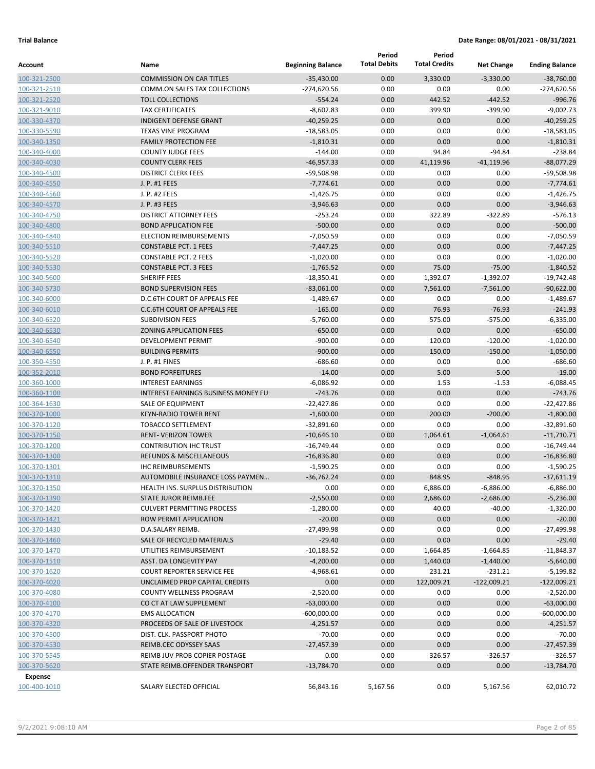| Account                      | Name                                                   | <b>Beginning Balance</b>      | Period<br><b>Total Debits</b> | Period<br><b>Total Credits</b> | <b>Net Change</b>          | <b>Ending Balance</b>   |
|------------------------------|--------------------------------------------------------|-------------------------------|-------------------------------|--------------------------------|----------------------------|-------------------------|
| 100-321-2500                 | <b>COMMISSION ON CAR TITLES</b>                        | $-35,430.00$                  | 0.00                          | 3,330.00                       | $-3,330.00$                | $-38.760.00$            |
| 100-321-2510                 | COMM.ON SALES TAX COLLECTIONS                          | $-274,620.56$                 | 0.00                          | 0.00                           | 0.00                       | $-274,620.56$           |
| 100-321-2520                 | <b>TOLL COLLECTIONS</b>                                | $-554.24$                     | 0.00                          | 442.52                         | $-442.52$                  | $-996.76$               |
| 100-321-9010                 | <b>TAX CERTIFICATES</b>                                | $-8,602.83$                   | 0.00                          | 399.90                         | $-399.90$                  | $-9,002.73$             |
| 100-330-4370                 | <b>INDIGENT DEFENSE GRANT</b>                          | $-40,259.25$                  | 0.00                          | 0.00                           | 0.00                       | $-40,259.25$            |
| 100-330-5590                 | <b>TEXAS VINE PROGRAM</b>                              | $-18,583.05$                  | 0.00                          | 0.00                           | 0.00                       | $-18,583.05$            |
| 100-340-1350                 | <b>FAMILY PROTECTION FEE</b>                           | $-1,810.31$                   | 0.00                          | 0.00                           | 0.00                       | $-1,810.31$             |
| 100-340-4000                 | <b>COUNTY JUDGE FEES</b>                               | $-144.00$                     | 0.00                          | 94.84                          | $-94.84$                   | $-238.84$               |
| 100-340-4030                 | <b>COUNTY CLERK FEES</b>                               | $-46,957.33$                  | 0.00                          | 41,119.96                      | $-41,119.96$               | $-88,077.29$            |
| 100-340-4500                 | <b>DISTRICT CLERK FEES</b>                             | $-59,508.98$                  | 0.00                          | 0.00                           | 0.00                       | $-59,508.98$            |
| 100-340-4550                 | J. P. #1 FEES                                          | $-7,774.61$                   | 0.00                          | 0.00                           | 0.00                       | $-7,774.61$             |
| 100-340-4560                 | J. P. #2 FEES                                          | $-1,426.75$                   | 0.00                          | 0.00                           | 0.00                       | $-1,426.75$             |
| 100-340-4570                 | J. P. #3 FEES                                          | $-3,946.63$                   | 0.00                          | 0.00                           | 0.00                       | $-3,946.63$             |
| 100-340-4750                 | <b>DISTRICT ATTORNEY FEES</b>                          | $-253.24$                     | 0.00                          | 322.89                         | $-322.89$                  | $-576.13$               |
| 100-340-4800                 | <b>BOND APPLICATION FEE</b>                            | $-500.00$                     | 0.00                          | 0.00                           | 0.00                       | $-500.00$               |
| 100-340-4840                 | <b>ELECTION REIMBURSEMENTS</b>                         | $-7,050.59$                   | 0.00                          | 0.00                           | 0.00                       | $-7,050.59$             |
| 100-340-5510                 | <b>CONSTABLE PCT. 1 FEES</b>                           | $-7,447.25$                   | 0.00                          | 0.00                           | 0.00                       | $-7,447.25$             |
| 100-340-5520                 | <b>CONSTABLE PCT. 2 FEES</b>                           | $-1,020.00$                   | 0.00                          | 0.00                           | 0.00                       | $-1,020.00$             |
| 100-340-5530                 | <b>CONSTABLE PCT. 3 FEES</b>                           | $-1,765.52$                   | 0.00                          | 75.00                          | $-75.00$                   | $-1,840.52$             |
| 100-340-5600                 | <b>SHERIFF FEES</b>                                    | $-18,350.41$                  | 0.00                          | 1,392.07                       | $-1,392.07$                | $-19,742.48$            |
| 100-340-5730                 | <b>BOND SUPERVISION FEES</b>                           | $-83,061.00$                  | 0.00                          | 7,561.00                       | $-7,561.00$                | $-90,622.00$            |
| 100-340-6000                 | D.C.6TH COURT OF APPEALS FEE                           | $-1,489.67$                   | 0.00                          | 0.00                           | 0.00                       | $-1,489.67$             |
| 100-340-6010                 | <b>C.C.6TH COURT OF APPEALS FEE</b>                    | $-165.00$                     | 0.00                          | 76.93                          | $-76.93$                   | $-241.93$               |
| 100-340-6520                 | <b>SUBDIVISION FEES</b>                                | $-5,760.00$                   | 0.00                          | 575.00                         | $-575.00$                  | $-6,335.00$             |
| 100-340-6530                 | <b>ZONING APPLICATION FEES</b>                         | $-650.00$                     | 0.00                          | 0.00                           | 0.00                       | $-650.00$               |
| 100-340-6540                 | <b>DEVELOPMENT PERMIT</b>                              | $-900.00$                     | 0.00                          | 120.00                         | $-120.00$                  | $-1,020.00$             |
| 100-340-6550                 | <b>BUILDING PERMITS</b>                                | $-900.00$                     | 0.00                          | 150.00                         | $-150.00$                  | $-1,050.00$             |
| 100-350-4550                 | J. P. #1 FINES                                         | $-686.60$                     | 0.00                          | 0.00                           | 0.00                       | $-686.60$               |
| 100-352-2010                 | <b>BOND FORFEITURES</b>                                | $-14.00$                      | 0.00                          | 5.00                           | $-5.00$                    | $-19.00$                |
| 100-360-1000                 | <b>INTEREST EARNINGS</b>                               | $-6,086.92$                   | 0.00                          | 1.53                           | $-1.53$                    | $-6,088.45$             |
| 100-360-1100                 | <b>INTEREST EARNINGS BUSINESS MONEY FU</b>             | $-743.76$                     | 0.00                          | 0.00                           | 0.00                       | $-743.76$               |
| 100-364-1630                 | SALE OF EQUIPMENT                                      | $-22,427.86$                  | 0.00                          | 0.00                           | 0.00                       | $-22,427.86$            |
| 100-370-1000                 | <b>KFYN-RADIO TOWER RENT</b>                           | $-1,600.00$                   | 0.00                          | 200.00                         | $-200.00$                  | $-1,800.00$             |
| 100-370-1120                 | <b>TOBACCO SETTLEMENT</b>                              | $-32,891.60$                  | 0.00                          | 0.00                           | 0.00                       | $-32,891.60$            |
| 100-370-1150                 | <b>RENT- VERIZON TOWER</b>                             | $-10,646.10$                  | 0.00                          | 1,064.61                       | $-1,064.61$                | $-11,710.71$            |
| 100-370-1200                 | <b>CONTRIBUTION IHC TRUST</b>                          | $-16,749.44$                  | 0.00                          | 0.00                           | 0.00                       | $-16,749.44$            |
| 100-370-1300                 | <b>REFUNDS &amp; MISCELLANEOUS</b>                     | $-16,836.80$                  | 0.00                          | 0.00                           | 0.00                       | $-16,836.80$            |
| 100-370-1301                 | <b>IHC REIMBURSEMENTS</b>                              | $-1,590.25$                   | 0.00                          | 0.00                           | 0.00                       | $-1,590.25$             |
| 100-370-1310                 | AUTOMOBILE INSURANCE LOSS PAYMEN                       | $-36,762.24$                  | 0.00                          | 848.95                         | $-848.95$                  | $-37,611.19$            |
| 100-370-1350                 | HEALTH INS. SURPLUS DISTRIBUTION                       | 0.00                          | 0.00                          | 6,886.00                       | $-6,886.00$                | $-6,886.00$             |
| 100-370-1390                 | STATE JUROR REIMB.FEE                                  | $-2,550.00$                   | 0.00                          | 2,686.00                       | $-2,686.00$                | $-5,236.00$             |
| 100-370-1420                 | <b>CULVERT PERMITTING PROCESS</b>                      | $-1,280.00$                   | 0.00                          | 40.00                          | $-40.00$                   | $-1,320.00$             |
| 100-370-1421                 | ROW PERMIT APPLICATION                                 | $-20.00$                      | 0.00                          | 0.00                           | 0.00                       | $-20.00$                |
| 100-370-1430                 | D.A.SALARY REIMB.                                      | $-27,499.98$                  | 0.00                          | 0.00                           | 0.00                       | -27,499.98              |
| 100-370-1460                 | SALE OF RECYCLED MATERIALS                             | $-29.40$                      | 0.00                          | 0.00                           | 0.00                       | $-29.40$                |
| 100-370-1470                 | UTILITIES REIMBURSEMENT                                | $-10,183.52$                  | 0.00                          | 1,664.85                       | $-1,664.85$                | $-11,848.37$            |
| 100-370-1510                 | <b>ASST. DA LONGEVITY PAY</b>                          | $-4,200.00$                   | 0.00                          | 1,440.00                       | $-1,440.00$                | $-5,640.00$             |
| 100-370-1620                 | <b>COURT REPORTER SERVICE FEE</b>                      | $-4,968.61$                   | 0.00                          | 231.21<br>122,009.21           | $-231.21$<br>$-122,009.21$ | $-5,199.82$             |
| 100-370-4020                 | UNCLAIMED PROP CAPITAL CREDITS                         | 0.00                          | 0.00                          |                                |                            | $-122,009.21$           |
| 100-370-4080                 | COUNTY WELLNESS PROGRAM                                | $-2,520.00$                   | 0.00                          | 0.00                           | 0.00                       | $-2,520.00$             |
| 100-370-4100                 | CO CT AT LAW SUPPLEMENT                                | $-63,000.00$<br>$-600,000.00$ | 0.00<br>0.00                  | 0.00                           | 0.00                       | $-63,000.00$            |
| 100-370-4170                 | <b>EMS ALLOCATION</b><br>PROCEEDS OF SALE OF LIVESTOCK |                               |                               | 0.00                           | 0.00                       | $-600,000.00$           |
| 100-370-4320<br>100-370-4500 | DIST. CLK. PASSPORT PHOTO                              | $-4,251.57$<br>$-70.00$       | 0.00<br>0.00                  | 0.00<br>0.00                   | 0.00<br>0.00               | $-4,251.57$<br>$-70.00$ |
| 100-370-4530                 | REIMB.CEC ODYSSEY SAAS                                 | $-27,457.39$                  | 0.00                          | 0.00                           | 0.00                       | $-27,457.39$            |
| 100-370-5545                 | REIMB JUV PROB COPIER POSTAGE                          | 0.00                          | 0.00                          | 326.57                         | $-326.57$                  | $-326.57$               |
| 100-370-5620                 | STATE REIMB.OFFENDER TRANSPORT                         | $-13,784.70$                  | 0.00                          | 0.00                           | 0.00                       | $-13,784.70$            |
| Expense                      |                                                        |                               |                               |                                |                            |                         |
| 100-400-1010                 | SALARY ELECTED OFFICIAL                                | 56,843.16                     | 5,167.56                      | 0.00                           | 5,167.56                   | 62,010.72               |
|                              |                                                        |                               |                               |                                |                            |                         |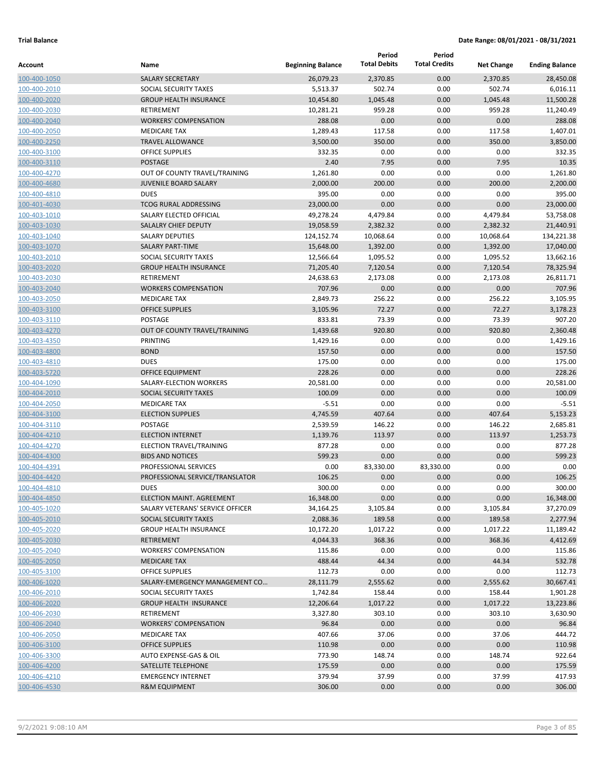|                              |                                           |                          | Period              | Period               |                   |                       |
|------------------------------|-------------------------------------------|--------------------------|---------------------|----------------------|-------------------|-----------------------|
| Account                      | Name                                      | <b>Beginning Balance</b> | <b>Total Debits</b> | <b>Total Credits</b> | <b>Net Change</b> | <b>Ending Balance</b> |
| 100-400-1050                 | <b>SALARY SECRETARY</b>                   | 26,079.23                | 2,370.85            | 0.00                 | 2,370.85          | 28,450.08             |
| 100-400-2010                 | SOCIAL SECURITY TAXES                     | 5,513.37                 | 502.74              | 0.00                 | 502.74            | 6,016.11              |
| 100-400-2020                 | <b>GROUP HEALTH INSURANCE</b>             | 10,454.80                | 1,045.48            | 0.00                 | 1,045.48          | 11,500.28             |
| 100-400-2030                 | RETIREMENT                                | 10,281.21                | 959.28              | 0.00                 | 959.28            | 11,240.49             |
| 100-400-2040                 | <b>WORKERS' COMPENSATION</b>              | 288.08                   | 0.00                | 0.00                 | 0.00              | 288.08                |
| 100-400-2050                 | <b>MEDICARE TAX</b>                       | 1,289.43                 | 117.58              | 0.00                 | 117.58            | 1,407.01              |
| 100-400-2250                 | <b>TRAVEL ALLOWANCE</b>                   | 3,500.00                 | 350.00              | 0.00                 | 350.00            | 3,850.00              |
| 100-400-3100                 | <b>OFFICE SUPPLIES</b>                    | 332.35                   | 0.00                | 0.00                 | 0.00              | 332.35                |
| 100-400-3110                 | <b>POSTAGE</b>                            | 2.40                     | 7.95                | 0.00                 | 7.95              | 10.35                 |
| 100-400-4270                 | OUT OF COUNTY TRAVEL/TRAINING             | 1,261.80                 | 0.00                | 0.00                 | 0.00              | 1,261.80              |
| 100-400-4680                 | <b>JUVENILE BOARD SALARY</b>              | 2,000.00                 | 200.00              | 0.00                 | 200.00            | 2,200.00              |
| 100-400-4810                 | <b>DUES</b>                               | 395.00                   | 0.00                | 0.00                 | 0.00              | 395.00                |
| 100-401-4030                 | <b>TCOG RURAL ADDRESSING</b>              | 23,000.00                | 0.00                | 0.00                 | 0.00              | 23,000.00             |
| 100-403-1010                 | SALARY ELECTED OFFICIAL                   | 49,278.24                | 4,479.84            | 0.00                 | 4,479.84          | 53,758.08             |
| 100-403-1030                 | <b>SALALRY CHIEF DEPUTY</b>               | 19,058.59                | 2,382.32            | 0.00                 | 2,382.32          | 21,440.91             |
| 100-403-1040                 | <b>SALARY DEPUTIES</b>                    | 124,152.74               | 10,068.64           | 0.00                 | 10,068.64         | 134,221.38            |
| 100-403-1070                 | <b>SALARY PART-TIME</b>                   | 15,648.00                | 1,392.00            | 0.00                 | 1,392.00          | 17,040.00             |
| 100-403-2010                 | SOCIAL SECURITY TAXES                     | 12,566.64                | 1,095.52            | 0.00                 | 1,095.52          | 13,662.16             |
| 100-403-2020                 | <b>GROUP HEALTH INSURANCE</b>             | 71,205.40                | 7,120.54            | 0.00                 | 7,120.54          | 78,325.94             |
| 100-403-2030                 | <b>RETIREMENT</b>                         | 24,638.63                | 2,173.08            | 0.00                 | 2,173.08          | 26,811.71             |
| 100-403-2040                 | <b>WORKERS COMPENSATION</b>               | 707.96                   | 0.00                | 0.00                 | 0.00              | 707.96                |
| 100-403-2050                 | <b>MEDICARE TAX</b>                       | 2,849.73                 | 256.22              | 0.00                 | 256.22            | 3,105.95              |
| 100-403-3100                 | <b>OFFICE SUPPLIES</b>                    | 3,105.96                 | 72.27<br>73.39      | 0.00                 | 72.27             | 3,178.23<br>907.20    |
| 100-403-3110                 | POSTAGE                                   | 833.81                   |                     | 0.00                 | 73.39             |                       |
| 100-403-4270                 | OUT OF COUNTY TRAVEL/TRAINING<br>PRINTING | 1,439.68                 | 920.80<br>0.00      | 0.00<br>0.00         | 920.80<br>0.00    | 2,360.48              |
| 100-403-4350                 | <b>BOND</b>                               | 1,429.16<br>157.50       | 0.00                | 0.00                 | 0.00              | 1,429.16<br>157.50    |
| 100-403-4800                 | <b>DUES</b>                               |                          | 0.00                |                      |                   | 175.00                |
| 100-403-4810<br>100-403-5720 | <b>OFFICE EQUIPMENT</b>                   | 175.00<br>228.26         | 0.00                | 0.00<br>0.00         | 0.00<br>0.00      | 228.26                |
| 100-404-1090                 | SALARY-ELECTION WORKERS                   | 20,581.00                | 0.00                | 0.00                 | 0.00              | 20,581.00             |
| 100-404-2010                 | SOCIAL SECURITY TAXES                     | 100.09                   | 0.00                | 0.00                 | 0.00              | 100.09                |
| 100-404-2050                 | <b>MEDICARE TAX</b>                       | $-5.51$                  | 0.00                | 0.00                 | 0.00              | $-5.51$               |
| 100-404-3100                 | <b>ELECTION SUPPLIES</b>                  | 4,745.59                 | 407.64              | 0.00                 | 407.64            | 5,153.23              |
| 100-404-3110                 | POSTAGE                                   | 2,539.59                 | 146.22              | 0.00                 | 146.22            | 2,685.81              |
| 100-404-4210                 | <b>ELECTION INTERNET</b>                  | 1,139.76                 | 113.97              | 0.00                 | 113.97            | 1,253.73              |
| 100-404-4270                 | ELECTION TRAVEL/TRAINING                  | 877.28                   | 0.00                | 0.00                 | 0.00              | 877.28                |
| 100-404-4300                 | <b>BIDS AND NOTICES</b>                   | 599.23                   | 0.00                | 0.00                 | 0.00              | 599.23                |
| 100-404-4391                 | PROFESSIONAL SERVICES                     | 0.00                     | 83,330.00           | 83,330.00            | 0.00              | 0.00                  |
| 100-404-4420                 | PROFESSIONAL SERVICE/TRANSLATOR           | 106.25                   | 0.00                | 0.00                 | 0.00              | 106.25                |
| 100-404-4810                 | <b>DUES</b>                               | 300.00                   | 0.00                | 0.00                 | 0.00              | 300.00                |
| 100-404-4850                 | ELECTION MAINT. AGREEMENT                 | 16,348.00                | 0.00                | 0.00                 | 0.00              | 16,348.00             |
| 100-405-1020                 | SALARY VETERANS' SERVICE OFFICER          | 34,164.25                | 3,105.84            | 0.00                 | 3,105.84          | 37,270.09             |
| 100-405-2010                 | SOCIAL SECURITY TAXES                     | 2,088.36                 | 189.58              | 0.00                 | 189.58            | 2,277.94              |
| 100-405-2020                 | <b>GROUP HEALTH INSURANCE</b>             | 10,172.20                | 1,017.22            | 0.00                 | 1,017.22          | 11,189.42             |
| 100-405-2030                 | RETIREMENT                                | 4,044.33                 | 368.36              | 0.00                 | 368.36            | 4,412.69              |
| 100-405-2040                 | <b>WORKERS' COMPENSATION</b>              | 115.86                   | 0.00                | 0.00                 | 0.00              | 115.86                |
| 100-405-2050                 | <b>MEDICARE TAX</b>                       | 488.44                   | 44.34               | 0.00                 | 44.34             | 532.78                |
| 100-405-3100                 | <b>OFFICE SUPPLIES</b>                    | 112.73                   | 0.00                | 0.00                 | 0.00              | 112.73                |
| 100-406-1020                 | SALARY-EMERGENCY MANAGEMENT CO            | 28,111.79                | 2,555.62            | 0.00                 | 2,555.62          | 30,667.41             |
| 100-406-2010                 | SOCIAL SECURITY TAXES                     | 1,742.84                 | 158.44              | 0.00                 | 158.44            | 1,901.28              |
| 100-406-2020                 | <b>GROUP HEALTH INSURANCE</b>             | 12,206.64                | 1,017.22            | 0.00                 | 1,017.22          | 13,223.86             |
| 100-406-2030                 | RETIREMENT                                | 3,327.80                 | 303.10              | 0.00                 | 303.10            | 3,630.90              |
| 100-406-2040                 | <b>WORKERS' COMPENSATION</b>              | 96.84                    | 0.00                | 0.00                 | 0.00              | 96.84                 |
| 100-406-2050                 | MEDICARE TAX                              | 407.66                   | 37.06               | 0.00                 | 37.06             | 444.72                |
| 100-406-3100                 | <b>OFFICE SUPPLIES</b>                    | 110.98                   | 0.00                | 0.00                 | 0.00              | 110.98                |
| 100-406-3300                 | AUTO EXPENSE-GAS & OIL                    | 773.90                   | 148.74              | 0.00                 | 148.74            | 922.64                |
| 100-406-4200                 | SATELLITE TELEPHONE                       | 175.59                   | 0.00                | 0.00                 | 0.00              | 175.59                |
| 100-406-4210                 | <b>EMERGENCY INTERNET</b>                 | 379.94                   | 37.99               | 0.00                 | 37.99             | 417.93                |
| 100-406-4530                 | <b>R&amp;M EQUIPMENT</b>                  | 306.00                   | 0.00                | 0.00                 | 0.00              | 306.00                |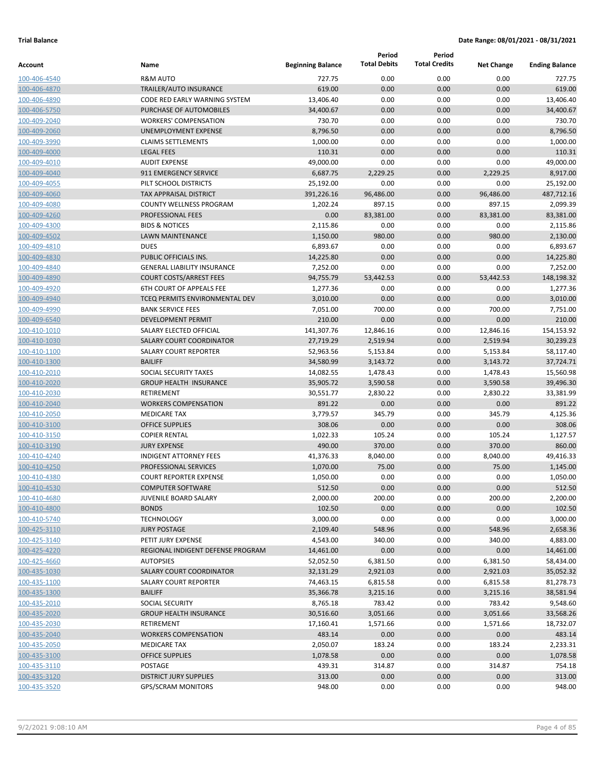| <b>Total Debits</b><br><b>Total Credits</b><br><b>Beginning Balance</b><br>Name<br><b>Net Change</b><br><b>Ending Balance</b><br>0.00<br><b>R&amp;M AUTO</b><br>727.75<br>0.00<br>727.75<br>100-406-4540<br>0.00<br>619.00<br>TRAILER/AUTO INSURANCE<br>619.00<br>0.00<br>0.00<br>0.00<br>100-406-4870<br>0.00<br>0.00<br>13,406.40<br>CODE RED EARLY WARNING SYSTEM<br>13,406.40<br>0.00<br>100-406-4890<br>0.00<br>0.00<br>34,400.67<br>100-406-5750<br>PURCHASE OF AUTOMOBILES<br>34,400.67<br>0.00<br><b>WORKERS' COMPENSATION</b><br>730.70<br>0.00<br>0.00<br>0.00<br>730.70<br>100-409-2040<br>8,796.50<br>0.00<br>0.00<br>8,796.50<br>UNEMPLOYMENT EXPENSE<br>0.00<br>100-409-2060<br>0.00<br>0.00<br><b>CLAIMS SETTLEMENTS</b><br>1,000.00<br>0.00<br>1,000.00<br>100-409-3990<br>0.00<br>0.00<br><b>LEGAL FEES</b><br>110.31<br>0.00<br>110.31<br>100-409-4000<br>49,000.00<br>0.00<br>0.00<br>0.00<br>49,000.00<br><b>AUDIT EXPENSE</b><br>100-409-4010<br>2,229.25<br>2,229.25<br>8,917.00<br>911 EMERGENCY SERVICE<br>6,687.75<br>0.00<br>100-409-4040<br>0.00<br>0.00<br>25,192.00<br>PILT SCHOOL DISTRICTS<br>25,192.00<br>0.00<br>100-409-4055<br>96,486.00<br>487,712.16<br><b>TAX APPRAISAL DISTRICT</b><br>391,226.16<br>96,486.00<br>0.00<br>100-409-4060<br>897.15<br>0.00<br>897.15<br>2,099.39<br><b>COUNTY WELLNESS PROGRAM</b><br>1,202.24<br>100-409-4080<br>83,381.00<br>83,381.00<br>100-409-4260<br>PROFESSIONAL FEES<br>0.00<br>0.00<br>83,381.00<br><b>BIDS &amp; NOTICES</b><br>2,115.86<br>0.00<br>0.00<br>0.00<br>2,115.86<br>100-409-4300<br>980.00<br>0.00<br>980.00<br>2,130.00<br><b>LAWN MAINTENANCE</b><br>1,150.00<br>100-409-4502<br>0.00<br>6,893.67<br><b>DUES</b><br>6,893.67<br>0.00<br>0.00<br>100-409-4810<br>PUBLIC OFFICIALS INS.<br>0.00<br>0.00<br>14,225.80<br>14,225.80<br>0.00<br>100-409-4830<br>7,252.00<br>0.00<br>0.00<br>7,252.00<br>100-409-4840<br><b>GENERAL LIABILITY INSURANCE</b><br>0.00<br>53,442.53<br>53,442.53<br>148,198.32<br><b>COURT COSTS/ARREST FEES</b><br>94,755.79<br>0.00<br>100-409-4890<br>0.00<br>0.00<br><b>6TH COURT OF APPEALS FEE</b><br>1,277.36<br>0.00<br>1,277.36<br>100-409-4920<br>TCEQ PERMITS ENVIRONMENTAL DEV<br>3,010.00<br>0.00<br>0.00<br>0.00<br>3,010.00<br>100-409-4940<br>700.00<br>0.00<br>700.00<br>7,751.00<br><b>BANK SERVICE FEES</b><br>7,051.00<br>100-409-4990<br>210.00<br>0.00<br>0.00<br>0.00<br>210.00<br>100-409-6540<br><b>DEVELOPMENT PERMIT</b><br>SALARY ELECTED OFFICIAL<br>141,307.76<br>0.00<br>12,846.16<br>154,153.92<br>12,846.16<br>100-410-1010<br>2,519.94<br>0.00<br>2,519.94<br>30,239.23<br><b>SALARY COURT COORDINATOR</b><br>27,719.29<br>100-410-1030<br><b>SALARY COURT REPORTER</b><br>52,963.56<br>5,153.84<br>0.00<br>5,153.84<br>58,117.40<br>100-410-1100<br><b>BAILIFF</b><br>34,580.99<br>3,143.72<br>0.00<br>3,143.72<br>37,724.71<br>100-410-1300<br>SOCIAL SECURITY TAXES<br>0.00<br>15,560.98<br>14,082.55<br>1,478.43<br>1,478.43<br>100-410-2010<br><b>GROUP HEALTH INSURANCE</b><br>35,905.72<br>3,590.58<br>0.00<br>3,590.58<br>39,496.30<br>100-410-2020<br>0.00<br>RETIREMENT<br>30,551.77<br>2,830.22<br>2,830.22<br>33,381.99<br>100-410-2030<br>0.00<br>891.22<br><b>WORKERS COMPENSATION</b><br>891.22<br>0.00<br>0.00<br>100-410-2040<br>345.79<br>0.00<br>345.79<br>4,125.36<br>100-410-2050<br><b>MEDICARE TAX</b><br>3,779.57<br>308.06<br>0.00<br>0.00<br>0.00<br>308.06<br>100-410-3100<br><b>OFFICE SUPPLIES</b><br><b>COPIER RENTAL</b><br>1,022.33<br>105.24<br>0.00<br>105.24<br>1,127.57<br>100-410-3150<br>370.00<br>370.00<br>860.00<br><b>JURY EXPENSE</b><br>490.00<br>0.00<br>100-410-3190<br><b>INDIGENT ATTORNEY FEES</b><br>41,376.33<br>8,040.00<br>0.00<br>8,040.00<br>49,416.33<br>100-410-4240<br>PROFESSIONAL SERVICES<br>1,070.00<br>75.00<br>0.00<br>75.00<br>1,145.00<br>100-410-4250<br>0.00<br>0.00<br>1,050.00<br><b>COURT REPORTER EXPENSE</b><br>1,050.00<br>0.00<br>512.50<br>0.00<br>0.00<br>0.00<br>512.50<br><b>COMPUTER SOFTWARE</b><br>2,000.00<br>200.00<br>0.00<br>200.00<br>2,200.00<br><b>JUVENILE BOARD SALARY</b><br>0.00<br><b>BONDS</b><br>102.50<br>0.00<br>0.00<br>102.50<br>0.00<br><b>TECHNOLOGY</b><br>3,000.00<br>0.00<br>0.00<br>3,000.00<br><b>JURY POSTAGE</b><br>2,109.40<br>548.96<br>0.00<br>548.96<br>2,658.36<br>340.00<br>0.00<br>340.00<br>4,883.00<br>PETIT JURY EXPENSE<br>4,543.00<br>0.00<br>REGIONAL INDIGENT DEFENSE PROGRAM<br>14,461.00<br>0.00<br>0.00<br>14,461.00<br><b>AUTOPSIES</b><br>52,052.50<br>6,381.50<br>0.00<br>6,381.50<br>58,434.00<br>2,921.03<br><b>SALARY COURT COORDINATOR</b><br>32,131.29<br>2,921.03<br>0.00<br>35,052.32<br><b>SALARY COURT REPORTER</b><br>74,463.15<br>6,815.58<br>0.00<br>6,815.58<br>81,278.73<br><b>BAILIFF</b><br>35,366.78<br>3,215.16<br>0.00<br>3,215.16<br>38,581.94<br>SOCIAL SECURITY<br>783.42<br>0.00<br>783.42<br>9,548.60<br>8,765.18<br><b>GROUP HEALTH INSURANCE</b><br>30,516.60<br>3,051.66<br>0.00<br>3,051.66<br>33,568.26<br>RETIREMENT<br>17,160.41<br>1,571.66<br>0.00<br>1,571.66<br>18,732.07<br><b>WORKERS COMPENSATION</b><br>483.14<br>0.00<br>0.00<br>0.00<br>483.14<br>2,050.07<br>183.24<br>0.00<br>183.24<br>2,233.31<br><b>MEDICARE TAX</b><br>0.00<br><b>OFFICE SUPPLIES</b><br>1,078.58<br>0.00<br>0.00<br>1,078.58<br>POSTAGE<br>439.31<br>314.87<br>0.00<br>314.87<br>754.18<br>0.00<br><b>DISTRICT JURY SUPPLIES</b><br>313.00<br>0.00<br>0.00<br>313.00<br>948.00<br>0.00<br>0.00<br>0.00<br>948.00<br><b>GPS/SCRAM MONITORS</b> |              |  | Period | Period |  |
|-------------------------------------------------------------------------------------------------------------------------------------------------------------------------------------------------------------------------------------------------------------------------------------------------------------------------------------------------------------------------------------------------------------------------------------------------------------------------------------------------------------------------------------------------------------------------------------------------------------------------------------------------------------------------------------------------------------------------------------------------------------------------------------------------------------------------------------------------------------------------------------------------------------------------------------------------------------------------------------------------------------------------------------------------------------------------------------------------------------------------------------------------------------------------------------------------------------------------------------------------------------------------------------------------------------------------------------------------------------------------------------------------------------------------------------------------------------------------------------------------------------------------------------------------------------------------------------------------------------------------------------------------------------------------------------------------------------------------------------------------------------------------------------------------------------------------------------------------------------------------------------------------------------------------------------------------------------------------------------------------------------------------------------------------------------------------------------------------------------------------------------------------------------------------------------------------------------------------------------------------------------------------------------------------------------------------------------------------------------------------------------------------------------------------------------------------------------------------------------------------------------------------------------------------------------------------------------------------------------------------------------------------------------------------------------------------------------------------------------------------------------------------------------------------------------------------------------------------------------------------------------------------------------------------------------------------------------------------------------------------------------------------------------------------------------------------------------------------------------------------------------------------------------------------------------------------------------------------------------------------------------------------------------------------------------------------------------------------------------------------------------------------------------------------------------------------------------------------------------------------------------------------------------------------------------------------------------------------------------------------------------------------------------------------------------------------------------------------------------------------------------------------------------------------------------------------------------------------------------------------------------------------------------------------------------------------------------------------------------------------------------------------------------------------------------------------------------------------------------------------------------------------------------------------------------------------------------------------------------------------------------------------------------------------------------------------------------------------------------------------------------------------------------------------------------------------------------------------------------------------------------------------------------------------------------------------------------------------------------------------------------------------------------------------------------------------------------------------------------------------------------------------------------------------------------------------------------------------------------------------------------------------------------------------------------------------------------------------------------------------------------------------------------------------------------------------------------------------------------------------------------------------------------------------------------------------------------------------------------------------------------------------------------------------------------------------------------------------------------------------------------------------------------------------------------------------------------------------------------------------------------------------------------------------------|--------------|--|--------|--------|--|
|                                                                                                                                                                                                                                                                                                                                                                                                                                                                                                                                                                                                                                                                                                                                                                                                                                                                                                                                                                                                                                                                                                                                                                                                                                                                                                                                                                                                                                                                                                                                                                                                                                                                                                                                                                                                                                                                                                                                                                                                                                                                                                                                                                                                                                                                                                                                                                                                                                                                                                                                                                                                                                                                                                                                                                                                                                                                                                                                                                                                                                                                                                                                                                                                                                                                                                                                                                                                                                                                                                                                                                                                                                                                                                                                                                                                                                                                                                                                                                                                                                                                                                                                                                                                                                                                                                                                                                                                                                                                                                                                                                                                                                                                                                                                                                                                                                                                                                                                                                                                                                                                                                                                                                                                                                                                                                                                                                                                                                                                                                                                                       | Account      |  |        |        |  |
|                                                                                                                                                                                                                                                                                                                                                                                                                                                                                                                                                                                                                                                                                                                                                                                                                                                                                                                                                                                                                                                                                                                                                                                                                                                                                                                                                                                                                                                                                                                                                                                                                                                                                                                                                                                                                                                                                                                                                                                                                                                                                                                                                                                                                                                                                                                                                                                                                                                                                                                                                                                                                                                                                                                                                                                                                                                                                                                                                                                                                                                                                                                                                                                                                                                                                                                                                                                                                                                                                                                                                                                                                                                                                                                                                                                                                                                                                                                                                                                                                                                                                                                                                                                                                                                                                                                                                                                                                                                                                                                                                                                                                                                                                                                                                                                                                                                                                                                                                                                                                                                                                                                                                                                                                                                                                                                                                                                                                                                                                                                                                       |              |  |        |        |  |
|                                                                                                                                                                                                                                                                                                                                                                                                                                                                                                                                                                                                                                                                                                                                                                                                                                                                                                                                                                                                                                                                                                                                                                                                                                                                                                                                                                                                                                                                                                                                                                                                                                                                                                                                                                                                                                                                                                                                                                                                                                                                                                                                                                                                                                                                                                                                                                                                                                                                                                                                                                                                                                                                                                                                                                                                                                                                                                                                                                                                                                                                                                                                                                                                                                                                                                                                                                                                                                                                                                                                                                                                                                                                                                                                                                                                                                                                                                                                                                                                                                                                                                                                                                                                                                                                                                                                                                                                                                                                                                                                                                                                                                                                                                                                                                                                                                                                                                                                                                                                                                                                                                                                                                                                                                                                                                                                                                                                                                                                                                                                                       |              |  |        |        |  |
|                                                                                                                                                                                                                                                                                                                                                                                                                                                                                                                                                                                                                                                                                                                                                                                                                                                                                                                                                                                                                                                                                                                                                                                                                                                                                                                                                                                                                                                                                                                                                                                                                                                                                                                                                                                                                                                                                                                                                                                                                                                                                                                                                                                                                                                                                                                                                                                                                                                                                                                                                                                                                                                                                                                                                                                                                                                                                                                                                                                                                                                                                                                                                                                                                                                                                                                                                                                                                                                                                                                                                                                                                                                                                                                                                                                                                                                                                                                                                                                                                                                                                                                                                                                                                                                                                                                                                                                                                                                                                                                                                                                                                                                                                                                                                                                                                                                                                                                                                                                                                                                                                                                                                                                                                                                                                                                                                                                                                                                                                                                                                       |              |  |        |        |  |
|                                                                                                                                                                                                                                                                                                                                                                                                                                                                                                                                                                                                                                                                                                                                                                                                                                                                                                                                                                                                                                                                                                                                                                                                                                                                                                                                                                                                                                                                                                                                                                                                                                                                                                                                                                                                                                                                                                                                                                                                                                                                                                                                                                                                                                                                                                                                                                                                                                                                                                                                                                                                                                                                                                                                                                                                                                                                                                                                                                                                                                                                                                                                                                                                                                                                                                                                                                                                                                                                                                                                                                                                                                                                                                                                                                                                                                                                                                                                                                                                                                                                                                                                                                                                                                                                                                                                                                                                                                                                                                                                                                                                                                                                                                                                                                                                                                                                                                                                                                                                                                                                                                                                                                                                                                                                                                                                                                                                                                                                                                                                                       |              |  |        |        |  |
|                                                                                                                                                                                                                                                                                                                                                                                                                                                                                                                                                                                                                                                                                                                                                                                                                                                                                                                                                                                                                                                                                                                                                                                                                                                                                                                                                                                                                                                                                                                                                                                                                                                                                                                                                                                                                                                                                                                                                                                                                                                                                                                                                                                                                                                                                                                                                                                                                                                                                                                                                                                                                                                                                                                                                                                                                                                                                                                                                                                                                                                                                                                                                                                                                                                                                                                                                                                                                                                                                                                                                                                                                                                                                                                                                                                                                                                                                                                                                                                                                                                                                                                                                                                                                                                                                                                                                                                                                                                                                                                                                                                                                                                                                                                                                                                                                                                                                                                                                                                                                                                                                                                                                                                                                                                                                                                                                                                                                                                                                                                                                       |              |  |        |        |  |
|                                                                                                                                                                                                                                                                                                                                                                                                                                                                                                                                                                                                                                                                                                                                                                                                                                                                                                                                                                                                                                                                                                                                                                                                                                                                                                                                                                                                                                                                                                                                                                                                                                                                                                                                                                                                                                                                                                                                                                                                                                                                                                                                                                                                                                                                                                                                                                                                                                                                                                                                                                                                                                                                                                                                                                                                                                                                                                                                                                                                                                                                                                                                                                                                                                                                                                                                                                                                                                                                                                                                                                                                                                                                                                                                                                                                                                                                                                                                                                                                                                                                                                                                                                                                                                                                                                                                                                                                                                                                                                                                                                                                                                                                                                                                                                                                                                                                                                                                                                                                                                                                                                                                                                                                                                                                                                                                                                                                                                                                                                                                                       |              |  |        |        |  |
|                                                                                                                                                                                                                                                                                                                                                                                                                                                                                                                                                                                                                                                                                                                                                                                                                                                                                                                                                                                                                                                                                                                                                                                                                                                                                                                                                                                                                                                                                                                                                                                                                                                                                                                                                                                                                                                                                                                                                                                                                                                                                                                                                                                                                                                                                                                                                                                                                                                                                                                                                                                                                                                                                                                                                                                                                                                                                                                                                                                                                                                                                                                                                                                                                                                                                                                                                                                                                                                                                                                                                                                                                                                                                                                                                                                                                                                                                                                                                                                                                                                                                                                                                                                                                                                                                                                                                                                                                                                                                                                                                                                                                                                                                                                                                                                                                                                                                                                                                                                                                                                                                                                                                                                                                                                                                                                                                                                                                                                                                                                                                       |              |  |        |        |  |
|                                                                                                                                                                                                                                                                                                                                                                                                                                                                                                                                                                                                                                                                                                                                                                                                                                                                                                                                                                                                                                                                                                                                                                                                                                                                                                                                                                                                                                                                                                                                                                                                                                                                                                                                                                                                                                                                                                                                                                                                                                                                                                                                                                                                                                                                                                                                                                                                                                                                                                                                                                                                                                                                                                                                                                                                                                                                                                                                                                                                                                                                                                                                                                                                                                                                                                                                                                                                                                                                                                                                                                                                                                                                                                                                                                                                                                                                                                                                                                                                                                                                                                                                                                                                                                                                                                                                                                                                                                                                                                                                                                                                                                                                                                                                                                                                                                                                                                                                                                                                                                                                                                                                                                                                                                                                                                                                                                                                                                                                                                                                                       |              |  |        |        |  |
|                                                                                                                                                                                                                                                                                                                                                                                                                                                                                                                                                                                                                                                                                                                                                                                                                                                                                                                                                                                                                                                                                                                                                                                                                                                                                                                                                                                                                                                                                                                                                                                                                                                                                                                                                                                                                                                                                                                                                                                                                                                                                                                                                                                                                                                                                                                                                                                                                                                                                                                                                                                                                                                                                                                                                                                                                                                                                                                                                                                                                                                                                                                                                                                                                                                                                                                                                                                                                                                                                                                                                                                                                                                                                                                                                                                                                                                                                                                                                                                                                                                                                                                                                                                                                                                                                                                                                                                                                                                                                                                                                                                                                                                                                                                                                                                                                                                                                                                                                                                                                                                                                                                                                                                                                                                                                                                                                                                                                                                                                                                                                       |              |  |        |        |  |
|                                                                                                                                                                                                                                                                                                                                                                                                                                                                                                                                                                                                                                                                                                                                                                                                                                                                                                                                                                                                                                                                                                                                                                                                                                                                                                                                                                                                                                                                                                                                                                                                                                                                                                                                                                                                                                                                                                                                                                                                                                                                                                                                                                                                                                                                                                                                                                                                                                                                                                                                                                                                                                                                                                                                                                                                                                                                                                                                                                                                                                                                                                                                                                                                                                                                                                                                                                                                                                                                                                                                                                                                                                                                                                                                                                                                                                                                                                                                                                                                                                                                                                                                                                                                                                                                                                                                                                                                                                                                                                                                                                                                                                                                                                                                                                                                                                                                                                                                                                                                                                                                                                                                                                                                                                                                                                                                                                                                                                                                                                                                                       |              |  |        |        |  |
|                                                                                                                                                                                                                                                                                                                                                                                                                                                                                                                                                                                                                                                                                                                                                                                                                                                                                                                                                                                                                                                                                                                                                                                                                                                                                                                                                                                                                                                                                                                                                                                                                                                                                                                                                                                                                                                                                                                                                                                                                                                                                                                                                                                                                                                                                                                                                                                                                                                                                                                                                                                                                                                                                                                                                                                                                                                                                                                                                                                                                                                                                                                                                                                                                                                                                                                                                                                                                                                                                                                                                                                                                                                                                                                                                                                                                                                                                                                                                                                                                                                                                                                                                                                                                                                                                                                                                                                                                                                                                                                                                                                                                                                                                                                                                                                                                                                                                                                                                                                                                                                                                                                                                                                                                                                                                                                                                                                                                                                                                                                                                       |              |  |        |        |  |
|                                                                                                                                                                                                                                                                                                                                                                                                                                                                                                                                                                                                                                                                                                                                                                                                                                                                                                                                                                                                                                                                                                                                                                                                                                                                                                                                                                                                                                                                                                                                                                                                                                                                                                                                                                                                                                                                                                                                                                                                                                                                                                                                                                                                                                                                                                                                                                                                                                                                                                                                                                                                                                                                                                                                                                                                                                                                                                                                                                                                                                                                                                                                                                                                                                                                                                                                                                                                                                                                                                                                                                                                                                                                                                                                                                                                                                                                                                                                                                                                                                                                                                                                                                                                                                                                                                                                                                                                                                                                                                                                                                                                                                                                                                                                                                                                                                                                                                                                                                                                                                                                                                                                                                                                                                                                                                                                                                                                                                                                                                                                                       |              |  |        |        |  |
|                                                                                                                                                                                                                                                                                                                                                                                                                                                                                                                                                                                                                                                                                                                                                                                                                                                                                                                                                                                                                                                                                                                                                                                                                                                                                                                                                                                                                                                                                                                                                                                                                                                                                                                                                                                                                                                                                                                                                                                                                                                                                                                                                                                                                                                                                                                                                                                                                                                                                                                                                                                                                                                                                                                                                                                                                                                                                                                                                                                                                                                                                                                                                                                                                                                                                                                                                                                                                                                                                                                                                                                                                                                                                                                                                                                                                                                                                                                                                                                                                                                                                                                                                                                                                                                                                                                                                                                                                                                                                                                                                                                                                                                                                                                                                                                                                                                                                                                                                                                                                                                                                                                                                                                                                                                                                                                                                                                                                                                                                                                                                       |              |  |        |        |  |
|                                                                                                                                                                                                                                                                                                                                                                                                                                                                                                                                                                                                                                                                                                                                                                                                                                                                                                                                                                                                                                                                                                                                                                                                                                                                                                                                                                                                                                                                                                                                                                                                                                                                                                                                                                                                                                                                                                                                                                                                                                                                                                                                                                                                                                                                                                                                                                                                                                                                                                                                                                                                                                                                                                                                                                                                                                                                                                                                                                                                                                                                                                                                                                                                                                                                                                                                                                                                                                                                                                                                                                                                                                                                                                                                                                                                                                                                                                                                                                                                                                                                                                                                                                                                                                                                                                                                                                                                                                                                                                                                                                                                                                                                                                                                                                                                                                                                                                                                                                                                                                                                                                                                                                                                                                                                                                                                                                                                                                                                                                                                                       |              |  |        |        |  |
|                                                                                                                                                                                                                                                                                                                                                                                                                                                                                                                                                                                                                                                                                                                                                                                                                                                                                                                                                                                                                                                                                                                                                                                                                                                                                                                                                                                                                                                                                                                                                                                                                                                                                                                                                                                                                                                                                                                                                                                                                                                                                                                                                                                                                                                                                                                                                                                                                                                                                                                                                                                                                                                                                                                                                                                                                                                                                                                                                                                                                                                                                                                                                                                                                                                                                                                                                                                                                                                                                                                                                                                                                                                                                                                                                                                                                                                                                                                                                                                                                                                                                                                                                                                                                                                                                                                                                                                                                                                                                                                                                                                                                                                                                                                                                                                                                                                                                                                                                                                                                                                                                                                                                                                                                                                                                                                                                                                                                                                                                                                                                       |              |  |        |        |  |
|                                                                                                                                                                                                                                                                                                                                                                                                                                                                                                                                                                                                                                                                                                                                                                                                                                                                                                                                                                                                                                                                                                                                                                                                                                                                                                                                                                                                                                                                                                                                                                                                                                                                                                                                                                                                                                                                                                                                                                                                                                                                                                                                                                                                                                                                                                                                                                                                                                                                                                                                                                                                                                                                                                                                                                                                                                                                                                                                                                                                                                                                                                                                                                                                                                                                                                                                                                                                                                                                                                                                                                                                                                                                                                                                                                                                                                                                                                                                                                                                                                                                                                                                                                                                                                                                                                                                                                                                                                                                                                                                                                                                                                                                                                                                                                                                                                                                                                                                                                                                                                                                                                                                                                                                                                                                                                                                                                                                                                                                                                                                                       |              |  |        |        |  |
|                                                                                                                                                                                                                                                                                                                                                                                                                                                                                                                                                                                                                                                                                                                                                                                                                                                                                                                                                                                                                                                                                                                                                                                                                                                                                                                                                                                                                                                                                                                                                                                                                                                                                                                                                                                                                                                                                                                                                                                                                                                                                                                                                                                                                                                                                                                                                                                                                                                                                                                                                                                                                                                                                                                                                                                                                                                                                                                                                                                                                                                                                                                                                                                                                                                                                                                                                                                                                                                                                                                                                                                                                                                                                                                                                                                                                                                                                                                                                                                                                                                                                                                                                                                                                                                                                                                                                                                                                                                                                                                                                                                                                                                                                                                                                                                                                                                                                                                                                                                                                                                                                                                                                                                                                                                                                                                                                                                                                                                                                                                                                       |              |  |        |        |  |
|                                                                                                                                                                                                                                                                                                                                                                                                                                                                                                                                                                                                                                                                                                                                                                                                                                                                                                                                                                                                                                                                                                                                                                                                                                                                                                                                                                                                                                                                                                                                                                                                                                                                                                                                                                                                                                                                                                                                                                                                                                                                                                                                                                                                                                                                                                                                                                                                                                                                                                                                                                                                                                                                                                                                                                                                                                                                                                                                                                                                                                                                                                                                                                                                                                                                                                                                                                                                                                                                                                                                                                                                                                                                                                                                                                                                                                                                                                                                                                                                                                                                                                                                                                                                                                                                                                                                                                                                                                                                                                                                                                                                                                                                                                                                                                                                                                                                                                                                                                                                                                                                                                                                                                                                                                                                                                                                                                                                                                                                                                                                                       |              |  |        |        |  |
|                                                                                                                                                                                                                                                                                                                                                                                                                                                                                                                                                                                                                                                                                                                                                                                                                                                                                                                                                                                                                                                                                                                                                                                                                                                                                                                                                                                                                                                                                                                                                                                                                                                                                                                                                                                                                                                                                                                                                                                                                                                                                                                                                                                                                                                                                                                                                                                                                                                                                                                                                                                                                                                                                                                                                                                                                                                                                                                                                                                                                                                                                                                                                                                                                                                                                                                                                                                                                                                                                                                                                                                                                                                                                                                                                                                                                                                                                                                                                                                                                                                                                                                                                                                                                                                                                                                                                                                                                                                                                                                                                                                                                                                                                                                                                                                                                                                                                                                                                                                                                                                                                                                                                                                                                                                                                                                                                                                                                                                                                                                                                       |              |  |        |        |  |
|                                                                                                                                                                                                                                                                                                                                                                                                                                                                                                                                                                                                                                                                                                                                                                                                                                                                                                                                                                                                                                                                                                                                                                                                                                                                                                                                                                                                                                                                                                                                                                                                                                                                                                                                                                                                                                                                                                                                                                                                                                                                                                                                                                                                                                                                                                                                                                                                                                                                                                                                                                                                                                                                                                                                                                                                                                                                                                                                                                                                                                                                                                                                                                                                                                                                                                                                                                                                                                                                                                                                                                                                                                                                                                                                                                                                                                                                                                                                                                                                                                                                                                                                                                                                                                                                                                                                                                                                                                                                                                                                                                                                                                                                                                                                                                                                                                                                                                                                                                                                                                                                                                                                                                                                                                                                                                                                                                                                                                                                                                                                                       |              |  |        |        |  |
|                                                                                                                                                                                                                                                                                                                                                                                                                                                                                                                                                                                                                                                                                                                                                                                                                                                                                                                                                                                                                                                                                                                                                                                                                                                                                                                                                                                                                                                                                                                                                                                                                                                                                                                                                                                                                                                                                                                                                                                                                                                                                                                                                                                                                                                                                                                                                                                                                                                                                                                                                                                                                                                                                                                                                                                                                                                                                                                                                                                                                                                                                                                                                                                                                                                                                                                                                                                                                                                                                                                                                                                                                                                                                                                                                                                                                                                                                                                                                                                                                                                                                                                                                                                                                                                                                                                                                                                                                                                                                                                                                                                                                                                                                                                                                                                                                                                                                                                                                                                                                                                                                                                                                                                                                                                                                                                                                                                                                                                                                                                                                       |              |  |        |        |  |
|                                                                                                                                                                                                                                                                                                                                                                                                                                                                                                                                                                                                                                                                                                                                                                                                                                                                                                                                                                                                                                                                                                                                                                                                                                                                                                                                                                                                                                                                                                                                                                                                                                                                                                                                                                                                                                                                                                                                                                                                                                                                                                                                                                                                                                                                                                                                                                                                                                                                                                                                                                                                                                                                                                                                                                                                                                                                                                                                                                                                                                                                                                                                                                                                                                                                                                                                                                                                                                                                                                                                                                                                                                                                                                                                                                                                                                                                                                                                                                                                                                                                                                                                                                                                                                                                                                                                                                                                                                                                                                                                                                                                                                                                                                                                                                                                                                                                                                                                                                                                                                                                                                                                                                                                                                                                                                                                                                                                                                                                                                                                                       |              |  |        |        |  |
|                                                                                                                                                                                                                                                                                                                                                                                                                                                                                                                                                                                                                                                                                                                                                                                                                                                                                                                                                                                                                                                                                                                                                                                                                                                                                                                                                                                                                                                                                                                                                                                                                                                                                                                                                                                                                                                                                                                                                                                                                                                                                                                                                                                                                                                                                                                                                                                                                                                                                                                                                                                                                                                                                                                                                                                                                                                                                                                                                                                                                                                                                                                                                                                                                                                                                                                                                                                                                                                                                                                                                                                                                                                                                                                                                                                                                                                                                                                                                                                                                                                                                                                                                                                                                                                                                                                                                                                                                                                                                                                                                                                                                                                                                                                                                                                                                                                                                                                                                                                                                                                                                                                                                                                                                                                                                                                                                                                                                                                                                                                                                       |              |  |        |        |  |
|                                                                                                                                                                                                                                                                                                                                                                                                                                                                                                                                                                                                                                                                                                                                                                                                                                                                                                                                                                                                                                                                                                                                                                                                                                                                                                                                                                                                                                                                                                                                                                                                                                                                                                                                                                                                                                                                                                                                                                                                                                                                                                                                                                                                                                                                                                                                                                                                                                                                                                                                                                                                                                                                                                                                                                                                                                                                                                                                                                                                                                                                                                                                                                                                                                                                                                                                                                                                                                                                                                                                                                                                                                                                                                                                                                                                                                                                                                                                                                                                                                                                                                                                                                                                                                                                                                                                                                                                                                                                                                                                                                                                                                                                                                                                                                                                                                                                                                                                                                                                                                                                                                                                                                                                                                                                                                                                                                                                                                                                                                                                                       |              |  |        |        |  |
|                                                                                                                                                                                                                                                                                                                                                                                                                                                                                                                                                                                                                                                                                                                                                                                                                                                                                                                                                                                                                                                                                                                                                                                                                                                                                                                                                                                                                                                                                                                                                                                                                                                                                                                                                                                                                                                                                                                                                                                                                                                                                                                                                                                                                                                                                                                                                                                                                                                                                                                                                                                                                                                                                                                                                                                                                                                                                                                                                                                                                                                                                                                                                                                                                                                                                                                                                                                                                                                                                                                                                                                                                                                                                                                                                                                                                                                                                                                                                                                                                                                                                                                                                                                                                                                                                                                                                                                                                                                                                                                                                                                                                                                                                                                                                                                                                                                                                                                                                                                                                                                                                                                                                                                                                                                                                                                                                                                                                                                                                                                                                       |              |  |        |        |  |
|                                                                                                                                                                                                                                                                                                                                                                                                                                                                                                                                                                                                                                                                                                                                                                                                                                                                                                                                                                                                                                                                                                                                                                                                                                                                                                                                                                                                                                                                                                                                                                                                                                                                                                                                                                                                                                                                                                                                                                                                                                                                                                                                                                                                                                                                                                                                                                                                                                                                                                                                                                                                                                                                                                                                                                                                                                                                                                                                                                                                                                                                                                                                                                                                                                                                                                                                                                                                                                                                                                                                                                                                                                                                                                                                                                                                                                                                                                                                                                                                                                                                                                                                                                                                                                                                                                                                                                                                                                                                                                                                                                                                                                                                                                                                                                                                                                                                                                                                                                                                                                                                                                                                                                                                                                                                                                                                                                                                                                                                                                                                                       |              |  |        |        |  |
|                                                                                                                                                                                                                                                                                                                                                                                                                                                                                                                                                                                                                                                                                                                                                                                                                                                                                                                                                                                                                                                                                                                                                                                                                                                                                                                                                                                                                                                                                                                                                                                                                                                                                                                                                                                                                                                                                                                                                                                                                                                                                                                                                                                                                                                                                                                                                                                                                                                                                                                                                                                                                                                                                                                                                                                                                                                                                                                                                                                                                                                                                                                                                                                                                                                                                                                                                                                                                                                                                                                                                                                                                                                                                                                                                                                                                                                                                                                                                                                                                                                                                                                                                                                                                                                                                                                                                                                                                                                                                                                                                                                                                                                                                                                                                                                                                                                                                                                                                                                                                                                                                                                                                                                                                                                                                                                                                                                                                                                                                                                                                       |              |  |        |        |  |
|                                                                                                                                                                                                                                                                                                                                                                                                                                                                                                                                                                                                                                                                                                                                                                                                                                                                                                                                                                                                                                                                                                                                                                                                                                                                                                                                                                                                                                                                                                                                                                                                                                                                                                                                                                                                                                                                                                                                                                                                                                                                                                                                                                                                                                                                                                                                                                                                                                                                                                                                                                                                                                                                                                                                                                                                                                                                                                                                                                                                                                                                                                                                                                                                                                                                                                                                                                                                                                                                                                                                                                                                                                                                                                                                                                                                                                                                                                                                                                                                                                                                                                                                                                                                                                                                                                                                                                                                                                                                                                                                                                                                                                                                                                                                                                                                                                                                                                                                                                                                                                                                                                                                                                                                                                                                                                                                                                                                                                                                                                                                                       |              |  |        |        |  |
|                                                                                                                                                                                                                                                                                                                                                                                                                                                                                                                                                                                                                                                                                                                                                                                                                                                                                                                                                                                                                                                                                                                                                                                                                                                                                                                                                                                                                                                                                                                                                                                                                                                                                                                                                                                                                                                                                                                                                                                                                                                                                                                                                                                                                                                                                                                                                                                                                                                                                                                                                                                                                                                                                                                                                                                                                                                                                                                                                                                                                                                                                                                                                                                                                                                                                                                                                                                                                                                                                                                                                                                                                                                                                                                                                                                                                                                                                                                                                                                                                                                                                                                                                                                                                                                                                                                                                                                                                                                                                                                                                                                                                                                                                                                                                                                                                                                                                                                                                                                                                                                                                                                                                                                                                                                                                                                                                                                                                                                                                                                                                       |              |  |        |        |  |
|                                                                                                                                                                                                                                                                                                                                                                                                                                                                                                                                                                                                                                                                                                                                                                                                                                                                                                                                                                                                                                                                                                                                                                                                                                                                                                                                                                                                                                                                                                                                                                                                                                                                                                                                                                                                                                                                                                                                                                                                                                                                                                                                                                                                                                                                                                                                                                                                                                                                                                                                                                                                                                                                                                                                                                                                                                                                                                                                                                                                                                                                                                                                                                                                                                                                                                                                                                                                                                                                                                                                                                                                                                                                                                                                                                                                                                                                                                                                                                                                                                                                                                                                                                                                                                                                                                                                                                                                                                                                                                                                                                                                                                                                                                                                                                                                                                                                                                                                                                                                                                                                                                                                                                                                                                                                                                                                                                                                                                                                                                                                                       |              |  |        |        |  |
|                                                                                                                                                                                                                                                                                                                                                                                                                                                                                                                                                                                                                                                                                                                                                                                                                                                                                                                                                                                                                                                                                                                                                                                                                                                                                                                                                                                                                                                                                                                                                                                                                                                                                                                                                                                                                                                                                                                                                                                                                                                                                                                                                                                                                                                                                                                                                                                                                                                                                                                                                                                                                                                                                                                                                                                                                                                                                                                                                                                                                                                                                                                                                                                                                                                                                                                                                                                                                                                                                                                                                                                                                                                                                                                                                                                                                                                                                                                                                                                                                                                                                                                                                                                                                                                                                                                                                                                                                                                                                                                                                                                                                                                                                                                                                                                                                                                                                                                                                                                                                                                                                                                                                                                                                                                                                                                                                                                                                                                                                                                                                       |              |  |        |        |  |
|                                                                                                                                                                                                                                                                                                                                                                                                                                                                                                                                                                                                                                                                                                                                                                                                                                                                                                                                                                                                                                                                                                                                                                                                                                                                                                                                                                                                                                                                                                                                                                                                                                                                                                                                                                                                                                                                                                                                                                                                                                                                                                                                                                                                                                                                                                                                                                                                                                                                                                                                                                                                                                                                                                                                                                                                                                                                                                                                                                                                                                                                                                                                                                                                                                                                                                                                                                                                                                                                                                                                                                                                                                                                                                                                                                                                                                                                                                                                                                                                                                                                                                                                                                                                                                                                                                                                                                                                                                                                                                                                                                                                                                                                                                                                                                                                                                                                                                                                                                                                                                                                                                                                                                                                                                                                                                                                                                                                                                                                                                                                                       |              |  |        |        |  |
|                                                                                                                                                                                                                                                                                                                                                                                                                                                                                                                                                                                                                                                                                                                                                                                                                                                                                                                                                                                                                                                                                                                                                                                                                                                                                                                                                                                                                                                                                                                                                                                                                                                                                                                                                                                                                                                                                                                                                                                                                                                                                                                                                                                                                                                                                                                                                                                                                                                                                                                                                                                                                                                                                                                                                                                                                                                                                                                                                                                                                                                                                                                                                                                                                                                                                                                                                                                                                                                                                                                                                                                                                                                                                                                                                                                                                                                                                                                                                                                                                                                                                                                                                                                                                                                                                                                                                                                                                                                                                                                                                                                                                                                                                                                                                                                                                                                                                                                                                                                                                                                                                                                                                                                                                                                                                                                                                                                                                                                                                                                                                       |              |  |        |        |  |
|                                                                                                                                                                                                                                                                                                                                                                                                                                                                                                                                                                                                                                                                                                                                                                                                                                                                                                                                                                                                                                                                                                                                                                                                                                                                                                                                                                                                                                                                                                                                                                                                                                                                                                                                                                                                                                                                                                                                                                                                                                                                                                                                                                                                                                                                                                                                                                                                                                                                                                                                                                                                                                                                                                                                                                                                                                                                                                                                                                                                                                                                                                                                                                                                                                                                                                                                                                                                                                                                                                                                                                                                                                                                                                                                                                                                                                                                                                                                                                                                                                                                                                                                                                                                                                                                                                                                                                                                                                                                                                                                                                                                                                                                                                                                                                                                                                                                                                                                                                                                                                                                                                                                                                                                                                                                                                                                                                                                                                                                                                                                                       |              |  |        |        |  |
|                                                                                                                                                                                                                                                                                                                                                                                                                                                                                                                                                                                                                                                                                                                                                                                                                                                                                                                                                                                                                                                                                                                                                                                                                                                                                                                                                                                                                                                                                                                                                                                                                                                                                                                                                                                                                                                                                                                                                                                                                                                                                                                                                                                                                                                                                                                                                                                                                                                                                                                                                                                                                                                                                                                                                                                                                                                                                                                                                                                                                                                                                                                                                                                                                                                                                                                                                                                                                                                                                                                                                                                                                                                                                                                                                                                                                                                                                                                                                                                                                                                                                                                                                                                                                                                                                                                                                                                                                                                                                                                                                                                                                                                                                                                                                                                                                                                                                                                                                                                                                                                                                                                                                                                                                                                                                                                                                                                                                                                                                                                                                       |              |  |        |        |  |
|                                                                                                                                                                                                                                                                                                                                                                                                                                                                                                                                                                                                                                                                                                                                                                                                                                                                                                                                                                                                                                                                                                                                                                                                                                                                                                                                                                                                                                                                                                                                                                                                                                                                                                                                                                                                                                                                                                                                                                                                                                                                                                                                                                                                                                                                                                                                                                                                                                                                                                                                                                                                                                                                                                                                                                                                                                                                                                                                                                                                                                                                                                                                                                                                                                                                                                                                                                                                                                                                                                                                                                                                                                                                                                                                                                                                                                                                                                                                                                                                                                                                                                                                                                                                                                                                                                                                                                                                                                                                                                                                                                                                                                                                                                                                                                                                                                                                                                                                                                                                                                                                                                                                                                                                                                                                                                                                                                                                                                                                                                                                                       |              |  |        |        |  |
|                                                                                                                                                                                                                                                                                                                                                                                                                                                                                                                                                                                                                                                                                                                                                                                                                                                                                                                                                                                                                                                                                                                                                                                                                                                                                                                                                                                                                                                                                                                                                                                                                                                                                                                                                                                                                                                                                                                                                                                                                                                                                                                                                                                                                                                                                                                                                                                                                                                                                                                                                                                                                                                                                                                                                                                                                                                                                                                                                                                                                                                                                                                                                                                                                                                                                                                                                                                                                                                                                                                                                                                                                                                                                                                                                                                                                                                                                                                                                                                                                                                                                                                                                                                                                                                                                                                                                                                                                                                                                                                                                                                                                                                                                                                                                                                                                                                                                                                                                                                                                                                                                                                                                                                                                                                                                                                                                                                                                                                                                                                                                       |              |  |        |        |  |
|                                                                                                                                                                                                                                                                                                                                                                                                                                                                                                                                                                                                                                                                                                                                                                                                                                                                                                                                                                                                                                                                                                                                                                                                                                                                                                                                                                                                                                                                                                                                                                                                                                                                                                                                                                                                                                                                                                                                                                                                                                                                                                                                                                                                                                                                                                                                                                                                                                                                                                                                                                                                                                                                                                                                                                                                                                                                                                                                                                                                                                                                                                                                                                                                                                                                                                                                                                                                                                                                                                                                                                                                                                                                                                                                                                                                                                                                                                                                                                                                                                                                                                                                                                                                                                                                                                                                                                                                                                                                                                                                                                                                                                                                                                                                                                                                                                                                                                                                                                                                                                                                                                                                                                                                                                                                                                                                                                                                                                                                                                                                                       |              |  |        |        |  |
|                                                                                                                                                                                                                                                                                                                                                                                                                                                                                                                                                                                                                                                                                                                                                                                                                                                                                                                                                                                                                                                                                                                                                                                                                                                                                                                                                                                                                                                                                                                                                                                                                                                                                                                                                                                                                                                                                                                                                                                                                                                                                                                                                                                                                                                                                                                                                                                                                                                                                                                                                                                                                                                                                                                                                                                                                                                                                                                                                                                                                                                                                                                                                                                                                                                                                                                                                                                                                                                                                                                                                                                                                                                                                                                                                                                                                                                                                                                                                                                                                                                                                                                                                                                                                                                                                                                                                                                                                                                                                                                                                                                                                                                                                                                                                                                                                                                                                                                                                                                                                                                                                                                                                                                                                                                                                                                                                                                                                                                                                                                                                       | 100-410-4380 |  |        |        |  |
|                                                                                                                                                                                                                                                                                                                                                                                                                                                                                                                                                                                                                                                                                                                                                                                                                                                                                                                                                                                                                                                                                                                                                                                                                                                                                                                                                                                                                                                                                                                                                                                                                                                                                                                                                                                                                                                                                                                                                                                                                                                                                                                                                                                                                                                                                                                                                                                                                                                                                                                                                                                                                                                                                                                                                                                                                                                                                                                                                                                                                                                                                                                                                                                                                                                                                                                                                                                                                                                                                                                                                                                                                                                                                                                                                                                                                                                                                                                                                                                                                                                                                                                                                                                                                                                                                                                                                                                                                                                                                                                                                                                                                                                                                                                                                                                                                                                                                                                                                                                                                                                                                                                                                                                                                                                                                                                                                                                                                                                                                                                                                       | 100-410-4530 |  |        |        |  |
|                                                                                                                                                                                                                                                                                                                                                                                                                                                                                                                                                                                                                                                                                                                                                                                                                                                                                                                                                                                                                                                                                                                                                                                                                                                                                                                                                                                                                                                                                                                                                                                                                                                                                                                                                                                                                                                                                                                                                                                                                                                                                                                                                                                                                                                                                                                                                                                                                                                                                                                                                                                                                                                                                                                                                                                                                                                                                                                                                                                                                                                                                                                                                                                                                                                                                                                                                                                                                                                                                                                                                                                                                                                                                                                                                                                                                                                                                                                                                                                                                                                                                                                                                                                                                                                                                                                                                                                                                                                                                                                                                                                                                                                                                                                                                                                                                                                                                                                                                                                                                                                                                                                                                                                                                                                                                                                                                                                                                                                                                                                                                       | 100-410-4680 |  |        |        |  |
|                                                                                                                                                                                                                                                                                                                                                                                                                                                                                                                                                                                                                                                                                                                                                                                                                                                                                                                                                                                                                                                                                                                                                                                                                                                                                                                                                                                                                                                                                                                                                                                                                                                                                                                                                                                                                                                                                                                                                                                                                                                                                                                                                                                                                                                                                                                                                                                                                                                                                                                                                                                                                                                                                                                                                                                                                                                                                                                                                                                                                                                                                                                                                                                                                                                                                                                                                                                                                                                                                                                                                                                                                                                                                                                                                                                                                                                                                                                                                                                                                                                                                                                                                                                                                                                                                                                                                                                                                                                                                                                                                                                                                                                                                                                                                                                                                                                                                                                                                                                                                                                                                                                                                                                                                                                                                                                                                                                                                                                                                                                                                       | 100-410-4800 |  |        |        |  |
|                                                                                                                                                                                                                                                                                                                                                                                                                                                                                                                                                                                                                                                                                                                                                                                                                                                                                                                                                                                                                                                                                                                                                                                                                                                                                                                                                                                                                                                                                                                                                                                                                                                                                                                                                                                                                                                                                                                                                                                                                                                                                                                                                                                                                                                                                                                                                                                                                                                                                                                                                                                                                                                                                                                                                                                                                                                                                                                                                                                                                                                                                                                                                                                                                                                                                                                                                                                                                                                                                                                                                                                                                                                                                                                                                                                                                                                                                                                                                                                                                                                                                                                                                                                                                                                                                                                                                                                                                                                                                                                                                                                                                                                                                                                                                                                                                                                                                                                                                                                                                                                                                                                                                                                                                                                                                                                                                                                                                                                                                                                                                       | 100-410-5740 |  |        |        |  |
|                                                                                                                                                                                                                                                                                                                                                                                                                                                                                                                                                                                                                                                                                                                                                                                                                                                                                                                                                                                                                                                                                                                                                                                                                                                                                                                                                                                                                                                                                                                                                                                                                                                                                                                                                                                                                                                                                                                                                                                                                                                                                                                                                                                                                                                                                                                                                                                                                                                                                                                                                                                                                                                                                                                                                                                                                                                                                                                                                                                                                                                                                                                                                                                                                                                                                                                                                                                                                                                                                                                                                                                                                                                                                                                                                                                                                                                                                                                                                                                                                                                                                                                                                                                                                                                                                                                                                                                                                                                                                                                                                                                                                                                                                                                                                                                                                                                                                                                                                                                                                                                                                                                                                                                                                                                                                                                                                                                                                                                                                                                                                       | 100-425-3110 |  |        |        |  |
|                                                                                                                                                                                                                                                                                                                                                                                                                                                                                                                                                                                                                                                                                                                                                                                                                                                                                                                                                                                                                                                                                                                                                                                                                                                                                                                                                                                                                                                                                                                                                                                                                                                                                                                                                                                                                                                                                                                                                                                                                                                                                                                                                                                                                                                                                                                                                                                                                                                                                                                                                                                                                                                                                                                                                                                                                                                                                                                                                                                                                                                                                                                                                                                                                                                                                                                                                                                                                                                                                                                                                                                                                                                                                                                                                                                                                                                                                                                                                                                                                                                                                                                                                                                                                                                                                                                                                                                                                                                                                                                                                                                                                                                                                                                                                                                                                                                                                                                                                                                                                                                                                                                                                                                                                                                                                                                                                                                                                                                                                                                                                       | 100-425-3140 |  |        |        |  |
|                                                                                                                                                                                                                                                                                                                                                                                                                                                                                                                                                                                                                                                                                                                                                                                                                                                                                                                                                                                                                                                                                                                                                                                                                                                                                                                                                                                                                                                                                                                                                                                                                                                                                                                                                                                                                                                                                                                                                                                                                                                                                                                                                                                                                                                                                                                                                                                                                                                                                                                                                                                                                                                                                                                                                                                                                                                                                                                                                                                                                                                                                                                                                                                                                                                                                                                                                                                                                                                                                                                                                                                                                                                                                                                                                                                                                                                                                                                                                                                                                                                                                                                                                                                                                                                                                                                                                                                                                                                                                                                                                                                                                                                                                                                                                                                                                                                                                                                                                                                                                                                                                                                                                                                                                                                                                                                                                                                                                                                                                                                                                       | 100-425-4220 |  |        |        |  |
|                                                                                                                                                                                                                                                                                                                                                                                                                                                                                                                                                                                                                                                                                                                                                                                                                                                                                                                                                                                                                                                                                                                                                                                                                                                                                                                                                                                                                                                                                                                                                                                                                                                                                                                                                                                                                                                                                                                                                                                                                                                                                                                                                                                                                                                                                                                                                                                                                                                                                                                                                                                                                                                                                                                                                                                                                                                                                                                                                                                                                                                                                                                                                                                                                                                                                                                                                                                                                                                                                                                                                                                                                                                                                                                                                                                                                                                                                                                                                                                                                                                                                                                                                                                                                                                                                                                                                                                                                                                                                                                                                                                                                                                                                                                                                                                                                                                                                                                                                                                                                                                                                                                                                                                                                                                                                                                                                                                                                                                                                                                                                       | 100-425-4660 |  |        |        |  |
|                                                                                                                                                                                                                                                                                                                                                                                                                                                                                                                                                                                                                                                                                                                                                                                                                                                                                                                                                                                                                                                                                                                                                                                                                                                                                                                                                                                                                                                                                                                                                                                                                                                                                                                                                                                                                                                                                                                                                                                                                                                                                                                                                                                                                                                                                                                                                                                                                                                                                                                                                                                                                                                                                                                                                                                                                                                                                                                                                                                                                                                                                                                                                                                                                                                                                                                                                                                                                                                                                                                                                                                                                                                                                                                                                                                                                                                                                                                                                                                                                                                                                                                                                                                                                                                                                                                                                                                                                                                                                                                                                                                                                                                                                                                                                                                                                                                                                                                                                                                                                                                                                                                                                                                                                                                                                                                                                                                                                                                                                                                                                       | 100-435-1030 |  |        |        |  |
|                                                                                                                                                                                                                                                                                                                                                                                                                                                                                                                                                                                                                                                                                                                                                                                                                                                                                                                                                                                                                                                                                                                                                                                                                                                                                                                                                                                                                                                                                                                                                                                                                                                                                                                                                                                                                                                                                                                                                                                                                                                                                                                                                                                                                                                                                                                                                                                                                                                                                                                                                                                                                                                                                                                                                                                                                                                                                                                                                                                                                                                                                                                                                                                                                                                                                                                                                                                                                                                                                                                                                                                                                                                                                                                                                                                                                                                                                                                                                                                                                                                                                                                                                                                                                                                                                                                                                                                                                                                                                                                                                                                                                                                                                                                                                                                                                                                                                                                                                                                                                                                                                                                                                                                                                                                                                                                                                                                                                                                                                                                                                       | 100-435-1100 |  |        |        |  |
|                                                                                                                                                                                                                                                                                                                                                                                                                                                                                                                                                                                                                                                                                                                                                                                                                                                                                                                                                                                                                                                                                                                                                                                                                                                                                                                                                                                                                                                                                                                                                                                                                                                                                                                                                                                                                                                                                                                                                                                                                                                                                                                                                                                                                                                                                                                                                                                                                                                                                                                                                                                                                                                                                                                                                                                                                                                                                                                                                                                                                                                                                                                                                                                                                                                                                                                                                                                                                                                                                                                                                                                                                                                                                                                                                                                                                                                                                                                                                                                                                                                                                                                                                                                                                                                                                                                                                                                                                                                                                                                                                                                                                                                                                                                                                                                                                                                                                                                                                                                                                                                                                                                                                                                                                                                                                                                                                                                                                                                                                                                                                       | 100-435-1300 |  |        |        |  |
|                                                                                                                                                                                                                                                                                                                                                                                                                                                                                                                                                                                                                                                                                                                                                                                                                                                                                                                                                                                                                                                                                                                                                                                                                                                                                                                                                                                                                                                                                                                                                                                                                                                                                                                                                                                                                                                                                                                                                                                                                                                                                                                                                                                                                                                                                                                                                                                                                                                                                                                                                                                                                                                                                                                                                                                                                                                                                                                                                                                                                                                                                                                                                                                                                                                                                                                                                                                                                                                                                                                                                                                                                                                                                                                                                                                                                                                                                                                                                                                                                                                                                                                                                                                                                                                                                                                                                                                                                                                                                                                                                                                                                                                                                                                                                                                                                                                                                                                                                                                                                                                                                                                                                                                                                                                                                                                                                                                                                                                                                                                                                       | 100-435-2010 |  |        |        |  |
|                                                                                                                                                                                                                                                                                                                                                                                                                                                                                                                                                                                                                                                                                                                                                                                                                                                                                                                                                                                                                                                                                                                                                                                                                                                                                                                                                                                                                                                                                                                                                                                                                                                                                                                                                                                                                                                                                                                                                                                                                                                                                                                                                                                                                                                                                                                                                                                                                                                                                                                                                                                                                                                                                                                                                                                                                                                                                                                                                                                                                                                                                                                                                                                                                                                                                                                                                                                                                                                                                                                                                                                                                                                                                                                                                                                                                                                                                                                                                                                                                                                                                                                                                                                                                                                                                                                                                                                                                                                                                                                                                                                                                                                                                                                                                                                                                                                                                                                                                                                                                                                                                                                                                                                                                                                                                                                                                                                                                                                                                                                                                       | 100-435-2020 |  |        |        |  |
|                                                                                                                                                                                                                                                                                                                                                                                                                                                                                                                                                                                                                                                                                                                                                                                                                                                                                                                                                                                                                                                                                                                                                                                                                                                                                                                                                                                                                                                                                                                                                                                                                                                                                                                                                                                                                                                                                                                                                                                                                                                                                                                                                                                                                                                                                                                                                                                                                                                                                                                                                                                                                                                                                                                                                                                                                                                                                                                                                                                                                                                                                                                                                                                                                                                                                                                                                                                                                                                                                                                                                                                                                                                                                                                                                                                                                                                                                                                                                                                                                                                                                                                                                                                                                                                                                                                                                                                                                                                                                                                                                                                                                                                                                                                                                                                                                                                                                                                                                                                                                                                                                                                                                                                                                                                                                                                                                                                                                                                                                                                                                       | 100-435-2030 |  |        |        |  |
|                                                                                                                                                                                                                                                                                                                                                                                                                                                                                                                                                                                                                                                                                                                                                                                                                                                                                                                                                                                                                                                                                                                                                                                                                                                                                                                                                                                                                                                                                                                                                                                                                                                                                                                                                                                                                                                                                                                                                                                                                                                                                                                                                                                                                                                                                                                                                                                                                                                                                                                                                                                                                                                                                                                                                                                                                                                                                                                                                                                                                                                                                                                                                                                                                                                                                                                                                                                                                                                                                                                                                                                                                                                                                                                                                                                                                                                                                                                                                                                                                                                                                                                                                                                                                                                                                                                                                                                                                                                                                                                                                                                                                                                                                                                                                                                                                                                                                                                                                                                                                                                                                                                                                                                                                                                                                                                                                                                                                                                                                                                                                       | 100-435-2040 |  |        |        |  |
|                                                                                                                                                                                                                                                                                                                                                                                                                                                                                                                                                                                                                                                                                                                                                                                                                                                                                                                                                                                                                                                                                                                                                                                                                                                                                                                                                                                                                                                                                                                                                                                                                                                                                                                                                                                                                                                                                                                                                                                                                                                                                                                                                                                                                                                                                                                                                                                                                                                                                                                                                                                                                                                                                                                                                                                                                                                                                                                                                                                                                                                                                                                                                                                                                                                                                                                                                                                                                                                                                                                                                                                                                                                                                                                                                                                                                                                                                                                                                                                                                                                                                                                                                                                                                                                                                                                                                                                                                                                                                                                                                                                                                                                                                                                                                                                                                                                                                                                                                                                                                                                                                                                                                                                                                                                                                                                                                                                                                                                                                                                                                       | 100-435-2050 |  |        |        |  |
|                                                                                                                                                                                                                                                                                                                                                                                                                                                                                                                                                                                                                                                                                                                                                                                                                                                                                                                                                                                                                                                                                                                                                                                                                                                                                                                                                                                                                                                                                                                                                                                                                                                                                                                                                                                                                                                                                                                                                                                                                                                                                                                                                                                                                                                                                                                                                                                                                                                                                                                                                                                                                                                                                                                                                                                                                                                                                                                                                                                                                                                                                                                                                                                                                                                                                                                                                                                                                                                                                                                                                                                                                                                                                                                                                                                                                                                                                                                                                                                                                                                                                                                                                                                                                                                                                                                                                                                                                                                                                                                                                                                                                                                                                                                                                                                                                                                                                                                                                                                                                                                                                                                                                                                                                                                                                                                                                                                                                                                                                                                                                       | 100-435-3100 |  |        |        |  |
|                                                                                                                                                                                                                                                                                                                                                                                                                                                                                                                                                                                                                                                                                                                                                                                                                                                                                                                                                                                                                                                                                                                                                                                                                                                                                                                                                                                                                                                                                                                                                                                                                                                                                                                                                                                                                                                                                                                                                                                                                                                                                                                                                                                                                                                                                                                                                                                                                                                                                                                                                                                                                                                                                                                                                                                                                                                                                                                                                                                                                                                                                                                                                                                                                                                                                                                                                                                                                                                                                                                                                                                                                                                                                                                                                                                                                                                                                                                                                                                                                                                                                                                                                                                                                                                                                                                                                                                                                                                                                                                                                                                                                                                                                                                                                                                                                                                                                                                                                                                                                                                                                                                                                                                                                                                                                                                                                                                                                                                                                                                                                       | 100-435-3110 |  |        |        |  |
|                                                                                                                                                                                                                                                                                                                                                                                                                                                                                                                                                                                                                                                                                                                                                                                                                                                                                                                                                                                                                                                                                                                                                                                                                                                                                                                                                                                                                                                                                                                                                                                                                                                                                                                                                                                                                                                                                                                                                                                                                                                                                                                                                                                                                                                                                                                                                                                                                                                                                                                                                                                                                                                                                                                                                                                                                                                                                                                                                                                                                                                                                                                                                                                                                                                                                                                                                                                                                                                                                                                                                                                                                                                                                                                                                                                                                                                                                                                                                                                                                                                                                                                                                                                                                                                                                                                                                                                                                                                                                                                                                                                                                                                                                                                                                                                                                                                                                                                                                                                                                                                                                                                                                                                                                                                                                                                                                                                                                                                                                                                                                       | 100-435-3120 |  |        |        |  |
|                                                                                                                                                                                                                                                                                                                                                                                                                                                                                                                                                                                                                                                                                                                                                                                                                                                                                                                                                                                                                                                                                                                                                                                                                                                                                                                                                                                                                                                                                                                                                                                                                                                                                                                                                                                                                                                                                                                                                                                                                                                                                                                                                                                                                                                                                                                                                                                                                                                                                                                                                                                                                                                                                                                                                                                                                                                                                                                                                                                                                                                                                                                                                                                                                                                                                                                                                                                                                                                                                                                                                                                                                                                                                                                                                                                                                                                                                                                                                                                                                                                                                                                                                                                                                                                                                                                                                                                                                                                                                                                                                                                                                                                                                                                                                                                                                                                                                                                                                                                                                                                                                                                                                                                                                                                                                                                                                                                                                                                                                                                                                       | 100-435-3520 |  |        |        |  |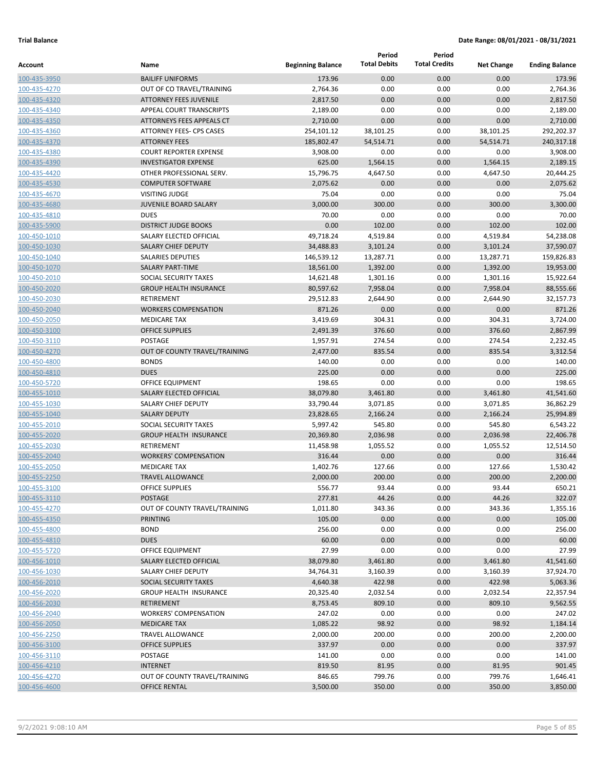|              |                                  |                          | Period              | Period               |                   |                       |
|--------------|----------------------------------|--------------------------|---------------------|----------------------|-------------------|-----------------------|
| Account      | Name                             | <b>Beginning Balance</b> | <b>Total Debits</b> | <b>Total Credits</b> | <b>Net Change</b> | <b>Ending Balance</b> |
| 100-435-3950 | <b>BAILIFF UNIFORMS</b>          | 173.96                   | 0.00                | 0.00                 | 0.00              | 173.96                |
| 100-435-4270 | OUT OF CO TRAVEL/TRAINING        | 2,764.36                 | 0.00                | 0.00                 | 0.00              | 2,764.36              |
| 100-435-4320 | <b>ATTORNEY FEES JUVENILE</b>    | 2,817.50                 | 0.00                | 0.00                 | 0.00              | 2,817.50              |
| 100-435-4340 | APPEAL COURT TRANSCRIPTS         | 2,189.00                 | 0.00                | 0.00                 | 0.00              | 2,189.00              |
| 100-435-4350 | <b>ATTORNEYS FEES APPEALS CT</b> | 2,710.00                 | 0.00                | 0.00                 | 0.00              | 2,710.00              |
| 100-435-4360 | ATTORNEY FEES- CPS CASES         | 254,101.12               | 38,101.25           | 0.00                 | 38,101.25         | 292,202.37            |
| 100-435-4370 | <b>ATTORNEY FEES</b>             | 185,802.47               | 54,514.71           | 0.00                 | 54,514.71         | 240,317.18            |
| 100-435-4380 | <b>COURT REPORTER EXPENSE</b>    | 3,908.00                 | 0.00                | 0.00                 | 0.00              | 3,908.00              |
| 100-435-4390 | <b>INVESTIGATOR EXPENSE</b>      | 625.00                   | 1,564.15            | 0.00                 | 1,564.15          | 2,189.15              |
| 100-435-4420 | OTHER PROFESSIONAL SERV.         | 15,796.75                | 4,647.50            | 0.00                 | 4,647.50          | 20,444.25             |
| 100-435-4530 | <b>COMPUTER SOFTWARE</b>         | 2,075.62                 | 0.00                | 0.00                 | 0.00              | 2,075.62              |
| 100-435-4670 | <b>VISITING JUDGE</b>            | 75.04                    | 0.00                | 0.00                 | 0.00              | 75.04                 |
| 100-435-4680 | <b>JUVENILE BOARD SALARY</b>     | 3,000.00                 | 300.00              | 0.00                 | 300.00            | 3,300.00              |
| 100-435-4810 | <b>DUES</b>                      | 70.00                    | 0.00                | 0.00                 | 0.00              | 70.00                 |
| 100-435-5900 | <b>DISTRICT JUDGE BOOKS</b>      | 0.00                     | 102.00              | 0.00                 | 102.00            | 102.00                |
| 100-450-1010 | SALARY ELECTED OFFICIAL          | 49,718.24                | 4,519.84            | 0.00                 | 4,519.84          | 54,238.08             |
| 100-450-1030 | <b>SALARY CHIEF DEPUTY</b>       | 34,488.83                | 3,101.24            | 0.00                 | 3,101.24          | 37,590.07             |
| 100-450-1040 | <b>SALARIES DEPUTIES</b>         | 146,539.12               | 13,287.71           | 0.00                 | 13,287.71         | 159,826.83            |
| 100-450-1070 | <b>SALARY PART-TIME</b>          | 18,561.00                | 1,392.00            | 0.00                 | 1,392.00          | 19,953.00             |
| 100-450-2010 | SOCIAL SECURITY TAXES            | 14,621.48                | 1,301.16            | 0.00                 | 1,301.16          | 15,922.64             |
| 100-450-2020 | <b>GROUP HEALTH INSURANCE</b>    | 80,597.62                | 7,958.04            | 0.00                 | 7,958.04          | 88,555.66             |
| 100-450-2030 | <b>RETIREMENT</b>                | 29,512.83                | 2,644.90            | 0.00                 | 2,644.90          | 32,157.73             |
| 100-450-2040 | <b>WORKERS COMPENSATION</b>      | 871.26                   | 0.00                | 0.00                 | 0.00              | 871.26                |
| 100-450-2050 | <b>MEDICARE TAX</b>              | 3,419.69                 | 304.31              | 0.00                 | 304.31            | 3,724.00              |
| 100-450-3100 | <b>OFFICE SUPPLIES</b>           | 2,491.39                 | 376.60              | 0.00                 | 376.60            | 2,867.99              |
| 100-450-3110 | <b>POSTAGE</b>                   | 1,957.91                 | 274.54              | 0.00                 | 274.54            | 2,232.45              |
| 100-450-4270 | OUT OF COUNTY TRAVEL/TRAINING    | 2,477.00                 | 835.54              | 0.00                 | 835.54            | 3,312.54              |
| 100-450-4800 | <b>BONDS</b>                     | 140.00                   | 0.00                | 0.00                 | 0.00              | 140.00                |
| 100-450-4810 | <b>DUES</b>                      | 225.00                   | 0.00                | 0.00                 | 0.00              | 225.00                |
| 100-450-5720 | <b>OFFICE EQUIPMENT</b>          | 198.65                   | 0.00                | 0.00                 | 0.00              | 198.65                |
| 100-455-1010 | SALARY ELECTED OFFICIAL          | 38,079.80                | 3,461.80            | 0.00                 | 3,461.80          | 41,541.60             |
| 100-455-1030 | SALARY CHIEF DEPUTY              | 33,790.44                | 3,071.85            | 0.00                 | 3,071.85          | 36,862.29             |
| 100-455-1040 | <b>SALARY DEPUTY</b>             | 23,828.65                | 2,166.24            | 0.00                 | 2,166.24          | 25,994.89             |
| 100-455-2010 | SOCIAL SECURITY TAXES            | 5,997.42                 | 545.80              | 0.00                 | 545.80            | 6,543.22              |
| 100-455-2020 | <b>GROUP HEALTH INSURANCE</b>    | 20,369.80                | 2,036.98            | 0.00                 | 2,036.98          | 22,406.78             |
| 100-455-2030 | RETIREMENT                       | 11,458.98                | 1,055.52            | 0.00                 | 1,055.52          | 12,514.50             |
| 100-455-2040 | <b>WORKERS' COMPENSATION</b>     | 316.44                   | 0.00                | 0.00                 | 0.00              | 316.44                |
| 100-455-2050 | <b>MEDICARE TAX</b>              | 1,402.76                 | 127.66              | 0.00                 | 127.66            | 1,530.42              |
| 100-455-2250 | <b>TRAVEL ALLOWANCE</b>          | 2,000.00                 | 200.00              | 0.00                 | 200.00            | 2,200.00              |
| 100-455-3100 | <b>OFFICE SUPPLIES</b>           | 556.77                   | 93.44               | 0.00                 | 93.44             | 650.21                |
| 100-455-3110 | <b>POSTAGE</b>                   | 277.81                   | 44.26               | 0.00                 | 44.26             | 322.07                |
| 100-455-4270 | OUT OF COUNTY TRAVEL/TRAINING    | 1,011.80                 | 343.36              | 0.00                 | 343.36            | 1,355.16              |
| 100-455-4350 | <b>PRINTING</b>                  | 105.00                   | 0.00                | 0.00                 | 0.00              | 105.00                |
| 100-455-4800 | <b>BOND</b>                      | 256.00                   | 0.00                | 0.00                 | 0.00              | 256.00                |
| 100-455-4810 | <b>DUES</b>                      | 60.00                    | 0.00                | 0.00                 | 0.00              | 60.00                 |
| 100-455-5720 | OFFICE EQUIPMENT                 | 27.99                    | 0.00                | 0.00                 | 0.00              | 27.99                 |
| 100-456-1010 | SALARY ELECTED OFFICIAL          | 38,079.80                | 3,461.80            | 0.00                 | 3,461.80          | 41,541.60             |
| 100-456-1030 | SALARY CHIEF DEPUTY              | 34,764.31                | 3,160.39            | 0.00                 | 3,160.39          | 37,924.70             |
| 100-456-2010 | SOCIAL SECURITY TAXES            | 4,640.38                 | 422.98              | 0.00                 | 422.98            | 5,063.36              |
| 100-456-2020 | <b>GROUP HEALTH INSURANCE</b>    | 20,325.40                | 2,032.54            | 0.00                 | 2,032.54          | 22,357.94             |
| 100-456-2030 | RETIREMENT                       | 8,753.45                 | 809.10              | 0.00                 | 809.10            | 9,562.55              |
| 100-456-2040 | <b>WORKERS' COMPENSATION</b>     | 247.02                   | 0.00                | 0.00                 | 0.00              | 247.02                |
| 100-456-2050 | <b>MEDICARE TAX</b>              | 1,085.22                 | 98.92               | 0.00                 | 98.92             | 1,184.14              |
| 100-456-2250 | TRAVEL ALLOWANCE                 | 2,000.00                 | 200.00              | 0.00                 | 200.00            | 2,200.00              |
| 100-456-3100 | <b>OFFICE SUPPLIES</b>           | 337.97                   | 0.00                | 0.00                 | 0.00              | 337.97                |
| 100-456-3110 | POSTAGE                          | 141.00                   | 0.00                | 0.00                 | 0.00              | 141.00                |
| 100-456-4210 | <b>INTERNET</b>                  | 819.50                   | 81.95               | 0.00                 | 81.95             | 901.45                |
| 100-456-4270 | OUT OF COUNTY TRAVEL/TRAINING    | 846.65                   | 799.76              | 0.00                 | 799.76            | 1,646.41              |
| 100-456-4600 | <b>OFFICE RENTAL</b>             | 3,500.00                 | 350.00              | 0.00                 | 350.00            | 3,850.00              |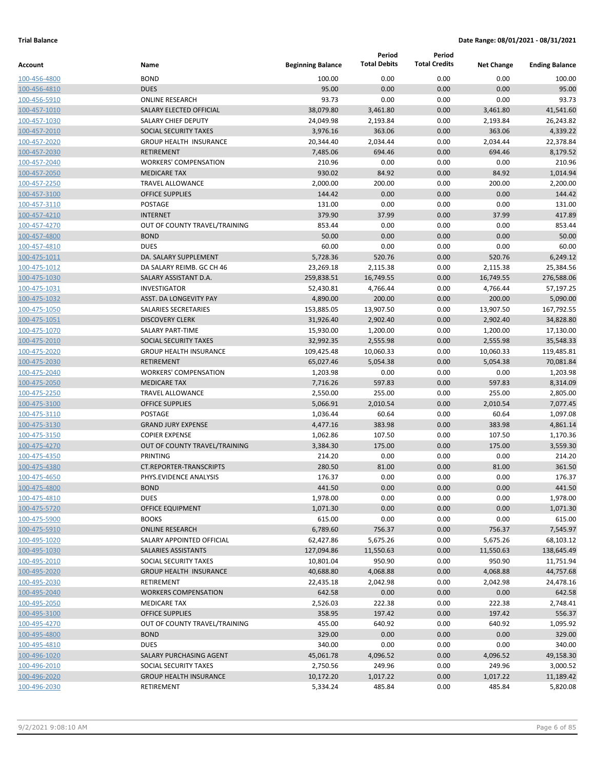|                              |                                |                          | Period              | Period               |                   |                       |
|------------------------------|--------------------------------|--------------------------|---------------------|----------------------|-------------------|-----------------------|
| Account                      | Name                           | <b>Beginning Balance</b> | <b>Total Debits</b> | <b>Total Credits</b> | <b>Net Change</b> | <b>Ending Balance</b> |
| 100-456-4800                 | <b>BOND</b>                    | 100.00                   | 0.00                | 0.00                 | 0.00              | 100.00                |
| 100-456-4810                 | <b>DUES</b>                    | 95.00                    | 0.00                | 0.00                 | 0.00              | 95.00                 |
| 100-456-5910                 | <b>ONLINE RESEARCH</b>         | 93.73                    | 0.00                | 0.00                 | 0.00              | 93.73                 |
| 100-457-1010                 | SALARY ELECTED OFFICIAL        | 38,079.80                | 3,461.80            | 0.00                 | 3,461.80          | 41,541.60             |
| 100-457-1030                 | SALARY CHIEF DEPUTY            | 24,049.98                | 2,193.84            | 0.00                 | 2,193.84          | 26,243.82             |
| 100-457-2010                 | SOCIAL SECURITY TAXES          | 3,976.16                 | 363.06              | 0.00                 | 363.06            | 4,339.22              |
| 100-457-2020                 | <b>GROUP HEALTH INSURANCE</b>  | 20,344.40                | 2,034.44            | 0.00                 | 2,034.44          | 22,378.84             |
| 100-457-2030                 | <b>RETIREMENT</b>              | 7,485.06                 | 694.46              | 0.00                 | 694.46            | 8,179.52              |
| 100-457-2040                 | <b>WORKERS' COMPENSATION</b>   | 210.96                   | 0.00                | 0.00                 | 0.00              | 210.96                |
| 100-457-2050                 | <b>MEDICARE TAX</b>            | 930.02                   | 84.92               | 0.00                 | 84.92             | 1,014.94              |
| 100-457-2250                 | <b>TRAVEL ALLOWANCE</b>        | 2,000.00                 | 200.00              | 0.00                 | 200.00            | 2,200.00              |
| 100-457-3100                 | <b>OFFICE SUPPLIES</b>         | 144.42                   | 0.00                | 0.00                 | 0.00              | 144.42                |
| 100-457-3110                 | POSTAGE                        | 131.00                   | 0.00                | 0.00                 | 0.00              | 131.00                |
| 100-457-4210                 | <b>INTERNET</b>                | 379.90                   | 37.99               | 0.00                 | 37.99             | 417.89                |
| 100-457-4270                 | OUT OF COUNTY TRAVEL/TRAINING  | 853.44                   | 0.00<br>0.00        | 0.00                 | 0.00              | 853.44                |
| 100-457-4800                 | <b>BOND</b><br><b>DUES</b>     | 50.00                    | 0.00                | 0.00                 | 0.00              | 50.00<br>60.00        |
| 100-457-4810                 | DA. SALARY SUPPLEMENT          | 60.00                    | 520.76              | 0.00<br>0.00         | 0.00<br>520.76    | 6,249.12              |
| 100-475-1011<br>100-475-1012 | DA SALARY REIMB. GC CH 46      | 5,728.36<br>23,269.18    | 2,115.38            | 0.00                 | 2,115.38          | 25,384.56             |
| 100-475-1030                 | SALARY ASSISTANT D.A.          | 259,838.51               | 16,749.55           | 0.00                 | 16,749.55         | 276,588.06            |
| 100-475-1031                 | <b>INVESTIGATOR</b>            | 52,430.81                | 4,766.44            | 0.00                 | 4,766.44          | 57,197.25             |
| 100-475-1032                 | ASST. DA LONGEVITY PAY         | 4,890.00                 | 200.00              | 0.00                 | 200.00            | 5,090.00              |
| 100-475-1050                 | SALARIES SECRETARIES           | 153,885.05               | 13,907.50           | 0.00                 | 13,907.50         | 167,792.55            |
| 100-475-1051                 | <b>DISCOVERY CLERK</b>         | 31,926.40                | 2,902.40            | 0.00                 | 2,902.40          | 34,828.80             |
| 100-475-1070                 | <b>SALARY PART-TIME</b>        | 15,930.00                | 1,200.00            | 0.00                 | 1,200.00          | 17,130.00             |
| 100-475-2010                 | SOCIAL SECURITY TAXES          | 32,992.35                | 2,555.98            | 0.00                 | 2,555.98          | 35,548.33             |
| 100-475-2020                 | <b>GROUP HEALTH INSURANCE</b>  | 109,425.48               | 10,060.33           | 0.00                 | 10,060.33         | 119,485.81            |
| 100-475-2030                 | <b>RETIREMENT</b>              | 65,027.46                | 5,054.38            | 0.00                 | 5,054.38          | 70,081.84             |
| 100-475-2040                 | <b>WORKERS' COMPENSATION</b>   | 1,203.98                 | 0.00                | 0.00                 | 0.00              | 1,203.98              |
| 100-475-2050                 | <b>MEDICARE TAX</b>            | 7,716.26                 | 597.83              | 0.00                 | 597.83            | 8,314.09              |
| 100-475-2250                 | <b>TRAVEL ALLOWANCE</b>        | 2,550.00                 | 255.00              | 0.00                 | 255.00            | 2,805.00              |
| 100-475-3100                 | <b>OFFICE SUPPLIES</b>         | 5,066.91                 | 2,010.54            | 0.00                 | 2,010.54          | 7,077.45              |
| 100-475-3110                 | POSTAGE                        | 1,036.44                 | 60.64               | 0.00                 | 60.64             | 1,097.08              |
| 100-475-3130                 | <b>GRAND JURY EXPENSE</b>      | 4,477.16                 | 383.98              | 0.00                 | 383.98            | 4,861.14              |
| 100-475-3150                 | <b>COPIER EXPENSE</b>          | 1,062.86                 | 107.50              | 0.00                 | 107.50            | 1,170.36              |
| 100-475-4270                 | OUT OF COUNTY TRAVEL/TRAINING  | 3,384.30                 | 175.00              | 0.00                 | 175.00            | 3,559.30              |
| 100-475-4350                 | PRINTING                       | 214.20                   | 0.00                | 0.00                 | 0.00              | 214.20                |
| 100-475-4380                 | <b>CT.REPORTER-TRANSCRIPTS</b> | 280.50                   | 81.00               | 0.00                 | 81.00             | 361.50                |
| 100-475-4650                 | PHYS.EVIDENCE ANALYSIS         | 176.37                   | 0.00                | 0.00                 | 0.00              | 176.37                |
| 100-475-4800                 | <b>BOND</b>                    | 441.50                   | 0.00                | 0.00                 | 0.00              | 441.50                |
| 100-475-4810                 | <b>DUES</b>                    | 1,978.00                 | 0.00                | 0.00                 | 0.00              | 1,978.00              |
| 100-475-5720                 | OFFICE EQUIPMENT               | 1,071.30                 | 0.00                | 0.00                 | 0.00              | 1,071.30              |
| 100-475-5900                 | <b>BOOKS</b>                   | 615.00                   | 0.00                | 0.00                 | 0.00              | 615.00                |
| 100-475-5910                 | <b>ONLINE RESEARCH</b>         | 6,789.60                 | 756.37              | 0.00                 | 756.37            | 7,545.97              |
| 100-495-1020                 | SALARY APPOINTED OFFICIAL      | 62,427.86                | 5,675.26            | 0.00                 | 5,675.26          | 68,103.12             |
| 100-495-1030                 | SALARIES ASSISTANTS            | 127,094.86               | 11,550.63           | 0.00                 | 11,550.63         | 138,645.49            |
| 100-495-2010                 | SOCIAL SECURITY TAXES          | 10,801.04                | 950.90              | 0.00                 | 950.90            | 11,751.94             |
| 100-495-2020                 | <b>GROUP HEALTH INSURANCE</b>  | 40,688.80                | 4,068.88            | 0.00                 | 4,068.88          | 44,757.68             |
| 100-495-2030                 | RETIREMENT                     | 22,435.18                | 2,042.98            | 0.00                 | 2,042.98          | 24,478.16             |
| 100-495-2040                 | <b>WORKERS COMPENSATION</b>    | 642.58                   | 0.00                | 0.00                 | 0.00              | 642.58                |
| 100-495-2050                 | <b>MEDICARE TAX</b>            | 2,526.03                 | 222.38              | 0.00                 | 222.38            | 2,748.41              |
| 100-495-3100                 | <b>OFFICE SUPPLIES</b>         | 358.95                   | 197.42              | 0.00                 | 197.42            | 556.37                |
| 100-495-4270                 | OUT OF COUNTY TRAVEL/TRAINING  | 455.00                   | 640.92              | 0.00                 | 640.92            | 1,095.92              |
| 100-495-4800                 | <b>BOND</b>                    | 329.00                   | 0.00                | 0.00                 | 0.00              | 329.00                |
| 100-495-4810                 | <b>DUES</b>                    | 340.00                   | 0.00                | 0.00                 | 0.00              | 340.00                |
| 100-496-1020                 | SALARY PURCHASING AGENT        | 45,061.78                | 4,096.52            | 0.00                 | 4,096.52          | 49,158.30             |
| 100-496-2010                 | SOCIAL SECURITY TAXES          | 2,750.56                 | 249.96              | 0.00                 | 249.96            | 3,000.52              |
| 100-496-2020                 | <b>GROUP HEALTH INSURANCE</b>  | 10,172.20                | 1,017.22            | 0.00                 | 1,017.22          | 11,189.42             |
| 100-496-2030                 | RETIREMENT                     | 5,334.24                 | 485.84              | 0.00                 | 485.84            | 5,820.08              |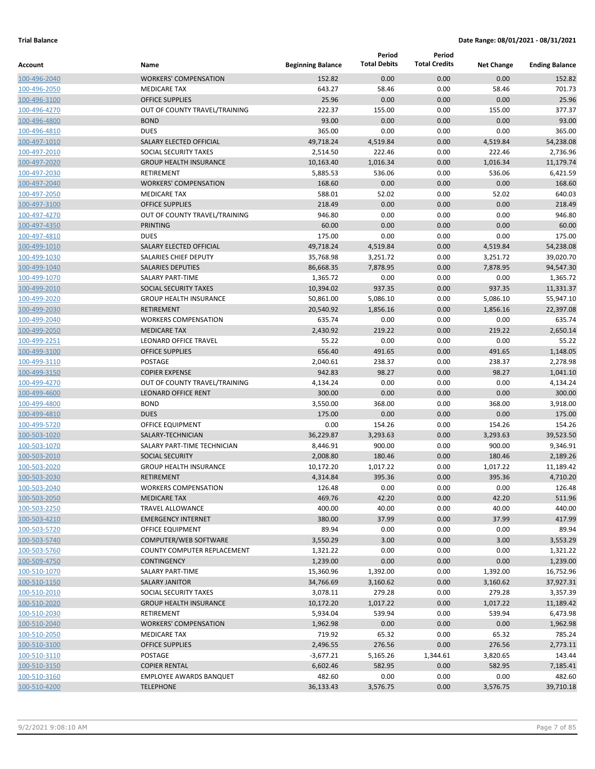|              |                                |                          | Period              | Period               |                   |                       |
|--------------|--------------------------------|--------------------------|---------------------|----------------------|-------------------|-----------------------|
| Account      | Name                           | <b>Beginning Balance</b> | <b>Total Debits</b> | <b>Total Credits</b> | <b>Net Change</b> | <b>Ending Balance</b> |
| 100-496-2040 | <b>WORKERS' COMPENSATION</b>   | 152.82                   | 0.00                | 0.00                 | 0.00              | 152.82                |
| 100-496-2050 | <b>MEDICARE TAX</b>            | 643.27                   | 58.46               | 0.00                 | 58.46             | 701.73                |
| 100-496-3100 | <b>OFFICE SUPPLIES</b>         | 25.96                    | 0.00                | 0.00                 | 0.00              | 25.96                 |
| 100-496-4270 | OUT OF COUNTY TRAVEL/TRAINING  | 222.37                   | 155.00              | 0.00                 | 155.00            | 377.37                |
| 100-496-4800 | <b>BOND</b>                    | 93.00                    | 0.00                | 0.00                 | 0.00              | 93.00                 |
| 100-496-4810 | <b>DUES</b>                    | 365.00                   | 0.00                | 0.00                 | 0.00              | 365.00                |
| 100-497-1010 | SALARY ELECTED OFFICIAL        | 49,718.24                | 4,519.84            | 0.00                 | 4,519.84          | 54,238.08             |
| 100-497-2010 | <b>SOCIAL SECURITY TAXES</b>   | 2,514.50                 | 222.46              | 0.00                 | 222.46            | 2,736.96              |
| 100-497-2020 | <b>GROUP HEALTH INSURANCE</b>  | 10,163.40                | 1,016.34            | 0.00                 | 1,016.34          | 11,179.74             |
| 100-497-2030 | <b>RETIREMENT</b>              | 5,885.53                 | 536.06              | 0.00                 | 536.06            | 6,421.59              |
| 100-497-2040 | <b>WORKERS' COMPENSATION</b>   | 168.60                   | 0.00                | 0.00                 | 0.00              | 168.60                |
| 100-497-2050 | <b>MEDICARE TAX</b>            | 588.01                   | 52.02               | 0.00                 | 52.02             | 640.03                |
| 100-497-3100 | <b>OFFICE SUPPLIES</b>         | 218.49                   | 0.00                | 0.00                 | 0.00              | 218.49                |
| 100-497-4270 | OUT OF COUNTY TRAVEL/TRAINING  | 946.80                   | 0.00                | 0.00                 | 0.00              | 946.80                |
| 100-497-4350 | <b>PRINTING</b>                | 60.00                    | 0.00                | 0.00                 | 0.00              | 60.00                 |
| 100-497-4810 | <b>DUES</b>                    | 175.00                   | 0.00                | 0.00                 | 0.00              | 175.00                |
| 100-499-1010 | SALARY ELECTED OFFICIAL        | 49,718.24                | 4,519.84            | 0.00                 | 4,519.84          | 54,238.08             |
| 100-499-1030 | SALARIES CHIEF DEPUTY          | 35,768.98                | 3,251.72            | 0.00                 | 3,251.72          | 39,020.70             |
| 100-499-1040 | <b>SALARIES DEPUTIES</b>       | 86,668.35                | 7,878.95            | 0.00                 | 7,878.95          | 94,547.30             |
| 100-499-1070 | <b>SALARY PART-TIME</b>        | 1,365.72                 | 0.00                | 0.00                 | 0.00              | 1,365.72              |
| 100-499-2010 | SOCIAL SECURITY TAXES          | 10,394.02                | 937.35              | 0.00                 | 937.35            | 11,331.37             |
| 100-499-2020 | <b>GROUP HEALTH INSURANCE</b>  | 50,861.00                | 5,086.10            | 0.00                 | 5,086.10          | 55,947.10             |
| 100-499-2030 | <b>RETIREMENT</b>              | 20,540.92                | 1,856.16            | 0.00                 | 1,856.16          | 22,397.08             |
| 100-499-2040 | <b>WORKERS COMPENSATION</b>    | 635.74                   | 0.00                | 0.00                 | 0.00              | 635.74                |
| 100-499-2050 | <b>MEDICARE TAX</b>            | 2,430.92                 | 219.22              | 0.00                 | 219.22            | 2,650.14              |
| 100-499-2251 | LEONARD OFFICE TRAVEL          | 55.22                    | 0.00                | 0.00                 | 0.00              | 55.22                 |
| 100-499-3100 | <b>OFFICE SUPPLIES</b>         | 656.40                   | 491.65              | 0.00                 | 491.65            | 1,148.05              |
| 100-499-3110 | POSTAGE                        | 2,040.61                 | 238.37              | 0.00                 | 238.37            | 2,278.98              |
| 100-499-3150 | <b>COPIER EXPENSE</b>          | 942.83                   | 98.27               | 0.00                 | 98.27             | 1,041.10              |
| 100-499-4270 | OUT OF COUNTY TRAVEL/TRAINING  | 4,134.24                 | 0.00                | 0.00                 | 0.00              | 4,134.24              |
| 100-499-4600 | <b>LEONARD OFFICE RENT</b>     | 300.00                   | 0.00                | 0.00                 | 0.00              | 300.00                |
| 100-499-4800 | <b>BOND</b>                    | 3,550.00                 | 368.00              | 0.00                 | 368.00            | 3,918.00              |
| 100-499-4810 | <b>DUES</b>                    | 175.00                   | 0.00                | 0.00                 | 0.00              | 175.00                |
| 100-499-5720 | <b>OFFICE EQUIPMENT</b>        | 0.00                     | 154.26              | 0.00                 | 154.26            | 154.26                |
| 100-503-1020 | SALARY-TECHNICIAN              | 36,229.87                | 3,293.63            | 0.00                 | 3,293.63          | 39,523.50             |
| 100-503-1070 | SALARY PART-TIME TECHNICIAN    | 8,446.91                 | 900.00              | 0.00                 | 900.00            | 9,346.91              |
| 100-503-2010 | <b>SOCIAL SECURITY</b>         | 2,008.80                 | 180.46              | 0.00                 | 180.46            | 2,189.26              |
| 100-503-2020 | <b>GROUP HEALTH INSURANCE</b>  | 10,172.20                | 1,017.22            | 0.00                 | 1,017.22          | 11,189.42             |
| 100-503-2030 | <b>RETIREMENT</b>              | 4,314.84                 | 395.36              | 0.00                 | 395.36            | 4,710.20              |
| 100-503-2040 | <b>WORKERS COMPENSATION</b>    | 126.48                   | 0.00                | 0.00                 | 0.00              | 126.48                |
| 100-503-2050 | <b>MEDICARE TAX</b>            | 469.76                   | 42.20               | 0.00                 | 42.20             | 511.96                |
| 100-503-2250 | TRAVEL ALLOWANCE               | 400.00                   | 40.00               | 0.00                 | 40.00             | 440.00                |
| 100-503-4210 | <b>EMERGENCY INTERNET</b>      | 380.00                   | 37.99               | 0.00                 | 37.99             | 417.99                |
| 100-503-5720 | OFFICE EQUIPMENT               | 89.94                    | 0.00                | 0.00                 | 0.00              | 89.94                 |
| 100-503-5740 | COMPUTER/WEB SOFTWARE          | 3,550.29                 | 3.00                | 0.00                 | 3.00              | 3,553.29              |
| 100-503-5760 | COUNTY COMPUTER REPLACEMENT    | 1,321.22                 | 0.00                | 0.00                 | 0.00              | 1,321.22              |
| 100-509-4750 | <b>CONTINGENCY</b>             | 1,239.00                 | 0.00                | 0.00                 | 0.00              | 1,239.00              |
| 100-510-1070 | <b>SALARY PART-TIME</b>        | 15,360.96                | 1,392.00            | 0.00                 | 1,392.00          | 16,752.96             |
| 100-510-1150 | <b>SALARY JANITOR</b>          | 34,766.69                | 3,160.62            | 0.00                 | 3,160.62          | 37,927.31             |
| 100-510-2010 | SOCIAL SECURITY TAXES          | 3,078.11                 | 279.28              | 0.00                 | 279.28            | 3,357.39              |
| 100-510-2020 | <b>GROUP HEALTH INSURANCE</b>  | 10,172.20                | 1,017.22            | 0.00                 | 1,017.22          | 11,189.42             |
| 100-510-2030 | RETIREMENT                     | 5,934.04                 | 539.94              | 0.00                 | 539.94            | 6,473.98              |
| 100-510-2040 | <b>WORKERS' COMPENSATION</b>   | 1,962.98                 | 0.00                | 0.00                 | 0.00              | 1,962.98              |
| 100-510-2050 | MEDICARE TAX                   | 719.92                   | 65.32               | 0.00                 | 65.32             | 785.24                |
| 100-510-3100 | <b>OFFICE SUPPLIES</b>         | 2,496.55                 | 276.56              | 0.00                 | 276.56            | 2,773.11              |
| 100-510-3110 | POSTAGE                        | $-3,677.21$              | 5,165.26            | 1,344.61             | 3,820.65          | 143.44                |
| 100-510-3150 | <b>COPIER RENTAL</b>           | 6,602.46                 | 582.95              | 0.00                 | 582.95            | 7,185.41              |
| 100-510-3160 | <b>EMPLOYEE AWARDS BANQUET</b> | 482.60                   | 0.00                | 0.00                 | 0.00              | 482.60                |
| 100-510-4200 | <b>TELEPHONE</b>               | 36,133.43                | 3,576.75            | 0.00                 | 3,576.75          | 39,710.18             |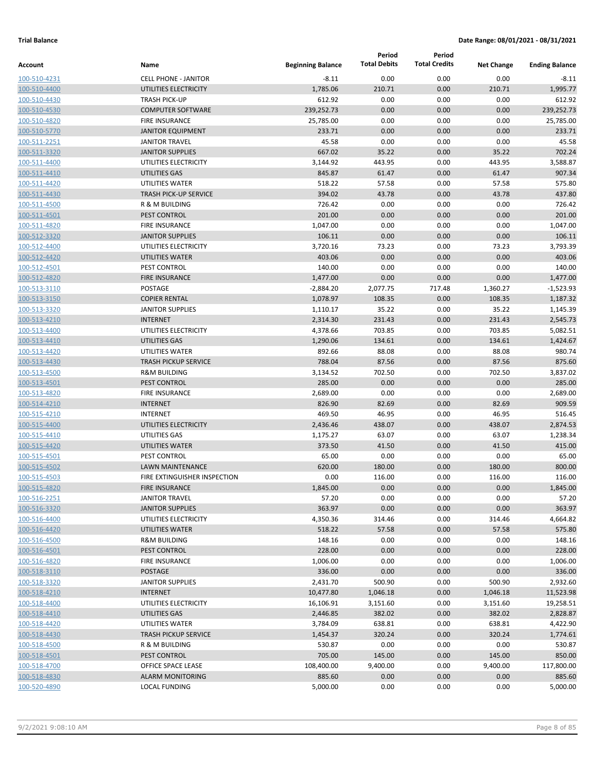|                              |                                          |                          | Period              | Period               |                   |                       |
|------------------------------|------------------------------------------|--------------------------|---------------------|----------------------|-------------------|-----------------------|
| Account                      | Name                                     | <b>Beginning Balance</b> | <b>Total Debits</b> | <b>Total Credits</b> | <b>Net Change</b> | <b>Ending Balance</b> |
| 100-510-4231                 | <b>CELL PHONE - JANITOR</b>              | $-8.11$                  | 0.00                | 0.00                 | 0.00              | -8.11                 |
| 100-510-4400                 | UTILITIES ELECTRICITY                    | 1,785.06                 | 210.71              | 0.00                 | 210.71            | 1,995.77              |
| 100-510-4430                 | <b>TRASH PICK-UP</b>                     | 612.92                   | 0.00                | 0.00                 | 0.00              | 612.92                |
| 100-510-4530                 | <b>COMPUTER SOFTWARE</b>                 | 239,252.73               | 0.00                | 0.00                 | 0.00              | 239,252.73            |
| 100-510-4820                 | <b>FIRE INSURANCE</b>                    | 25,785.00                | 0.00                | 0.00                 | 0.00              | 25,785.00             |
| 100-510-5770                 | <b>JANITOR EQUIPMENT</b>                 | 233.71                   | 0.00                | 0.00                 | 0.00              | 233.71                |
| 100-511-2251                 | <b>JANITOR TRAVEL</b>                    | 45.58                    | 0.00                | 0.00                 | 0.00              | 45.58                 |
| 100-511-3320                 | <b>JANITOR SUPPLIES</b>                  | 667.02                   | 35.22               | 0.00                 | 35.22             | 702.24                |
| 100-511-4400                 | UTILITIES ELECTRICITY                    | 3,144.92                 | 443.95              | 0.00                 | 443.95            | 3,588.87              |
| 100-511-4410                 | UTILITIES GAS                            | 845.87                   | 61.47               | 0.00                 | 61.47             | 907.34                |
| 100-511-4420                 | UTILITIES WATER                          | 518.22                   | 57.58               | 0.00                 | 57.58             | 575.80                |
| 100-511-4430                 | <b>TRASH PICK-UP SERVICE</b>             | 394.02                   | 43.78               | 0.00                 | 43.78             | 437.80                |
| 100-511-4500                 | R & M BUILDING                           | 726.42                   | 0.00                | 0.00                 | 0.00              | 726.42                |
| 100-511-4501                 | PEST CONTROL                             | 201.00                   | 0.00                | 0.00                 | 0.00              | 201.00                |
| 100-511-4820                 | <b>FIRE INSURANCE</b>                    | 1,047.00                 | 0.00                | 0.00                 | 0.00              | 1,047.00              |
| 100-512-3320                 | <b>JANITOR SUPPLIES</b>                  | 106.11                   | 0.00                | 0.00                 | 0.00              | 106.11                |
| 100-512-4400                 | UTILITIES ELECTRICITY                    | 3,720.16                 | 73.23               | 0.00                 | 73.23             | 3,793.39              |
| 100-512-4420                 | <b>UTILITIES WATER</b>                   | 403.06                   | 0.00                | 0.00                 | 0.00              | 403.06                |
| 100-512-4501                 | PEST CONTROL                             | 140.00                   | 0.00                | 0.00                 | 0.00              | 140.00                |
| 100-512-4820                 | <b>FIRE INSURANCE</b>                    | 1,477.00                 | 0.00                | 0.00                 | 0.00              | 1,477.00              |
| 100-513-3110                 | POSTAGE                                  | $-2,884.20$              | 2,077.75            | 717.48               | 1,360.27          | $-1,523.93$           |
| 100-513-3150                 | <b>COPIER RENTAL</b>                     | 1,078.97                 | 108.35              | 0.00                 | 108.35            | 1,187.32              |
| 100-513-3320                 | <b>JANITOR SUPPLIES</b>                  | 1,110.17                 | 35.22               | 0.00                 | 35.22             | 1,145.39              |
| 100-513-4210                 | <b>INTERNET</b>                          | 2,314.30                 | 231.43              | 0.00                 | 231.43            | 2,545.73              |
| 100-513-4400                 | UTILITIES ELECTRICITY                    | 4,378.66                 | 703.85              | 0.00                 | 703.85            | 5,082.51              |
| 100-513-4410                 | UTILITIES GAS                            | 1,290.06                 | 134.61              | 0.00                 | 134.61            | 1,424.67              |
| 100-513-4420                 | UTILITIES WATER                          | 892.66                   | 88.08               | 0.00                 | 88.08             | 980.74                |
| 100-513-4430                 | <b>TRASH PICKUP SERVICE</b>              | 788.04                   | 87.56               | 0.00                 | 87.56             | 875.60                |
| 100-513-4500                 | <b>R&amp;M BUILDING</b>                  | 3,134.52                 | 702.50              | 0.00                 | 702.50            | 3,837.02              |
| 100-513-4501                 | PEST CONTROL                             | 285.00                   | 0.00                | 0.00                 | 0.00              | 285.00                |
| 100-513-4820                 | <b>FIRE INSURANCE</b>                    | 2,689.00                 | 0.00                | 0.00                 | 0.00              | 2,689.00              |
| 100-514-4210                 | <b>INTERNET</b>                          | 826.90                   | 82.69               | 0.00                 | 82.69             | 909.59                |
| 100-515-4210                 | <b>INTERNET</b>                          | 469.50                   | 46.95               | 0.00                 | 46.95             | 516.45                |
| 100-515-4400                 | UTILITIES ELECTRICITY                    | 2,436.46                 | 438.07              | 0.00                 | 438.07            | 2,874.53              |
| 100-515-4410                 | UTILITIES GAS                            | 1,175.27                 | 63.07               | 0.00                 | 63.07             | 1,238.34              |
| 100-515-4420                 | UTILITIES WATER                          | 373.50                   | 41.50               | 0.00                 | 41.50             | 415.00                |
| 100-515-4501                 | PEST CONTROL                             | 65.00                    | 0.00                | 0.00                 | 0.00              | 65.00                 |
| 100-515-4502                 | <b>LAWN MAINTENANCE</b>                  | 620.00                   | 180.00              | 0.00                 | 180.00            | 800.00                |
| 100-515-4503                 | FIRE EXTINGUISHER INSPECTION             | 0.00                     | 116.00              | 0.00                 | 116.00            | 116.00                |
| 100-515-4820                 | FIRE INSURANCE                           | 1,845.00                 | 0.00                | 0.00                 | 0.00              | 1,845.00              |
| 100-516-2251                 | <b>JANITOR TRAVEL</b>                    | 57.20                    | 0.00                | 0.00                 | 0.00              | 57.20                 |
| 100-516-3320                 | <b>JANITOR SUPPLIES</b>                  | 363.97<br>4,350.36       | 0.00                | 0.00                 | 0.00              | 363.97                |
| 100-516-4400<br>100-516-4420 | UTILITIES ELECTRICITY<br>UTILITIES WATER | 518.22                   | 314.46<br>57.58     | 0.00<br>0.00         | 314.46<br>57.58   | 4,664.82<br>575.80    |
| 100-516-4500                 | <b>R&amp;M BUILDING</b>                  | 148.16                   | 0.00                | 0.00                 | 0.00              | 148.16                |
| 100-516-4501                 | PEST CONTROL                             | 228.00                   | 0.00                | 0.00                 | 0.00              | 228.00                |
| 100-516-4820                 | <b>FIRE INSURANCE</b>                    | 1,006.00                 | 0.00                | 0.00                 | 0.00              | 1,006.00              |
| 100-518-3110                 | POSTAGE                                  | 336.00                   | 0.00                | 0.00                 | 0.00              | 336.00                |
| 100-518-3320                 | <b>JANITOR SUPPLIES</b>                  | 2,431.70                 | 500.90              | 0.00                 | 500.90            | 2,932.60              |
| 100-518-4210                 | <b>INTERNET</b>                          | 10,477.80                | 1,046.18            | 0.00                 | 1,046.18          | 11,523.98             |
| 100-518-4400                 | UTILITIES ELECTRICITY                    | 16,106.91                | 3,151.60            | 0.00                 | 3,151.60          | 19,258.51             |
| 100-518-4410                 | UTILITIES GAS                            | 2,446.85                 | 382.02              | 0.00                 | 382.02            | 2,828.87              |
| 100-518-4420                 | UTILITIES WATER                          | 3,784.09                 | 638.81              | 0.00                 | 638.81            | 4,422.90              |
| 100-518-4430                 | <b>TRASH PICKUP SERVICE</b>              | 1,454.37                 | 320.24              | 0.00                 | 320.24            | 1,774.61              |
| 100-518-4500                 | R & M BUILDING                           | 530.87                   | 0.00                | 0.00                 | 0.00              | 530.87                |
| 100-518-4501                 | PEST CONTROL                             | 705.00                   | 145.00              | 0.00                 | 145.00            | 850.00                |
| 100-518-4700                 | OFFICE SPACE LEASE                       | 108,400.00               | 9,400.00            | 0.00                 | 9,400.00          | 117,800.00            |
| 100-518-4830                 | <b>ALARM MONITORING</b>                  | 885.60                   | 0.00                | 0.00                 | 0.00              | 885.60                |
| 100-520-4890                 | <b>LOCAL FUNDING</b>                     | 5,000.00                 | 0.00                | 0.00                 | 0.00              | 5,000.00              |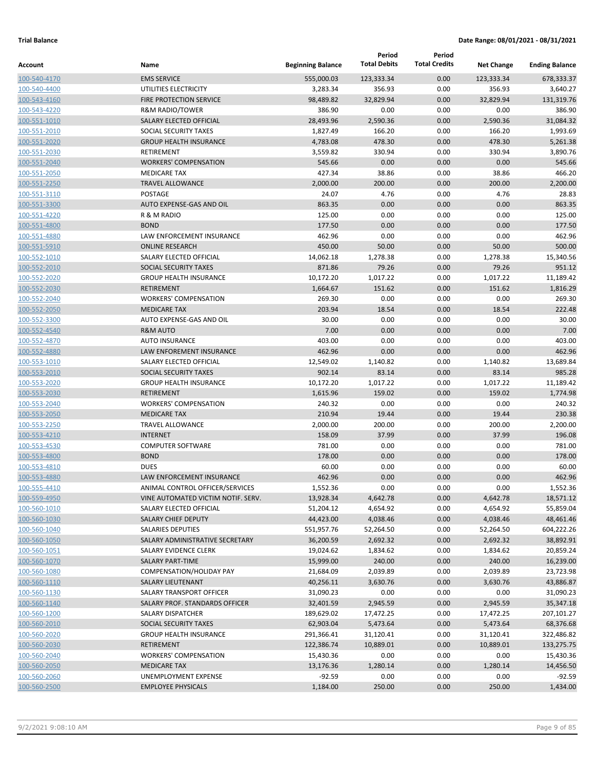|                              |                                                |                          | Period              | Period               |                   |                       |
|------------------------------|------------------------------------------------|--------------------------|---------------------|----------------------|-------------------|-----------------------|
| Account                      | Name                                           | <b>Beginning Balance</b> | <b>Total Debits</b> | <b>Total Credits</b> | <b>Net Change</b> | <b>Ending Balance</b> |
| 100-540-4170                 | <b>EMS SERVICE</b>                             | 555,000.03               | 123,333.34          | 0.00                 | 123,333.34        | 678,333.37            |
| 100-540-4400                 | UTILITIES ELECTRICITY                          | 3,283.34                 | 356.93              | 0.00                 | 356.93            | 3,640.27              |
| 100-543-4160                 | <b>FIRE PROTECTION SERVICE</b>                 | 98,489.82                | 32,829.94           | 0.00                 | 32,829.94         | 131,319.76            |
| 100-543-4220                 | <b>R&amp;M RADIO/TOWER</b>                     | 386.90                   | 0.00                | 0.00                 | 0.00              | 386.90                |
| 100-551-1010                 | SALARY ELECTED OFFICIAL                        | 28,493.96                | 2,590.36            | 0.00                 | 2,590.36          | 31,084.32             |
| 100-551-2010                 | SOCIAL SECURITY TAXES                          | 1,827.49                 | 166.20              | 0.00                 | 166.20            | 1,993.69              |
| 100-551-2020                 | <b>GROUP HEALTH INSURANCE</b>                  | 4,783.08                 | 478.30              | 0.00                 | 478.30            | 5,261.38              |
| 100-551-2030                 | <b>RETIREMENT</b>                              | 3,559.82                 | 330.94              | 0.00                 | 330.94            | 3,890.76              |
| 100-551-2040                 | <b>WORKERS' COMPENSATION</b>                   | 545.66                   | 0.00                | 0.00                 | 0.00              | 545.66<br>466.20      |
| 100-551-2050                 | <b>MEDICARE TAX</b><br><b>TRAVEL ALLOWANCE</b> | 427.34<br>2,000.00       | 38.86<br>200.00     | 0.00<br>0.00         | 38.86<br>200.00   | 2,200.00              |
| 100-551-2250<br>100-551-3110 | <b>POSTAGE</b>                                 | 24.07                    | 4.76                | 0.00                 | 4.76              | 28.83                 |
| 100-551-3300                 | AUTO EXPENSE-GAS AND OIL                       | 863.35                   | 0.00                | 0.00                 | 0.00              | 863.35                |
| 100-551-4220                 | R & M RADIO                                    | 125.00                   | 0.00                | 0.00                 | 0.00              | 125.00                |
| 100-551-4800                 | <b>BOND</b>                                    | 177.50                   | 0.00                | 0.00                 | 0.00              | 177.50                |
| 100-551-4880                 | LAW ENFORCEMENT INSURANCE                      | 462.96                   | 0.00                | 0.00                 | 0.00              | 462.96                |
| 100-551-5910                 | <b>ONLINE RESEARCH</b>                         | 450.00                   | 50.00               | 0.00                 | 50.00             | 500.00                |
| 100-552-1010                 | SALARY ELECTED OFFICIAL                        | 14,062.18                | 1,278.38            | 0.00                 | 1,278.38          | 15,340.56             |
| 100-552-2010                 | SOCIAL SECURITY TAXES                          | 871.86                   | 79.26               | 0.00                 | 79.26             | 951.12                |
| 100-552-2020                 | <b>GROUP HEALTH INSURANCE</b>                  | 10,172.20                | 1,017.22            | 0.00                 | 1,017.22          | 11,189.42             |
| 100-552-2030                 | <b>RETIREMENT</b>                              | 1,664.67                 | 151.62              | 0.00                 | 151.62            | 1,816.29              |
| 100-552-2040                 | <b>WORKERS' COMPENSATION</b>                   | 269.30                   | 0.00                | 0.00                 | 0.00              | 269.30                |
| 100-552-2050                 | <b>MEDICARE TAX</b>                            | 203.94                   | 18.54               | 0.00                 | 18.54             | 222.48                |
| 100-552-3300                 | AUTO EXPENSE-GAS AND OIL                       | 30.00                    | 0.00                | 0.00                 | 0.00              | 30.00                 |
| 100-552-4540                 | <b>R&amp;M AUTO</b>                            | 7.00                     | 0.00                | 0.00                 | 0.00              | 7.00                  |
| 100-552-4870                 | <b>AUTO INSURANCE</b>                          | 403.00                   | 0.00                | 0.00                 | 0.00              | 403.00                |
| 100-552-4880                 | LAW ENFOREMENT INSURANCE                       | 462.96                   | 0.00                | 0.00                 | 0.00              | 462.96                |
| 100-553-1010                 | SALARY ELECTED OFFICIAL                        | 12,549.02                | 1,140.82            | 0.00                 | 1,140.82          | 13,689.84             |
| 100-553-2010                 | SOCIAL SECURITY TAXES                          | 902.14                   | 83.14               | 0.00                 | 83.14             | 985.28                |
| 100-553-2020                 | <b>GROUP HEALTH INSURANCE</b>                  | 10,172.20                | 1,017.22            | 0.00                 | 1,017.22          | 11,189.42             |
| 100-553-2030                 | <b>RETIREMENT</b>                              | 1,615.96                 | 159.02              | 0.00                 | 159.02            | 1,774.98              |
| 100-553-2040                 | <b>WORKERS' COMPENSATION</b>                   | 240.32                   | 0.00                | 0.00                 | 0.00              | 240.32                |
| 100-553-2050                 | <b>MEDICARE TAX</b>                            | 210.94                   | 19.44               | 0.00                 | 19.44             | 230.38                |
| 100-553-2250                 | <b>TRAVEL ALLOWANCE</b>                        | 2,000.00                 | 200.00              | 0.00                 | 200.00            | 2,200.00              |
| 100-553-4210                 | <b>INTERNET</b>                                | 158.09                   | 37.99               | 0.00                 | 37.99             | 196.08                |
| 100-553-4530                 | <b>COMPUTER SOFTWARE</b><br><b>BOND</b>        | 781.00                   | 0.00                | 0.00<br>0.00         | 0.00              | 781.00                |
| 100-553-4800                 | <b>DUES</b>                                    | 178.00                   | 0.00<br>0.00        | 0.00                 | 0.00              | 178.00                |
| 100-553-4810<br>100-553-4880 | LAW ENFORCEMENT INSURANCE                      | 60.00<br>462.96          | 0.00                | 0.00                 | 0.00<br>0.00      | 60.00<br>462.96       |
| 100-555-4410                 | ANIMAL CONTROL OFFICER/SERVICES                | 1,552.36                 | 0.00                | 0.00                 | 0.00              | 1,552.36              |
| 100-559-4950                 | VINE AUTOMATED VICTIM NOTIF. SERV.             | 13,928.34                | 4,642.78            | 0.00                 | 4,642.78          | 18,571.12             |
| 100-560-1010                 | SALARY ELECTED OFFICIAL                        | 51,204.12                | 4,654.92            | 0.00                 | 4,654.92          | 55,859.04             |
| 100-560-1030                 | <b>SALARY CHIEF DEPUTY</b>                     | 44,423.00                | 4,038.46            | 0.00                 | 4,038.46          | 48,461.46             |
| 100-560-1040                 | SALARIES DEPUTIES                              | 551,957.76               | 52,264.50           | 0.00                 | 52,264.50         | 604,222.26            |
| 100-560-1050                 | SALARY ADMINISTRATIVE SECRETARY                | 36,200.59                | 2,692.32            | 0.00                 | 2,692.32          | 38,892.91             |
| 100-560-1051                 | SALARY EVIDENCE CLERK                          | 19,024.62                | 1,834.62            | 0.00                 | 1,834.62          | 20,859.24             |
| 100-560-1070                 | <b>SALARY PART-TIME</b>                        | 15,999.00                | 240.00              | 0.00                 | 240.00            | 16,239.00             |
| 100-560-1080                 | COMPENSATION/HOLIDAY PAY                       | 21,684.09                | 2,039.89            | 0.00                 | 2,039.89          | 23,723.98             |
| 100-560-1110                 | SALARY LIEUTENANT                              | 40,256.11                | 3,630.76            | 0.00                 | 3,630.76          | 43,886.87             |
| 100-560-1130                 | SALARY TRANSPORT OFFICER                       | 31,090.23                | 0.00                | 0.00                 | 0.00              | 31,090.23             |
| 100-560-1140                 | SALARY PROF. STANDARDS OFFICER                 | 32,401.59                | 2,945.59            | 0.00                 | 2,945.59          | 35,347.18             |
| 100-560-1200                 | SALARY DISPATCHER                              | 189,629.02               | 17,472.25           | 0.00                 | 17,472.25         | 207,101.27            |
| 100-560-2010                 | SOCIAL SECURITY TAXES                          | 62,903.04                | 5,473.64            | 0.00                 | 5,473.64          | 68,376.68             |
| 100-560-2020                 | <b>GROUP HEALTH INSURANCE</b>                  | 291,366.41               | 31,120.41           | 0.00                 | 31,120.41         | 322,486.82            |
| 100-560-2030                 | RETIREMENT                                     | 122,386.74               | 10,889.01           | 0.00                 | 10,889.01         | 133,275.75            |
| 100-560-2040                 | <b>WORKERS' COMPENSATION</b>                   | 15,430.36                | 0.00                | 0.00                 | 0.00              | 15,430.36             |
| 100-560-2050                 | <b>MEDICARE TAX</b>                            | 13,176.36                | 1,280.14            | 0.00                 | 1,280.14          | 14,456.50             |
| 100-560-2060                 | UNEMPLOYMENT EXPENSE                           | $-92.59$                 | 0.00                | 0.00                 | 0.00              | $-92.59$              |
| 100-560-2500                 | <b>EMPLOYEE PHYSICALS</b>                      | 1,184.00                 | 250.00              | 0.00                 | 250.00            | 1,434.00              |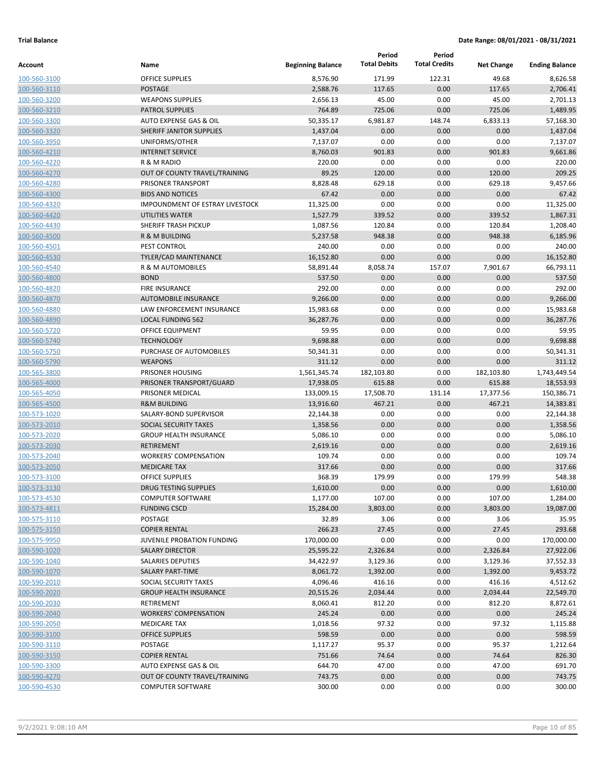|              |                                   |                          | Period              | Period               |                   |                       |
|--------------|-----------------------------------|--------------------------|---------------------|----------------------|-------------------|-----------------------|
| Account      | Name                              | <b>Beginning Balance</b> | <b>Total Debits</b> | <b>Total Credits</b> | <b>Net Change</b> | <b>Ending Balance</b> |
| 100-560-3100 | <b>OFFICE SUPPLIES</b>            | 8,576.90                 | 171.99              | 122.31               | 49.68             | 8,626.58              |
| 100-560-3110 | <b>POSTAGE</b>                    | 2,588.76                 | 117.65              | 0.00                 | 117.65            | 2,706.41              |
| 100-560-3200 | <b>WEAPONS SUPPLIES</b>           | 2,656.13                 | 45.00               | 0.00                 | 45.00             | 2,701.13              |
| 100-560-3210 | <b>PATROL SUPPLIES</b>            | 764.89                   | 725.06              | 0.00                 | 725.06            | 1,489.95              |
| 100-560-3300 | <b>AUTO EXPENSE GAS &amp; OIL</b> | 50,335.17                | 6,981.87            | 148.74               | 6,833.13          | 57,168.30             |
| 100-560-3320 | SHERIFF JANITOR SUPPLIES          | 1,437.04                 | 0.00                | 0.00                 | 0.00              | 1,437.04              |
| 100-560-3950 | UNIFORMS/OTHER                    | 7,137.07                 | 0.00                | 0.00                 | 0.00              | 7,137.07              |
| 100-560-4210 | <b>INTERNET SERVICE</b>           | 8,760.03                 | 901.83              | 0.00                 | 901.83            | 9,661.86              |
| 100-560-4220 | R & M RADIO                       | 220.00                   | 0.00                | 0.00                 | 0.00              | 220.00                |
| 100-560-4270 | OUT OF COUNTY TRAVEL/TRAINING     | 89.25                    | 120.00              | 0.00                 | 120.00            | 209.25                |
| 100-560-4280 | PRISONER TRANSPORT                | 8,828.48                 | 629.18              | 0.00                 | 629.18            | 9,457.66              |
| 100-560-4300 | <b>BIDS AND NOTICES</b>           | 67.42                    | 0.00                | 0.00                 | 0.00              | 67.42                 |
| 100-560-4320 | IMPOUNDMENT OF ESTRAY LIVESTOCK   | 11,325.00                | 0.00                | 0.00                 | 0.00              | 11,325.00             |
| 100-560-4420 | <b>UTILITIES WATER</b>            | 1,527.79                 | 339.52              | 0.00                 | 339.52            | 1,867.31              |
| 100-560-4430 | <b>SHERIFF TRASH PICKUP</b>       | 1,087.56                 | 120.84              | 0.00                 | 120.84            | 1,208.40              |
| 100-560-4500 | R & M BUILDING                    | 5,237.58                 | 948.38              | 0.00                 | 948.38            | 6,185.96              |
| 100-560-4501 | PEST CONTROL                      | 240.00                   | 0.00                | 0.00                 | 0.00              | 240.00                |
| 100-560-4530 | <b>TYLER/CAD MAINTENANCE</b>      | 16,152.80                | 0.00                | 0.00                 | 0.00              | 16,152.80             |
| 100-560-4540 | R & M AUTOMOBILES                 | 58,891.44                | 8,058.74            | 157.07               | 7,901.67          | 66,793.11             |
| 100-560-4800 | <b>BOND</b>                       | 537.50                   | 0.00                | 0.00                 | 0.00              | 537.50                |
| 100-560-4820 | <b>FIRE INSURANCE</b>             | 292.00                   | 0.00                | 0.00                 | 0.00              | 292.00                |
| 100-560-4870 | <b>AUTOMOBILE INSURANCE</b>       | 9,266.00                 | 0.00                | 0.00                 | 0.00              | 9,266.00              |
| 100-560-4880 | LAW ENFORCEMENT INSURANCE         | 15,983.68                | 0.00                | 0.00                 | 0.00              | 15,983.68             |
| 100-560-4890 | <b>LOCAL FUNDING 562</b>          | 36,287.76                | 0.00                | 0.00                 | 0.00              | 36,287.76             |
| 100-560-5720 | <b>OFFICE EQUIPMENT</b>           | 59.95                    | 0.00                | 0.00                 | 0.00              | 59.95                 |
| 100-560-5740 | <b>TECHNOLOGY</b>                 | 9,698.88                 | 0.00                | 0.00                 | 0.00              | 9,698.88              |
| 100-560-5750 | PURCHASE OF AUTOMOBILES           | 50,341.31                | 0.00                | 0.00                 | 0.00              | 50,341.31             |
| 100-560-5790 | <b>WEAPONS</b>                    | 311.12                   | 0.00                | 0.00                 | 0.00              | 311.12                |
| 100-565-3800 | PRISONER HOUSING                  | 1,561,345.74             | 182,103.80          | 0.00                 | 182,103.80        | 1,743,449.54          |
| 100-565-4000 | PRISONER TRANSPORT/GUARD          | 17,938.05                | 615.88              | 0.00                 | 615.88            | 18,553.93             |
| 100-565-4050 | PRISONER MEDICAL                  | 133,009.15               | 17,508.70           | 131.14               | 17,377.56         | 150,386.71            |
| 100-565-4500 | <b>R&amp;M BUILDING</b>           | 13,916.60                | 467.21              | 0.00                 | 467.21            | 14,383.81             |
| 100-573-1020 | SALARY-BOND SUPERVISOR            | 22,144.38                | 0.00                | 0.00                 | 0.00              | 22,144.38             |
| 100-573-2010 | <b>SOCIAL SECURITY TAXES</b>      | 1,358.56                 | 0.00                | 0.00                 | 0.00              | 1,358.56              |
| 100-573-2020 | <b>GROUP HEALTH INSURANCE</b>     | 5,086.10                 | 0.00                | 0.00                 | 0.00              | 5,086.10              |
| 100-573-2030 | <b>RETIREMENT</b>                 | 2,619.16                 | 0.00                | 0.00                 | 0.00              | 2,619.16              |
| 100-573-2040 | <b>WORKERS' COMPENSATION</b>      | 109.74                   | 0.00                | 0.00                 | 0.00              | 109.74                |
| 100-573-2050 | <b>MEDICARE TAX</b>               | 317.66                   | 0.00                | 0.00                 | 0.00              | 317.66                |
| 100-573-3100 | <b>OFFICE SUPPLIES</b>            | 368.39                   | 179.99              | 0.00                 | 179.99            | 548.38                |
| 100-573-3130 | DRUG TESTING SUPPLIES             | 1,610.00                 | 0.00                | 0.00                 | 0.00              | 1,610.00              |
| 100-573-4530 | <b>COMPUTER SOFTWARE</b>          | 1,177.00                 | 107.00              | 0.00                 | 107.00            | 1,284.00              |
| 100-573-4811 | <b>FUNDING CSCD</b>               | 15,284.00                | 3,803.00            | 0.00                 | 3,803.00          | 19,087.00             |
| 100-575-3110 | POSTAGE                           | 32.89                    | 3.06                | 0.00                 | 3.06              | 35.95                 |
| 100-575-3150 | <b>COPIER RENTAL</b>              | 266.23                   | 27.45               | 0.00                 | 27.45             | 293.68                |
| 100-575-9950 | JUVENILE PROBATION FUNDING        | 170,000.00               | 0.00                | 0.00                 | 0.00              | 170,000.00            |
| 100-590-1020 | <b>SALARY DIRECTOR</b>            | 25,595.22                | 2,326.84            | 0.00                 | 2,326.84          | 27,922.06             |
| 100-590-1040 | <b>SALARIES DEPUTIES</b>          | 34,422.97                | 3,129.36            | 0.00                 | 3,129.36          | 37,552.33             |
| 100-590-1070 | <b>SALARY PART-TIME</b>           | 8,061.72                 | 1,392.00            | 0.00                 | 1,392.00          | 9,453.72              |
| 100-590-2010 | SOCIAL SECURITY TAXES             | 4,096.46                 | 416.16              | 0.00                 | 416.16            | 4,512.62              |
| 100-590-2020 | <b>GROUP HEALTH INSURANCE</b>     | 20,515.26                | 2,034.44            | 0.00                 | 2,034.44          | 22,549.70             |
| 100-590-2030 | RETIREMENT                        | 8,060.41                 | 812.20              | 0.00                 | 812.20            | 8,872.61              |
| 100-590-2040 | <b>WORKERS' COMPENSATION</b>      | 245.24                   | 0.00                | 0.00                 | 0.00              | 245.24                |
| 100-590-2050 | <b>MEDICARE TAX</b>               | 1,018.56                 | 97.32               | 0.00                 | 97.32             | 1,115.88              |
| 100-590-3100 | <b>OFFICE SUPPLIES</b>            | 598.59                   | 0.00                | 0.00                 | 0.00              | 598.59                |
| 100-590-3110 | POSTAGE                           | 1,117.27                 | 95.37               | 0.00                 | 95.37             | 1,212.64              |
| 100-590-3150 | <b>COPIER RENTAL</b>              | 751.66                   | 74.64               | 0.00                 | 74.64             | 826.30                |
| 100-590-3300 | AUTO EXPENSE GAS & OIL            | 644.70                   | 47.00               | 0.00                 | 47.00             | 691.70                |
| 100-590-4270 | OUT OF COUNTY TRAVEL/TRAINING     | 743.75                   | 0.00                | 0.00                 | 0.00              | 743.75                |
| 100-590-4530 | <b>COMPUTER SOFTWARE</b>          | 300.00                   | 0.00                | 0.00                 | 0.00              | 300.00                |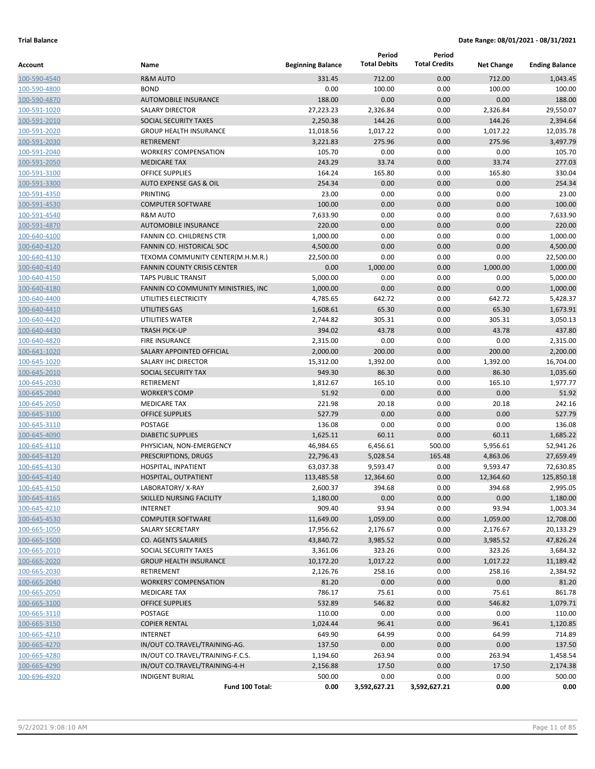|                              |                                             |                          | Period              | Period               |                   |                       |
|------------------------------|---------------------------------------------|--------------------------|---------------------|----------------------|-------------------|-----------------------|
| Account                      | Name                                        | <b>Beginning Balance</b> | <b>Total Debits</b> | <b>Total Credits</b> | <b>Net Change</b> | <b>Ending Balance</b> |
| 100-590-4540                 | <b>R&amp;M AUTO</b>                         | 331.45                   | 712.00              | 0.00                 | 712.00            | 1,043.45              |
| 100-590-4800                 | <b>BOND</b>                                 | 0.00                     | 100.00              | 0.00                 | 100.00            | 100.00                |
| 100-590-4870                 | <b>AUTOMOBILE INSURANCE</b>                 | 188.00                   | 0.00                | 0.00                 | 0.00              | 188.00                |
| 100-591-1020                 | <b>SALARY DIRECTOR</b>                      | 27,223.23                | 2,326.84            | 0.00                 | 2,326.84          | 29,550.07             |
| 100-591-2010                 | SOCIAL SECURITY TAXES                       | 2,250.38                 | 144.26              | 0.00                 | 144.26            | 2,394.64              |
| 100-591-2020                 | <b>GROUP HEALTH INSURANCE</b>               | 11,018.56                | 1,017.22            | 0.00                 | 1,017.22          | 12,035.78             |
| 100-591-2030                 | <b>RETIREMENT</b>                           | 3,221.83                 | 275.96              | 0.00                 | 275.96            | 3,497.79              |
| 100-591-2040                 | <b>WORKERS' COMPENSATION</b>                | 105.70                   | 0.00                | 0.00                 | 0.00              | 105.70                |
| 100-591-2050                 | <b>MEDICARE TAX</b>                         | 243.29                   | 33.74               | 0.00                 | 33.74             | 277.03                |
| 100-591-3100                 | <b>OFFICE SUPPLIES</b>                      | 164.24                   | 165.80              | 0.00                 | 165.80            | 330.04                |
| 100-591-3300                 | <b>AUTO EXPENSE GAS &amp; OIL</b>           | 254.34                   | 0.00                | 0.00                 | 0.00              | 254.34                |
| 100-591-4350                 | PRINTING                                    | 23.00                    | 0.00                | 0.00                 | 0.00              | 23.00                 |
| 100-591-4530                 | <b>COMPUTER SOFTWARE</b>                    | 100.00                   | 0.00                | 0.00                 | 0.00              | 100.00                |
| 100-591-4540                 | <b>R&amp;M AUTO</b>                         | 7,633.90                 | 0.00                | 0.00                 | 0.00              | 7,633.90              |
| 100-591-4870                 | <b>AUTOMOBILE INSURANCE</b>                 | 220.00                   | 0.00                | 0.00                 | 0.00              | 220.00                |
| 100-640-4100                 | FANNIN CO. CHILDRENS CTR                    | 1,000.00                 | 0.00                | 0.00                 | 0.00              | 1,000.00              |
| 100-640-4120                 | <b>FANNIN CO. HISTORICAL SOC</b>            | 4,500.00                 | 0.00                | 0.00                 | 0.00              | 4,500.00              |
| 100-640-4130                 | TEXOMA COMMUNITY CENTER(M.H.M.R.)           | 22,500.00                | 0.00                | 0.00                 | 0.00              | 22,500.00             |
| 100-640-4140                 | <b>FANNIN COUNTY CRISIS CENTER</b>          | 0.00                     | 1,000.00            | 0.00                 | 1,000.00          | 1,000.00              |
| 100-640-4150                 | <b>TAPS PUBLIC TRANSIT</b>                  | 5,000.00                 | 0.00                | 0.00                 | 0.00              | 5,000.00              |
| 100-640-4180                 | FANNIN CO COMMUNITY MINISTRIES, INC         | 1,000.00                 | 0.00                | 0.00                 | 0.00              | 1,000.00              |
| 100-640-4400                 | UTILITIES ELECTRICITY                       | 4,785.65                 | 642.72              | 0.00                 | 642.72            | 5,428.37              |
| 100-640-4410                 | UTILITIES GAS                               | 1,608.61                 | 65.30               | 0.00                 | 65.30             | 1,673.91              |
| 100-640-4420                 | UTILITIES WATER                             | 2,744.82                 | 305.31              | 0.00                 | 305.31            | 3,050.13              |
| 100-640-4430                 | <b>TRASH PICK-UP</b>                        | 394.02                   | 43.78               | 0.00                 | 43.78             | 437.80                |
| 100-640-4820                 | <b>FIRE INSURANCE</b>                       | 2,315.00                 | 0.00                | 0.00                 | 0.00              | 2,315.00              |
| 100-641-1020                 | SALARY APPOINTED OFFICIAL                   | 2,000.00                 | 200.00              | 0.00                 | 200.00            | 2,200.00              |
| 100-645-1020                 | SALARY IHC DIRECTOR                         | 15,312.00                | 1,392.00            | 0.00                 | 1,392.00          | 16,704.00             |
| 100-645-2010                 | SOCIAL SECURITY TAX<br><b>RETIREMENT</b>    | 949.30                   | 86.30               | 0.00                 | 86.30             | 1,035.60              |
| 100-645-2030                 |                                             | 1,812.67                 | 165.10              | 0.00                 | 165.10<br>0.00    | 1,977.77<br>51.92     |
| 100-645-2040                 | <b>WORKER'S COMP</b><br><b>MEDICARE TAX</b> | 51.92                    | 0.00                | 0.00                 |                   | 242.16                |
| 100-645-2050                 | <b>OFFICE SUPPLIES</b>                      | 221.98<br>527.79         | 20.18<br>0.00       | 0.00<br>0.00         | 20.18<br>0.00     | 527.79                |
| 100-645-3100<br>100-645-3110 | <b>POSTAGE</b>                              | 136.08                   | 0.00                | 0.00                 | 0.00              | 136.08                |
| 100-645-4090                 | <b>DIABETIC SUPPLIES</b>                    | 1,625.11                 | 60.11               | 0.00                 | 60.11             | 1,685.22              |
| 100-645-4110                 | PHYSICIAN, NON-EMERGENCY                    | 46,984.65                | 6,456.61            | 500.00               | 5,956.61          | 52,941.26             |
| 100-645-4120                 | PRESCRIPTIONS, DRUGS                        | 22,796.43                | 5,028.54            | 165.48               | 4,863.06          | 27,659.49             |
| 100-645-4130                 | HOSPITAL, INPATIENT                         | 63,037.38                | 9,593.47            | 0.00                 | 9,593.47          | 72,630.85             |
| 100-645-4140                 | HOSPITAL, OUTPATIENT                        | 113,485.58               | 12,364.60           | 0.00                 | 12,364.60         | 125,850.18            |
| 100-645-4150                 | LABORATORY/X-RAY                            | 2,600.37                 | 394.68              | 0.00                 | 394.68            | 2,995.05              |
| 100-645-4165                 | SKILLED NURSING FACILITY                    | 1,180.00                 | 0.00                | 0.00                 | 0.00              | 1,180.00              |
| 100-645-4210                 | <b>INTERNET</b>                             | 909.40                   | 93.94               | 0.00                 | 93.94             | 1,003.34              |
| 100-645-4530                 | <b>COMPUTER SOFTWARE</b>                    | 11,649.00                | 1,059.00            | 0.00                 | 1,059.00          | 12,708.00             |
| 100-665-1050                 | <b>SALARY SECRETARY</b>                     | 17,956.62                | 2,176.67            | 0.00                 | 2,176.67          | 20,133.29             |
| 100-665-1500                 | CO. AGENTS SALARIES                         | 43,840.72                | 3,985.52            | 0.00                 | 3,985.52          | 47,826.24             |
| 100-665-2010                 | SOCIAL SECURITY TAXES                       | 3,361.06                 | 323.26              | 0.00                 | 323.26            | 3,684.32              |
| 100-665-2020                 | <b>GROUP HEALTH INSURANCE</b>               | 10,172.20                | 1,017.22            | 0.00                 | 1,017.22          | 11,189.42             |
| 100-665-2030                 | <b>RETIREMENT</b>                           | 2,126.76                 | 258.16              | 0.00                 | 258.16            | 2,384.92              |
| 100-665-2040                 | <b>WORKERS' COMPENSATION</b>                | 81.20                    | 0.00                | 0.00                 | 0.00              | 81.20                 |
| 100-665-2050                 | <b>MEDICARE TAX</b>                         | 786.17                   | 75.61               | 0.00                 | 75.61             | 861.78                |
| 100-665-3100                 | <b>OFFICE SUPPLIES</b>                      | 532.89                   | 546.82              | 0.00                 | 546.82            | 1,079.71              |
| 100-665-3110                 | POSTAGE                                     | 110.00                   | 0.00                | 0.00                 | 0.00              | 110.00                |
| 100-665-3150                 | <b>COPIER RENTAL</b>                        | 1,024.44                 | 96.41               | 0.00                 | 96.41             | 1,120.85              |
| 100-665-4210                 | <b>INTERNET</b>                             | 649.90                   | 64.99               | 0.00                 | 64.99             | 714.89                |
| 100-665-4270                 | IN/OUT CO.TRAVEL/TRAINING-AG.               | 137.50                   | 0.00                | 0.00                 | 0.00              | 137.50                |
| 100-665-4280                 | IN/OUT CO.TRAVEL/TRAINING-F.C.S.            | 1,194.60                 | 263.94              | 0.00                 | 263.94            | 1,458.54              |
| 100-665-4290                 | IN/OUT CO.TRAVEL/TRAINING-4-H               | 2,156.88                 | 17.50               | 0.00                 | 17.50             | 2,174.38              |
| 100-696-4920                 | <b>INDIGENT BURIAL</b>                      | 500.00                   | 0.00                | 0.00                 | 0.00              | 500.00                |
|                              | Fund 100 Total:                             | 0.00                     | 3,592,627.21        | 3,592,627.21         | 0.00              | 0.00                  |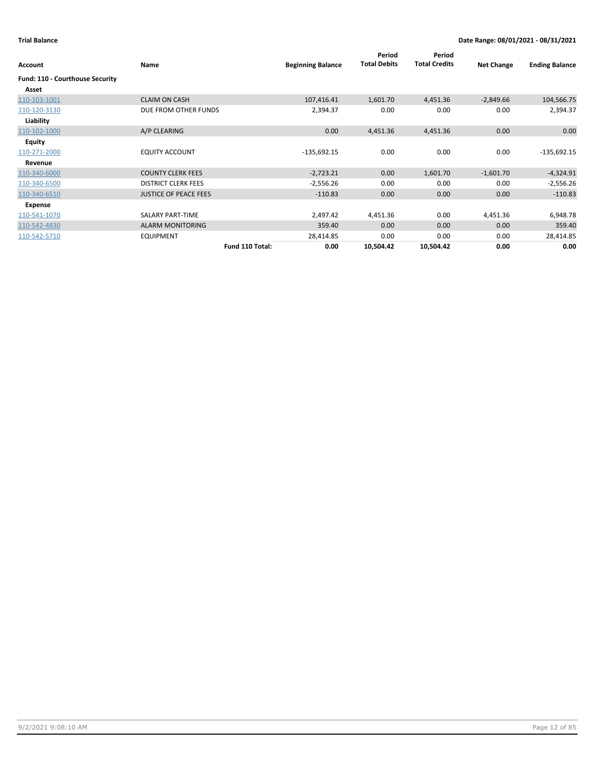| Account                         | Name                         | <b>Beginning Balance</b> | Period<br><b>Total Debits</b> | Period<br><b>Total Credits</b> | <b>Net Change</b> | <b>Ending Balance</b> |
|---------------------------------|------------------------------|--------------------------|-------------------------------|--------------------------------|-------------------|-----------------------|
| Fund: 110 - Courthouse Security |                              |                          |                               |                                |                   |                       |
| Asset                           |                              |                          |                               |                                |                   |                       |
| 110-103-1001                    | <b>CLAIM ON CASH</b>         | 107,416.41               | 1,601.70                      | 4,451.36                       | $-2,849.66$       | 104,566.75            |
| 110-120-3130                    | DUE FROM OTHER FUNDS         | 2,394.37                 | 0.00                          | 0.00                           | 0.00              | 2,394.37              |
| Liability                       |                              |                          |                               |                                |                   |                       |
| 110-102-1000                    | A/P CLEARING                 | 0.00                     | 4,451.36                      | 4,451.36                       | 0.00              | 0.00                  |
| <b>Equity</b>                   |                              |                          |                               |                                |                   |                       |
| 110-271-2000                    | <b>EQUITY ACCOUNT</b>        | $-135,692.15$            | 0.00                          | 0.00                           | 0.00              | $-135,692.15$         |
| Revenue                         |                              |                          |                               |                                |                   |                       |
| 110-340-6000                    | <b>COUNTY CLERK FEES</b>     | $-2,723.21$              | 0.00                          | 1,601.70                       | $-1,601.70$       | $-4,324.91$           |
| 110-340-6500                    | <b>DISTRICT CLERK FEES</b>   | $-2,556.26$              | 0.00                          | 0.00                           | 0.00              | $-2,556.26$           |
| 110-340-6510                    | <b>JUSTICE OF PEACE FEES</b> | $-110.83$                | 0.00                          | 0.00                           | 0.00              | $-110.83$             |
| Expense                         |                              |                          |                               |                                |                   |                       |
| 110-541-1070                    | SALARY PART-TIME             | 2,497.42                 | 4,451.36                      | 0.00                           | 4,451.36          | 6,948.78              |
| 110-542-4830                    | <b>ALARM MONITORING</b>      | 359.40                   | 0.00                          | 0.00                           | 0.00              | 359.40                |
| 110-542-5710                    | <b>EQUIPMENT</b>             | 28,414.85                | 0.00                          | 0.00                           | 0.00              | 28,414.85             |
|                                 | Fund 110 Total:              | 0.00                     | 10,504.42                     | 10,504.42                      | 0.00              | 0.00                  |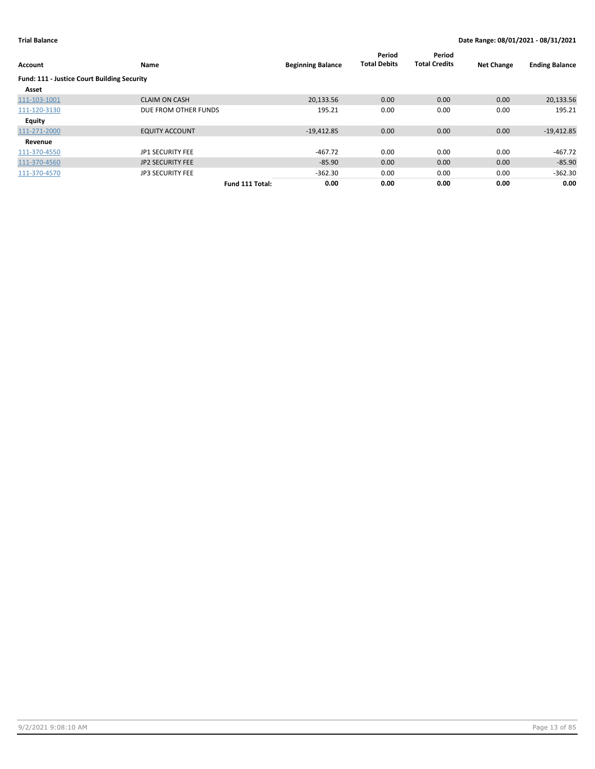| Account                                     | Name                    |                 | <b>Beginning Balance</b> | Period<br><b>Total Debits</b> | Period<br><b>Total Credits</b> | <b>Net Change</b> | <b>Ending Balance</b> |
|---------------------------------------------|-------------------------|-----------------|--------------------------|-------------------------------|--------------------------------|-------------------|-----------------------|
| Fund: 111 - Justice Court Building Security |                         |                 |                          |                               |                                |                   |                       |
| Asset                                       |                         |                 |                          |                               |                                |                   |                       |
| 111-103-1001                                | <b>CLAIM ON CASH</b>    |                 | 20.133.56                | 0.00                          | 0.00                           | 0.00              | 20,133.56             |
| 111-120-3130                                | DUE FROM OTHER FUNDS    |                 | 195.21                   | 0.00                          | 0.00                           | 0.00              | 195.21                |
| <b>Equity</b>                               |                         |                 |                          |                               |                                |                   |                       |
| 111-271-2000                                | <b>EQUITY ACCOUNT</b>   |                 | $-19,412.85$             | 0.00                          | 0.00                           | 0.00              | $-19,412.85$          |
| Revenue                                     |                         |                 |                          |                               |                                |                   |                       |
| 111-370-4550                                | JP1 SECURITY FEE        |                 | $-467.72$                | 0.00                          | 0.00                           | 0.00              | $-467.72$             |
| 111-370-4560                                | <b>JP2 SECURITY FEE</b> |                 | $-85.90$                 | 0.00                          | 0.00                           | 0.00              | $-85.90$              |
| 111-370-4570                                | <b>JP3 SECURITY FEE</b> |                 | $-362.30$                | 0.00                          | 0.00                           | 0.00              | $-362.30$             |
|                                             |                         | Fund 111 Total: | 0.00                     | 0.00                          | 0.00                           | 0.00              | 0.00                  |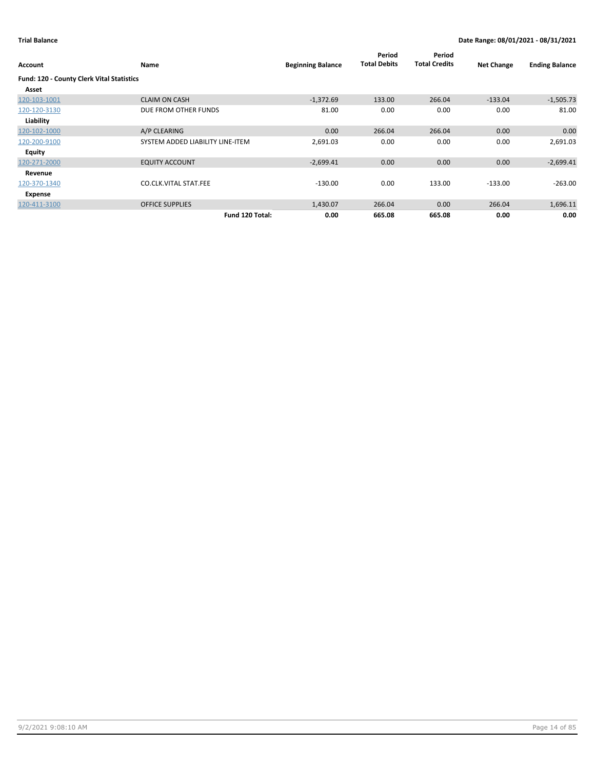| Account                                   | Name                             | <b>Beginning Balance</b> | Period<br><b>Total Debits</b> | Period<br><b>Total Credits</b> | <b>Net Change</b> | <b>Ending Balance</b> |
|-------------------------------------------|----------------------------------|--------------------------|-------------------------------|--------------------------------|-------------------|-----------------------|
| Fund: 120 - County Clerk Vital Statistics |                                  |                          |                               |                                |                   |                       |
| Asset                                     |                                  |                          |                               |                                |                   |                       |
| 120-103-1001                              | <b>CLAIM ON CASH</b>             | $-1,372.69$              | 133.00                        | 266.04                         | $-133.04$         | $-1,505.73$           |
| 120-120-3130                              | DUE FROM OTHER FUNDS             | 81.00                    | 0.00                          | 0.00                           | 0.00              | 81.00                 |
| Liability                                 |                                  |                          |                               |                                |                   |                       |
| 120-102-1000                              | A/P CLEARING                     | 0.00                     | 266.04                        | 266.04                         | 0.00              | 0.00                  |
| 120-200-9100                              | SYSTEM ADDED LIABILITY LINE-ITEM | 2,691.03                 | 0.00                          | 0.00                           | 0.00              | 2,691.03              |
| <b>Equity</b>                             |                                  |                          |                               |                                |                   |                       |
| 120-271-2000                              | <b>EQUITY ACCOUNT</b>            | $-2,699.41$              | 0.00                          | 0.00                           | 0.00              | $-2,699.41$           |
| Revenue                                   |                                  |                          |                               |                                |                   |                       |
| 120-370-1340                              | <b>CO.CLK.VITAL STAT.FEE</b>     | $-130.00$                | 0.00                          | 133.00                         | $-133.00$         | $-263.00$             |
| Expense                                   |                                  |                          |                               |                                |                   |                       |
| 120-411-3100                              | <b>OFFICE SUPPLIES</b>           | 1,430.07                 | 266.04                        | 0.00                           | 266.04            | 1,696.11              |
|                                           | Fund 120 Total:                  | 0.00                     | 665.08                        | 665.08                         | 0.00              | 0.00                  |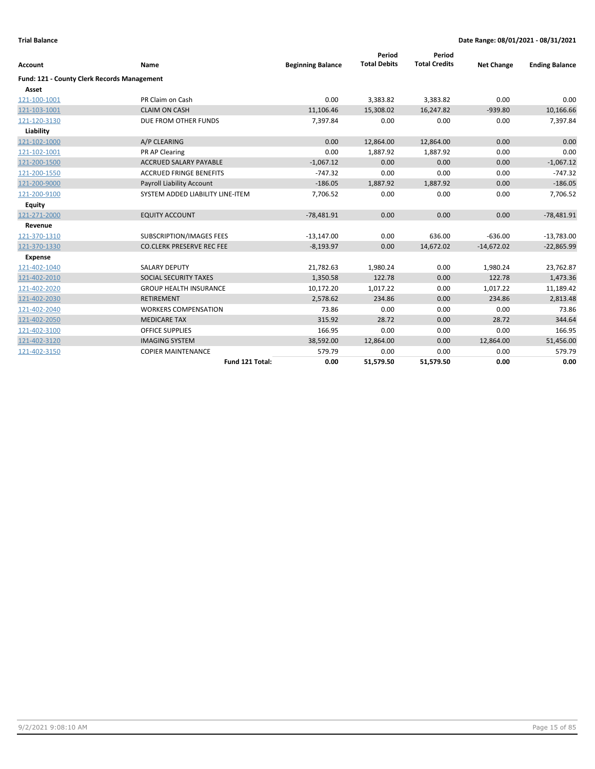|                                             |                                  |                          | Period              | Period               |                   |                       |
|---------------------------------------------|----------------------------------|--------------------------|---------------------|----------------------|-------------------|-----------------------|
| <b>Account</b>                              | Name                             | <b>Beginning Balance</b> | <b>Total Debits</b> | <b>Total Credits</b> | <b>Net Change</b> | <b>Ending Balance</b> |
| Fund: 121 - County Clerk Records Management |                                  |                          |                     |                      |                   |                       |
| Asset                                       |                                  |                          |                     |                      |                   |                       |
| 121-100-1001                                | PR Claim on Cash                 | 0.00                     | 3,383.82            | 3,383.82             | 0.00              | 0.00                  |
| 121-103-1001                                | <b>CLAIM ON CASH</b>             | 11,106.46                | 15,308.02           | 16,247.82            | $-939.80$         | 10,166.66             |
| 121-120-3130                                | DUE FROM OTHER FUNDS             | 7,397.84                 | 0.00                | 0.00                 | 0.00              | 7,397.84              |
| Liability                                   |                                  |                          |                     |                      |                   |                       |
| 121-102-1000                                | A/P CLEARING                     | 0.00                     | 12,864.00           | 12,864.00            | 0.00              | 0.00                  |
| 121-102-1001                                | PR AP Clearing                   | 0.00                     | 1,887.92            | 1,887.92             | 0.00              | 0.00                  |
| 121-200-1500                                | <b>ACCRUED SALARY PAYABLE</b>    | $-1,067.12$              | 0.00                | 0.00                 | 0.00              | $-1,067.12$           |
| 121-200-1550                                | <b>ACCRUED FRINGE BENEFITS</b>   | $-747.32$                | 0.00                | 0.00                 | 0.00              | $-747.32$             |
| 121-200-9000                                | <b>Payroll Liability Account</b> | $-186.05$                | 1,887.92            | 1,887.92             | 0.00              | $-186.05$             |
| 121-200-9100                                | SYSTEM ADDED LIABILITY LINE-ITEM | 7,706.52                 | 0.00                | 0.00                 | 0.00              | 7,706.52              |
| <b>Equity</b>                               |                                  |                          |                     |                      |                   |                       |
| 121-271-2000                                | <b>EQUITY ACCOUNT</b>            | $-78,481.91$             | 0.00                | 0.00                 | 0.00              | $-78,481.91$          |
| Revenue                                     |                                  |                          |                     |                      |                   |                       |
| 121-370-1310                                | SUBSCRIPTION/IMAGES FEES         | $-13,147.00$             | 0.00                | 636.00               | $-636.00$         | $-13,783.00$          |
| 121-370-1330                                | <b>CO.CLERK PRESERVE REC FEE</b> | $-8,193.97$              | 0.00                | 14,672.02            | $-14,672.02$      | $-22,865.99$          |
| Expense                                     |                                  |                          |                     |                      |                   |                       |
| 121-402-1040                                | <b>SALARY DEPUTY</b>             | 21,782.63                | 1,980.24            | 0.00                 | 1,980.24          | 23,762.87             |
| 121-402-2010                                | SOCIAL SECURITY TAXES            | 1,350.58                 | 122.78              | 0.00                 | 122.78            | 1,473.36              |
| 121-402-2020                                | <b>GROUP HEALTH INSURANCE</b>    | 10,172.20                | 1,017.22            | 0.00                 | 1,017.22          | 11,189.42             |
| 121-402-2030                                | <b>RETIREMENT</b>                | 2,578.62                 | 234.86              | 0.00                 | 234.86            | 2,813.48              |
| 121-402-2040                                | <b>WORKERS COMPENSATION</b>      | 73.86                    | 0.00                | 0.00                 | 0.00              | 73.86                 |
| 121-402-2050                                | <b>MEDICARE TAX</b>              | 315.92                   | 28.72               | 0.00                 | 28.72             | 344.64                |
| 121-402-3100                                | <b>OFFICE SUPPLIES</b>           | 166.95                   | 0.00                | 0.00                 | 0.00              | 166.95                |
| 121-402-3120                                | <b>IMAGING SYSTEM</b>            | 38,592.00                | 12,864.00           | 0.00                 | 12,864.00         | 51,456.00             |
| 121-402-3150                                | <b>COPIER MAINTENANCE</b>        | 579.79                   | 0.00                | 0.00                 | 0.00              | 579.79                |
|                                             | Fund 121 Total:                  | 0.00                     | 51,579.50           | 51,579.50            | 0.00              | 0.00                  |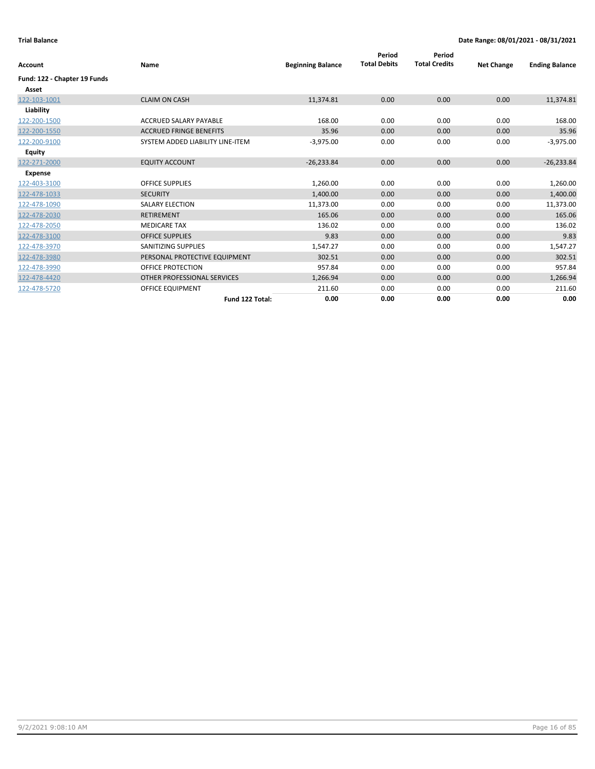| <b>Account</b>               | Name                             | <b>Beginning Balance</b> | Period<br><b>Total Debits</b> | Period<br><b>Total Credits</b> | <b>Net Change</b> | <b>Ending Balance</b> |
|------------------------------|----------------------------------|--------------------------|-------------------------------|--------------------------------|-------------------|-----------------------|
| Fund: 122 - Chapter 19 Funds |                                  |                          |                               |                                |                   |                       |
| Asset                        |                                  |                          |                               |                                |                   |                       |
| 122-103-1001                 | <b>CLAIM ON CASH</b>             | 11,374.81                | 0.00                          | 0.00                           | 0.00              | 11,374.81             |
| Liability                    |                                  |                          |                               |                                |                   |                       |
| 122-200-1500                 | ACCRUED SALARY PAYABLE           | 168.00                   | 0.00                          | 0.00                           | 0.00              | 168.00                |
| 122-200-1550                 | <b>ACCRUED FRINGE BENEFITS</b>   | 35.96                    | 0.00                          | 0.00                           | 0.00              | 35.96                 |
| 122-200-9100                 | SYSTEM ADDED LIABILITY LINE-ITEM | $-3,975.00$              | 0.00                          | 0.00                           | 0.00              | $-3,975.00$           |
| <b>Equity</b>                |                                  |                          |                               |                                |                   |                       |
| 122-271-2000                 | <b>EQUITY ACCOUNT</b>            | $-26,233.84$             | 0.00                          | 0.00                           | 0.00              | $-26,233.84$          |
| <b>Expense</b>               |                                  |                          |                               |                                |                   |                       |
| 122-403-3100                 | <b>OFFICE SUPPLIES</b>           | 1,260.00                 | 0.00                          | 0.00                           | 0.00              | 1,260.00              |
| 122-478-1033                 | <b>SECURITY</b>                  | 1,400.00                 | 0.00                          | 0.00                           | 0.00              | 1,400.00              |
| 122-478-1090                 | <b>SALARY ELECTION</b>           | 11,373.00                | 0.00                          | 0.00                           | 0.00              | 11,373.00             |
| 122-478-2030                 | <b>RETIREMENT</b>                | 165.06                   | 0.00                          | 0.00                           | 0.00              | 165.06                |
| 122-478-2050                 | <b>MEDICARE TAX</b>              | 136.02                   | 0.00                          | 0.00                           | 0.00              | 136.02                |
| 122-478-3100                 | <b>OFFICE SUPPLIES</b>           | 9.83                     | 0.00                          | 0.00                           | 0.00              | 9.83                  |
| 122-478-3970                 | <b>SANITIZING SUPPLIES</b>       | 1,547.27                 | 0.00                          | 0.00                           | 0.00              | 1,547.27              |
| 122-478-3980                 | PERSONAL PROTECTIVE EQUIPMENT    | 302.51                   | 0.00                          | 0.00                           | 0.00              | 302.51                |
| 122-478-3990                 | <b>OFFICE PROTECTION</b>         | 957.84                   | 0.00                          | 0.00                           | 0.00              | 957.84                |
| 122-478-4420                 | OTHER PROFESSIONAL SERVICES      | 1,266.94                 | 0.00                          | 0.00                           | 0.00              | 1,266.94              |
| 122-478-5720                 | OFFICE EQUIPMENT                 | 211.60                   | 0.00                          | 0.00                           | 0.00              | 211.60                |
|                              | Fund 122 Total:                  | 0.00                     | 0.00                          | 0.00                           | 0.00              | 0.00                  |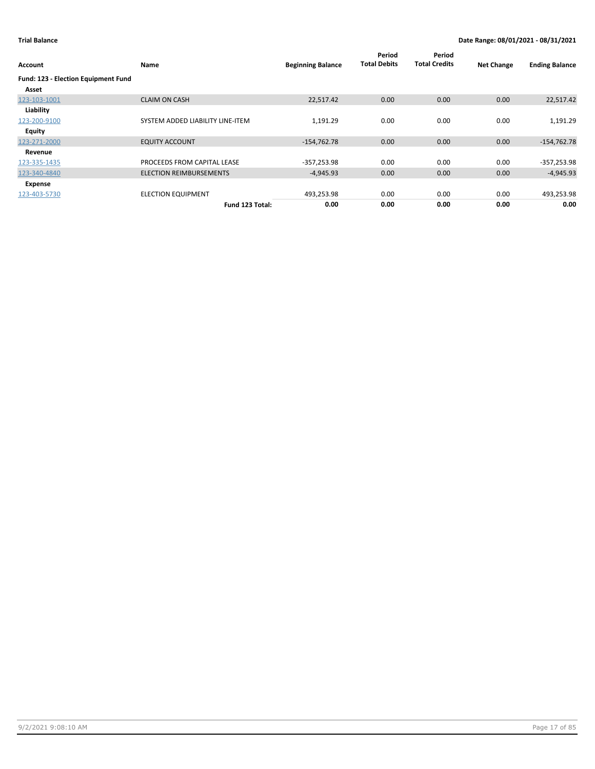| Account                                    | Name                             | <b>Beginning Balance</b> | Period<br><b>Total Debits</b> | Period<br><b>Total Credits</b> | <b>Net Change</b> | <b>Ending Balance</b> |
|--------------------------------------------|----------------------------------|--------------------------|-------------------------------|--------------------------------|-------------------|-----------------------|
| <b>Fund: 123 - Election Equipment Fund</b> |                                  |                          |                               |                                |                   |                       |
| Asset                                      |                                  |                          |                               |                                |                   |                       |
| 123-103-1001                               | <b>CLAIM ON CASH</b>             | 22,517.42                | 0.00                          | 0.00                           | 0.00              | 22,517.42             |
| Liability                                  |                                  |                          |                               |                                |                   |                       |
| 123-200-9100                               | SYSTEM ADDED LIABILITY LINE-ITEM | 1,191.29                 | 0.00                          | 0.00                           | 0.00              | 1,191.29              |
| Equity                                     |                                  |                          |                               |                                |                   |                       |
| 123-271-2000                               | <b>EQUITY ACCOUNT</b>            | $-154,762.78$            | 0.00                          | 0.00                           | 0.00              | $-154,762.78$         |
| Revenue                                    |                                  |                          |                               |                                |                   |                       |
| 123-335-1435                               | PROCEEDS FROM CAPITAL LEASE      | $-357,253.98$            | 0.00                          | 0.00                           | 0.00              | $-357,253.98$         |
| 123-340-4840                               | <b>ELECTION REIMBURSEMENTS</b>   | $-4,945.93$              | 0.00                          | 0.00                           | 0.00              | $-4,945.93$           |
| Expense                                    |                                  |                          |                               |                                |                   |                       |
| 123-403-5730                               | <b>ELECTION EQUIPMENT</b>        | 493,253.98               | 0.00                          | 0.00                           | 0.00              | 493,253.98            |
|                                            | Fund 123 Total:                  | 0.00                     | 0.00                          | 0.00                           | 0.00              | 0.00                  |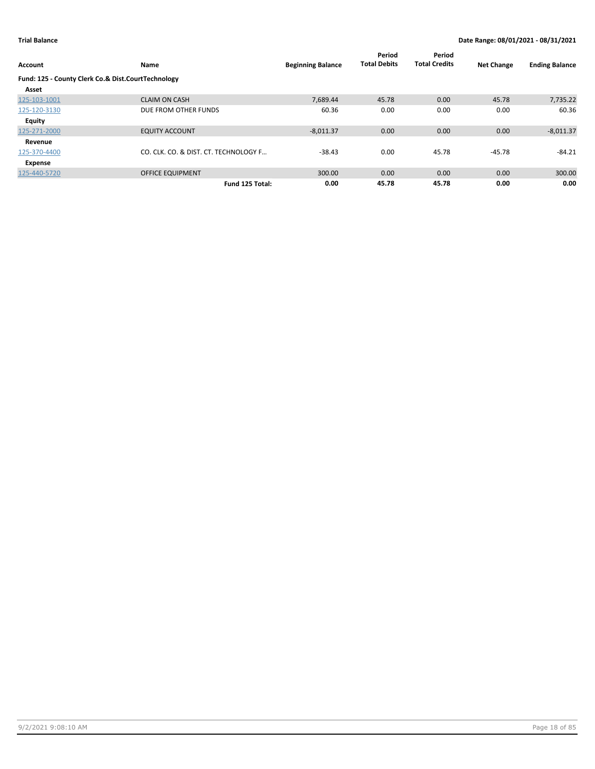| Account                                            | Name                                  | <b>Beginning Balance</b> | Period<br><b>Total Debits</b> | Period<br><b>Total Credits</b> | <b>Net Change</b> | <b>Ending Balance</b> |
|----------------------------------------------------|---------------------------------------|--------------------------|-------------------------------|--------------------------------|-------------------|-----------------------|
| Fund: 125 - County Clerk Co.& Dist.CourtTechnology |                                       |                          |                               |                                |                   |                       |
| Asset                                              |                                       |                          |                               |                                |                   |                       |
| 125-103-1001                                       | <b>CLAIM ON CASH</b>                  | 7,689.44                 | 45.78                         | 0.00                           | 45.78             | 7,735.22              |
| 125-120-3130                                       | DUE FROM OTHER FUNDS                  | 60.36                    | 0.00                          | 0.00                           | 0.00              | 60.36                 |
| <b>Equity</b>                                      |                                       |                          |                               |                                |                   |                       |
| 125-271-2000                                       | <b>EQUITY ACCOUNT</b>                 | $-8,011.37$              | 0.00                          | 0.00                           | 0.00              | $-8,011.37$           |
| Revenue                                            |                                       |                          |                               |                                |                   |                       |
| 125-370-4400                                       | CO. CLK. CO. & DIST. CT. TECHNOLOGY F | $-38.43$                 | 0.00                          | 45.78                          | -45.78            | $-84.21$              |
| Expense                                            |                                       |                          |                               |                                |                   |                       |
| 125-440-5720                                       | <b>OFFICE EQUIPMENT</b>               | 300.00                   | 0.00                          | 0.00                           | 0.00              | 300.00                |
|                                                    | Fund 125 Total:                       | 0.00                     | 45.78                         | 45.78                          | 0.00              | 0.00                  |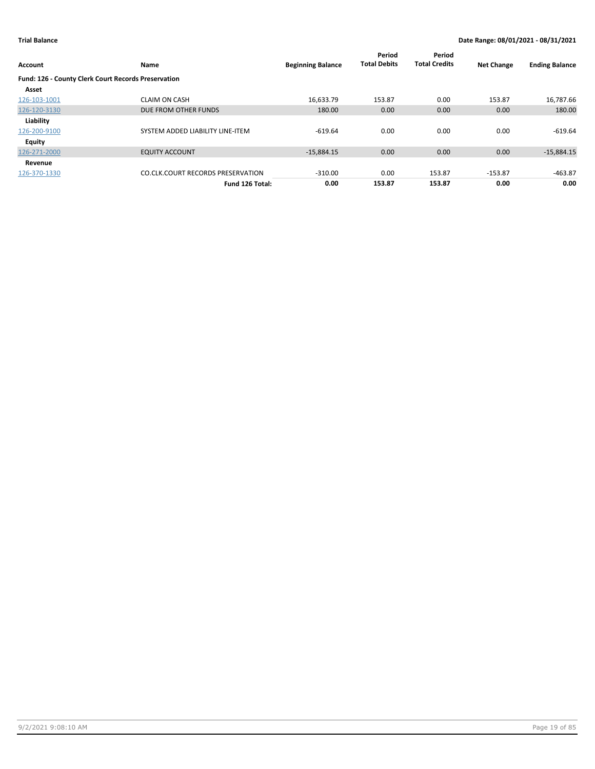| Account                                             | Name                                     | <b>Beginning Balance</b> | Period<br><b>Total Debits</b> | Period<br><b>Total Credits</b> | <b>Net Change</b> | <b>Ending Balance</b> |
|-----------------------------------------------------|------------------------------------------|--------------------------|-------------------------------|--------------------------------|-------------------|-----------------------|
| Fund: 126 - County Clerk Court Records Preservation |                                          |                          |                               |                                |                   |                       |
| Asset                                               |                                          |                          |                               |                                |                   |                       |
| 126-103-1001                                        | <b>CLAIM ON CASH</b>                     | 16.633.79                | 153.87                        | 0.00                           | 153.87            | 16,787.66             |
| 126-120-3130                                        | DUE FROM OTHER FUNDS                     | 180.00                   | 0.00                          | 0.00                           | 0.00              | 180.00                |
| Liability                                           |                                          |                          |                               |                                |                   |                       |
| 126-200-9100                                        | SYSTEM ADDED LIABILITY LINE-ITEM         | $-619.64$                | 0.00                          | 0.00                           | 0.00              | $-619.64$             |
| Equity                                              |                                          |                          |                               |                                |                   |                       |
| 126-271-2000                                        | <b>EQUITY ACCOUNT</b>                    | $-15,884.15$             | 0.00                          | 0.00                           | 0.00              | $-15,884.15$          |
| Revenue                                             |                                          |                          |                               |                                |                   |                       |
| 126-370-1330                                        | <b>CO.CLK.COURT RECORDS PRESERVATION</b> | $-310.00$                | 0.00                          | 153.87                         | $-153.87$         | $-463.87$             |
|                                                     | Fund 126 Total:                          | 0.00                     | 153.87                        | 153.87                         | 0.00              | 0.00                  |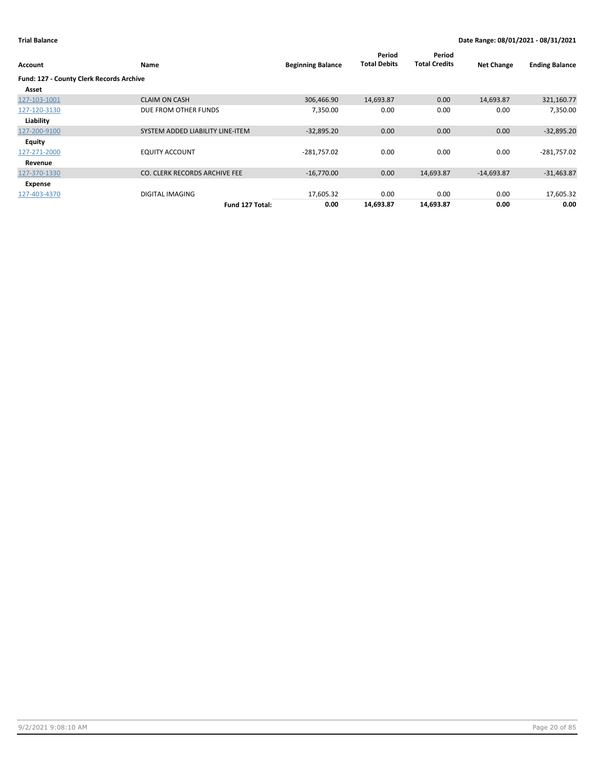| Account                                  | Name                             | <b>Beginning Balance</b> | Period<br><b>Total Debits</b> | Period<br><b>Total Credits</b> | <b>Net Change</b> | <b>Ending Balance</b> |
|------------------------------------------|----------------------------------|--------------------------|-------------------------------|--------------------------------|-------------------|-----------------------|
| Fund: 127 - County Clerk Records Archive |                                  |                          |                               |                                |                   |                       |
| Asset                                    |                                  |                          |                               |                                |                   |                       |
| 127-103-1001                             | <b>CLAIM ON CASH</b>             | 306,466.90               | 14,693.87                     | 0.00                           | 14,693.87         | 321,160.77            |
| 127-120-3130                             | DUE FROM OTHER FUNDS             | 7,350.00                 | 0.00                          | 0.00                           | 0.00              | 7,350.00              |
| Liability                                |                                  |                          |                               |                                |                   |                       |
| 127-200-9100                             | SYSTEM ADDED LIABILITY LINE-ITEM | $-32,895.20$             | 0.00                          | 0.00                           | 0.00              | $-32,895.20$          |
| <b>Equity</b>                            |                                  |                          |                               |                                |                   |                       |
| 127-271-2000                             | <b>EQUITY ACCOUNT</b>            | -281,757.02              | 0.00                          | 0.00                           | 0.00              | $-281,757.02$         |
| Revenue                                  |                                  |                          |                               |                                |                   |                       |
| 127-370-1330                             | CO. CLERK RECORDS ARCHIVE FEE    | $-16,770.00$             | 0.00                          | 14,693.87                      | $-14,693.87$      | $-31,463.87$          |
| Expense                                  |                                  |                          |                               |                                |                   |                       |
| 127-403-4370                             | DIGITAL IMAGING                  | 17,605.32                | 0.00                          | 0.00                           | 0.00              | 17,605.32             |
|                                          | Fund 127 Total:                  | 0.00                     | 14,693.87                     | 14,693.87                      | 0.00              | 0.00                  |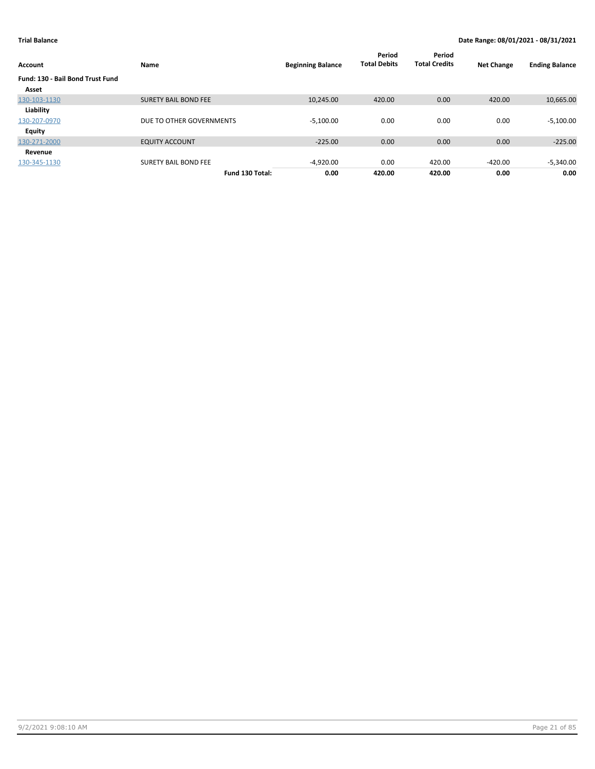| Account                                 | Name                        | <b>Beginning Balance</b> | Period<br><b>Total Debits</b> | Period<br><b>Total Credits</b> | <b>Net Change</b> | <b>Ending Balance</b> |
|-----------------------------------------|-----------------------------|--------------------------|-------------------------------|--------------------------------|-------------------|-----------------------|
| <b>Fund: 130 - Bail Bond Trust Fund</b> |                             |                          |                               |                                |                   |                       |
| Asset                                   |                             |                          |                               |                                |                   |                       |
| 130-103-1130                            | <b>SURETY BAIL BOND FEE</b> | 10.245.00                | 420.00                        | 0.00                           | 420.00            | 10,665.00             |
| Liability                               |                             |                          |                               |                                |                   |                       |
| 130-207-0970                            | DUE TO OTHER GOVERNMENTS    | $-5,100.00$              | 0.00                          | 0.00                           | 0.00              | $-5,100.00$           |
| <b>Equity</b>                           |                             |                          |                               |                                |                   |                       |
| 130-271-2000                            | <b>EQUITY ACCOUNT</b>       | $-225.00$                | 0.00                          | 0.00                           | 0.00              | $-225.00$             |
| Revenue                                 |                             |                          |                               |                                |                   |                       |
| 130-345-1130                            | <b>SURETY BAIL BOND FEE</b> | $-4,920.00$              | 0.00                          | 420.00                         | $-420.00$         | $-5,340.00$           |
|                                         | Fund 130 Total:             | 0.00                     | 420.00                        | 420.00                         | 0.00              | 0.00                  |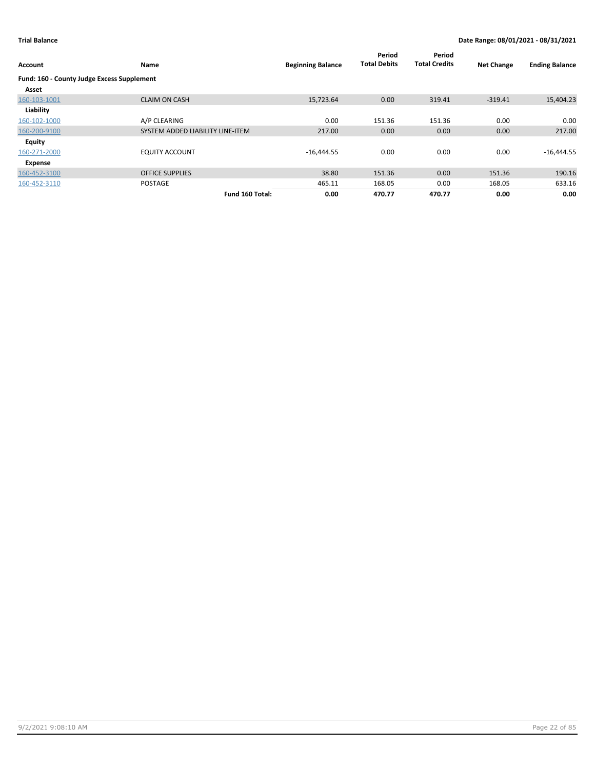| Account                                    | Name                             | <b>Beginning Balance</b> | Period<br><b>Total Debits</b> | Period<br><b>Total Credits</b> | <b>Net Change</b> | <b>Ending Balance</b> |
|--------------------------------------------|----------------------------------|--------------------------|-------------------------------|--------------------------------|-------------------|-----------------------|
| Fund: 160 - County Judge Excess Supplement |                                  |                          |                               |                                |                   |                       |
| Asset                                      |                                  |                          |                               |                                |                   |                       |
| 160-103-1001                               | <b>CLAIM ON CASH</b>             | 15,723.64                | 0.00                          | 319.41                         | $-319.41$         | 15,404.23             |
| Liability                                  |                                  |                          |                               |                                |                   |                       |
| 160-102-1000                               | A/P CLEARING                     | 0.00                     | 151.36                        | 151.36                         | 0.00              | 0.00                  |
| 160-200-9100                               | SYSTEM ADDED LIABILITY LINE-ITEM | 217.00                   | 0.00                          | 0.00                           | 0.00              | 217.00                |
| Equity                                     |                                  |                          |                               |                                |                   |                       |
| 160-271-2000                               | <b>EQUITY ACCOUNT</b>            | $-16,444.55$             | 0.00                          | 0.00                           | 0.00              | $-16,444.55$          |
| Expense                                    |                                  |                          |                               |                                |                   |                       |
| 160-452-3100                               | <b>OFFICE SUPPLIES</b>           | 38.80                    | 151.36                        | 0.00                           | 151.36            | 190.16                |
| 160-452-3110                               | <b>POSTAGE</b>                   | 465.11                   | 168.05                        | 0.00                           | 168.05            | 633.16                |
|                                            | Fund 160 Total:                  | 0.00                     | 470.77                        | 470.77                         | 0.00              | 0.00                  |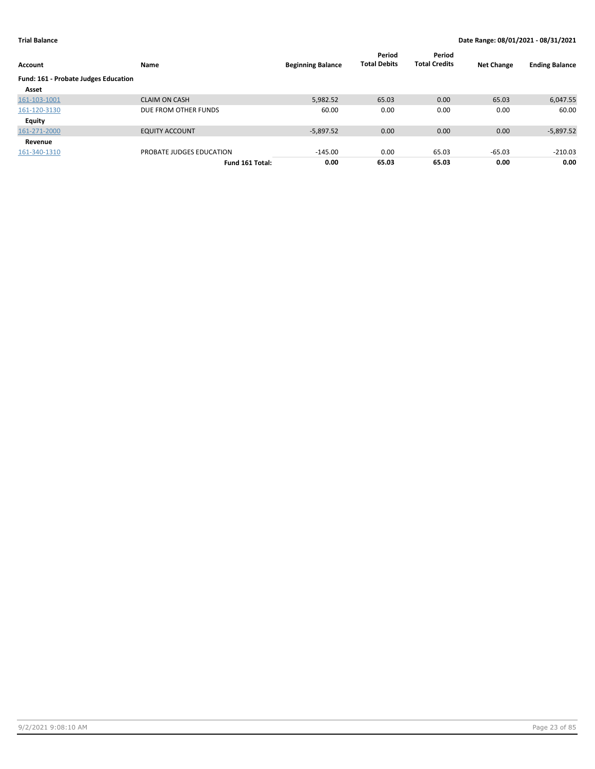| Account                              | Name                     | <b>Beginning Balance</b> | Period<br><b>Total Debits</b> | Period<br><b>Total Credits</b> | <b>Net Change</b> | <b>Ending Balance</b> |
|--------------------------------------|--------------------------|--------------------------|-------------------------------|--------------------------------|-------------------|-----------------------|
| Fund: 161 - Probate Judges Education |                          |                          |                               |                                |                   |                       |
| Asset                                |                          |                          |                               |                                |                   |                       |
| 161-103-1001                         | <b>CLAIM ON CASH</b>     | 5,982.52                 | 65.03                         | 0.00                           | 65.03             | 6,047.55              |
| 161-120-3130                         | DUE FROM OTHER FUNDS     | 60.00                    | 0.00                          | 0.00                           | 0.00              | 60.00                 |
| Equity                               |                          |                          |                               |                                |                   |                       |
| 161-271-2000                         | <b>EQUITY ACCOUNT</b>    | $-5,897.52$              | 0.00                          | 0.00                           | 0.00              | $-5,897.52$           |
| Revenue                              |                          |                          |                               |                                |                   |                       |
| 161-340-1310                         | PROBATE JUDGES EDUCATION | $-145.00$                | 0.00                          | 65.03                          | $-65.03$          | $-210.03$             |
|                                      | Fund 161 Total:          | 0.00                     | 65.03                         | 65.03                          | 0.00              | 0.00                  |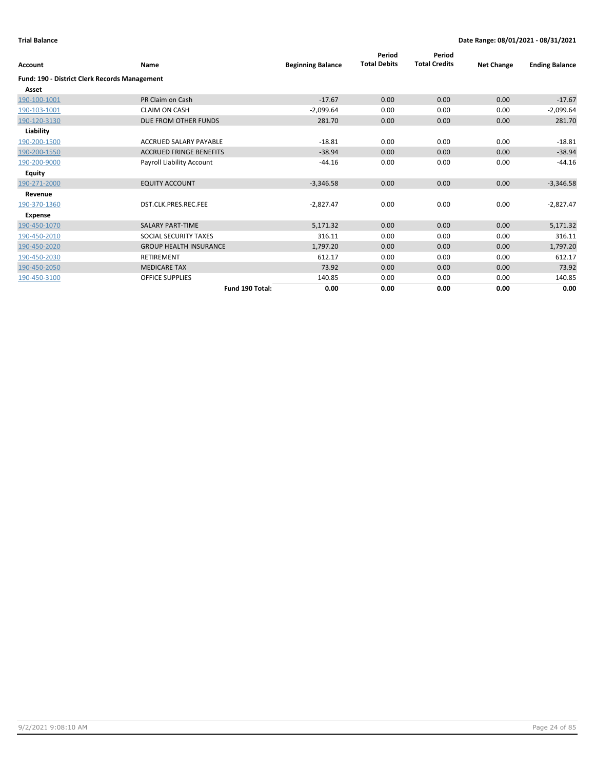| Account                                              | Name                           | <b>Beginning Balance</b> | Period<br><b>Total Debits</b> | Period<br><b>Total Credits</b> | <b>Net Change</b> | <b>Ending Balance</b> |
|------------------------------------------------------|--------------------------------|--------------------------|-------------------------------|--------------------------------|-------------------|-----------------------|
| <b>Fund: 190 - District Clerk Records Management</b> |                                |                          |                               |                                |                   |                       |
| Asset                                                |                                |                          |                               |                                |                   |                       |
| 190-100-1001                                         | PR Claim on Cash               | $-17.67$                 | 0.00                          | 0.00                           | 0.00              | $-17.67$              |
| 190-103-1001                                         | <b>CLAIM ON CASH</b>           | $-2,099.64$              | 0.00                          | 0.00                           | 0.00              | $-2,099.64$           |
| 190-120-3130                                         | DUE FROM OTHER FUNDS           | 281.70                   | 0.00                          | 0.00                           | 0.00              | 281.70                |
| Liability                                            |                                |                          |                               |                                |                   |                       |
| 190-200-1500                                         | <b>ACCRUED SALARY PAYABLE</b>  | $-18.81$                 | 0.00                          | 0.00                           | 0.00              | $-18.81$              |
| 190-200-1550                                         | <b>ACCRUED FRINGE BENEFITS</b> | $-38.94$                 | 0.00                          | 0.00                           | 0.00              | $-38.94$              |
| 190-200-9000                                         | Payroll Liability Account      | $-44.16$                 | 0.00                          | 0.00                           | 0.00              | $-44.16$              |
| Equity                                               |                                |                          |                               |                                |                   |                       |
| 190-271-2000                                         | <b>EQUITY ACCOUNT</b>          | $-3,346.58$              | 0.00                          | 0.00                           | 0.00              | $-3,346.58$           |
| Revenue                                              |                                |                          |                               |                                |                   |                       |
| 190-370-1360                                         | DST.CLK.PRES.REC.FEE           | $-2,827.47$              | 0.00                          | 0.00                           | 0.00              | $-2,827.47$           |
| <b>Expense</b>                                       |                                |                          |                               |                                |                   |                       |
| 190-450-1070                                         | <b>SALARY PART-TIME</b>        | 5,171.32                 | 0.00                          | 0.00                           | 0.00              | 5,171.32              |
| 190-450-2010                                         | SOCIAL SECURITY TAXES          | 316.11                   | 0.00                          | 0.00                           | 0.00              | 316.11                |
| 190-450-2020                                         | <b>GROUP HEALTH INSURANCE</b>  | 1,797.20                 | 0.00                          | 0.00                           | 0.00              | 1,797.20              |
| 190-450-2030                                         | <b>RETIREMENT</b>              | 612.17                   | 0.00                          | 0.00                           | 0.00              | 612.17                |
| 190-450-2050                                         | <b>MEDICARE TAX</b>            | 73.92                    | 0.00                          | 0.00                           | 0.00              | 73.92                 |
| 190-450-3100                                         | <b>OFFICE SUPPLIES</b>         | 140.85                   | 0.00                          | 0.00                           | 0.00              | 140.85                |
|                                                      | Fund 190 Total:                | 0.00                     | 0.00                          | 0.00                           | 0.00              | 0.00                  |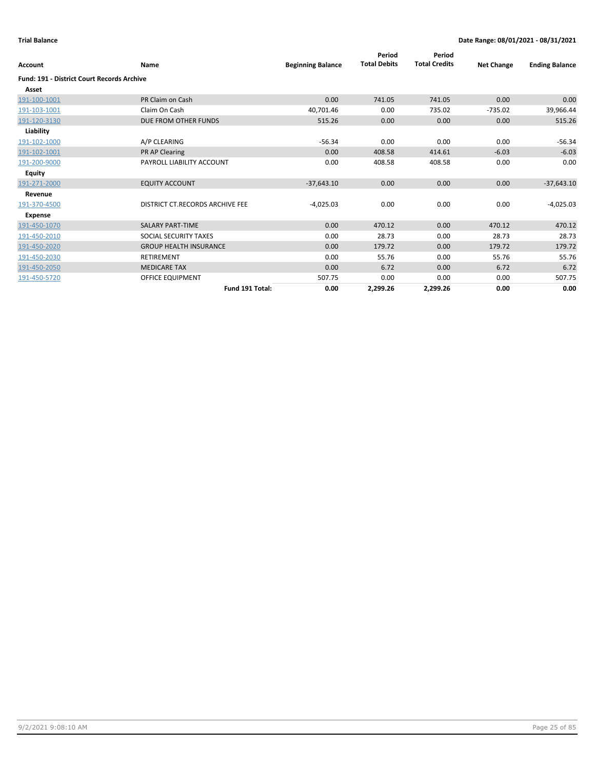| <b>Account</b>                                    | <b>Name</b>                     | <b>Beginning Balance</b> | Period<br><b>Total Debits</b> | Period<br><b>Total Credits</b> | <b>Net Change</b> | <b>Ending Balance</b> |
|---------------------------------------------------|---------------------------------|--------------------------|-------------------------------|--------------------------------|-------------------|-----------------------|
| <b>Fund: 191 - District Court Records Archive</b> |                                 |                          |                               |                                |                   |                       |
| Asset                                             |                                 |                          |                               |                                |                   |                       |
| 191-100-1001                                      | PR Claim on Cash                | 0.00                     | 741.05                        | 741.05                         | 0.00              | 0.00                  |
| 191-103-1001                                      | Claim On Cash                   | 40,701.46                | 0.00                          | 735.02                         | $-735.02$         | 39,966.44             |
| 191-120-3130                                      | DUE FROM OTHER FUNDS            | 515.26                   | 0.00                          | 0.00                           | 0.00              | 515.26                |
| Liability                                         |                                 |                          |                               |                                |                   |                       |
| 191-102-1000                                      | A/P CLEARING                    | $-56.34$                 | 0.00                          | 0.00                           | 0.00              | $-56.34$              |
| 191-102-1001                                      | <b>PR AP Clearing</b>           | 0.00                     | 408.58                        | 414.61                         | $-6.03$           | $-6.03$               |
| 191-200-9000                                      | PAYROLL LIABILITY ACCOUNT       | 0.00                     | 408.58                        | 408.58                         | 0.00              | 0.00                  |
| Equity                                            |                                 |                          |                               |                                |                   |                       |
| 191-271-2000                                      | <b>EQUITY ACCOUNT</b>           | $-37,643.10$             | 0.00                          | 0.00                           | 0.00              | $-37,643.10$          |
| Revenue                                           |                                 |                          |                               |                                |                   |                       |
| 191-370-4500                                      | DISTRICT CT.RECORDS ARCHIVE FEE | $-4,025.03$              | 0.00                          | 0.00                           | 0.00              | $-4,025.03$           |
| Expense                                           |                                 |                          |                               |                                |                   |                       |
| 191-450-1070                                      | <b>SALARY PART-TIME</b>         | 0.00                     | 470.12                        | 0.00                           | 470.12            | 470.12                |
| 191-450-2010                                      | SOCIAL SECURITY TAXES           | 0.00                     | 28.73                         | 0.00                           | 28.73             | 28.73                 |
| 191-450-2020                                      | <b>GROUP HEALTH INSURANCE</b>   | 0.00                     | 179.72                        | 0.00                           | 179.72            | 179.72                |
| 191-450-2030                                      | <b>RETIREMENT</b>               | 0.00                     | 55.76                         | 0.00                           | 55.76             | 55.76                 |
| 191-450-2050                                      | <b>MEDICARE TAX</b>             | 0.00                     | 6.72                          | 0.00                           | 6.72              | 6.72                  |
| 191-450-5720                                      | OFFICE EQUIPMENT                | 507.75                   | 0.00                          | 0.00                           | 0.00              | 507.75                |
|                                                   | Fund 191 Total:                 | 0.00                     | 2,299.26                      | 2,299.26                       | 0.00              | 0.00                  |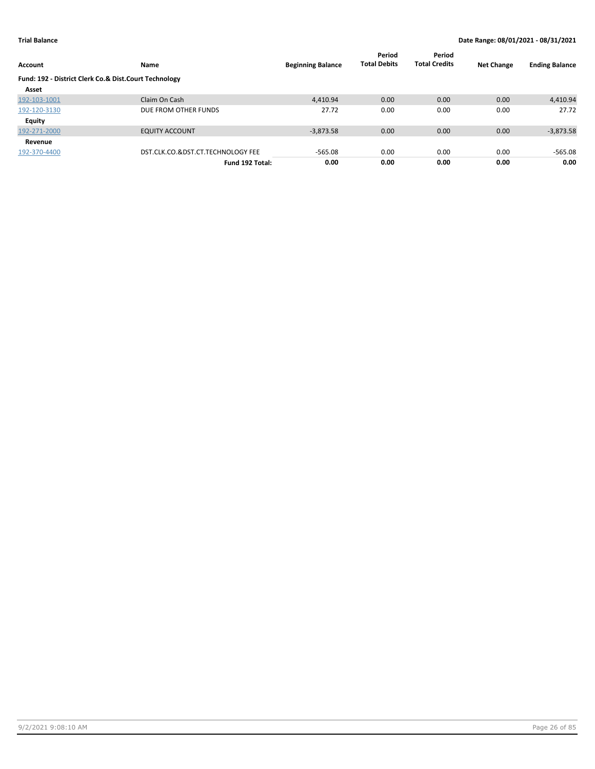| Account                                               | Name                              | <b>Beginning Balance</b> | Period<br><b>Total Debits</b> | Period<br><b>Total Credits</b> | <b>Net Change</b> | <b>Ending Balance</b> |
|-------------------------------------------------------|-----------------------------------|--------------------------|-------------------------------|--------------------------------|-------------------|-----------------------|
| Fund: 192 - District Clerk Co.& Dist.Court Technology |                                   |                          |                               |                                |                   |                       |
| Asset                                                 |                                   |                          |                               |                                |                   |                       |
| 192-103-1001                                          | Claim On Cash                     | 4.410.94                 | 0.00                          | 0.00                           | 0.00              | 4,410.94              |
| 192-120-3130                                          | DUE FROM OTHER FUNDS              | 27.72                    | 0.00                          | 0.00                           | 0.00              | 27.72                 |
| Equity                                                |                                   |                          |                               |                                |                   |                       |
| 192-271-2000                                          | <b>EQUITY ACCOUNT</b>             | $-3,873.58$              | 0.00                          | 0.00                           | 0.00              | $-3,873.58$           |
| Revenue                                               |                                   |                          |                               |                                |                   |                       |
| 192-370-4400                                          | DST.CLK.CO.&DST.CT.TECHNOLOGY FEE | $-565.08$                | 0.00                          | 0.00                           | 0.00              | $-565.08$             |
|                                                       | Fund 192 Total:                   | 0.00                     | 0.00                          | 0.00                           | 0.00              | 0.00                  |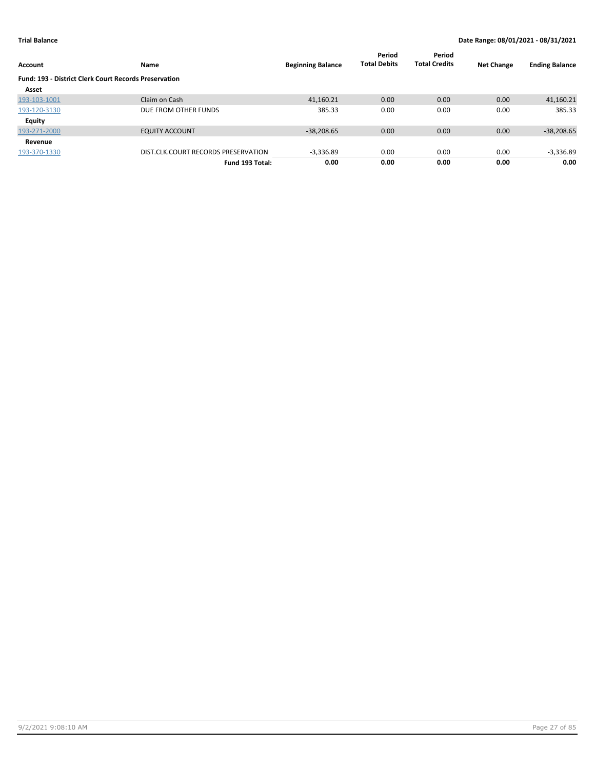| Account                                                      | Name                                | <b>Beginning Balance</b> | Period<br><b>Total Debits</b> | Period<br><b>Total Credits</b> | <b>Net Change</b> | <b>Ending Balance</b> |
|--------------------------------------------------------------|-------------------------------------|--------------------------|-------------------------------|--------------------------------|-------------------|-----------------------|
| <b>Fund: 193 - District Clerk Court Records Preservation</b> |                                     |                          |                               |                                |                   |                       |
| Asset                                                        |                                     |                          |                               |                                |                   |                       |
| 193-103-1001                                                 | Claim on Cash                       | 41,160.21                | 0.00                          | 0.00                           | 0.00              | 41,160.21             |
| 193-120-3130                                                 | DUE FROM OTHER FUNDS                | 385.33                   | 0.00                          | 0.00                           | 0.00              | 385.33                |
| <b>Equity</b>                                                |                                     |                          |                               |                                |                   |                       |
| 193-271-2000                                                 | <b>EQUITY ACCOUNT</b>               | $-38,208.65$             | 0.00                          | 0.00                           | 0.00              | $-38,208.65$          |
| Revenue                                                      |                                     |                          |                               |                                |                   |                       |
| 193-370-1330                                                 | DIST.CLK.COURT RECORDS PRESERVATION | $-3.336.89$              | 0.00                          | 0.00                           | 0.00              | $-3,336.89$           |
|                                                              | Fund 193 Total:                     | 0.00                     | 0.00                          | 0.00                           | 0.00              | 0.00                  |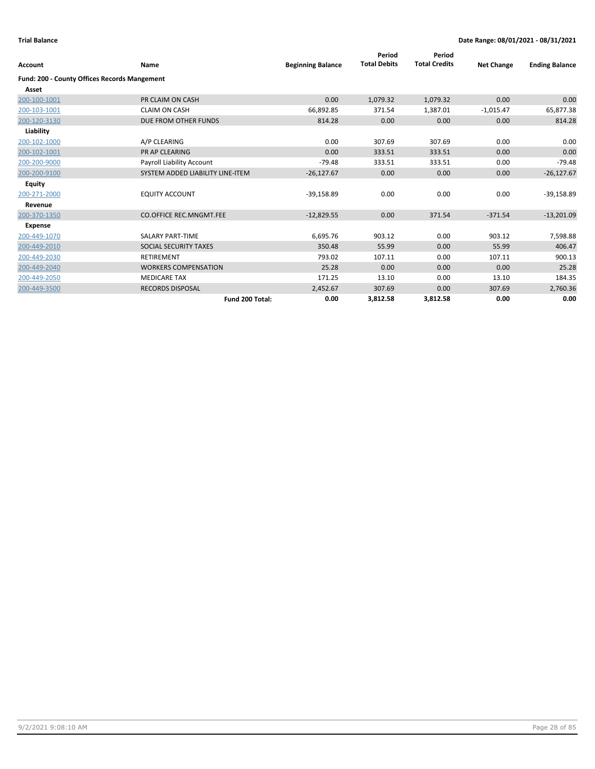| <b>Account</b>                                      | Name                             | <b>Beginning Balance</b> | Period<br><b>Total Debits</b> | Period<br><b>Total Credits</b> | <b>Net Change</b> | <b>Ending Balance</b> |
|-----------------------------------------------------|----------------------------------|--------------------------|-------------------------------|--------------------------------|-------------------|-----------------------|
| <b>Fund: 200 - County Offices Records Mangement</b> |                                  |                          |                               |                                |                   |                       |
| Asset                                               |                                  |                          |                               |                                |                   |                       |
| 200-100-1001                                        | PR CLAIM ON CASH                 | 0.00                     | 1,079.32                      | 1,079.32                       | 0.00              | 0.00                  |
| 200-103-1001                                        | <b>CLAIM ON CASH</b>             | 66,892.85                | 371.54                        | 1,387.01                       | $-1,015.47$       | 65,877.38             |
| 200-120-3130                                        | DUE FROM OTHER FUNDS             | 814.28                   | 0.00                          | 0.00                           | 0.00              | 814.28                |
| Liability                                           |                                  |                          |                               |                                |                   |                       |
| 200-102-1000                                        | A/P CLEARING                     | 0.00                     | 307.69                        | 307.69                         | 0.00              | 0.00                  |
| 200-102-1001                                        | PR AP CLEARING                   | 0.00                     | 333.51                        | 333.51                         | 0.00              | 0.00                  |
| 200-200-9000                                        | Payroll Liability Account        | $-79.48$                 | 333.51                        | 333.51                         | 0.00              | $-79.48$              |
| 200-200-9100                                        | SYSTEM ADDED LIABILITY LINE-ITEM | $-26,127.67$             | 0.00                          | 0.00                           | 0.00              | $-26,127.67$          |
| <b>Equity</b>                                       |                                  |                          |                               |                                |                   |                       |
| 200-271-2000                                        | <b>EQUITY ACCOUNT</b>            | $-39,158.89$             | 0.00                          | 0.00                           | 0.00              | $-39,158.89$          |
| Revenue                                             |                                  |                          |                               |                                |                   |                       |
| 200-370-1350                                        | <b>CO.OFFICE REC.MNGMT.FEE</b>   | $-12,829.55$             | 0.00                          | 371.54                         | $-371.54$         | $-13,201.09$          |
| <b>Expense</b>                                      |                                  |                          |                               |                                |                   |                       |
| 200-449-1070                                        | <b>SALARY PART-TIME</b>          | 6,695.76                 | 903.12                        | 0.00                           | 903.12            | 7,598.88              |
| 200-449-2010                                        | SOCIAL SECURITY TAXES            | 350.48                   | 55.99                         | 0.00                           | 55.99             | 406.47                |
| 200-449-2030                                        | <b>RETIREMENT</b>                | 793.02                   | 107.11                        | 0.00                           | 107.11            | 900.13                |
| 200-449-2040                                        | <b>WORKERS COMPENSATION</b>      | 25.28                    | 0.00                          | 0.00                           | 0.00              | 25.28                 |
| 200-449-2050                                        | <b>MEDICARE TAX</b>              | 171.25                   | 13.10                         | 0.00                           | 13.10             | 184.35                |
| 200-449-3500                                        | <b>RECORDS DISPOSAL</b>          | 2,452.67                 | 307.69                        | 0.00                           | 307.69            | 2,760.36              |
|                                                     | Fund 200 Total:                  | 0.00                     | 3,812.58                      | 3,812.58                       | 0.00              | 0.00                  |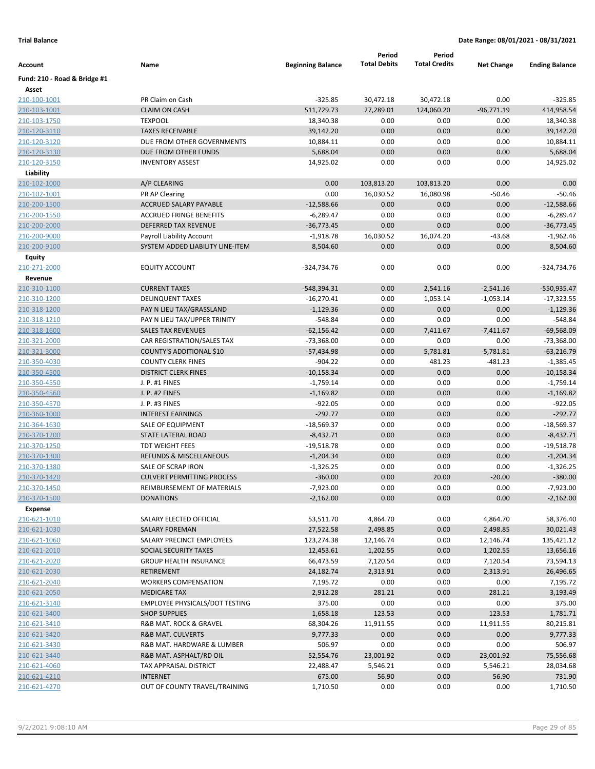|                               |                                       |                           | Period                 | Period               |                     |                             |
|-------------------------------|---------------------------------------|---------------------------|------------------------|----------------------|---------------------|-----------------------------|
| Account                       | Name                                  | <b>Beginning Balance</b>  | <b>Total Debits</b>    | <b>Total Credits</b> | <b>Net Change</b>   | <b>Ending Balance</b>       |
| Fund: 210 - Road & Bridge #1  |                                       |                           |                        |                      |                     |                             |
| Asset                         | PR Claim on Cash                      | $-325.85$                 |                        | 30,472.18            | 0.00                | $-325.85$                   |
| 210-100-1001<br>210-103-1001  | <b>CLAIM ON CASH</b>                  | 511,729.73                | 30,472.18<br>27,289.01 |                      | $-96,771.19$        | 414,958.54                  |
| 210-103-1750                  | <b>TEXPOOL</b>                        | 18,340.38                 | 0.00                   | 124,060.20<br>0.00   | 0.00                | 18,340.38                   |
| 210-120-3110                  | <b>TAXES RECEIVABLE</b>               | 39,142.20                 | 0.00                   | 0.00                 | 0.00                | 39,142.20                   |
| 210-120-3120                  | DUE FROM OTHER GOVERNMENTS            | 10,884.11                 | 0.00                   | 0.00                 | 0.00                | 10,884.11                   |
| 210-120-3130                  | DUE FROM OTHER FUNDS                  | 5,688.04                  | 0.00                   | 0.00                 | 0.00                | 5,688.04                    |
| 210-120-3150                  | <b>INVENTORY ASSEST</b>               | 14,925.02                 | 0.00                   | 0.00                 | 0.00                | 14,925.02                   |
| Liability                     |                                       |                           |                        |                      |                     |                             |
| 210-102-1000                  | A/P CLEARING                          | 0.00                      | 103,813.20             | 103,813.20           | 0.00                | 0.00                        |
| 210-102-1001                  | PR AP Clearing                        | 0.00                      | 16,030.52              | 16,080.98            | $-50.46$            | $-50.46$                    |
| 210-200-1500                  | ACCRUED SALARY PAYABLE                | $-12,588.66$              | 0.00                   | 0.00                 | 0.00                | $-12,588.66$                |
| 210-200-1550                  | <b>ACCRUED FRINGE BENEFITS</b>        | $-6,289.47$               | 0.00                   | 0.00                 | 0.00                | $-6,289.47$                 |
|                               | DEFERRED TAX REVENUE                  | $-36,773.45$              | 0.00                   | 0.00                 | 0.00                | $-36,773.45$                |
| 210-200-2000<br>210-200-9000  | Payroll Liability Account             | $-1,918.78$               | 16,030.52              | 16,074.20            | $-43.68$            | $-1,962.46$                 |
| 210-200-9100                  | SYSTEM ADDED LIABILITY LINE-ITEM      | 8,504.60                  | 0.00                   | 0.00                 | 0.00                | 8,504.60                    |
|                               |                                       |                           |                        |                      |                     |                             |
| <b>Equity</b><br>210-271-2000 | <b>EQUITY ACCOUNT</b>                 | -324,734.76               | 0.00                   | 0.00                 | 0.00                | -324,734.76                 |
| Revenue                       |                                       |                           |                        |                      |                     |                             |
| 210-310-1100                  | <b>CURRENT TAXES</b>                  | $-548,394.31$             | 0.00                   | 2,541.16             | $-2,541.16$         | -550,935.47                 |
| 210-310-1200                  | <b>DELINQUENT TAXES</b>               | $-16,270.41$              | 0.00                   |                      |                     | $-17,323.55$                |
|                               | PAY N LIEU TAX/GRASSLAND              | $-1,129.36$               | 0.00                   | 1,053.14<br>0.00     | $-1,053.14$<br>0.00 | $-1,129.36$                 |
| 210-318-1200<br>210-318-1210  | PAY N LIEU TAX/UPPER TRINITY          | $-548.84$                 | 0.00                   | 0.00                 | 0.00                | $-548.84$                   |
|                               | <b>SALES TAX REVENUES</b>             | $-62,156.42$              | 0.00                   | 7,411.67             | $-7,411.67$         | $-69,568.09$                |
| 210-318-1600<br>210-321-2000  | CAR REGISTRATION/SALES TAX            | $-73,368.00$              | 0.00                   | 0.00                 | 0.00                | $-73,368.00$                |
|                               | COUNTY'S ADDITIONAL \$10              |                           | 0.00                   | 5,781.81             | $-5,781.81$         | $-63,216.79$                |
| 210-321-3000                  | <b>COUNTY CLERK FINES</b>             | $-57,434.98$<br>$-904.22$ | 0.00                   | 481.23               | $-481.23$           |                             |
| 210-350-4030<br>210-350-4500  | <b>DISTRICT CLERK FINES</b>           | $-10,158.34$              | 0.00                   | 0.00                 | 0.00                | $-1,385.45$<br>$-10,158.34$ |
| 210-350-4550                  | J. P. #1 FINES                        | $-1,759.14$               | 0.00                   | 0.00                 | 0.00                | $-1,759.14$                 |
| 210-350-4560                  | J. P. #2 FINES                        | $-1,169.82$               | 0.00                   | 0.00                 | 0.00                | $-1,169.82$                 |
| 210-350-4570                  | J. P. #3 FINES                        | $-922.05$                 | 0.00                   | 0.00                 | 0.00                | $-922.05$                   |
| 210-360-1000                  | <b>INTEREST EARNINGS</b>              | $-292.77$                 | 0.00                   | 0.00                 | 0.00                | $-292.77$                   |
| 210-364-1630                  | SALE OF EQUIPMENT                     | $-18,569.37$              | 0.00                   | 0.00                 | 0.00                | $-18,569.37$                |
| 210-370-1200                  | STATE LATERAL ROAD                    | $-8,432.71$               | 0.00                   | 0.00                 | 0.00                | $-8,432.71$                 |
| 210-370-1250                  | <b>TDT WEIGHT FEES</b>                | $-19,518.78$              | 0.00                   | 0.00                 | 0.00                | $-19,518.78$                |
| 210-370-1300                  | <b>REFUNDS &amp; MISCELLANEOUS</b>    | $-1,204.34$               | 0.00                   | 0.00                 | 0.00                | $-1,204.34$                 |
| 210-370-1380                  | SALE OF SCRAP IRON                    | $-1,326.25$               | 0.00                   | 0.00                 | 0.00                | $-1,326.25$                 |
| 210-370-1420                  | <b>CULVERT PERMITTING PROCESS</b>     | $-360.00$                 | 0.00                   | 20.00                | $-20.00$            | $-380.00$                   |
| 210-370-1450                  | REIMBURSEMENT OF MATERIALS            | $-7,923.00$               | 0.00                   | 0.00                 | 0.00                | $-7,923.00$                 |
| 210-370-1500                  | <b>DONATIONS</b>                      | $-2,162.00$               | 0.00                   | 0.00                 | 0.00                | $-2,162.00$                 |
| Expense                       |                                       |                           |                        |                      |                     |                             |
| 210-621-1010                  | SALARY ELECTED OFFICIAL               | 53,511.70                 | 4,864.70               | 0.00                 | 4,864.70            | 58,376.40                   |
| 210-621-1030                  | SALARY FOREMAN                        | 27,522.58                 | 2,498.85               | 0.00                 | 2,498.85            | 30,021.43                   |
| 210-621-1060                  | SALARY PRECINCT EMPLOYEES             | 123,274.38                | 12,146.74              | 0.00                 | 12,146.74           | 135,421.12                  |
| 210-621-2010                  | SOCIAL SECURITY TAXES                 | 12,453.61                 | 1,202.55               | 0.00                 | 1,202.55            | 13,656.16                   |
| 210-621-2020                  | <b>GROUP HEALTH INSURANCE</b>         | 66,473.59                 | 7,120.54               | 0.00                 | 7,120.54            | 73,594.13                   |
| 210-621-2030                  | <b>RETIREMENT</b>                     | 24,182.74                 | 2,313.91               | 0.00                 | 2,313.91            | 26,496.65                   |
| 210-621-2040                  | <b>WORKERS COMPENSATION</b>           | 7,195.72                  | 0.00                   | 0.00                 | 0.00                | 7,195.72                    |
| 210-621-2050                  | <b>MEDICARE TAX</b>                   | 2,912.28                  | 281.21                 | 0.00                 | 281.21              | 3,193.49                    |
| 210-621-3140                  | <b>EMPLOYEE PHYSICALS/DOT TESTING</b> | 375.00                    | 0.00                   | 0.00                 | 0.00                | 375.00                      |
| 210-621-3400                  | <b>SHOP SUPPLIES</b>                  | 1,658.18                  | 123.53                 | 0.00                 | 123.53              | 1,781.71                    |
| 210-621-3410                  | R&B MAT. ROCK & GRAVEL                | 68,304.26                 | 11,911.55              | 0.00                 | 11,911.55           | 80,215.81                   |
| 210-621-3420                  | R&B MAT. CULVERTS                     | 9,777.33                  | 0.00                   | 0.00                 | 0.00                | 9,777.33                    |
| 210-621-3430                  | R&B MAT. HARDWARE & LUMBER            | 506.97                    | 0.00                   | 0.00                 | 0.00                | 506.97                      |
| 210-621-3440                  | R&B MAT. ASPHALT/RD OIL               | 52,554.76                 | 23,001.92              | 0.00                 | 23,001.92           | 75,556.68                   |
| 210-621-4060                  | TAX APPRAISAL DISTRICT                | 22,488.47                 | 5,546.21               | 0.00                 | 5,546.21            | 28,034.68                   |
| 210-621-4210                  | <b>INTERNET</b>                       | 675.00                    | 56.90                  | 0.00                 | 56.90               | 731.90                      |
| 210-621-4270                  | OUT OF COUNTY TRAVEL/TRAINING         | 1,710.50                  | 0.00                   | 0.00                 | 0.00                | 1,710.50                    |
|                               |                                       |                           |                        |                      |                     |                             |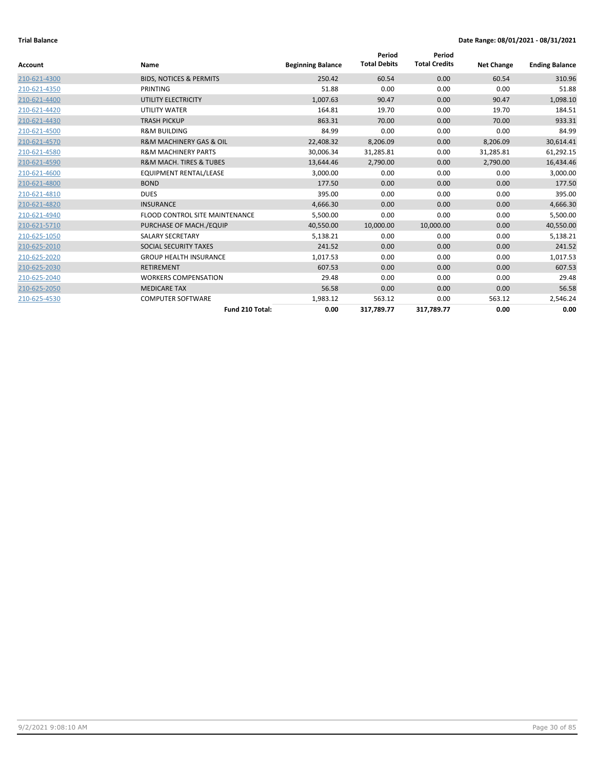|              |                                        |                          | Period              | Period               |                   |                       |
|--------------|----------------------------------------|--------------------------|---------------------|----------------------|-------------------|-----------------------|
| Account      | Name                                   | <b>Beginning Balance</b> | <b>Total Debits</b> | <b>Total Credits</b> | <b>Net Change</b> | <b>Ending Balance</b> |
| 210-621-4300 | <b>BIDS, NOTICES &amp; PERMITS</b>     | 250.42                   | 60.54               | 0.00                 | 60.54             | 310.96                |
| 210-621-4350 | PRINTING                               | 51.88                    | 0.00                | 0.00                 | 0.00              | 51.88                 |
| 210-621-4400 | UTILITY ELECTRICITY                    | 1,007.63                 | 90.47               | 0.00                 | 90.47             | 1,098.10              |
| 210-621-4420 | UTILITY WATER                          | 164.81                   | 19.70               | 0.00                 | 19.70             | 184.51                |
| 210-621-4430 | <b>TRASH PICKUP</b>                    | 863.31                   | 70.00               | 0.00                 | 70.00             | 933.31                |
| 210-621-4500 | <b>R&amp;M BUILDING</b>                | 84.99                    | 0.00                | 0.00                 | 0.00              | 84.99                 |
| 210-621-4570 | <b>R&amp;M MACHINERY GAS &amp; OIL</b> | 22,408.32                | 8,206.09            | 0.00                 | 8,206.09          | 30,614.41             |
| 210-621-4580 | <b>R&amp;M MACHINERY PARTS</b>         | 30,006.34                | 31,285.81           | 0.00                 | 31,285.81         | 61,292.15             |
| 210-621-4590 | <b>R&amp;M MACH. TIRES &amp; TUBES</b> | 13,644.46                | 2,790.00            | 0.00                 | 2,790.00          | 16,434.46             |
| 210-621-4600 | EQUIPMENT RENTAL/LEASE                 | 3,000.00                 | 0.00                | 0.00                 | 0.00              | 3,000.00              |
| 210-621-4800 | <b>BOND</b>                            | 177.50                   | 0.00                | 0.00                 | 0.00              | 177.50                |
| 210-621-4810 | <b>DUES</b>                            | 395.00                   | 0.00                | 0.00                 | 0.00              | 395.00                |
| 210-621-4820 | <b>INSURANCE</b>                       | 4,666.30                 | 0.00                | 0.00                 | 0.00              | 4,666.30              |
| 210-621-4940 | <b>FLOOD CONTROL SITE MAINTENANCE</b>  | 5,500.00                 | 0.00                | 0.00                 | 0.00              | 5,500.00              |
| 210-621-5710 | PURCHASE OF MACH./EQUIP                | 40,550.00                | 10,000.00           | 10,000.00            | 0.00              | 40,550.00             |
| 210-625-1050 | SALARY SECRETARY                       | 5,138.21                 | 0.00                | 0.00                 | 0.00              | 5,138.21              |
| 210-625-2010 | SOCIAL SECURITY TAXES                  | 241.52                   | 0.00                | 0.00                 | 0.00              | 241.52                |
| 210-625-2020 | <b>GROUP HEALTH INSURANCE</b>          | 1,017.53                 | 0.00                | 0.00                 | 0.00              | 1,017.53              |
| 210-625-2030 | <b>RETIREMENT</b>                      | 607.53                   | 0.00                | 0.00                 | 0.00              | 607.53                |
| 210-625-2040 | <b>WORKERS COMPENSATION</b>            | 29.48                    | 0.00                | 0.00                 | 0.00              | 29.48                 |
| 210-625-2050 | <b>MEDICARE TAX</b>                    | 56.58                    | 0.00                | 0.00                 | 0.00              | 56.58                 |
| 210-625-4530 | <b>COMPUTER SOFTWARE</b>               | 1,983.12                 | 563.12              | 0.00                 | 563.12            | 2,546.24              |
|              | Fund 210 Total:                        | 0.00                     | 317,789.77          | 317,789.77           | 0.00              | 0.00                  |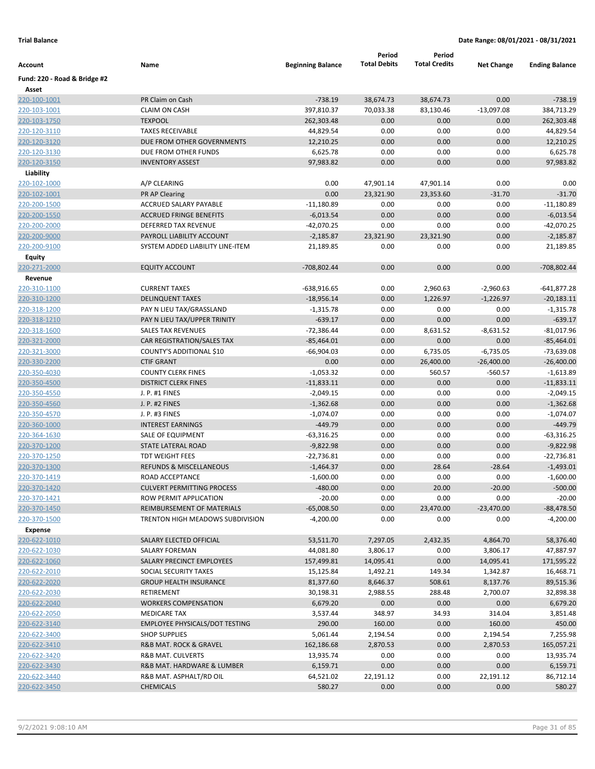|                              |                                       |                          | Period              | Period               |                   |                       |
|------------------------------|---------------------------------------|--------------------------|---------------------|----------------------|-------------------|-----------------------|
| Account                      | Name                                  | <b>Beginning Balance</b> | <b>Total Debits</b> | <b>Total Credits</b> | <b>Net Change</b> | <b>Ending Balance</b> |
| Fund: 220 - Road & Bridge #2 |                                       |                          |                     |                      |                   |                       |
| Asset                        |                                       |                          |                     |                      |                   |                       |
| 220-100-1001                 | PR Claim on Cash                      | $-738.19$                | 38,674.73           | 38,674.73            | 0.00              | $-738.19$             |
| 220-103-1001                 | <b>CLAIM ON CASH</b>                  | 397,810.37               | 70,033.38           | 83,130.46            | $-13,097.08$      | 384,713.29            |
| 220-103-1750                 | <b>TEXPOOL</b>                        | 262,303.48               | 0.00                | 0.00                 | 0.00              | 262,303.48            |
| 220-120-3110                 | <b>TAXES RECEIVABLE</b>               | 44,829.54                | 0.00                | 0.00                 | 0.00              | 44,829.54             |
| 220-120-3120                 | DUE FROM OTHER GOVERNMENTS            | 12,210.25                | 0.00                | 0.00                 | 0.00              | 12,210.25             |
| 220-120-3130                 | DUE FROM OTHER FUNDS                  | 6,625.78                 | 0.00                | 0.00                 | 0.00              | 6,625.78              |
| 220-120-3150                 | <b>INVENTORY ASSEST</b>               | 97,983.82                | 0.00                | 0.00                 | 0.00              | 97,983.82             |
| Liability                    |                                       |                          |                     |                      |                   |                       |
| 220-102-1000                 | A/P CLEARING                          | 0.00                     | 47,901.14           | 47,901.14            | 0.00              | 0.00                  |
| 220-102-1001                 | PR AP Clearing                        | 0.00                     | 23,321.90           | 23,353.60            | $-31.70$          | $-31.70$              |
| 220-200-1500                 | ACCRUED SALARY PAYABLE                | $-11,180.89$             | 0.00                | 0.00                 | 0.00              | $-11,180.89$          |
| 220-200-1550                 | <b>ACCRUED FRINGE BENEFITS</b>        | $-6,013.54$              | 0.00                | 0.00                 | 0.00              | $-6,013.54$           |
| 220-200-2000                 | DEFERRED TAX REVENUE                  | $-42,070.25$             | 0.00                | 0.00                 | 0.00              | -42,070.25            |
| 220-200-9000                 | PAYROLL LIABILITY ACCOUNT             | $-2,185.87$              | 23,321.90           | 23,321.90            | 0.00              | $-2,185.87$           |
| 220-200-9100                 | SYSTEM ADDED LIABILITY LINE-ITEM      | 21,189.85                | 0.00                | 0.00                 | 0.00              | 21,189.85             |
| <b>Equity</b>                |                                       |                          |                     |                      |                   |                       |
| 220-271-2000                 | <b>EQUITY ACCOUNT</b>                 | -708,802.44              | 0.00                | 0.00                 | 0.00              | -708,802.44           |
| Revenue                      |                                       |                          |                     |                      |                   |                       |
| 220-310-1100                 | <b>CURRENT TAXES</b>                  | $-638,916.65$            | 0.00                | 2,960.63             | $-2,960.63$       | $-641,877.28$         |
| 220-310-1200                 | <b>DELINQUENT TAXES</b>               | $-18,956.14$             | 0.00                | 1,226.97             | $-1,226.97$       | $-20,183.11$          |
| 220-318-1200                 | PAY N LIEU TAX/GRASSLAND              | -1,315.78                | 0.00                | 0.00                 | 0.00              | $-1,315.78$           |
| 220-318-1210                 | PAY N LIEU TAX/UPPER TRINITY          | $-639.17$                | 0.00                | 0.00                 | 0.00              | $-639.17$             |
| 220-318-1600                 | SALES TAX REVENUES                    | $-72,386.44$             | 0.00                | 8,631.52             | $-8,631.52$       | $-81,017.96$          |
| 220-321-2000                 | CAR REGISTRATION/SALES TAX            | $-85,464.01$             | 0.00                | 0.00                 | 0.00              | $-85,464.01$          |
| 220-321-3000                 | COUNTY'S ADDITIONAL \$10              | $-66,904.03$             | 0.00                | 6,735.05             | $-6,735.05$       | $-73,639.08$          |
| 220-330-2200                 | <b>CTIF GRANT</b>                     | 0.00                     | 0.00                | 26,400.00            | $-26,400.00$      | $-26,400.00$          |
| 220-350-4030                 | <b>COUNTY CLERK FINES</b>             | $-1,053.32$              | 0.00                | 560.57               | $-560.57$         | $-1,613.89$           |
| 220-350-4500                 | <b>DISTRICT CLERK FINES</b>           | $-11,833.11$             | 0.00                | 0.00                 | 0.00              | $-11,833.11$          |
| 220-350-4550                 | J. P. #1 FINES                        | $-2,049.15$              | 0.00                | 0.00                 | 0.00              | $-2,049.15$           |
| 220-350-4560                 | <b>J. P. #2 FINES</b>                 | $-1,362.68$              | 0.00                | 0.00                 | 0.00              | $-1,362.68$           |
| 220-350-4570                 | J. P. #3 FINES                        | $-1,074.07$              | 0.00                | 0.00                 | 0.00              | $-1,074.07$           |
| 220-360-1000                 | <b>INTEREST EARNINGS</b>              | $-449.79$                | 0.00                | 0.00                 | 0.00              | $-449.79$             |
| 220-364-1630                 | SALE OF EQUIPMENT                     | $-63,316.25$             | 0.00                | 0.00                 | 0.00              | -63,316.25            |
| 220-370-1200                 | STATE LATERAL ROAD                    | $-9,822.98$              | 0.00                | 0.00                 | 0.00              | $-9,822.98$           |
| 220-370-1250                 | <b>TDT WEIGHT FEES</b>                | $-22,736.81$             | 0.00                | 0.00                 | 0.00              | $-22,736.81$          |
| 220-370-1300                 | REFUNDS & MISCELLANEOUS               | $-1,464.37$              | 0.00                | 28.64                | $-28.64$          | $-1,493.01$           |
| 220-370-1419                 | ROAD ACCEPTANCE                       | $-1,600.00$              | 0.00                | 0.00                 | 0.00              | $-1,600.00$           |
| 220-370-1420                 | <b>CULVERT PERMITTING PROCESS</b>     | $-480.00$                | 0.00                | 20.00                | $-20.00$          | $-500.00$             |
| 220-370-1421                 | ROW PERMIT APPLICATION                | $-20.00$                 | 0.00                | 0.00                 | 0.00              | $-20.00$              |
| 220-370-1450                 | REIMBURSEMENT OF MATERIALS            | $-65,008.50$             | 0.00                | 23,470.00            | $-23,470.00$      | $-88,478.50$          |
| 220-370-1500                 | TRENTON HIGH MEADOWS SUBDIVISION      | $-4,200.00$              | 0.00                | 0.00                 | 0.00              | $-4,200.00$           |
| <b>Expense</b>               |                                       |                          |                     |                      |                   |                       |
| 220-622-1010                 | SALARY ELECTED OFFICIAL               | 53,511.70                | 7,297.05            | 2,432.35             | 4,864.70          | 58,376.40             |
| 220-622-1030                 | SALARY FOREMAN                        | 44,081.80                | 3,806.17            | 0.00                 | 3,806.17          | 47,887.97             |
| 220-622-1060                 | SALARY PRECINCT EMPLOYEES             | 157,499.81               | 14,095.41           | 0.00                 | 14,095.41         | 171,595.22            |
| 220-622-2010                 | SOCIAL SECURITY TAXES                 | 15,125.84                | 1,492.21            | 149.34               | 1,342.87          | 16,468.71             |
| 220-622-2020                 | <b>GROUP HEALTH INSURANCE</b>         | 81,377.60                | 8,646.37            | 508.61               | 8,137.76          | 89,515.36             |
| 220-622-2030                 | RETIREMENT                            | 30,198.31                | 2,988.55            | 288.48               | 2,700.07          | 32,898.38             |
| 220-622-2040                 | <b>WORKERS COMPENSATION</b>           | 6,679.20                 | 0.00                | 0.00                 | 0.00              | 6,679.20              |
| 220-622-2050                 | <b>MEDICARE TAX</b>                   | 3,537.44                 | 348.97              | 34.93                | 314.04            | 3,851.48              |
| 220-622-3140                 | <b>EMPLOYEE PHYSICALS/DOT TESTING</b> | 290.00                   | 160.00              | 0.00                 | 160.00            | 450.00                |
| 220-622-3400                 | <b>SHOP SUPPLIES</b>                  | 5,061.44                 | 2,194.54            | 0.00                 | 2,194.54          | 7,255.98              |
| 220-622-3410                 | R&B MAT. ROCK & GRAVEL                | 162,186.68               | 2,870.53            | 0.00                 | 2,870.53          | 165,057.21            |
| 220-622-3420                 | R&B MAT. CULVERTS                     | 13,935.74                | 0.00                | 0.00                 | 0.00              | 13,935.74             |
| 220-622-3430                 | R&B MAT. HARDWARE & LUMBER            | 6,159.71                 | 0.00                | 0.00                 | 0.00              | 6,159.71              |
| 220-622-3440                 | R&B MAT. ASPHALT/RD OIL               | 64,521.02                | 22,191.12           | 0.00                 | 22,191.12         | 86,712.14             |
| 220-622-3450                 | <b>CHEMICALS</b>                      | 580.27                   | 0.00                | 0.00                 | 0.00              | 580.27                |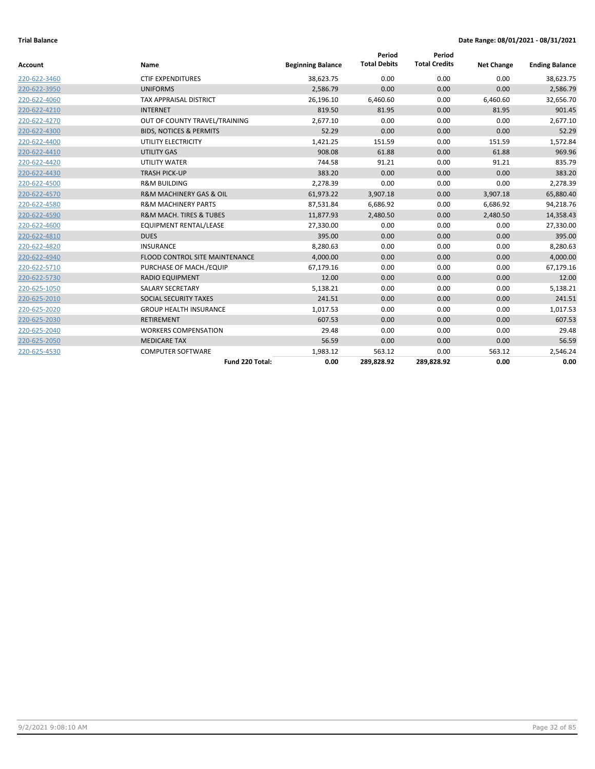| <b>Account</b> | Name                                   | <b>Beginning Balance</b> | Period<br><b>Total Debits</b> | Period<br><b>Total Credits</b> | <b>Net Change</b> | <b>Ending Balance</b> |
|----------------|----------------------------------------|--------------------------|-------------------------------|--------------------------------|-------------------|-----------------------|
| 220-622-3460   | <b>CTIF EXPENDITURES</b>               | 38,623.75                | 0.00                          | 0.00                           | 0.00              | 38,623.75             |
| 220-622-3950   | <b>UNIFORMS</b>                        | 2,586.79                 | 0.00                          | 0.00                           | 0.00              | 2,586.79              |
| 220-622-4060   | <b>TAX APPRAISAL DISTRICT</b>          | 26,196.10                | 6,460.60                      | 0.00                           | 6,460.60          | 32,656.70             |
| 220-622-4210   | <b>INTERNET</b>                        | 819.50                   | 81.95                         | 0.00                           | 81.95             | 901.45                |
| 220-622-4270   | OUT OF COUNTY TRAVEL/TRAINING          | 2,677.10                 | 0.00                          | 0.00                           | 0.00              | 2,677.10              |
| 220-622-4300   | <b>BIDS, NOTICES &amp; PERMITS</b>     | 52.29                    | 0.00                          | 0.00                           | 0.00              | 52.29                 |
| 220-622-4400   | UTILITY ELECTRICITY                    | 1,421.25                 | 151.59                        | 0.00                           | 151.59            | 1,572.84              |
| 220-622-4410   | <b>UTILITY GAS</b>                     | 908.08                   | 61.88                         | 0.00                           | 61.88             | 969.96                |
| 220-622-4420   | <b>UTILITY WATER</b>                   | 744.58                   | 91.21                         | 0.00                           | 91.21             | 835.79                |
| 220-622-4430   | <b>TRASH PICK-UP</b>                   | 383.20                   | 0.00                          | 0.00                           | 0.00              | 383.20                |
|                |                                        |                          |                               |                                |                   |                       |
| 220-622-4500   | <b>R&amp;M BUILDING</b>                | 2,278.39                 | 0.00                          | 0.00                           | 0.00              | 2,278.39              |
| 220-622-4570   | <b>R&amp;M MACHINERY GAS &amp; OIL</b> | 61,973.22                | 3,907.18                      | 0.00                           | 3,907.18          | 65,880.40             |
| 220-622-4580   | <b>R&amp;M MACHINERY PARTS</b>         | 87,531.84                | 6,686.92                      | 0.00                           | 6,686.92          | 94,218.76             |
| 220-622-4590   | <b>R&amp;M MACH. TIRES &amp; TUBES</b> | 11,877.93                | 2,480.50                      | 0.00                           | 2,480.50          | 14,358.43             |
| 220-622-4600   | <b>EQUIPMENT RENTAL/LEASE</b>          | 27,330.00                | 0.00                          | 0.00                           | 0.00              | 27,330.00             |
| 220-622-4810   | <b>DUES</b>                            | 395.00                   | 0.00                          | 0.00                           | 0.00              | 395.00                |
| 220-622-4820   | <b>INSURANCE</b>                       | 8.280.63                 | 0.00                          | 0.00                           | 0.00              | 8,280.63              |
| 220-622-4940   | FLOOD CONTROL SITE MAINTENANCE         | 4,000.00                 | 0.00                          | 0.00                           | 0.00              | 4,000.00              |
| 220-622-5710   | PURCHASE OF MACH./EQUIP                | 67,179.16                | 0.00                          | 0.00                           | 0.00              | 67,179.16             |
| 220-622-5730   | <b>RADIO EQUIPMENT</b>                 | 12.00                    | 0.00                          | 0.00                           | 0.00              | 12.00                 |
| 220-625-1050   | <b>SALARY SECRETARY</b>                | 5,138.21                 | 0.00                          | 0.00                           | 0.00              | 5,138.21              |
| 220-625-2010   | <b>SOCIAL SECURITY TAXES</b>           | 241.51                   | 0.00                          | 0.00                           | 0.00              | 241.51                |
| 220-625-2020   | <b>GROUP HEALTH INSURANCE</b>          | 1,017.53                 | 0.00                          | 0.00                           | 0.00              | 1,017.53              |
| 220-625-2030   | <b>RETIREMENT</b>                      | 607.53                   | 0.00                          | 0.00                           | 0.00              | 607.53                |
| 220-625-2040   | <b>WORKERS COMPENSATION</b>            | 29.48                    | 0.00                          | 0.00                           | 0.00              | 29.48                 |
| 220-625-2050   | <b>MEDICARE TAX</b>                    | 56.59                    | 0.00                          | 0.00                           | 0.00              | 56.59                 |
| 220-625-4530   | <b>COMPUTER SOFTWARE</b>               | 1,983.12                 | 563.12                        | 0.00                           | 563.12            | 2,546.24              |
|                | Fund 220 Total:                        | 0.00                     | 289,828.92                    | 289,828.92                     | 0.00              | 0.00                  |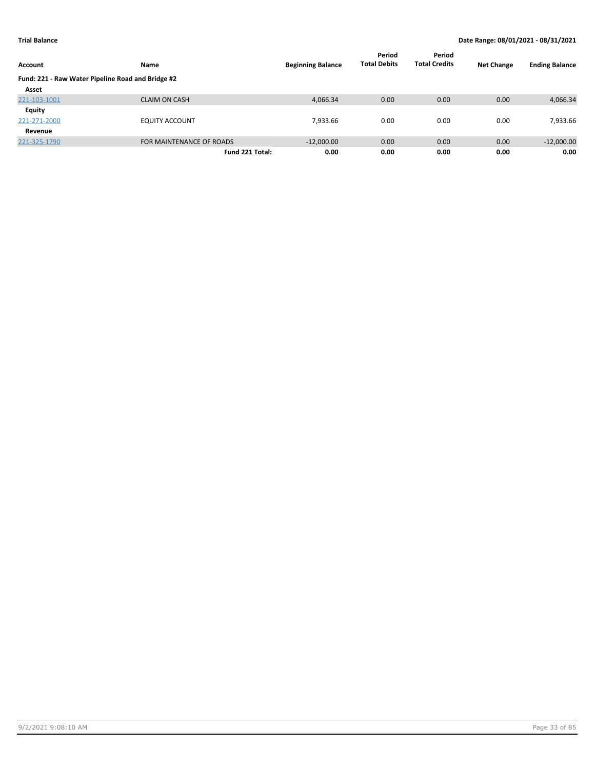| Account                                           | Name                     | <b>Beginning Balance</b> | Period<br><b>Total Debits</b> | Period<br><b>Total Credits</b> | <b>Net Change</b> | <b>Ending Balance</b> |
|---------------------------------------------------|--------------------------|--------------------------|-------------------------------|--------------------------------|-------------------|-----------------------|
| Fund: 221 - Raw Water Pipeline Road and Bridge #2 |                          |                          |                               |                                |                   |                       |
| Asset                                             |                          |                          |                               |                                |                   |                       |
| 221-103-1001                                      | <b>CLAIM ON CASH</b>     | 4,066.34                 | 0.00                          | 0.00                           | 0.00              | 4,066.34              |
| Equity                                            |                          |                          |                               |                                |                   |                       |
| 221-271-2000                                      | <b>EQUITY ACCOUNT</b>    | 7,933.66                 | 0.00                          | 0.00                           | 0.00              | 7,933.66              |
| Revenue                                           |                          |                          |                               |                                |                   |                       |
| 221-325-1790                                      | FOR MAINTENANCE OF ROADS | $-12,000.00$             | 0.00                          | 0.00                           | 0.00              | $-12,000.00$          |
|                                                   | Fund 221 Total:          | 0.00                     | 0.00                          | 0.00                           | 0.00              | 0.00                  |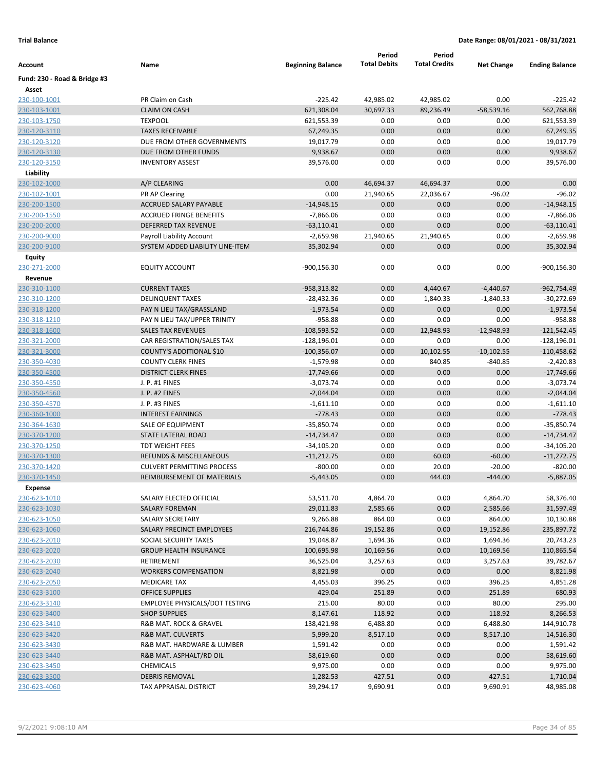|                              |                                                       |                             | Period              | Period               |                      |                             |
|------------------------------|-------------------------------------------------------|-----------------------------|---------------------|----------------------|----------------------|-----------------------------|
| Account                      | Name                                                  | <b>Beginning Balance</b>    | <b>Total Debits</b> | <b>Total Credits</b> | <b>Net Change</b>    | <b>Ending Balance</b>       |
| Fund: 230 - Road & Bridge #3 |                                                       |                             |                     |                      |                      |                             |
| Asset                        |                                                       |                             |                     |                      |                      |                             |
| 230-100-1001                 | PR Claim on Cash                                      | $-225.42$                   | 42,985.02           | 42,985.02            | 0.00                 | $-225.42$                   |
| 230-103-1001                 | <b>CLAIM ON CASH</b>                                  | 621,308.04                  | 30,697.33           | 89,236.49            | $-58,539.16$         | 562,768.88                  |
| 230-103-1750                 | <b>TEXPOOL</b>                                        | 621,553.39                  | 0.00                | 0.00                 | 0.00                 | 621,553.39                  |
| 230-120-3110                 | <b>TAXES RECEIVABLE</b>                               | 67,249.35                   | 0.00                | 0.00                 | 0.00                 | 67,249.35                   |
| 230-120-3120                 | DUE FROM OTHER GOVERNMENTS                            | 19,017.79                   | 0.00                | 0.00                 | 0.00                 | 19,017.79                   |
| 230-120-3130                 | DUE FROM OTHER FUNDS                                  | 9,938.67                    | 0.00                | 0.00                 | 0.00                 | 9,938.67                    |
| 230-120-3150                 | <b>INVENTORY ASSEST</b>                               | 39,576.00                   | 0.00                | 0.00                 | 0.00                 | 39,576.00                   |
| Liability                    |                                                       |                             |                     |                      |                      |                             |
| 230-102-1000                 | A/P CLEARING                                          | 0.00                        | 46,694.37           | 46,694.37            | 0.00                 | 0.00                        |
| 230-102-1001                 | PR AP Clearing                                        | 0.00                        | 21,940.65           | 22,036.67            | $-96.02$             | $-96.02$                    |
| 230-200-1500                 | <b>ACCRUED SALARY PAYABLE</b>                         | $-14,948.15$                | 0.00                | 0.00                 | 0.00                 | $-14,948.15$                |
| 230-200-1550                 | <b>ACCRUED FRINGE BENEFITS</b>                        | $-7,866.06$                 | 0.00                | 0.00                 | 0.00                 | $-7,866.06$                 |
| 230-200-2000                 | DEFERRED TAX REVENUE                                  | $-63,110.41$                | 0.00                | 0.00                 | 0.00                 | $-63,110.41$                |
| 230-200-9000                 | Payroll Liability Account                             | $-2,659.98$                 | 21,940.65           | 21,940.65            | 0.00                 | $-2,659.98$                 |
| 230-200-9100                 | SYSTEM ADDED LIABILITY LINE-ITEM                      | 35,302.94                   | 0.00                | 0.00                 | 0.00                 | 35,302.94                   |
| Equity                       |                                                       |                             |                     |                      |                      |                             |
| 230-271-2000                 | <b>EQUITY ACCOUNT</b>                                 | $-900,156.30$               | 0.00                | 0.00                 | 0.00                 | -900,156.30                 |
| Revenue                      |                                                       |                             |                     |                      |                      |                             |
| 230-310-1100                 | <b>CURRENT TAXES</b>                                  | $-958,313.82$               | 0.00                | 4,440.67             | $-4,440.67$          | -962,754.49                 |
| 230-310-1200                 | <b>DELINQUENT TAXES</b>                               | $-28,432.36$                | 0.00                | 1,840.33             | $-1,840.33$          | $-30,272.69$                |
| 230-318-1200                 | PAY N LIEU TAX/GRASSLAND                              | $-1,973.54$                 | 0.00                | 0.00                 | 0.00                 | $-1,973.54$                 |
| 230-318-1210                 | PAY N LIEU TAX/UPPER TRINITY                          | $-958.88$<br>$-108,593.52$  | 0.00                | 0.00                 | 0.00<br>$-12,948.93$ | $-958.88$                   |
| 230-318-1600                 | <b>SALES TAX REVENUES</b>                             |                             | 0.00                | 12,948.93            |                      | $-121,542.45$               |
| 230-321-2000                 | CAR REGISTRATION/SALES TAX                            | $-128,196.01$               | 0.00<br>0.00        | 0.00                 | 0.00                 | $-128,196.01$               |
| 230-321-3000                 | COUNTY'S ADDITIONAL \$10<br><b>COUNTY CLERK FINES</b> | $-100,356.07$               | 0.00                | 10,102.55            | $-10,102.55$         | $-110,458.62$               |
| 230-350-4030<br>230-350-4500 | <b>DISTRICT CLERK FINES</b>                           | $-1,579.98$                 | 0.00                | 840.85<br>0.00       | $-840.85$<br>0.00    | $-2,420.83$<br>$-17,749.66$ |
| 230-350-4550                 | J. P. #1 FINES                                        | $-17,749.66$<br>$-3,073.74$ | 0.00                | 0.00                 | 0.00                 | $-3,073.74$                 |
| 230-350-4560                 | J. P. #2 FINES                                        | $-2,044.04$                 | 0.00                | 0.00                 | 0.00                 | $-2,044.04$                 |
| 230-350-4570                 | J. P. #3 FINES                                        | $-1,611.10$                 | 0.00                | 0.00                 | 0.00                 | $-1,611.10$                 |
| 230-360-1000                 | <b>INTEREST EARNINGS</b>                              | $-778.43$                   | 0.00                | 0.00                 | 0.00                 | $-778.43$                   |
| 230-364-1630                 | SALE OF EQUIPMENT                                     | $-35,850.74$                | 0.00                | 0.00                 | 0.00                 | $-35,850.74$                |
| 230-370-1200                 | <b>STATE LATERAL ROAD</b>                             | $-14,734.47$                | 0.00                | 0.00                 | 0.00                 | $-14,734.47$                |
| 230-370-1250                 | <b>TDT WEIGHT FEES</b>                                | $-34,105.20$                | 0.00                | 0.00                 | 0.00                 | $-34,105.20$                |
| 230-370-1300                 | <b>REFUNDS &amp; MISCELLANEOUS</b>                    | $-11,212.75$                | 0.00                | 60.00                | $-60.00$             | $-11,272.75$                |
| 230-370-1420                 | <b>CULVERT PERMITTING PROCESS</b>                     | $-800.00$                   | 0.00                | 20.00                | $-20.00$             | $-820.00$                   |
| 230-370-1450                 | REIMBURSEMENT OF MATERIALS                            | $-5,443.05$                 | 0.00                | 444.00               | $-444.00$            | $-5,887.05$                 |
| <b>Expense</b>               |                                                       |                             |                     |                      |                      |                             |
| 230-623-1010                 | SALARY ELECTED OFFICIAL                               | 53,511.70                   | 4,864.70            | 0.00                 | 4,864.70             | 58,376.40                   |
| 230-623-1030                 | <b>SALARY FOREMAN</b>                                 | 29,011.83                   | 2,585.66            | 0.00                 | 2,585.66             | 31,597.49                   |
| 230-623-1050                 | SALARY SECRETARY                                      | 9,266.88                    | 864.00              | 0.00                 | 864.00               | 10,130.88                   |
| 230-623-1060                 | SALARY PRECINCT EMPLOYEES                             | 216,744.86                  | 19,152.86           | 0.00                 | 19,152.86            | 235,897.72                  |
| 230-623-2010                 | SOCIAL SECURITY TAXES                                 | 19,048.87                   | 1,694.36            | 0.00                 | 1,694.36             | 20,743.23                   |
| 230-623-2020                 | <b>GROUP HEALTH INSURANCE</b>                         | 100,695.98                  | 10,169.56           | 0.00                 | 10,169.56            | 110,865.54                  |
| 230-623-2030                 | RETIREMENT                                            | 36,525.04                   | 3,257.63            | 0.00                 | 3,257.63             | 39,782.67                   |
| 230-623-2040                 | <b>WORKERS COMPENSATION</b>                           | 8,821.98                    | 0.00                | 0.00                 | 0.00                 | 8,821.98                    |
| 230-623-2050                 | <b>MEDICARE TAX</b>                                   | 4,455.03                    | 396.25              | 0.00                 | 396.25               | 4,851.28                    |
| 230-623-3100                 | <b>OFFICE SUPPLIES</b>                                | 429.04                      | 251.89              | 0.00                 | 251.89               | 680.93                      |
| 230-623-3140                 | <b>EMPLOYEE PHYSICALS/DOT TESTING</b>                 | 215.00                      | 80.00               | 0.00                 | 80.00                | 295.00                      |
| 230-623-3400                 | <b>SHOP SUPPLIES</b>                                  | 8,147.61                    | 118.92              | 0.00                 | 118.92               | 8,266.53                    |
| 230-623-3410                 | R&B MAT. ROCK & GRAVEL                                | 138,421.98                  | 6,488.80            | 0.00                 | 6,488.80             | 144,910.78                  |
| 230-623-3420                 | R&B MAT. CULVERTS                                     | 5,999.20                    | 8,517.10            | 0.00                 | 8,517.10             | 14,516.30                   |
| 230-623-3430                 | R&B MAT. HARDWARE & LUMBER                            | 1,591.42                    | 0.00                | 0.00                 | 0.00                 | 1,591.42                    |
| 230-623-3440                 | R&B MAT. ASPHALT/RD OIL                               | 58,619.60                   | 0.00                | 0.00                 | 0.00                 | 58,619.60                   |
| 230-623-3450                 | CHEMICALS                                             | 9,975.00                    | 0.00                | 0.00                 | 0.00                 | 9,975.00                    |
| 230-623-3500                 | <b>DEBRIS REMOVAL</b>                                 | 1,282.53                    | 427.51              | 0.00                 | 427.51               | 1,710.04                    |
| 230-623-4060                 | TAX APPRAISAL DISTRICT                                | 39,294.17                   | 9,690.91            | 0.00                 | 9,690.91             | 48,985.08                   |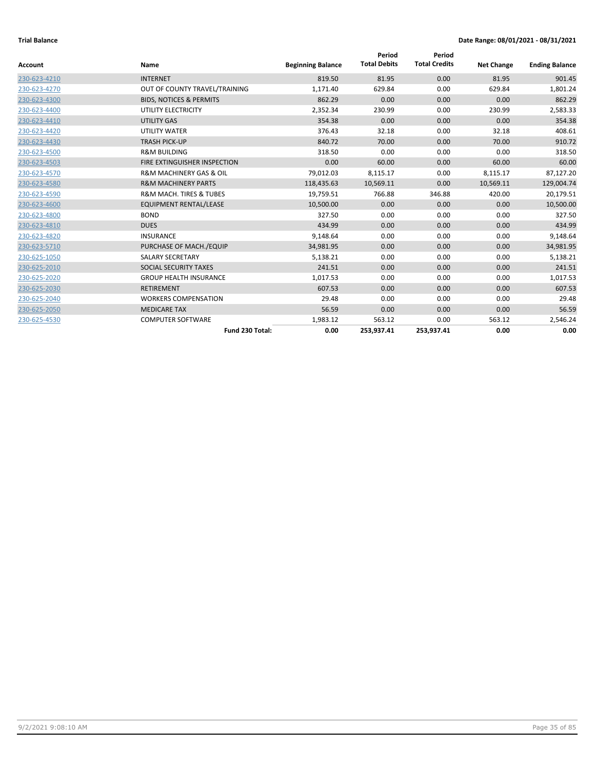| <b>Account</b> | Name                                   | <b>Beginning Balance</b> | Period<br><b>Total Debits</b> | Period<br><b>Total Credits</b> | <b>Net Change</b> | <b>Ending Balance</b> |
|----------------|----------------------------------------|--------------------------|-------------------------------|--------------------------------|-------------------|-----------------------|
|                |                                        |                          |                               |                                |                   |                       |
| 230-623-4210   | <b>INTERNET</b>                        | 819.50                   | 81.95                         | 0.00                           | 81.95             | 901.45                |
| 230-623-4270   | OUT OF COUNTY TRAVEL/TRAINING          | 1,171.40                 | 629.84                        | 0.00                           | 629.84            | 1,801.24              |
| 230-623-4300   | <b>BIDS, NOTICES &amp; PERMITS</b>     | 862.29                   | 0.00                          | 0.00                           | 0.00              | 862.29                |
| 230-623-4400   | UTILITY ELECTRICITY                    | 2,352.34                 | 230.99                        | 0.00                           | 230.99            | 2,583.33              |
| 230-623-4410   | <b>UTILITY GAS</b>                     | 354.38                   | 0.00                          | 0.00                           | 0.00              | 354.38                |
| 230-623-4420   | <b>UTILITY WATER</b>                   | 376.43                   | 32.18                         | 0.00                           | 32.18             | 408.61                |
| 230-623-4430   | <b>TRASH PICK-UP</b>                   | 840.72                   | 70.00                         | 0.00                           | 70.00             | 910.72                |
| 230-623-4500   | <b>R&amp;M BUILDING</b>                | 318.50                   | 0.00                          | 0.00                           | 0.00              | 318.50                |
| 230-623-4503   | FIRE EXTINGUISHER INSPECTION           | 0.00                     | 60.00                         | 0.00                           | 60.00             | 60.00                 |
| 230-623-4570   | <b>R&amp;M MACHINERY GAS &amp; OIL</b> | 79,012.03                | 8,115.17                      | 0.00                           | 8,115.17          | 87,127.20             |
| 230-623-4580   | <b>R&amp;M MACHINERY PARTS</b>         | 118,435.63               | 10,569.11                     | 0.00                           | 10,569.11         | 129,004.74            |
| 230-623-4590   | <b>R&amp;M MACH. TIRES &amp; TUBES</b> | 19,759.51                | 766.88                        | 346.88                         | 420.00            | 20,179.51             |
| 230-623-4600   | <b>EQUIPMENT RENTAL/LEASE</b>          | 10,500.00                | 0.00                          | 0.00                           | 0.00              | 10,500.00             |
| 230-623-4800   | <b>BOND</b>                            | 327.50                   | 0.00                          | 0.00                           | 0.00              | 327.50                |
| 230-623-4810   | <b>DUES</b>                            | 434.99                   | 0.00                          | 0.00                           | 0.00              | 434.99                |
| 230-623-4820   | <b>INSURANCE</b>                       | 9,148.64                 | 0.00                          | 0.00                           | 0.00              | 9,148.64              |
| 230-623-5710   | PURCHASE OF MACH./EQUIP                | 34,981.95                | 0.00                          | 0.00                           | 0.00              | 34,981.95             |
| 230-625-1050   | <b>SALARY SECRETARY</b>                | 5,138.21                 | 0.00                          | 0.00                           | 0.00              | 5,138.21              |
| 230-625-2010   | SOCIAL SECURITY TAXES                  | 241.51                   | 0.00                          | 0.00                           | 0.00              | 241.51                |
| 230-625-2020   | <b>GROUP HEALTH INSURANCE</b>          | 1,017.53                 | 0.00                          | 0.00                           | 0.00              | 1,017.53              |
| 230-625-2030   | <b>RETIREMENT</b>                      | 607.53                   | 0.00                          | 0.00                           | 0.00              | 607.53                |
| 230-625-2040   | <b>WORKERS COMPENSATION</b>            | 29.48                    | 0.00                          | 0.00                           | 0.00              | 29.48                 |
| 230-625-2050   | <b>MEDICARE TAX</b>                    | 56.59                    | 0.00                          | 0.00                           | 0.00              | 56.59                 |
| 230-625-4530   | <b>COMPUTER SOFTWARE</b>               | 1,983.12                 | 563.12                        | 0.00                           | 563.12            | 2,546.24              |
|                | Fund 230 Total:                        | 0.00                     | 253,937.41                    | 253,937.41                     | 0.00              | 0.00                  |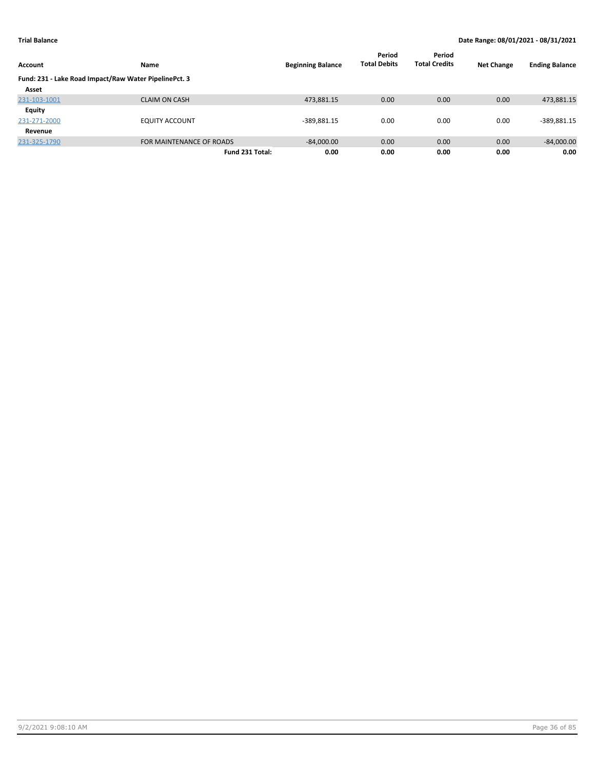|                                                       |                          |                          | Period              | Period               |                   |                       |
|-------------------------------------------------------|--------------------------|--------------------------|---------------------|----------------------|-------------------|-----------------------|
| Account                                               | <b>Name</b>              | <b>Beginning Balance</b> | <b>Total Debits</b> | <b>Total Credits</b> | <b>Net Change</b> | <b>Ending Balance</b> |
| Fund: 231 - Lake Road Impact/Raw Water PipelinePct. 3 |                          |                          |                     |                      |                   |                       |
| Asset                                                 |                          |                          |                     |                      |                   |                       |
| 231-103-1001                                          | <b>CLAIM ON CASH</b>     | 473,881.15               | 0.00                | 0.00                 | 0.00              | 473,881.15            |
| Equity                                                |                          |                          |                     |                      |                   |                       |
| 231-271-2000                                          | <b>EQUITY ACCOUNT</b>    | $-389,881.15$            | 0.00                | 0.00                 | 0.00              | $-389,881.15$         |
| Revenue                                               |                          |                          |                     |                      |                   |                       |
| 231-325-1790                                          | FOR MAINTENANCE OF ROADS | $-84,000.00$             | 0.00                | 0.00                 | 0.00              | $-84,000.00$          |
|                                                       | Fund 231 Total:          | 0.00                     | 0.00                | 0.00                 | 0.00              | 0.00                  |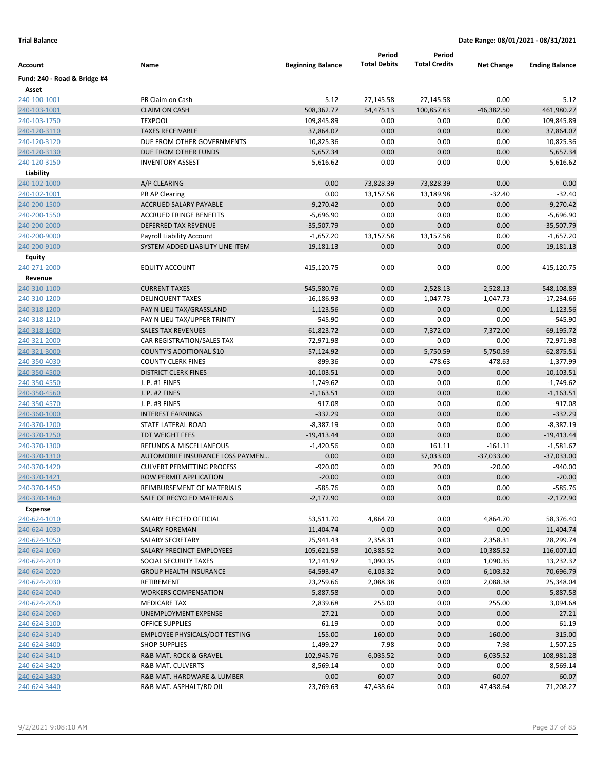|                              |                                                               |                          | Period              | Period               |                   |                             |
|------------------------------|---------------------------------------------------------------|--------------------------|---------------------|----------------------|-------------------|-----------------------------|
| Account                      | Name                                                          | <b>Beginning Balance</b> | <b>Total Debits</b> | <b>Total Credits</b> | <b>Net Change</b> | <b>Ending Balance</b>       |
| Fund: 240 - Road & Bridge #4 |                                                               |                          |                     |                      |                   |                             |
| Asset                        |                                                               |                          |                     |                      |                   |                             |
| 240-100-1001                 | PR Claim on Cash                                              | 5.12                     | 27,145.58           | 27,145.58            | 0.00              | 5.12                        |
| 240-103-1001                 | <b>CLAIM ON CASH</b>                                          | 508,362.77               | 54,475.13           | 100,857.63           | $-46,382.50$      | 461,980.27                  |
| 240-103-1750                 | <b>TEXPOOL</b>                                                | 109,845.89               | 0.00                | 0.00                 | 0.00              | 109,845.89                  |
| 240-120-3110                 | <b>TAXES RECEIVABLE</b>                                       | 37,864.07                | 0.00                | 0.00                 | 0.00              | 37,864.07                   |
| 240-120-3120                 | DUE FROM OTHER GOVERNMENTS                                    | 10,825.36                | 0.00                | 0.00                 | 0.00              | 10,825.36                   |
| 240-120-3130                 | DUE FROM OTHER FUNDS                                          | 5,657.34                 | 0.00                | 0.00                 | 0.00              | 5,657.34                    |
| 240-120-3150                 | <b>INVENTORY ASSEST</b>                                       | 5,616.62                 | 0.00                | 0.00                 | 0.00              | 5,616.62                    |
| Liability                    |                                                               |                          |                     |                      |                   |                             |
| 240-102-1000                 | A/P CLEARING                                                  | 0.00                     | 73,828.39           | 73,828.39            | 0.00              | 0.00                        |
| 240-102-1001                 | PR AP Clearing                                                | 0.00                     | 13,157.58           | 13,189.98            | $-32.40$          | $-32.40$                    |
| 240-200-1500                 | ACCRUED SALARY PAYABLE                                        | $-9,270.42$              | 0.00                | 0.00                 | 0.00              | $-9,270.42$                 |
| 240-200-1550                 | <b>ACCRUED FRINGE BENEFITS</b>                                | $-5,696.90$              | 0.00                | 0.00                 | 0.00              | $-5,696.90$                 |
| 240-200-2000                 | DEFERRED TAX REVENUE                                          | $-35,507.79$             | 0.00                | 0.00                 | 0.00<br>0.00      | $-35,507.79$<br>$-1,657.20$ |
| 240-200-9000                 | Payroll Liability Account<br>SYSTEM ADDED LIABILITY LINE-ITEM | $-1,657.20$              | 13,157.58<br>0.00   | 13,157.58<br>0.00    | 0.00              |                             |
| 240-200-9100                 |                                                               | 19,181.13                |                     |                      |                   | 19,181.13                   |
| <b>Equity</b>                | <b>EQUITY ACCOUNT</b>                                         | $-415, 120.75$           | 0.00                | 0.00                 | 0.00              |                             |
| 240-271-2000<br>Revenue      |                                                               |                          |                     |                      |                   | -415,120.75                 |
| 240-310-1100                 | <b>CURRENT TAXES</b>                                          | $-545,580.76$            | 0.00                | 2,528.13             | $-2,528.13$       | -548,108.89                 |
| 240-310-1200                 | <b>DELINQUENT TAXES</b>                                       | $-16,186.93$             | 0.00                | 1,047.73             | $-1,047.73$       | $-17,234.66$                |
| 240-318-1200                 | PAY N LIEU TAX/GRASSLAND                                      | $-1,123.56$              | 0.00                | 0.00                 | 0.00              | $-1,123.56$                 |
| 240-318-1210                 | PAY N LIEU TAX/UPPER TRINITY                                  | $-545.90$                | 0.00                | 0.00                 | 0.00              | $-545.90$                   |
| 240-318-1600                 | <b>SALES TAX REVENUES</b>                                     | $-61,823.72$             | 0.00                | 7,372.00             | $-7,372.00$       | $-69,195.72$                |
| 240-321-2000                 | CAR REGISTRATION/SALES TAX                                    | $-72,971.98$             | 0.00                | 0.00                 | 0.00              | $-72,971.98$                |
| 240-321-3000                 | COUNTY'S ADDITIONAL \$10                                      | $-57,124.92$             | 0.00                | 5,750.59             | $-5,750.59$       | $-62,875.51$                |
| 240-350-4030                 | <b>COUNTY CLERK FINES</b>                                     | $-899.36$                | 0.00                | 478.63               | $-478.63$         | $-1,377.99$                 |
| 240-350-4500                 | <b>DISTRICT CLERK FINES</b>                                   | $-10,103.51$             | 0.00                | 0.00                 | 0.00              | $-10,103.51$                |
| 240-350-4550                 | J. P. #1 FINES                                                | $-1,749.62$              | 0.00                | 0.00                 | 0.00              | $-1,749.62$                 |
| 240-350-4560                 | J. P. #2 FINES                                                | $-1,163.51$              | 0.00                | 0.00                 | 0.00              | $-1,163.51$                 |
| 240-350-4570                 | J. P. #3 FINES                                                | $-917.08$                | 0.00                | 0.00                 | 0.00              | $-917.08$                   |
| 240-360-1000                 | <b>INTEREST EARNINGS</b>                                      | $-332.29$                | 0.00                | 0.00                 | 0.00              | $-332.29$                   |
| 240-370-1200                 | STATE LATERAL ROAD                                            | $-8,387.19$              | 0.00                | 0.00                 | 0.00              | $-8,387.19$                 |
| 240-370-1250                 | <b>TDT WEIGHT FEES</b>                                        | $-19,413.44$             | 0.00                | 0.00                 | 0.00              | $-19,413.44$                |
| 240-370-1300                 | <b>REFUNDS &amp; MISCELLANEOUS</b>                            | $-1,420.56$              | 0.00                | 161.11               | $-161.11$         | $-1,581.67$                 |
| 240-370-1310                 | AUTOMOBILE INSURANCE LOSS PAYMEN                              | 0.00                     | 0.00                | 37,033.00            | $-37,033.00$      | $-37,033.00$                |
| 240-370-1420                 | <b>CULVERT PERMITTING PROCESS</b>                             | $-920.00$                | 0.00                | 20.00                | $-20.00$          | $-940.00$                   |
| 240-370-1421                 | ROW PERMIT APPLICATION                                        | $-20.00$                 | 0.00                | 0.00                 | 0.00              | $-20.00$                    |
| 240-370-1450                 | REIMBURSEMENT OF MATERIALS                                    | 585.76                   | 0.00                | 0.00                 | 0.00              | -585.76                     |
| 240-370-1460                 | SALE OF RECYCLED MATERIALS                                    | $-2,172.90$              | 0.00                | 0.00                 | 0.00              | $-2,172.90$                 |
| Expense                      |                                                               |                          |                     |                      |                   |                             |
| 240-624-1010                 | SALARY ELECTED OFFICIAL                                       | 53,511.70                | 4,864.70            | 0.00                 | 4,864.70          | 58,376.40                   |
| 240-624-1030                 | <b>SALARY FOREMAN</b>                                         | 11,404.74                | 0.00                | 0.00                 | 0.00              | 11,404.74                   |
| 240-624-1050                 | SALARY SECRETARY                                              | 25,941.43                | 2,358.31            | 0.00                 | 2,358.31          | 28,299.74                   |
| 240-624-1060                 | SALARY PRECINCT EMPLOYEES                                     | 105,621.58               | 10,385.52           | 0.00                 | 10,385.52         | 116,007.10                  |
| 240-624-2010                 | SOCIAL SECURITY TAXES                                         | 12,141.97                | 1,090.35            | 0.00                 | 1,090.35          | 13,232.32                   |
| 240-624-2020                 | <b>GROUP HEALTH INSURANCE</b>                                 | 64,593.47                | 6,103.32            | 0.00                 | 6,103.32          | 70,696.79                   |
| 240-624-2030                 | RETIREMENT                                                    | 23,259.66                | 2,088.38            | 0.00                 | 2,088.38          | 25,348.04                   |
| 240-624-2040                 | <b>WORKERS COMPENSATION</b>                                   | 5,887.58                 | 0.00                | 0.00                 | 0.00              | 5,887.58                    |
| 240-624-2050                 | MEDICARE TAX                                                  | 2,839.68                 | 255.00              | 0.00                 | 255.00            | 3,094.68                    |
| 240-624-2060                 | UNEMPLOYMENT EXPENSE                                          | 27.21                    | 0.00                | 0.00                 | 0.00              | 27.21                       |
| 240-624-3100                 | OFFICE SUPPLIES                                               | 61.19                    | 0.00                | 0.00                 | 0.00              | 61.19                       |
| 240-624-3140                 | <b>EMPLOYEE PHYSICALS/DOT TESTING</b>                         | 155.00                   | 160.00              | 0.00                 | 160.00            | 315.00                      |
| 240-624-3400                 | <b>SHOP SUPPLIES</b>                                          | 1,499.27                 | 7.98                | 0.00                 | 7.98              | 1,507.25                    |
| 240-624-3410                 | R&B MAT. ROCK & GRAVEL                                        | 102,945.76               | 6,035.52            | 0.00                 | 6,035.52          | 108,981.28                  |
| 240-624-3420                 | R&B MAT. CULVERTS                                             | 8,569.14                 | 0.00                | 0.00                 | 0.00              | 8,569.14                    |
| 240-624-3430                 | R&B MAT. HARDWARE & LUMBER                                    | 0.00                     | 60.07               | 0.00                 | 60.07             | 60.07                       |
| 240-624-3440                 | R&B MAT. ASPHALT/RD OIL                                       | 23,769.63                | 47,438.64           | 0.00                 | 47,438.64         | 71,208.27                   |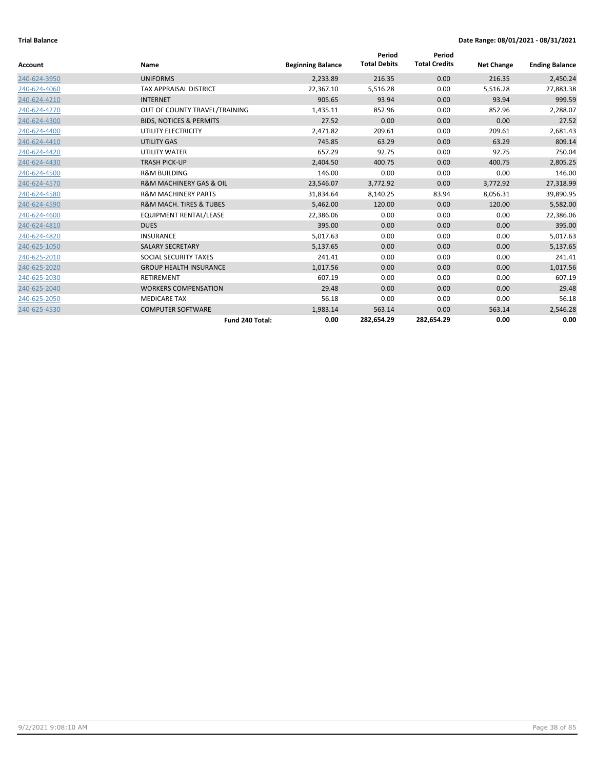|              |                                        |                          | Period              | Period               |                   |                       |
|--------------|----------------------------------------|--------------------------|---------------------|----------------------|-------------------|-----------------------|
| Account      | Name                                   | <b>Beginning Balance</b> | <b>Total Debits</b> | <b>Total Credits</b> | <b>Net Change</b> | <b>Ending Balance</b> |
| 240-624-3950 | <b>UNIFORMS</b>                        | 2,233.89                 | 216.35              | 0.00                 | 216.35            | 2,450.24              |
| 240-624-4060 | <b>TAX APPRAISAL DISTRICT</b>          | 22,367.10                | 5,516.28            | 0.00                 | 5,516.28          | 27,883.38             |
| 240-624-4210 | <b>INTERNET</b>                        | 905.65                   | 93.94               | 0.00                 | 93.94             | 999.59                |
| 240-624-4270 | OUT OF COUNTY TRAVEL/TRAINING          | 1,435.11                 | 852.96              | 0.00                 | 852.96            | 2,288.07              |
| 240-624-4300 | <b>BIDS, NOTICES &amp; PERMITS</b>     | 27.52                    | 0.00                | 0.00                 | 0.00              | 27.52                 |
| 240-624-4400 | UTILITY ELECTRICITY                    | 2,471.82                 | 209.61              | 0.00                 | 209.61            | 2,681.43              |
| 240-624-4410 | <b>UTILITY GAS</b>                     | 745.85                   | 63.29               | 0.00                 | 63.29             | 809.14                |
| 240-624-4420 | UTILITY WATER                          | 657.29                   | 92.75               | 0.00                 | 92.75             | 750.04                |
| 240-624-4430 | <b>TRASH PICK-UP</b>                   | 2,404.50                 | 400.75              | 0.00                 | 400.75            | 2,805.25              |
| 240-624-4500 | <b>R&amp;M BUILDING</b>                | 146.00                   | 0.00                | 0.00                 | 0.00              | 146.00                |
| 240-624-4570 | <b>R&amp;M MACHINERY GAS &amp; OIL</b> | 23,546.07                | 3,772.92            | 0.00                 | 3,772.92          | 27,318.99             |
| 240-624-4580 | <b>R&amp;M MACHINERY PARTS</b>         | 31,834.64                | 8,140.25            | 83.94                | 8,056.31          | 39,890.95             |
| 240-624-4590 | <b>R&amp;M MACH. TIRES &amp; TUBES</b> | 5,462.00                 | 120.00              | 0.00                 | 120.00            | 5,582.00              |
| 240-624-4600 | EQUIPMENT RENTAL/LEASE                 | 22,386.06                | 0.00                | 0.00                 | 0.00              | 22,386.06             |
| 240-624-4810 | <b>DUES</b>                            | 395.00                   | 0.00                | 0.00                 | 0.00              | 395.00                |
| 240-624-4820 | <b>INSURANCE</b>                       | 5,017.63                 | 0.00                | 0.00                 | 0.00              | 5,017.63              |
| 240-625-1050 | <b>SALARY SECRETARY</b>                | 5,137.65                 | 0.00                | 0.00                 | 0.00              | 5,137.65              |
| 240-625-2010 | SOCIAL SECURITY TAXES                  | 241.41                   | 0.00                | 0.00                 | 0.00              | 241.41                |
| 240-625-2020 | <b>GROUP HEALTH INSURANCE</b>          | 1,017.56                 | 0.00                | 0.00                 | 0.00              | 1,017.56              |
| 240-625-2030 | <b>RETIREMENT</b>                      | 607.19                   | 0.00                | 0.00                 | 0.00              | 607.19                |
| 240-625-2040 | <b>WORKERS COMPENSATION</b>            | 29.48                    | 0.00                | 0.00                 | 0.00              | 29.48                 |
| 240-625-2050 | <b>MEDICARE TAX</b>                    | 56.18                    | 0.00                | 0.00                 | 0.00              | 56.18                 |
| 240-625-4530 | <b>COMPUTER SOFTWARE</b>               | 1,983.14                 | 563.14              | 0.00                 | 563.14            | 2,546.28              |
|              | Fund 240 Total:                        | 0.00                     | 282,654.29          | 282,654.29           | 0.00              | 0.00                  |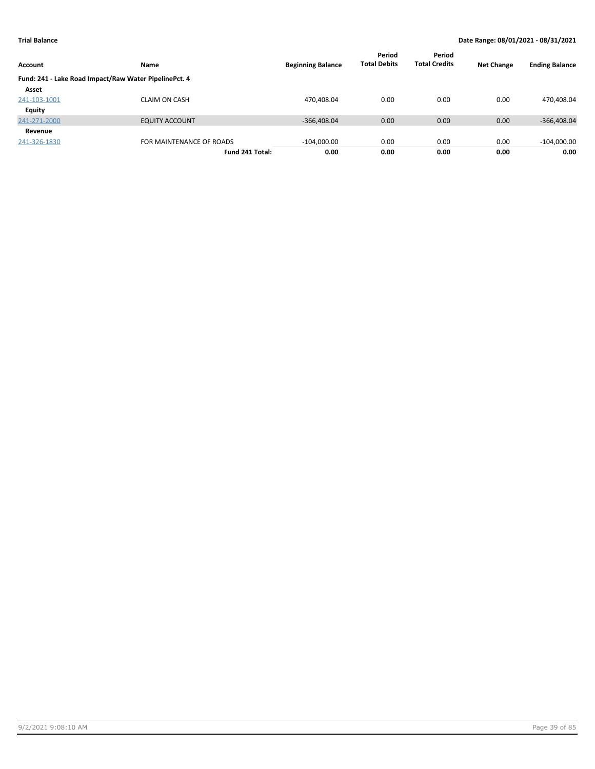| Account       | <b>Name</b>                                           | <b>Beginning Balance</b> | Period<br><b>Total Debits</b> | Period<br><b>Total Credits</b> | <b>Net Change</b> | <b>Ending Balance</b> |
|---------------|-------------------------------------------------------|--------------------------|-------------------------------|--------------------------------|-------------------|-----------------------|
|               | Fund: 241 - Lake Road Impact/Raw Water PipelinePct. 4 |                          |                               |                                |                   |                       |
| Asset         |                                                       |                          |                               |                                |                   |                       |
| 241-103-1001  | <b>CLAIM ON CASH</b>                                  | 470,408.04               | 0.00                          | 0.00                           | 0.00              | 470,408.04            |
| <b>Equity</b> |                                                       |                          |                               |                                |                   |                       |
| 241-271-2000  | <b>EQUITY ACCOUNT</b>                                 | $-366,408.04$            | 0.00                          | 0.00                           | 0.00              | $-366,408.04$         |
| Revenue       |                                                       |                          |                               |                                |                   |                       |
| 241-326-1830  | FOR MAINTENANCE OF ROADS                              | $-104,000.00$            | 0.00                          | 0.00                           | 0.00              | $-104,000.00$         |
|               | Fund 241 Total:                                       | 0.00                     | 0.00                          | 0.00                           | 0.00              | 0.00                  |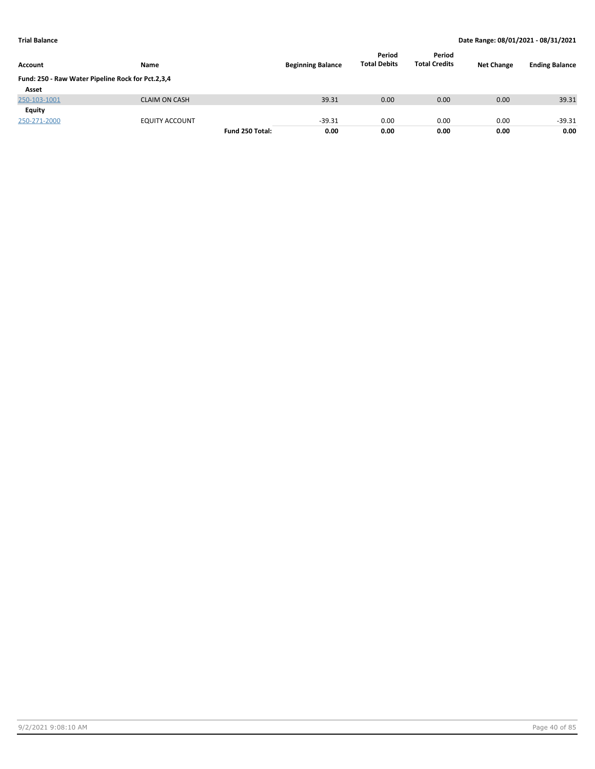| <b>Account</b>                                    | <b>Name</b>           |                 | <b>Beginning Balance</b> | Period<br><b>Total Debits</b> | Period<br><b>Total Credits</b> | <b>Net Change</b> | <b>Ending Balance</b> |
|---------------------------------------------------|-----------------------|-----------------|--------------------------|-------------------------------|--------------------------------|-------------------|-----------------------|
| Fund: 250 - Raw Water Pipeline Rock for Pct.2,3,4 |                       |                 |                          |                               |                                |                   |                       |
| Asset                                             |                       |                 |                          |                               |                                |                   |                       |
| 250-103-1001                                      | <b>CLAIM ON CASH</b>  |                 | 39.31                    | 0.00                          | 0.00                           | 0.00              | 39.31                 |
| <b>Equity</b>                                     |                       |                 |                          |                               |                                |                   |                       |
| 250-271-2000                                      | <b>EQUITY ACCOUNT</b> |                 | $-39.31$                 | 0.00                          | 0.00                           | 0.00              | $-39.31$              |
|                                                   |                       | Fund 250 Total: | 0.00                     | 0.00                          | 0.00                           | 0.00              | 0.00                  |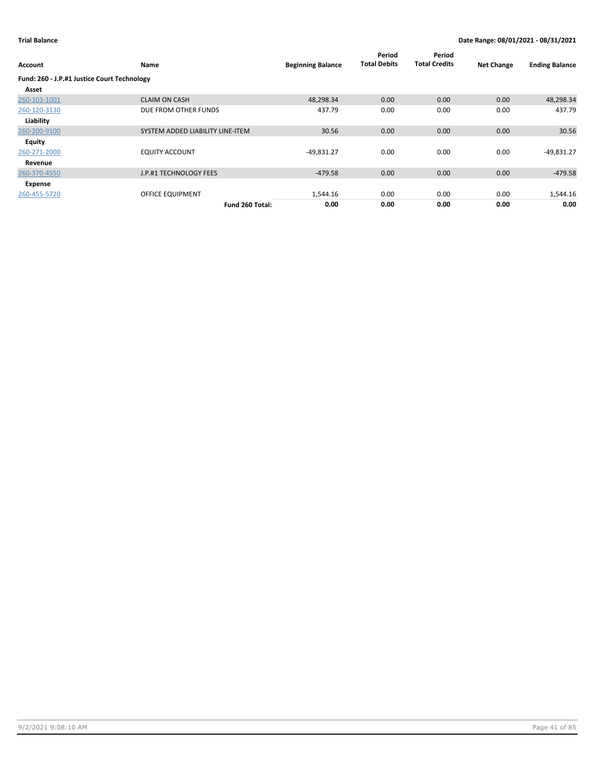| Account                                     | Name                             | <b>Beginning Balance</b> | Period<br><b>Total Debits</b> | Period<br><b>Total Credits</b> | <b>Net Change</b> | <b>Ending Balance</b> |
|---------------------------------------------|----------------------------------|--------------------------|-------------------------------|--------------------------------|-------------------|-----------------------|
| Fund: 260 - J.P.#1 Justice Court Technology |                                  |                          |                               |                                |                   |                       |
| Asset                                       |                                  |                          |                               |                                |                   |                       |
| 260-103-1001                                | <b>CLAIM ON CASH</b>             | 48,298.34                | 0.00                          | 0.00                           | 0.00              | 48,298.34             |
| 260-120-3130                                | DUE FROM OTHER FUNDS             | 437.79                   | 0.00                          | 0.00                           | 0.00              | 437.79                |
| Liability                                   |                                  |                          |                               |                                |                   |                       |
| 260-200-9100                                | SYSTEM ADDED LIABILITY LINE-ITEM | 30.56                    | 0.00                          | 0.00                           | 0.00              | 30.56                 |
| <b>Equity</b>                               |                                  |                          |                               |                                |                   |                       |
| 260-271-2000                                | <b>EQUITY ACCOUNT</b>            | $-49,831.27$             | 0.00                          | 0.00                           | 0.00              | $-49,831.27$          |
| Revenue                                     |                                  |                          |                               |                                |                   |                       |
| 260-370-4550                                | J.P.#1 TECHNOLOGY FEES           | $-479.58$                | 0.00                          | 0.00                           | 0.00              | $-479.58$             |
| Expense                                     |                                  |                          |                               |                                |                   |                       |
| 260-455-5720                                | OFFICE EQUIPMENT                 | 1,544.16                 | 0.00                          | 0.00                           | 0.00              | 1,544.16              |
|                                             | Fund 260 Total:                  | 0.00                     | 0.00                          | 0.00                           | 0.00              | 0.00                  |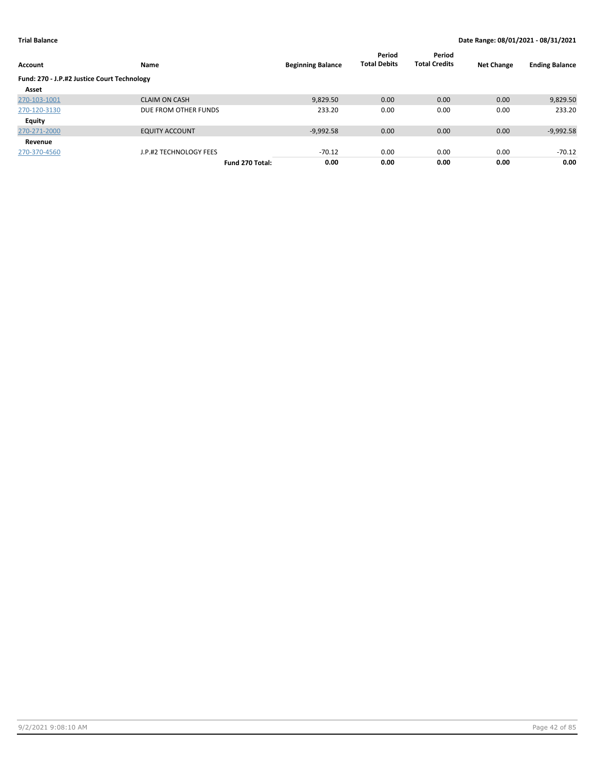| Account                                     | Name                   | <b>Beginning Balance</b> | Period<br><b>Total Debits</b> | Period<br><b>Total Credits</b> | <b>Net Change</b> | <b>Ending Balance</b> |
|---------------------------------------------|------------------------|--------------------------|-------------------------------|--------------------------------|-------------------|-----------------------|
| Fund: 270 - J.P.#2 Justice Court Technology |                        |                          |                               |                                |                   |                       |
| Asset                                       |                        |                          |                               |                                |                   |                       |
| 270-103-1001                                | <b>CLAIM ON CASH</b>   | 9,829.50                 | 0.00                          | 0.00                           | 0.00              | 9,829.50              |
| 270-120-3130                                | DUE FROM OTHER FUNDS   | 233.20                   | 0.00                          | 0.00                           | 0.00              | 233.20                |
| Equity                                      |                        |                          |                               |                                |                   |                       |
| 270-271-2000                                | <b>EQUITY ACCOUNT</b>  | $-9,992.58$              | 0.00                          | 0.00                           | 0.00              | $-9,992.58$           |
| Revenue                                     |                        |                          |                               |                                |                   |                       |
| 270-370-4560                                | J.P.#2 TECHNOLOGY FEES | $-70.12$                 | 0.00                          | 0.00                           | 0.00              | $-70.12$              |
|                                             | Fund 270 Total:        | 0.00                     | 0.00                          | 0.00                           | 0.00              | 0.00                  |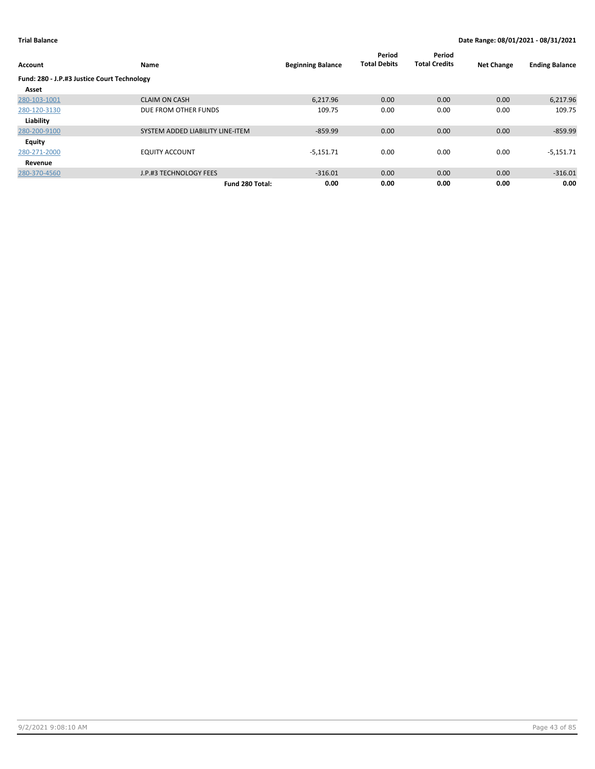| Account                                     | Name                             | <b>Beginning Balance</b> | Period<br><b>Total Debits</b> | Period<br><b>Total Credits</b> | <b>Net Change</b> | <b>Ending Balance</b> |
|---------------------------------------------|----------------------------------|--------------------------|-------------------------------|--------------------------------|-------------------|-----------------------|
| Fund: 280 - J.P.#3 Justice Court Technology |                                  |                          |                               |                                |                   |                       |
| Asset                                       |                                  |                          |                               |                                |                   |                       |
| 280-103-1001                                | <b>CLAIM ON CASH</b>             | 6,217.96                 | 0.00                          | 0.00                           | 0.00              | 6,217.96              |
| 280-120-3130                                | DUE FROM OTHER FUNDS             | 109.75                   | 0.00                          | 0.00                           | 0.00              | 109.75                |
| Liability                                   |                                  |                          |                               |                                |                   |                       |
| 280-200-9100                                | SYSTEM ADDED LIABILITY LINE-ITEM | $-859.99$                | 0.00                          | 0.00                           | 0.00              | $-859.99$             |
| Equity                                      |                                  |                          |                               |                                |                   |                       |
| 280-271-2000                                | <b>EQUITY ACCOUNT</b>            | $-5,151.71$              | 0.00                          | 0.00                           | 0.00              | $-5,151.71$           |
| Revenue                                     |                                  |                          |                               |                                |                   |                       |
| 280-370-4560                                | J.P.#3 TECHNOLOGY FEES           | $-316.01$                | 0.00                          | 0.00                           | 0.00              | $-316.01$             |
|                                             | Fund 280 Total:                  | 0.00                     | 0.00                          | 0.00                           | 0.00              | 0.00                  |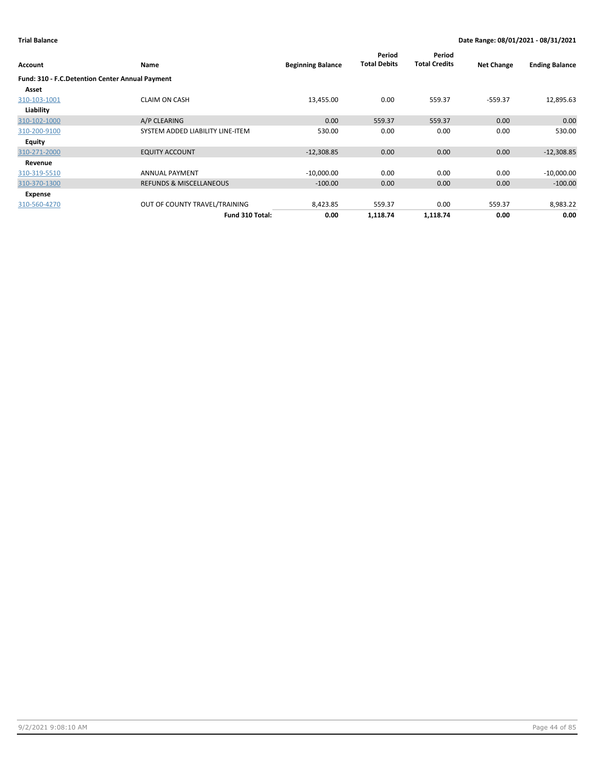|                                                 |                                    |                          | Period              | Period               |                   |                       |
|-------------------------------------------------|------------------------------------|--------------------------|---------------------|----------------------|-------------------|-----------------------|
| Account                                         | Name                               | <b>Beginning Balance</b> | <b>Total Debits</b> | <b>Total Credits</b> | <b>Net Change</b> | <b>Ending Balance</b> |
| Fund: 310 - F.C.Detention Center Annual Payment |                                    |                          |                     |                      |                   |                       |
| Asset                                           |                                    |                          |                     |                      |                   |                       |
| 310-103-1001                                    | <b>CLAIM ON CASH</b>               | 13,455.00                | 0.00                | 559.37               | $-559.37$         | 12,895.63             |
| Liability                                       |                                    |                          |                     |                      |                   |                       |
| 310-102-1000                                    | A/P CLEARING                       | 0.00                     | 559.37              | 559.37               | 0.00              | 0.00                  |
| 310-200-9100                                    | SYSTEM ADDED LIABILITY LINE-ITEM   | 530.00                   | 0.00                | 0.00                 | 0.00              | 530.00                |
| Equity                                          |                                    |                          |                     |                      |                   |                       |
| 310-271-2000                                    | <b>EQUITY ACCOUNT</b>              | $-12,308.85$             | 0.00                | 0.00                 | 0.00              | $-12,308.85$          |
| Revenue                                         |                                    |                          |                     |                      |                   |                       |
| 310-319-5510                                    | <b>ANNUAL PAYMENT</b>              | $-10,000.00$             | 0.00                | 0.00                 | 0.00              | $-10,000.00$          |
| 310-370-1300                                    | <b>REFUNDS &amp; MISCELLANEOUS</b> | $-100.00$                | 0.00                | 0.00                 | 0.00              | $-100.00$             |
| Expense                                         |                                    |                          |                     |                      |                   |                       |
| 310-560-4270                                    | OUT OF COUNTY TRAVEL/TRAINING      | 8,423.85                 | 559.37              | 0.00                 | 559.37            | 8,983.22              |
|                                                 | Fund 310 Total:                    | 0.00                     | 1,118.74            | 1,118.74             | 0.00              | 0.00                  |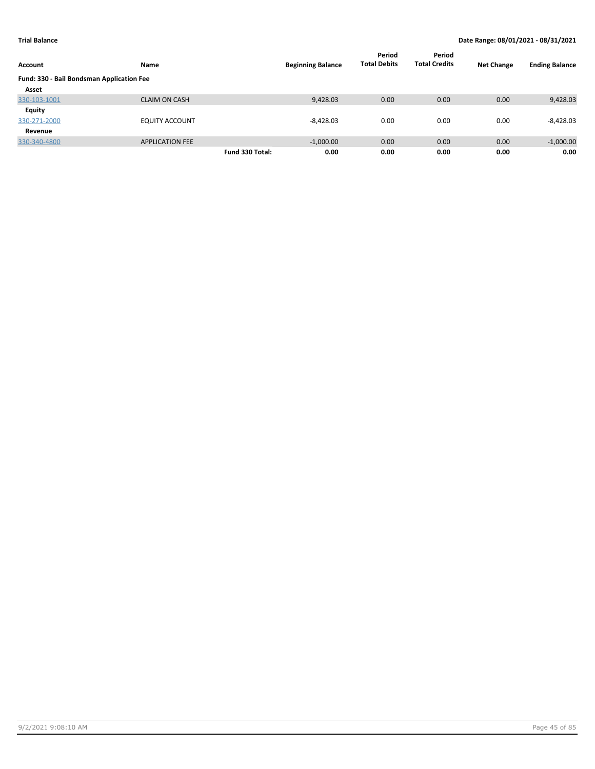| Account                                   | Name                   |                 | <b>Beginning Balance</b> | Period<br><b>Total Debits</b> | Period<br><b>Total Credits</b> | <b>Net Change</b> | <b>Ending Balance</b> |
|-------------------------------------------|------------------------|-----------------|--------------------------|-------------------------------|--------------------------------|-------------------|-----------------------|
| Fund: 330 - Bail Bondsman Application Fee |                        |                 |                          |                               |                                |                   |                       |
| Asset                                     |                        |                 |                          |                               |                                |                   |                       |
| 330-103-1001                              | <b>CLAIM ON CASH</b>   |                 | 9,428.03                 | 0.00                          | 0.00                           | 0.00              | 9,428.03              |
| Equity                                    |                        |                 |                          |                               |                                |                   |                       |
| 330-271-2000                              | <b>EQUITY ACCOUNT</b>  |                 | $-8.428.03$              | 0.00                          | 0.00                           | 0.00              | $-8,428.03$           |
| Revenue                                   |                        |                 |                          |                               |                                |                   |                       |
| 330-340-4800                              | <b>APPLICATION FEE</b> |                 | $-1,000.00$              | 0.00                          | 0.00                           | 0.00              | $-1,000.00$           |
|                                           |                        | Fund 330 Total: | 0.00                     | 0.00                          | 0.00                           | 0.00              | 0.00                  |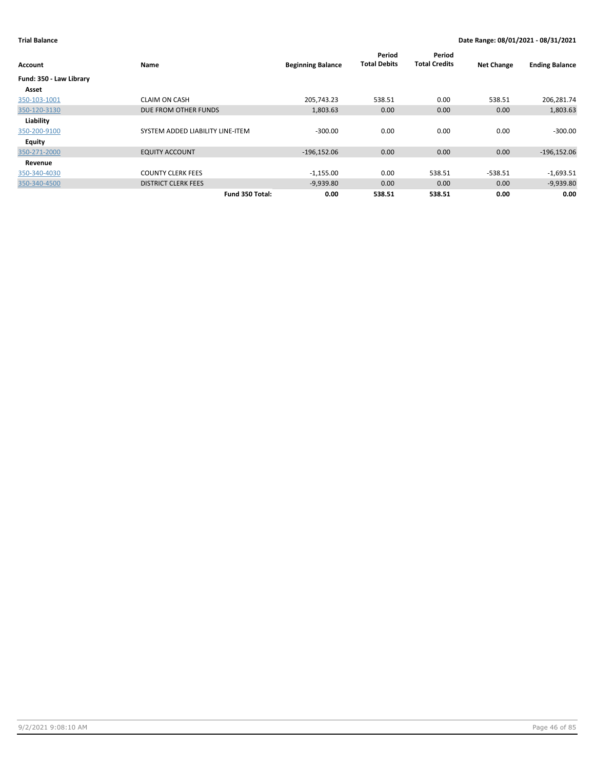| Account                 | Name                             | <b>Beginning Balance</b> | Period<br><b>Total Debits</b> | Period<br><b>Total Credits</b> | <b>Net Change</b> | <b>Ending Balance</b> |
|-------------------------|----------------------------------|--------------------------|-------------------------------|--------------------------------|-------------------|-----------------------|
| Fund: 350 - Law Library |                                  |                          |                               |                                |                   |                       |
| Asset                   |                                  |                          |                               |                                |                   |                       |
| 350-103-1001            | <b>CLAIM ON CASH</b>             | 205,743.23               | 538.51                        | 0.00                           | 538.51            | 206,281.74            |
| 350-120-3130            | DUE FROM OTHER FUNDS             | 1,803.63                 | 0.00                          | 0.00                           | 0.00              | 1,803.63              |
| Liability               |                                  |                          |                               |                                |                   |                       |
| 350-200-9100            | SYSTEM ADDED LIABILITY LINE-ITEM | $-300.00$                | 0.00                          | 0.00                           | 0.00              | $-300.00$             |
| Equity                  |                                  |                          |                               |                                |                   |                       |
| 350-271-2000            | <b>EQUITY ACCOUNT</b>            | $-196,152.06$            | 0.00                          | 0.00                           | 0.00              | $-196, 152.06$        |
| Revenue                 |                                  |                          |                               |                                |                   |                       |
| 350-340-4030            | <b>COUNTY CLERK FEES</b>         | $-1,155.00$              | 0.00                          | 538.51                         | $-538.51$         | $-1,693.51$           |
| 350-340-4500            | <b>DISTRICT CLERK FEES</b>       | $-9,939.80$              | 0.00                          | 0.00                           | 0.00              | $-9,939.80$           |
|                         | Fund 350 Total:                  | 0.00                     | 538.51                        | 538.51                         | 0.00              | 0.00                  |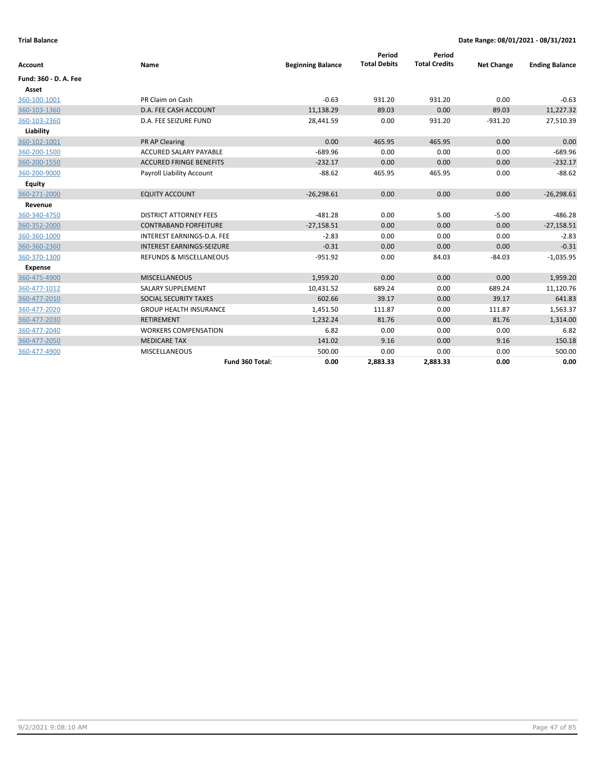| Account               | Name                               | <b>Beginning Balance</b> | Period<br><b>Total Debits</b> | Period<br><b>Total Credits</b> | <b>Net Change</b> | <b>Ending Balance</b> |
|-----------------------|------------------------------------|--------------------------|-------------------------------|--------------------------------|-------------------|-----------------------|
|                       |                                    |                          |                               |                                |                   |                       |
| Fund: 360 - D. A. Fee |                                    |                          |                               |                                |                   |                       |
| Asset                 |                                    |                          |                               |                                |                   |                       |
| 360-100-1001          | PR Claim on Cash                   | $-0.63$                  | 931.20                        | 931.20                         | 0.00              | $-0.63$               |
| 360-103-1360          | D.A. FEE CASH ACCOUNT              | 11,138.29                | 89.03                         | 0.00                           | 89.03             | 11,227.32             |
| 360-103-2360          | D.A. FEE SEIZURE FUND              | 28,441.59                | 0.00                          | 931.20                         | $-931.20$         | 27,510.39             |
| Liability             |                                    |                          |                               |                                |                   |                       |
| 360-102-1001          | PR AP Clearing                     | 0.00                     | 465.95                        | 465.95                         | 0.00              | 0.00                  |
| 360-200-1500          | <b>ACCURED SALARY PAYABLE</b>      | $-689.96$                | 0.00                          | 0.00                           | 0.00              | $-689.96$             |
| 360-200-1550          | <b>ACCURED FRINGE BENEFITS</b>     | $-232.17$                | 0.00                          | 0.00                           | 0.00              | $-232.17$             |
| 360-200-9000          | Payroll Liability Account          | $-88.62$                 | 465.95                        | 465.95                         | 0.00              | $-88.62$              |
| <b>Equity</b>         |                                    |                          |                               |                                |                   |                       |
| 360-271-2000          | <b>EQUITY ACCOUNT</b>              | $-26,298.61$             | 0.00                          | 0.00                           | 0.00              | $-26,298.61$          |
| Revenue               |                                    |                          |                               |                                |                   |                       |
| 360-340-4750          | <b>DISTRICT ATTORNEY FEES</b>      | $-481.28$                | 0.00                          | 5.00                           | $-5.00$           | $-486.28$             |
| 360-352-2000          | <b>CONTRABAND FORFEITURE</b>       | $-27,158.51$             | 0.00                          | 0.00                           | 0.00              | $-27,158.51$          |
| 360-360-1000          | INTEREST EARNINGS-D.A. FEE         | $-2.83$                  | 0.00                          | 0.00                           | 0.00              | $-2.83$               |
| 360-360-2360          | <b>INTEREST EARNINGS-SEIZURE</b>   | $-0.31$                  | 0.00                          | 0.00                           | 0.00              | $-0.31$               |
| 360-370-1300          | <b>REFUNDS &amp; MISCELLANEOUS</b> | $-951.92$                | 0.00                          | 84.03                          | $-84.03$          | $-1,035.95$           |
| <b>Expense</b>        |                                    |                          |                               |                                |                   |                       |
| 360-475-4900          | <b>MISCELLANEOUS</b>               | 1,959.20                 | 0.00                          | 0.00                           | 0.00              | 1,959.20              |
| 360-477-1012          | <b>SALARY SUPPLEMENT</b>           | 10,431.52                | 689.24                        | 0.00                           | 689.24            | 11,120.76             |
| 360-477-2010          | SOCIAL SECURITY TAXES              | 602.66                   | 39.17                         | 0.00                           | 39.17             | 641.83                |
| 360-477-2020          | <b>GROUP HEALTH INSURANCE</b>      | 1,451.50                 | 111.87                        | 0.00                           | 111.87            | 1,563.37              |
| 360-477-2030          | <b>RETIREMENT</b>                  | 1,232.24                 | 81.76                         | 0.00                           | 81.76             | 1,314.00              |
| 360-477-2040          | <b>WORKERS COMPENSATION</b>        | 6.82                     | 0.00                          | 0.00                           | 0.00              | 6.82                  |
| 360-477-2050          | <b>MEDICARE TAX</b>                | 141.02                   | 9.16                          | 0.00                           | 9.16              | 150.18                |
| 360-477-4900          | <b>MISCELLANEOUS</b>               | 500.00                   | 0.00                          | 0.00                           | 0.00              | 500.00                |
|                       | Fund 360 Total:                    | 0.00                     | 2,883.33                      | 2,883.33                       | 0.00              | 0.00                  |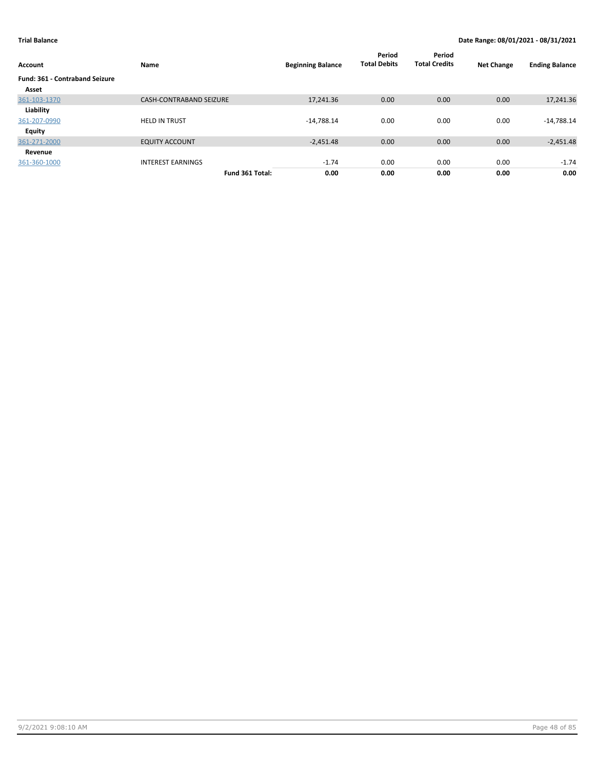| Account                               | Name                           | <b>Beginning Balance</b> | Period<br><b>Total Debits</b> | Period<br><b>Total Credits</b> | <b>Net Change</b> | <b>Ending Balance</b> |
|---------------------------------------|--------------------------------|--------------------------|-------------------------------|--------------------------------|-------------------|-----------------------|
| <b>Fund: 361 - Contraband Seizure</b> |                                |                          |                               |                                |                   |                       |
| Asset                                 |                                |                          |                               |                                |                   |                       |
| 361-103-1370                          | <b>CASH-CONTRABAND SEIZURE</b> | 17,241.36                | 0.00                          | 0.00                           | 0.00              | 17,241.36             |
| Liability                             |                                |                          |                               |                                |                   |                       |
| 361-207-0990                          | <b>HELD IN TRUST</b>           | $-14,788.14$             | 0.00                          | 0.00                           | 0.00              | $-14,788.14$          |
| Equity                                |                                |                          |                               |                                |                   |                       |
| 361-271-2000                          | <b>EQUITY ACCOUNT</b>          | $-2,451.48$              | 0.00                          | 0.00                           | 0.00              | $-2,451.48$           |
| Revenue                               |                                |                          |                               |                                |                   |                       |
| 361-360-1000                          | <b>INTEREST EARNINGS</b>       | $-1.74$                  | 0.00                          | 0.00                           | 0.00              | $-1.74$               |
|                                       | Fund 361 Total:                | 0.00                     | 0.00                          | 0.00                           | 0.00              | 0.00                  |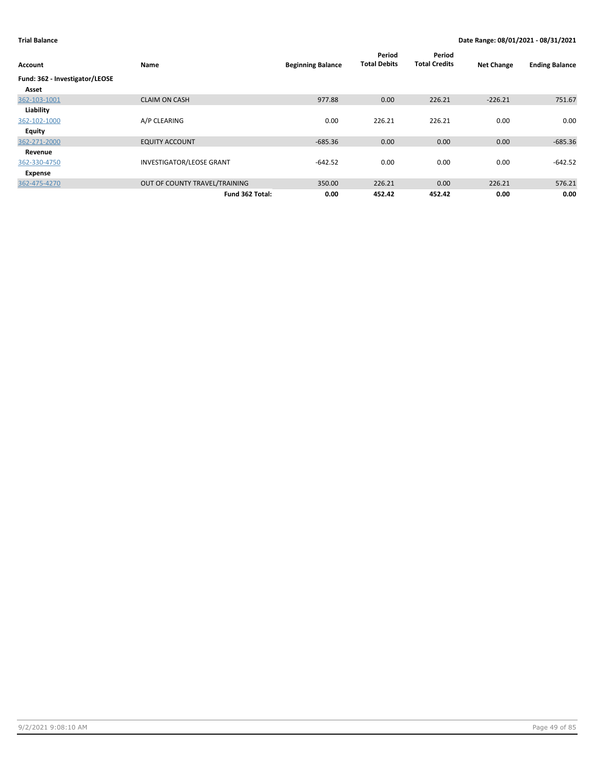| Account                        | Name                            | <b>Beginning Balance</b> | Period<br><b>Total Debits</b> | Period<br><b>Total Credits</b> | <b>Net Change</b> | <b>Ending Balance</b> |
|--------------------------------|---------------------------------|--------------------------|-------------------------------|--------------------------------|-------------------|-----------------------|
| Fund: 362 - Investigator/LEOSE |                                 |                          |                               |                                |                   |                       |
| Asset                          |                                 |                          |                               |                                |                   |                       |
| 362-103-1001                   | <b>CLAIM ON CASH</b>            | 977.88                   | 0.00                          | 226.21                         | $-226.21$         | 751.67                |
| Liability                      |                                 |                          |                               |                                |                   |                       |
| 362-102-1000                   | A/P CLEARING                    | 0.00                     | 226.21                        | 226.21                         | 0.00              | 0.00                  |
| <b>Equity</b>                  |                                 |                          |                               |                                |                   |                       |
| 362-271-2000                   | <b>EQUITY ACCOUNT</b>           | $-685.36$                | 0.00                          | 0.00                           | 0.00              | $-685.36$             |
| Revenue                        |                                 |                          |                               |                                |                   |                       |
| 362-330-4750                   | <b>INVESTIGATOR/LEOSE GRANT</b> | $-642.52$                | 0.00                          | 0.00                           | 0.00              | $-642.52$             |
| Expense                        |                                 |                          |                               |                                |                   |                       |
| 362-475-4270                   | OUT OF COUNTY TRAVEL/TRAINING   | 350.00                   | 226.21                        | 0.00                           | 226.21            | 576.21                |
|                                | Fund 362 Total:                 | 0.00                     | 452.42                        | 452.42                         | 0.00              | 0.00                  |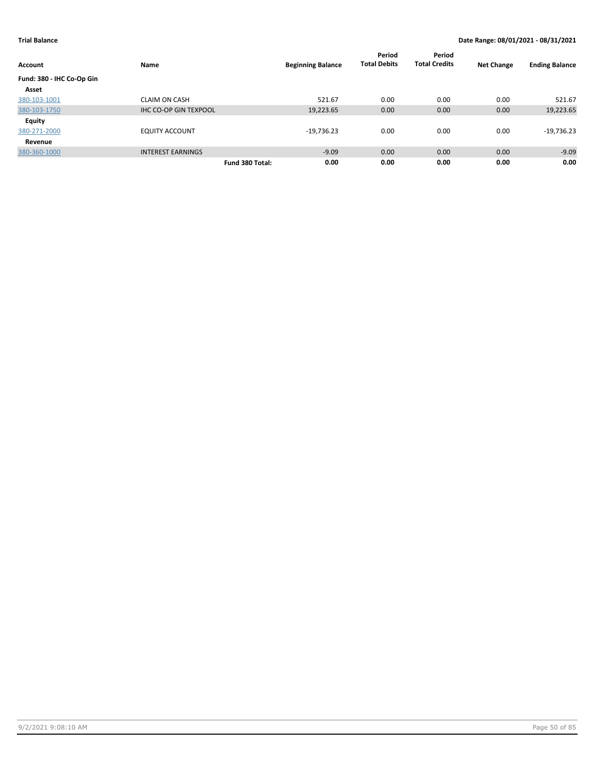| <b>Account</b>            | Name                         |                 | <b>Beginning Balance</b> | Period<br><b>Total Debits</b> | Period<br><b>Total Credits</b> | <b>Net Change</b> | <b>Ending Balance</b> |
|---------------------------|------------------------------|-----------------|--------------------------|-------------------------------|--------------------------------|-------------------|-----------------------|
| Fund: 380 - IHC Co-Op Gin |                              |                 |                          |                               |                                |                   |                       |
| Asset                     |                              |                 |                          |                               |                                |                   |                       |
| 380-103-1001              | <b>CLAIM ON CASH</b>         |                 | 521.67                   | 0.00                          | 0.00                           | 0.00              | 521.67                |
| 380-103-1750              | <b>IHC CO-OP GIN TEXPOOL</b> |                 | 19,223.65                | 0.00                          | 0.00                           | 0.00              | 19,223.65             |
| <b>Equity</b>             |                              |                 |                          |                               |                                |                   |                       |
| 380-271-2000              | <b>EQUITY ACCOUNT</b>        |                 | $-19,736.23$             | 0.00                          | 0.00                           | 0.00              | $-19,736.23$          |
| Revenue                   |                              |                 |                          |                               |                                |                   |                       |
| 380-360-1000              | <b>INTEREST EARNINGS</b>     |                 | $-9.09$                  | 0.00                          | 0.00                           | 0.00              | $-9.09$               |
|                           |                              | Fund 380 Total: | 0.00                     | 0.00                          | 0.00                           | 0.00              | 0.00                  |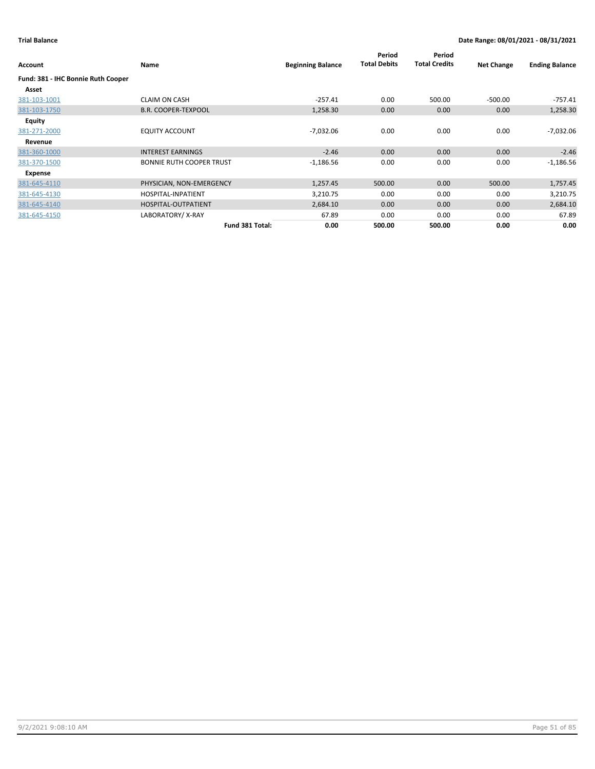| Account                            | Name                            | <b>Beginning Balance</b> | Period<br><b>Total Debits</b> | Period<br><b>Total Credits</b> | <b>Net Change</b> | <b>Ending Balance</b> |
|------------------------------------|---------------------------------|--------------------------|-------------------------------|--------------------------------|-------------------|-----------------------|
| Fund: 381 - IHC Bonnie Ruth Cooper |                                 |                          |                               |                                |                   |                       |
| Asset                              |                                 |                          |                               |                                |                   |                       |
| 381-103-1001                       | <b>CLAIM ON CASH</b>            | $-257.41$                | 0.00                          | 500.00                         | $-500.00$         | -757.41               |
| 381-103-1750                       | <b>B.R. COOPER-TEXPOOL</b>      | 1,258.30                 | 0.00                          | 0.00                           | 0.00              | 1,258.30              |
| Equity                             |                                 |                          |                               |                                |                   |                       |
| 381-271-2000                       | <b>EQUITY ACCOUNT</b>           | $-7,032.06$              | 0.00                          | 0.00                           | 0.00              | $-7,032.06$           |
| Revenue                            |                                 |                          |                               |                                |                   |                       |
| 381-360-1000                       | <b>INTEREST EARNINGS</b>        | $-2.46$                  | 0.00                          | 0.00                           | 0.00              | $-2.46$               |
| 381-370-1500                       | <b>BONNIE RUTH COOPER TRUST</b> | $-1,186.56$              | 0.00                          | 0.00                           | 0.00              | $-1,186.56$           |
| Expense                            |                                 |                          |                               |                                |                   |                       |
| 381-645-4110                       | PHYSICIAN, NON-EMERGENCY        | 1,257.45                 | 500.00                        | 0.00                           | 500.00            | 1,757.45              |
| 381-645-4130                       | HOSPITAL-INPATIENT              | 3,210.75                 | 0.00                          | 0.00                           | 0.00              | 3,210.75              |
| 381-645-4140                       | HOSPITAL-OUTPATIENT             | 2,684.10                 | 0.00                          | 0.00                           | 0.00              | 2,684.10              |
| 381-645-4150                       | LABORATORY/X-RAY                | 67.89                    | 0.00                          | 0.00                           | 0.00              | 67.89                 |
|                                    | Fund 381 Total:                 | 0.00                     | 500.00                        | 500.00                         | 0.00              | 0.00                  |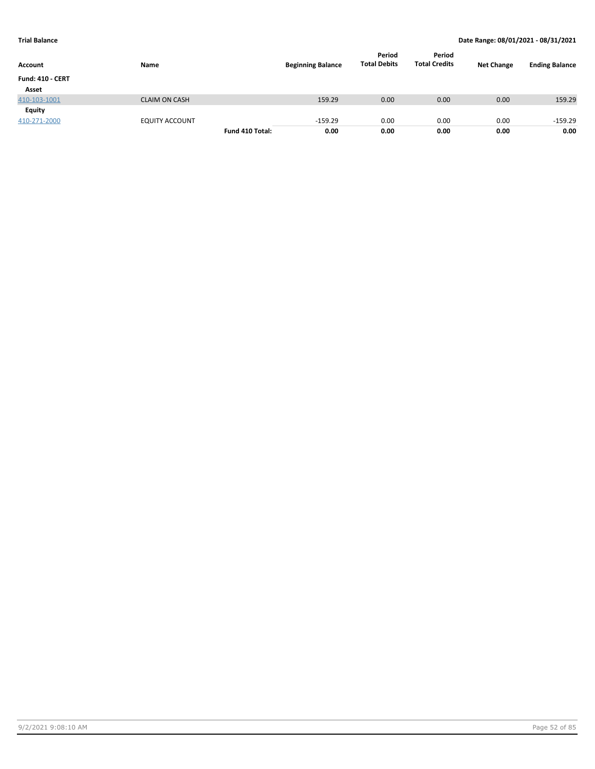| Account                 | Name                  |                 | <b>Beginning Balance</b> | Period<br><b>Total Debits</b> | Period<br><b>Total Credits</b> | <b>Net Change</b> | <b>Ending Balance</b> |
|-------------------------|-----------------------|-----------------|--------------------------|-------------------------------|--------------------------------|-------------------|-----------------------|
| <b>Fund: 410 - CERT</b> |                       |                 |                          |                               |                                |                   |                       |
| Asset                   |                       |                 |                          |                               |                                |                   |                       |
| 410-103-1001            | <b>CLAIM ON CASH</b>  |                 | 159.29                   | 0.00                          | 0.00                           | 0.00              | 159.29                |
| Equity                  |                       |                 |                          |                               |                                |                   |                       |
| 410-271-2000            | <b>EQUITY ACCOUNT</b> |                 | $-159.29$                | 0.00                          | 0.00                           | 0.00              | $-159.29$             |
|                         |                       | Fund 410 Total: | 0.00                     | 0.00                          | 0.00                           | 0.00              | 0.00                  |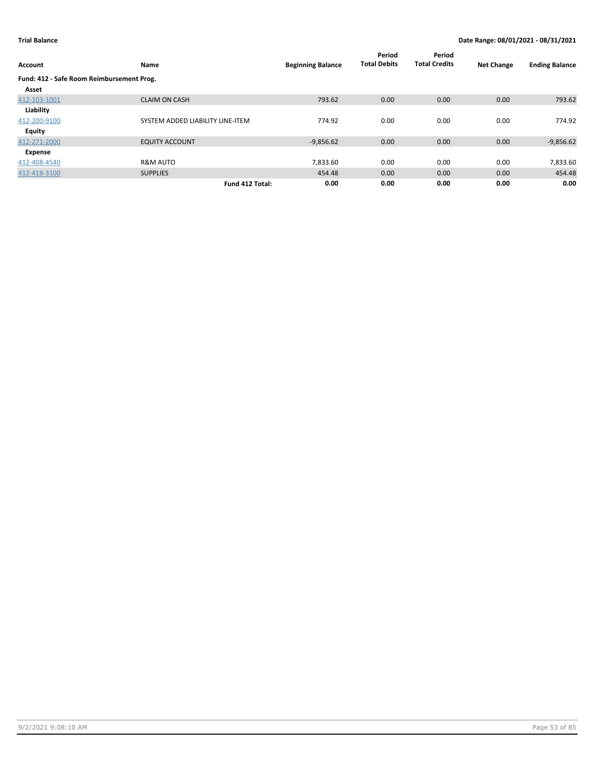| Account                                   | Name                             | <b>Beginning Balance</b> | Period<br><b>Total Debits</b> | Period<br><b>Total Credits</b> | <b>Net Change</b> | <b>Ending Balance</b> |
|-------------------------------------------|----------------------------------|--------------------------|-------------------------------|--------------------------------|-------------------|-----------------------|
| Fund: 412 - Safe Room Reimbursement Prog. |                                  |                          |                               |                                |                   |                       |
| Asset                                     |                                  |                          |                               |                                |                   |                       |
| 412-103-1001                              | <b>CLAIM ON CASH</b>             | 793.62                   | 0.00                          | 0.00                           | 0.00              | 793.62                |
| Liability                                 |                                  |                          |                               |                                |                   |                       |
| 412-200-9100                              | SYSTEM ADDED LIABILITY LINE-ITEM | 774.92                   | 0.00                          | 0.00                           | 0.00              | 774.92                |
| Equity                                    |                                  |                          |                               |                                |                   |                       |
| 412-271-2000                              | <b>EQUITY ACCOUNT</b>            | $-9,856.62$              | 0.00                          | 0.00                           | 0.00              | $-9,856.62$           |
| Expense                                   |                                  |                          |                               |                                |                   |                       |
| 412-408-4540                              | <b>R&amp;M AUTO</b>              | 7,833.60                 | 0.00                          | 0.00                           | 0.00              | 7,833.60              |
| 412-418-3100                              | <b>SUPPLIES</b>                  | 454.48                   | 0.00                          | 0.00                           | 0.00              | 454.48                |
|                                           | Fund 412 Total:                  | 0.00                     | 0.00                          | 0.00                           | 0.00              | 0.00                  |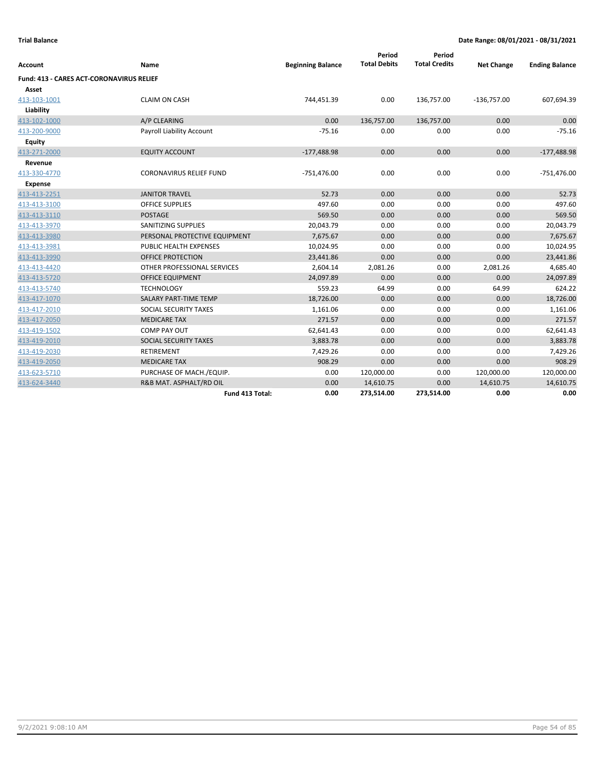|                                                 |                                |                          | Period              | Period               |                   |                       |
|-------------------------------------------------|--------------------------------|--------------------------|---------------------|----------------------|-------------------|-----------------------|
| Account                                         | Name                           | <b>Beginning Balance</b> | <b>Total Debits</b> | <b>Total Credits</b> | <b>Net Change</b> | <b>Ending Balance</b> |
| <b>Fund: 413 - CARES ACT-CORONAVIRUS RELIEF</b> |                                |                          |                     |                      |                   |                       |
| Asset                                           |                                |                          |                     |                      |                   |                       |
| 413-103-1001                                    | <b>CLAIM ON CASH</b>           | 744,451.39               | 0.00                | 136,757.00           | $-136,757.00$     | 607,694.39            |
| Liability                                       |                                |                          |                     |                      |                   |                       |
| 413-102-1000                                    | A/P CLEARING                   | 0.00                     | 136,757.00          | 136,757.00           | 0.00              | 0.00                  |
| 413-200-9000                                    | Payroll Liability Account      | $-75.16$                 | 0.00                | 0.00                 | 0.00              | $-75.16$              |
| <b>Equity</b>                                   |                                |                          |                     |                      |                   |                       |
| 413-271-2000                                    | <b>EQUITY ACCOUNT</b>          | $-177,488.98$            | 0.00                | 0.00                 | 0.00              | $-177,488.98$         |
| Revenue                                         |                                |                          |                     |                      |                   |                       |
| 413-330-4770                                    | <b>CORONAVIRUS RELIEF FUND</b> | $-751,476.00$            | 0.00                | 0.00                 | 0.00              | $-751,476.00$         |
| <b>Expense</b>                                  |                                |                          |                     |                      |                   |                       |
| 413-413-2251                                    | <b>JANITOR TRAVEL</b>          | 52.73                    | 0.00                | 0.00                 | 0.00              | 52.73                 |
| 413-413-3100                                    | <b>OFFICE SUPPLIES</b>         | 497.60                   | 0.00                | 0.00                 | 0.00              | 497.60                |
| 413-413-3110                                    | <b>POSTAGE</b>                 | 569.50                   | 0.00                | 0.00                 | 0.00              | 569.50                |
| 413-413-3970                                    | SANITIZING SUPPLIES            | 20,043.79                | 0.00                | 0.00                 | 0.00              | 20,043.79             |
| 413-413-3980                                    | PERSONAL PROTECTIVE EQUIPMENT  | 7,675.67                 | 0.00                | 0.00                 | 0.00              | 7,675.67              |
| 413-413-3981                                    | <b>PUBLIC HEALTH EXPENSES</b>  | 10,024.95                | 0.00                | 0.00                 | 0.00              | 10,024.95             |
| 413-413-3990                                    | <b>OFFICE PROTECTION</b>       | 23,441.86                | 0.00                | 0.00                 | 0.00              | 23,441.86             |
| 413-413-4420                                    | OTHER PROFESSIONAL SERVICES    | 2,604.14                 | 2,081.26            | 0.00                 | 2,081.26          | 4,685.40              |
| 413-413-5720                                    | <b>OFFICE EQUIPMENT</b>        | 24,097.89                | 0.00                | 0.00                 | 0.00              | 24,097.89             |
| 413-413-5740                                    | <b>TECHNOLOGY</b>              | 559.23                   | 64.99               | 0.00                 | 64.99             | 624.22                |
| 413-417-1070                                    | SALARY PART-TIME TEMP          | 18,726.00                | 0.00                | 0.00                 | 0.00              | 18,726.00             |
| 413-417-2010                                    | SOCIAL SECURITY TAXES          | 1,161.06                 | 0.00                | 0.00                 | 0.00              | 1,161.06              |
| 413-417-2050                                    | <b>MEDICARE TAX</b>            | 271.57                   | 0.00                | 0.00                 | 0.00              | 271.57                |
| 413-419-1502                                    | <b>COMP PAY OUT</b>            | 62,641.43                | 0.00                | 0.00                 | 0.00              | 62,641.43             |
| 413-419-2010                                    | SOCIAL SECURITY TAXES          | 3,883.78                 | 0.00                | 0.00                 | 0.00              | 3,883.78              |
| 413-419-2030                                    | <b>RETIREMENT</b>              | 7,429.26                 | 0.00                | 0.00                 | 0.00              | 7,429.26              |
| 413-419-2050                                    | <b>MEDICARE TAX</b>            | 908.29                   | 0.00                | 0.00                 | 0.00              | 908.29                |
| 413-623-5710                                    | PURCHASE OF MACH./EQUIP.       | 0.00                     | 120,000.00          | 0.00                 | 120,000.00        | 120,000.00            |
| 413-624-3440                                    | R&B MAT. ASPHALT/RD OIL        | 0.00                     | 14,610.75           | 0.00                 | 14,610.75         | 14,610.75             |
|                                                 | Fund 413 Total:                | 0.00                     | 273,514.00          | 273,514.00           | 0.00              | 0.00                  |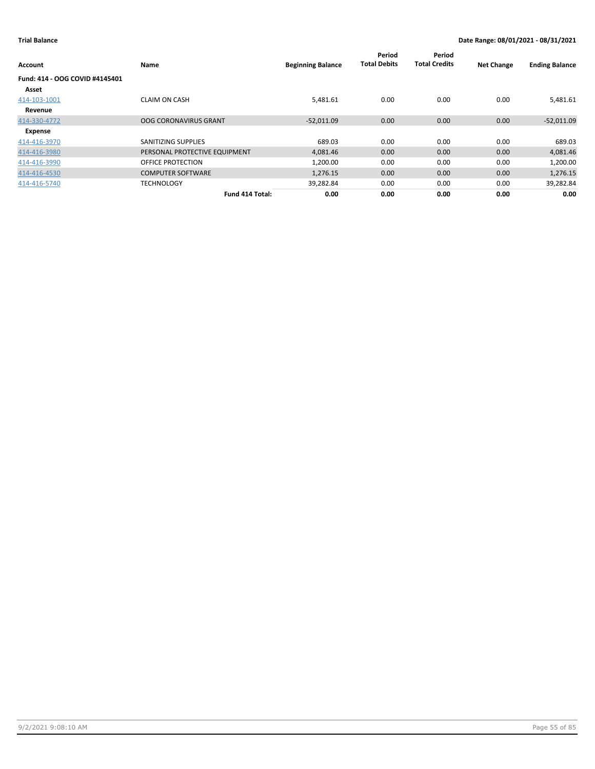| Account                        | <b>Name</b>                   | <b>Beginning Balance</b> | Period<br><b>Total Debits</b> | Period<br><b>Total Credits</b> | <b>Net Change</b> | <b>Ending Balance</b> |
|--------------------------------|-------------------------------|--------------------------|-------------------------------|--------------------------------|-------------------|-----------------------|
| Fund: 414 - OOG COVID #4145401 |                               |                          |                               |                                |                   |                       |
| Asset                          |                               |                          |                               |                                |                   |                       |
| 414-103-1001                   | <b>CLAIM ON CASH</b>          | 5,481.61                 | 0.00                          | 0.00                           | 0.00              | 5,481.61              |
| Revenue                        |                               |                          |                               |                                |                   |                       |
| 414-330-4772                   | <b>OOG CORONAVIRUS GRANT</b>  | $-52,011.09$             | 0.00                          | 0.00                           | 0.00              | $-52,011.09$          |
| Expense                        |                               |                          |                               |                                |                   |                       |
| 414-416-3970                   | SANITIZING SUPPLIES           | 689.03                   | 0.00                          | 0.00                           | 0.00              | 689.03                |
| 414-416-3980                   | PERSONAL PROTECTIVE EQUIPMENT | 4,081.46                 | 0.00                          | 0.00                           | 0.00              | 4,081.46              |
| 414-416-3990                   | OFFICE PROTECTION             | 1,200.00                 | 0.00                          | 0.00                           | 0.00              | 1,200.00              |
| 414-416-4530                   | <b>COMPUTER SOFTWARE</b>      | 1,276.15                 | 0.00                          | 0.00                           | 0.00              | 1,276.15              |
| 414-416-5740                   | <b>TECHNOLOGY</b>             | 39,282.84                | 0.00                          | 0.00                           | 0.00              | 39,282.84             |
|                                | Fund 414 Total:               | 0.00                     | 0.00                          | 0.00                           | 0.00              | 0.00                  |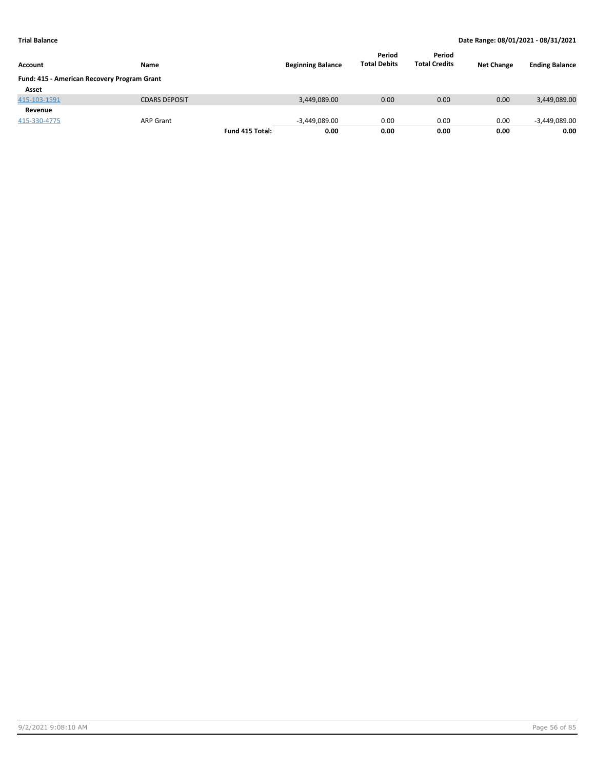| <b>Account</b>                              | <b>Name</b>          |                 | <b>Beginning Balance</b> | Period<br><b>Total Debits</b> | Period<br><b>Total Credits</b> | <b>Net Change</b> | <b>Ending Balance</b> |
|---------------------------------------------|----------------------|-----------------|--------------------------|-------------------------------|--------------------------------|-------------------|-----------------------|
| Fund: 415 - American Recovery Program Grant |                      |                 |                          |                               |                                |                   |                       |
| Asset                                       |                      |                 |                          |                               |                                |                   |                       |
| 415-103-1591                                | <b>CDARS DEPOSIT</b> |                 | 3,449,089.00             | 0.00                          | 0.00                           | 0.00              | 3,449,089.00          |
| Revenue                                     |                      |                 |                          |                               |                                |                   |                       |
| 415-330-4775                                | <b>ARP Grant</b>     |                 | $-3,449,089.00$          | 0.00                          | 0.00                           | 0.00              | $-3,449,089.00$       |
|                                             |                      | Fund 415 Total: | 0.00                     | 0.00                          | 0.00                           | 0.00              | 0.00                  |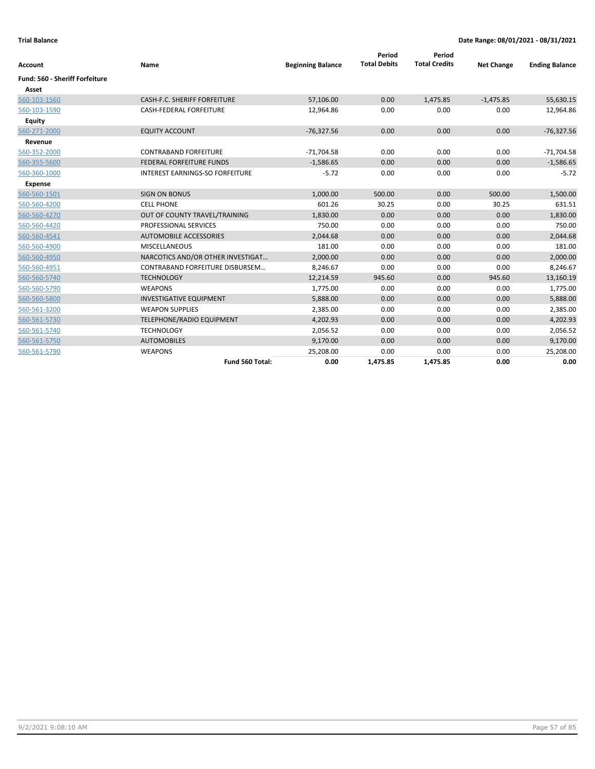| <b>Account</b>                        | Name                                   | <b>Beginning Balance</b> | Period<br><b>Total Debits</b> | Period<br><b>Total Credits</b> | <b>Net Change</b> | <b>Ending Balance</b> |
|---------------------------------------|----------------------------------------|--------------------------|-------------------------------|--------------------------------|-------------------|-----------------------|
| <b>Fund: 560 - Sheriff Forfeiture</b> |                                        |                          |                               |                                |                   |                       |
| Asset                                 |                                        |                          |                               |                                |                   |                       |
| 560-103-1560                          | CASH-F.C. SHERIFF FORFEITURE           | 57,106.00                | 0.00                          | 1,475.85                       | $-1,475.85$       | 55,630.15             |
| 560-103-1590                          | <b>CASH-FEDERAL FORFEITURE</b>         | 12,964.86                | 0.00                          | 0.00                           | 0.00              | 12,964.86             |
| Equity                                |                                        |                          |                               |                                |                   |                       |
| 560-271-2000                          | <b>EQUITY ACCOUNT</b>                  | $-76,327.56$             | 0.00                          | 0.00                           | 0.00              | $-76,327.56$          |
| Revenue                               |                                        |                          |                               |                                |                   |                       |
| 560-352-2000                          | <b>CONTRABAND FORFEITURE</b>           | $-71,704.58$             | 0.00                          | 0.00                           | 0.00              | $-71,704.58$          |
| 560-355-5600                          | <b>FEDERAL FORFEITURE FUNDS</b>        | $-1,586.65$              | 0.00                          | 0.00                           | 0.00              | $-1,586.65$           |
| 560-360-1000                          | <b>INTEREST EARNINGS-SO FORFEITURE</b> | $-5.72$                  | 0.00                          | 0.00                           | 0.00              | $-5.72$               |
| <b>Expense</b>                        |                                        |                          |                               |                                |                   |                       |
| 560-560-1501                          | <b>SIGN ON BONUS</b>                   | 1,000.00                 | 500.00                        | 0.00                           | 500.00            | 1,500.00              |
| 560-560-4200                          | <b>CELL PHONE</b>                      | 601.26                   | 30.25                         | 0.00                           | 30.25             | 631.51                |
| 560-560-4270                          | OUT OF COUNTY TRAVEL/TRAINING          | 1,830.00                 | 0.00                          | 0.00                           | 0.00              | 1,830.00              |
| 560-560-4420                          | <b>PROFESSIONAL SERVICES</b>           | 750.00                   | 0.00                          | 0.00                           | 0.00              | 750.00                |
| 560-560-4541                          | AUTOMOBILE ACCESSORIES                 | 2,044.68                 | 0.00                          | 0.00                           | 0.00              | 2,044.68              |
| 560-560-4900                          | <b>MISCELLANEOUS</b>                   | 181.00                   | 0.00                          | 0.00                           | 0.00              | 181.00                |
| 560-560-4950                          | NARCOTICS AND/OR OTHER INVESTIGAT      | 2,000.00                 | 0.00                          | 0.00                           | 0.00              | 2,000.00              |
| 560-560-4951                          | CONTRABAND FORFEITURE DISBURSEM        | 8,246.67                 | 0.00                          | 0.00                           | 0.00              | 8,246.67              |
| 560-560-5740                          | <b>TECHNOLOGY</b>                      | 12,214.59                | 945.60                        | 0.00                           | 945.60            | 13,160.19             |
| 560-560-5790                          | <b>WEAPONS</b>                         | 1,775.00                 | 0.00                          | 0.00                           | 0.00              | 1,775.00              |
| 560-560-5800                          | <b>INVESTIGATIVE EQUIPMENT</b>         | 5,888.00                 | 0.00                          | 0.00                           | 0.00              | 5,888.00              |
| 560-561-3200                          | <b>WEAPON SUPPLIES</b>                 | 2,385.00                 | 0.00                          | 0.00                           | 0.00              | 2,385.00              |
| 560-561-5730                          | TELEPHONE/RADIO EQUIPMENT              | 4,202.93                 | 0.00                          | 0.00                           | 0.00              | 4,202.93              |
| 560-561-5740                          | <b>TECHNOLOGY</b>                      | 2,056.52                 | 0.00                          | 0.00                           | 0.00              | 2,056.52              |
| 560-561-5750                          | <b>AUTOMOBILES</b>                     | 9,170.00                 | 0.00                          | 0.00                           | 0.00              | 9,170.00              |
| 560-561-5790                          | <b>WEAPONS</b>                         | 25,208.00                | 0.00                          | 0.00                           | 0.00              | 25,208.00             |
|                                       | Fund 560 Total:                        | 0.00                     | 1,475.85                      | 1,475.85                       | 0.00              | 0.00                  |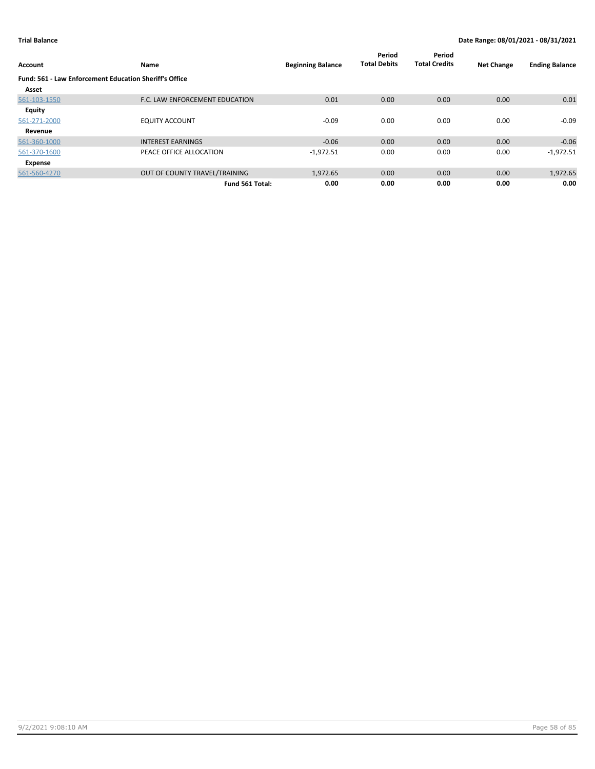| Account                                                       | Name                           | <b>Beginning Balance</b> | Period<br><b>Total Debits</b> | Period<br><b>Total Credits</b> | <b>Net Change</b> | <b>Ending Balance</b> |
|---------------------------------------------------------------|--------------------------------|--------------------------|-------------------------------|--------------------------------|-------------------|-----------------------|
| <b>Fund: 561 - Law Enforcement Education Sheriff's Office</b> |                                |                          |                               |                                |                   |                       |
| Asset                                                         |                                |                          |                               |                                |                   |                       |
| 561-103-1550                                                  | F.C. LAW ENFORCEMENT EDUCATION | 0.01                     | 0.00                          | 0.00                           | 0.00              | 0.01                  |
| Equity                                                        |                                |                          |                               |                                |                   |                       |
| 561-271-2000                                                  | <b>EQUITY ACCOUNT</b>          | $-0.09$                  | 0.00                          | 0.00                           | 0.00              | $-0.09$               |
| Revenue                                                       |                                |                          |                               |                                |                   |                       |
| 561-360-1000                                                  | <b>INTEREST EARNINGS</b>       | $-0.06$                  | 0.00                          | 0.00                           | 0.00              | $-0.06$               |
| 561-370-1600                                                  | PEACE OFFICE ALLOCATION        | $-1,972.51$              | 0.00                          | 0.00                           | 0.00              | $-1,972.51$           |
| Expense                                                       |                                |                          |                               |                                |                   |                       |
| 561-560-4270                                                  | OUT OF COUNTY TRAVEL/TRAINING  | 1,972.65                 | 0.00                          | 0.00                           | 0.00              | 1,972.65              |
|                                                               | Fund 561 Total:                | 0.00                     | 0.00                          | 0.00                           | 0.00              | 0.00                  |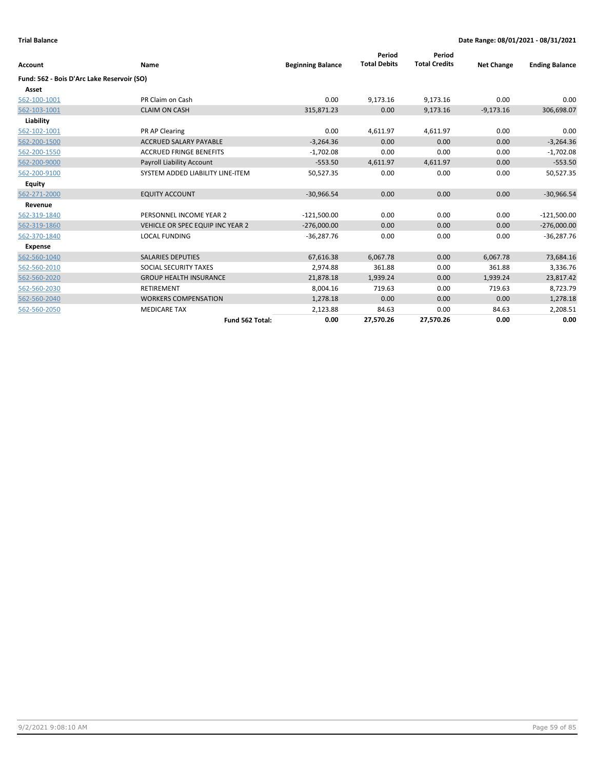| Account                                    | Name                             | <b>Beginning Balance</b> | Period<br><b>Total Debits</b> | Period<br><b>Total Credits</b> | <b>Net Change</b> | <b>Ending Balance</b> |
|--------------------------------------------|----------------------------------|--------------------------|-------------------------------|--------------------------------|-------------------|-----------------------|
| Fund: 562 - Bois D'Arc Lake Reservoir (SO) |                                  |                          |                               |                                |                   |                       |
| Asset                                      |                                  |                          |                               |                                |                   |                       |
| 562-100-1001                               | PR Claim on Cash                 | 0.00                     | 9,173.16                      | 9,173.16                       | 0.00              | 0.00                  |
| 562-103-1001                               | <b>CLAIM ON CASH</b>             | 315,871.23               | 0.00                          | 9,173.16                       | $-9,173.16$       | 306,698.07            |
| Liability                                  |                                  |                          |                               |                                |                   |                       |
| 562-102-1001                               | PR AP Clearing                   | 0.00                     | 4,611.97                      | 4,611.97                       | 0.00              | 0.00                  |
| 562-200-1500                               | <b>ACCRUED SALARY PAYABLE</b>    | $-3,264.36$              | 0.00                          | 0.00                           | 0.00              | $-3,264.36$           |
| 562-200-1550                               | <b>ACCRUED FRINGE BENEFITS</b>   | $-1,702.08$              | 0.00                          | 0.00                           | 0.00              | $-1,702.08$           |
| 562-200-9000                               | Payroll Liability Account        | $-553.50$                | 4,611.97                      | 4,611.97                       | 0.00              | $-553.50$             |
| 562-200-9100                               | SYSTEM ADDED LIABILITY LINE-ITEM | 50,527.35                | 0.00                          | 0.00                           | 0.00              | 50,527.35             |
| <b>Equity</b>                              |                                  |                          |                               |                                |                   |                       |
| 562-271-2000                               | <b>EQUITY ACCOUNT</b>            | $-30,966.54$             | 0.00                          | 0.00                           | 0.00              | $-30,966.54$          |
| Revenue                                    |                                  |                          |                               |                                |                   |                       |
| 562-319-1840                               | PERSONNEL INCOME YEAR 2          | $-121,500.00$            | 0.00                          | 0.00                           | 0.00              | $-121,500.00$         |
| 562-319-1860                               | VEHICLE OR SPEC EQUIP INC YEAR 2 | $-276,000.00$            | 0.00                          | 0.00                           | 0.00              | $-276,000.00$         |
| 562-370-1840                               | <b>LOCAL FUNDING</b>             | $-36,287.76$             | 0.00                          | 0.00                           | 0.00              | $-36,287.76$          |
| <b>Expense</b>                             |                                  |                          |                               |                                |                   |                       |
| 562-560-1040                               | <b>SALARIES DEPUTIES</b>         | 67,616.38                | 6,067.78                      | 0.00                           | 6,067.78          | 73,684.16             |
| 562-560-2010                               | SOCIAL SECURITY TAXES            | 2,974.88                 | 361.88                        | 0.00                           | 361.88            | 3,336.76              |
| 562-560-2020                               | <b>GROUP HEALTH INSURANCE</b>    | 21,878.18                | 1,939.24                      | 0.00                           | 1,939.24          | 23,817.42             |
| 562-560-2030                               | <b>RETIREMENT</b>                | 8,004.16                 | 719.63                        | 0.00                           | 719.63            | 8,723.79              |
| 562-560-2040                               | <b>WORKERS COMPENSATION</b>      | 1,278.18                 | 0.00                          | 0.00                           | 0.00              | 1,278.18              |
| 562-560-2050                               | <b>MEDICARE TAX</b>              | 2,123.88                 | 84.63                         | 0.00                           | 84.63             | 2,208.51              |
|                                            | Fund 562 Total:                  | 0.00                     | 27,570.26                     | 27,570.26                      | 0.00              | 0.00                  |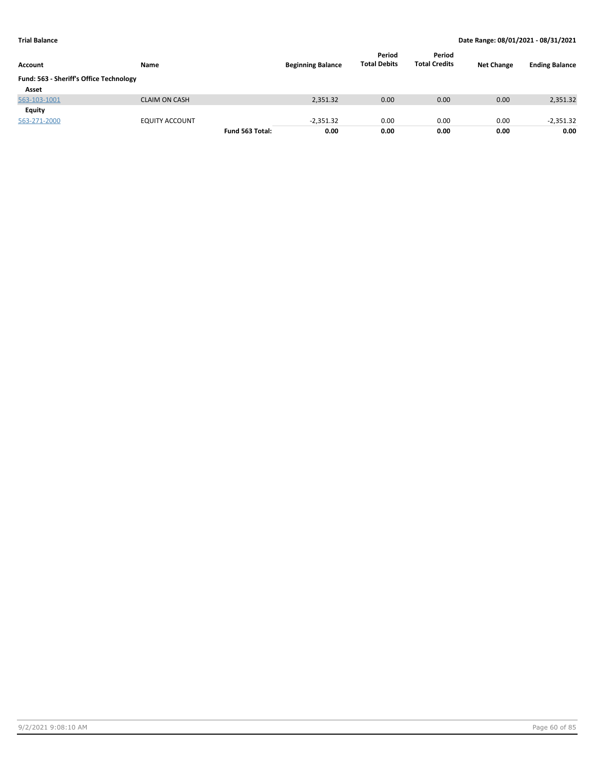| Account                                 | Name                  |                 | <b>Beginning Balance</b> | Period<br><b>Total Debits</b> | Period<br><b>Total Credits</b> | <b>Net Change</b> | <b>Ending Balance</b> |
|-----------------------------------------|-----------------------|-----------------|--------------------------|-------------------------------|--------------------------------|-------------------|-----------------------|
| Fund: 563 - Sheriff's Office Technology |                       |                 |                          |                               |                                |                   |                       |
| Asset                                   |                       |                 |                          |                               |                                |                   |                       |
| 563-103-1001                            | <b>CLAIM ON CASH</b>  |                 | 2,351.32                 | 0.00                          | 0.00                           | 0.00              | 2,351.32              |
| Equity                                  |                       |                 |                          |                               |                                |                   |                       |
| 563-271-2000                            | <b>EQUITY ACCOUNT</b> |                 | $-2,351.32$              | 0.00                          | 0.00                           | 0.00              | $-2,351.32$           |
|                                         |                       | Fund 563 Total: | 0.00                     | 0.00                          | 0.00                           | 0.00              | 0.00                  |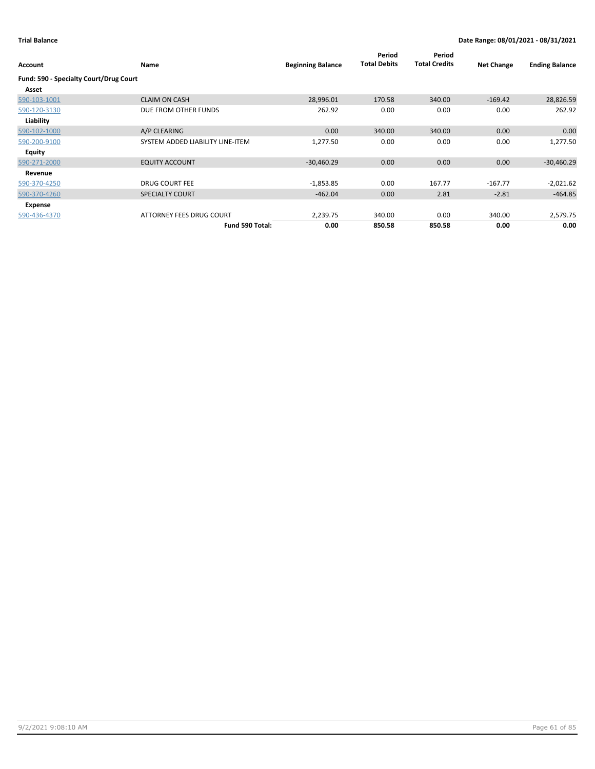| Account                                | <b>Name</b>                      | <b>Beginning Balance</b> | Period<br><b>Total Debits</b> | Period<br><b>Total Credits</b> | <b>Net Change</b> | <b>Ending Balance</b> |
|----------------------------------------|----------------------------------|--------------------------|-------------------------------|--------------------------------|-------------------|-----------------------|
| Fund: 590 - Specialty Court/Drug Court |                                  |                          |                               |                                |                   |                       |
| Asset                                  |                                  |                          |                               |                                |                   |                       |
| 590-103-1001                           | <b>CLAIM ON CASH</b>             | 28,996.01                | 170.58                        | 340.00                         | $-169.42$         | 28,826.59             |
| 590-120-3130                           | DUE FROM OTHER FUNDS             | 262.92                   | 0.00                          | 0.00                           | 0.00              | 262.92                |
| Liability                              |                                  |                          |                               |                                |                   |                       |
| 590-102-1000                           | A/P CLEARING                     | 0.00                     | 340.00                        | 340.00                         | 0.00              | 0.00                  |
| 590-200-9100                           | SYSTEM ADDED LIABILITY LINE-ITEM | 1,277.50                 | 0.00                          | 0.00                           | 0.00              | 1,277.50              |
| Equity                                 |                                  |                          |                               |                                |                   |                       |
| 590-271-2000                           | <b>EQUITY ACCOUNT</b>            | $-30,460.29$             | 0.00                          | 0.00                           | 0.00              | $-30,460.29$          |
| Revenue                                |                                  |                          |                               |                                |                   |                       |
| 590-370-4250                           | <b>DRUG COURT FEE</b>            | $-1,853.85$              | 0.00                          | 167.77                         | $-167.77$         | $-2,021.62$           |
| 590-370-4260                           | <b>SPECIALTY COURT</b>           | $-462.04$                | 0.00                          | 2.81                           | $-2.81$           | $-464.85$             |
| Expense                                |                                  |                          |                               |                                |                   |                       |
| 590-436-4370                           | ATTORNEY FEES DRUG COURT         | 2,239.75                 | 340.00                        | 0.00                           | 340.00            | 2,579.75              |
|                                        | Fund 590 Total:                  | 0.00                     | 850.58                        | 850.58                         | 0.00              | 0.00                  |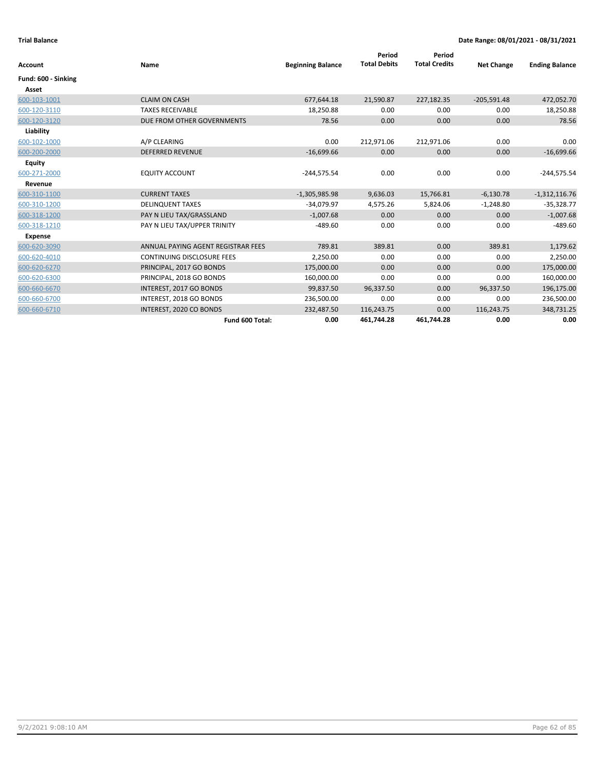|                     |                                    |                          | Period              | Period               |                   |                       |
|---------------------|------------------------------------|--------------------------|---------------------|----------------------|-------------------|-----------------------|
| <b>Account</b>      | Name                               | <b>Beginning Balance</b> | <b>Total Debits</b> | <b>Total Credits</b> | <b>Net Change</b> | <b>Ending Balance</b> |
| Fund: 600 - Sinking |                                    |                          |                     |                      |                   |                       |
| Asset               |                                    |                          |                     |                      |                   |                       |
| 600-103-1001        | <b>CLAIM ON CASH</b>               | 677,644.18               | 21,590.87           | 227,182.35           | $-205,591.48$     | 472,052.70            |
| 600-120-3110        | <b>TAXES RECEIVABLE</b>            | 18,250.88                | 0.00                | 0.00                 | 0.00              | 18,250.88             |
| 600-120-3120        | DUE FROM OTHER GOVERNMENTS         | 78.56                    | 0.00                | 0.00                 | 0.00              | 78.56                 |
| Liability           |                                    |                          |                     |                      |                   |                       |
| 600-102-1000        | A/P CLEARING                       | 0.00                     | 212,971.06          | 212,971.06           | 0.00              | 0.00                  |
| 600-200-2000        | <b>DEFERRED REVENUE</b>            | $-16,699.66$             | 0.00                | 0.00                 | 0.00              | $-16,699.66$          |
| <b>Equity</b>       |                                    |                          |                     |                      |                   |                       |
| 600-271-2000        | <b>EQUITY ACCOUNT</b>              | $-244,575.54$            | 0.00                | 0.00                 | 0.00              | $-244,575.54$         |
| Revenue             |                                    |                          |                     |                      |                   |                       |
| 600-310-1100        | <b>CURRENT TAXES</b>               | $-1,305,985.98$          | 9,636.03            | 15,766.81            | $-6,130.78$       | $-1,312,116.76$       |
| 600-310-1200        | <b>DELINQUENT TAXES</b>            | $-34,079.97$             | 4,575.26            | 5,824.06             | $-1,248.80$       | $-35,328.77$          |
| 600-318-1200        | PAY N LIEU TAX/GRASSLAND           | $-1,007.68$              | 0.00                | 0.00                 | 0.00              | $-1,007.68$           |
| 600-318-1210        | PAY N LIEU TAX/UPPER TRINITY       | $-489.60$                | 0.00                | 0.00                 | 0.00              | $-489.60$             |
| Expense             |                                    |                          |                     |                      |                   |                       |
| 600-620-3090        | ANNUAL PAYING AGENT REGISTRAR FEES | 789.81                   | 389.81              | 0.00                 | 389.81            | 1,179.62              |
| 600-620-4010        | <b>CONTINUING DISCLOSURE FEES</b>  | 2,250.00                 | 0.00                | 0.00                 | 0.00              | 2,250.00              |
| 600-620-6270        | PRINCIPAL, 2017 GO BONDS           | 175,000.00               | 0.00                | 0.00                 | 0.00              | 175,000.00            |
| 600-620-6300        | PRINCIPAL, 2018 GO BONDS           | 160,000.00               | 0.00                | 0.00                 | 0.00              | 160,000.00            |
| 600-660-6670        | INTEREST, 2017 GO BONDS            | 99,837.50                | 96,337.50           | 0.00                 | 96,337.50         | 196,175.00            |
| 600-660-6700        | INTEREST, 2018 GO BONDS            | 236,500.00               | 0.00                | 0.00                 | 0.00              | 236,500.00            |
| 600-660-6710        | INTEREST, 2020 CO BONDS            | 232,487.50               | 116,243.75          | 0.00                 | 116,243.75        | 348,731.25            |
|                     | Fund 600 Total:                    | 0.00                     | 461.744.28          | 461.744.28           | 0.00              | 0.00                  |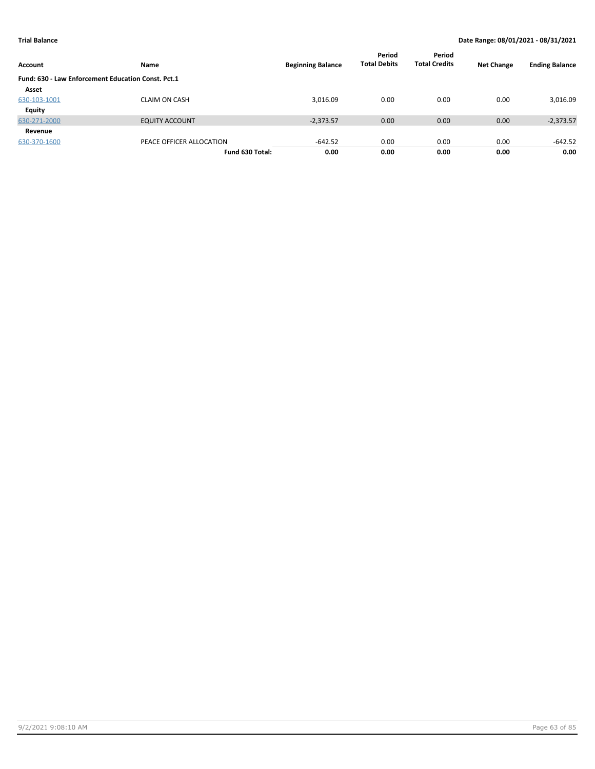| Account                                            | Name                     | <b>Beginning Balance</b> | Period<br><b>Total Debits</b> | Period<br><b>Total Credits</b> | <b>Net Change</b> | <b>Ending Balance</b> |
|----------------------------------------------------|--------------------------|--------------------------|-------------------------------|--------------------------------|-------------------|-----------------------|
| Fund: 630 - Law Enforcement Education Const. Pct.1 |                          |                          |                               |                                |                   |                       |
| Asset                                              |                          |                          |                               |                                |                   |                       |
| 630-103-1001                                       | <b>CLAIM ON CASH</b>     | 3,016.09                 | 0.00                          | 0.00                           | 0.00              | 3,016.09              |
| Equity                                             |                          |                          |                               |                                |                   |                       |
| 630-271-2000                                       | <b>EQUITY ACCOUNT</b>    | $-2,373.57$              | 0.00                          | 0.00                           | 0.00              | $-2,373.57$           |
| Revenue                                            |                          |                          |                               |                                |                   |                       |
| 630-370-1600                                       | PEACE OFFICER ALLOCATION | $-642.52$                | 0.00                          | 0.00                           | 0.00              | $-642.52$             |
|                                                    | Fund 630 Total:          | 0.00                     | 0.00                          | 0.00                           | 0.00              | 0.00                  |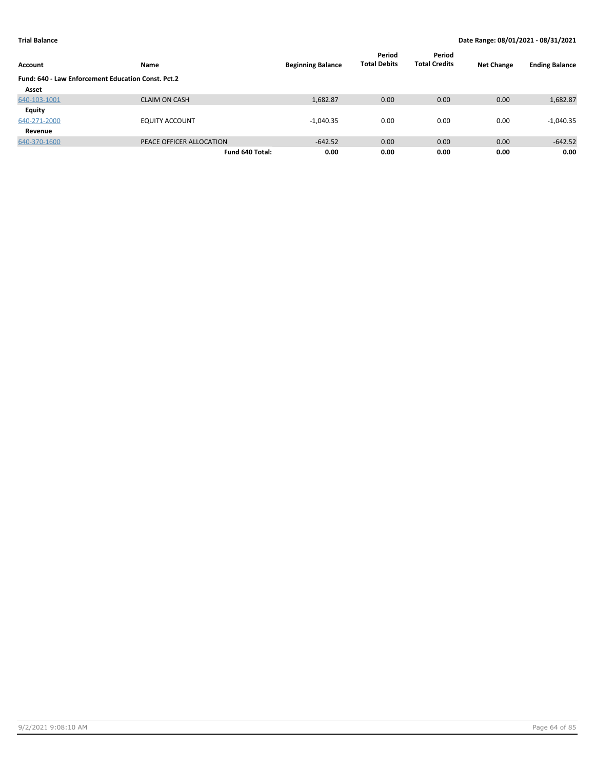| Account                                            | Name                     | <b>Beginning Balance</b> | Period<br><b>Total Debits</b> | Period<br><b>Total Credits</b> | <b>Net Change</b> | <b>Ending Balance</b> |
|----------------------------------------------------|--------------------------|--------------------------|-------------------------------|--------------------------------|-------------------|-----------------------|
| Fund: 640 - Law Enforcement Education Const. Pct.2 |                          |                          |                               |                                |                   |                       |
| Asset                                              |                          |                          |                               |                                |                   |                       |
| 640-103-1001                                       | <b>CLAIM ON CASH</b>     | 1,682.87                 | 0.00                          | 0.00                           | 0.00              | 1,682.87              |
| Equity                                             |                          |                          |                               |                                |                   |                       |
| 640-271-2000                                       | <b>EQUITY ACCOUNT</b>    | $-1,040.35$              | 0.00                          | 0.00                           | 0.00              | $-1,040.35$           |
| Revenue                                            |                          |                          |                               |                                |                   |                       |
| 640-370-1600                                       | PEACE OFFICER ALLOCATION | $-642.52$                | 0.00                          | 0.00                           | 0.00              | $-642.52$             |
|                                                    | Fund 640 Total:          | 0.00                     | 0.00                          | 0.00                           | 0.00              | 0.00                  |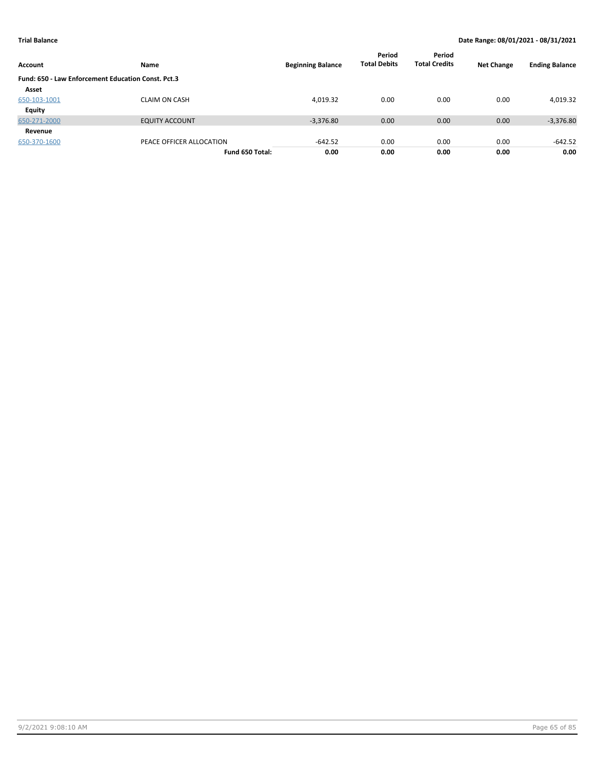| Account                                            | Name                     | <b>Beginning Balance</b> | Period<br><b>Total Debits</b> | Period<br><b>Total Credits</b> | <b>Net Change</b> | <b>Ending Balance</b> |
|----------------------------------------------------|--------------------------|--------------------------|-------------------------------|--------------------------------|-------------------|-----------------------|
| Fund: 650 - Law Enforcement Education Const. Pct.3 |                          |                          |                               |                                |                   |                       |
| Asset                                              |                          |                          |                               |                                |                   |                       |
| 650-103-1001                                       | <b>CLAIM ON CASH</b>     | 4,019.32                 | 0.00                          | 0.00                           | 0.00              | 4,019.32              |
| Equity                                             |                          |                          |                               |                                |                   |                       |
| 650-271-2000                                       | <b>EQUITY ACCOUNT</b>    | $-3,376.80$              | 0.00                          | 0.00                           | 0.00              | $-3,376.80$           |
| Revenue                                            |                          |                          |                               |                                |                   |                       |
| 650-370-1600                                       | PEACE OFFICER ALLOCATION | $-642.52$                | 0.00                          | 0.00                           | 0.00              | $-642.52$             |
|                                                    | Fund 650 Total:          | 0.00                     | 0.00                          | 0.00                           | 0.00              | 0.00                  |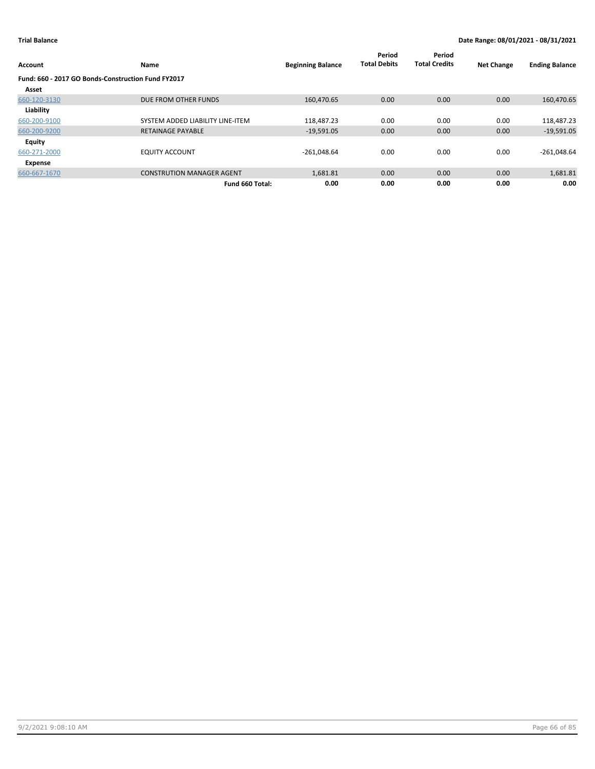| Account                                            | Name                             | <b>Beginning Balance</b> | Period<br><b>Total Debits</b> | Period<br><b>Total Credits</b> | <b>Net Change</b> | <b>Ending Balance</b> |
|----------------------------------------------------|----------------------------------|--------------------------|-------------------------------|--------------------------------|-------------------|-----------------------|
| Fund: 660 - 2017 GO Bonds-Construction Fund FY2017 |                                  |                          |                               |                                |                   |                       |
| Asset                                              |                                  |                          |                               |                                |                   |                       |
| 660-120-3130                                       | DUE FROM OTHER FUNDS             | 160,470.65               | 0.00                          | 0.00                           | 0.00              | 160,470.65            |
| Liability                                          |                                  |                          |                               |                                |                   |                       |
| 660-200-9100                                       | SYSTEM ADDED LIABILITY LINE-ITEM | 118,487.23               | 0.00                          | 0.00                           | 0.00              | 118,487.23            |
| 660-200-9200                                       | <b>RETAINAGE PAYABLE</b>         | $-19,591.05$             | 0.00                          | 0.00                           | 0.00              | $-19,591.05$          |
| Equity                                             |                                  |                          |                               |                                |                   |                       |
| 660-271-2000                                       | <b>EQUITY ACCOUNT</b>            | $-261,048.64$            | 0.00                          | 0.00                           | 0.00              | $-261,048.64$         |
| Expense                                            |                                  |                          |                               |                                |                   |                       |
| 660-667-1670                                       | <b>CONSTRUTION MANAGER AGENT</b> | 1,681.81                 | 0.00                          | 0.00                           | 0.00              | 1,681.81              |
|                                                    | Fund 660 Total:                  | 0.00                     | 0.00                          | 0.00                           | 0.00              | 0.00                  |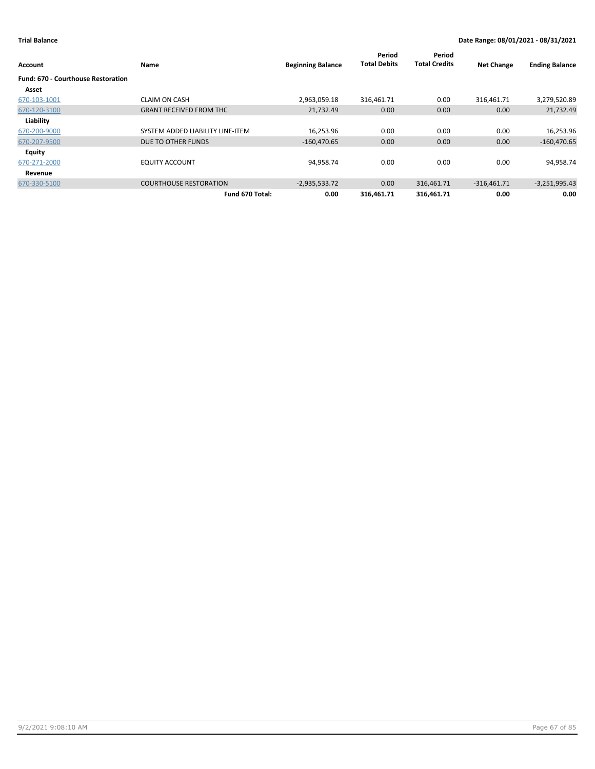| Account                                   | Name                             | <b>Beginning Balance</b> | Period<br><b>Total Debits</b> | Period<br><b>Total Credits</b> | <b>Net Change</b> | <b>Ending Balance</b> |
|-------------------------------------------|----------------------------------|--------------------------|-------------------------------|--------------------------------|-------------------|-----------------------|
| <b>Fund: 670 - Courthouse Restoration</b> |                                  |                          |                               |                                |                   |                       |
| Asset                                     |                                  |                          |                               |                                |                   |                       |
| 670-103-1001                              | <b>CLAIM ON CASH</b>             | 2,963,059.18             | 316,461.71                    | 0.00                           | 316,461.71        | 3,279,520.89          |
| 670-120-3100                              | <b>GRANT RECEIVED FROM THC</b>   | 21,732.49                | 0.00                          | 0.00                           | 0.00              | 21,732.49             |
| Liability                                 |                                  |                          |                               |                                |                   |                       |
| 670-200-9000                              | SYSTEM ADDED LIABILITY LINE-ITEM | 16,253.96                | 0.00                          | 0.00                           | 0.00              | 16,253.96             |
| 670-207-9500                              | DUE TO OTHER FUNDS               | $-160,470.65$            | 0.00                          | 0.00                           | 0.00              | $-160,470.65$         |
| Equity                                    |                                  |                          |                               |                                |                   |                       |
| 670-271-2000                              | <b>EQUITY ACCOUNT</b>            | 94,958.74                | 0.00                          | 0.00                           | 0.00              | 94,958.74             |
| Revenue                                   |                                  |                          |                               |                                |                   |                       |
| 670-330-5100                              | <b>COURTHOUSE RESTORATION</b>    | $-2,935,533.72$          | 0.00                          | 316,461.71                     | $-316,461.71$     | $-3,251,995.43$       |
|                                           | Fund 670 Total:                  | 0.00                     | 316,461.71                    | 316,461.71                     | 0.00              | 0.00                  |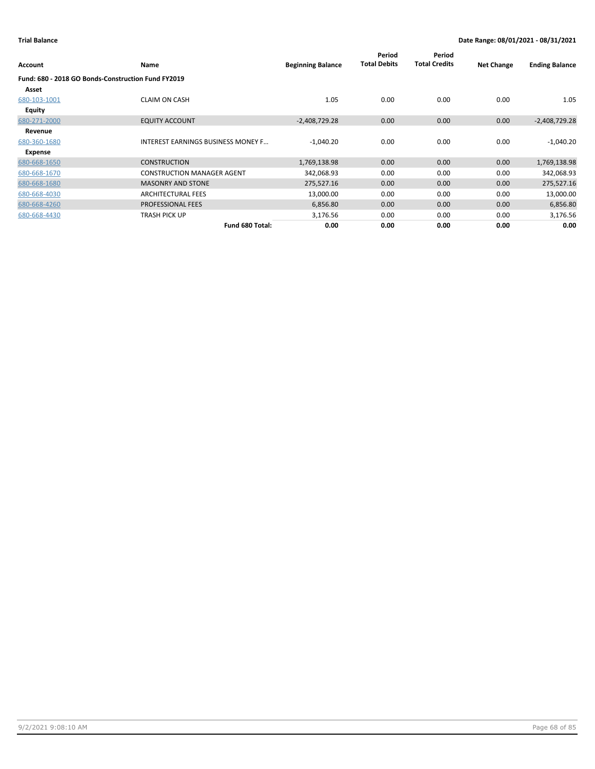| Account       | Name                                               | <b>Beginning Balance</b> | Period<br><b>Total Debits</b> | Period<br><b>Total Credits</b> | <b>Net Change</b> | <b>Ending Balance</b> |
|---------------|----------------------------------------------------|--------------------------|-------------------------------|--------------------------------|-------------------|-----------------------|
|               | Fund: 680 - 2018 GO Bonds-Construction Fund FY2019 |                          |                               |                                |                   |                       |
| Asset         |                                                    |                          |                               |                                |                   |                       |
| 680-103-1001  | <b>CLAIM ON CASH</b>                               | 1.05                     | 0.00                          | 0.00                           | 0.00              | 1.05                  |
| <b>Equity</b> |                                                    |                          |                               |                                |                   |                       |
| 680-271-2000  | <b>EQUITY ACCOUNT</b>                              | $-2,408,729.28$          | 0.00                          | 0.00                           | 0.00              | $-2,408,729.28$       |
| Revenue       |                                                    |                          |                               |                                |                   |                       |
| 680-360-1680  | <b>INTEREST EARNINGS BUSINESS MONEY F</b>          | $-1,040.20$              | 0.00                          | 0.00                           | 0.00              | $-1,040.20$           |
| Expense       |                                                    |                          |                               |                                |                   |                       |
| 680-668-1650  | <b>CONSTRUCTION</b>                                | 1,769,138.98             | 0.00                          | 0.00                           | 0.00              | 1,769,138.98          |
| 680-668-1670  | <b>CONSTRUCTION MANAGER AGENT</b>                  | 342,068.93               | 0.00                          | 0.00                           | 0.00              | 342,068.93            |
| 680-668-1680  | <b>MASONRY AND STONE</b>                           | 275,527.16               | 0.00                          | 0.00                           | 0.00              | 275,527.16            |
| 680-668-4030  | <b>ARCHITECTURAL FEES</b>                          | 13,000.00                | 0.00                          | 0.00                           | 0.00              | 13,000.00             |
| 680-668-4260  | <b>PROFESSIONAL FEES</b>                           | 6,856.80                 | 0.00                          | 0.00                           | 0.00              | 6,856.80              |
| 680-668-4430  | TRASH PICK UP                                      | 3,176.56                 | 0.00                          | 0.00                           | 0.00              | 3,176.56              |
|               | Fund 680 Total:                                    | 0.00                     | 0.00                          | 0.00                           | 0.00              | 0.00                  |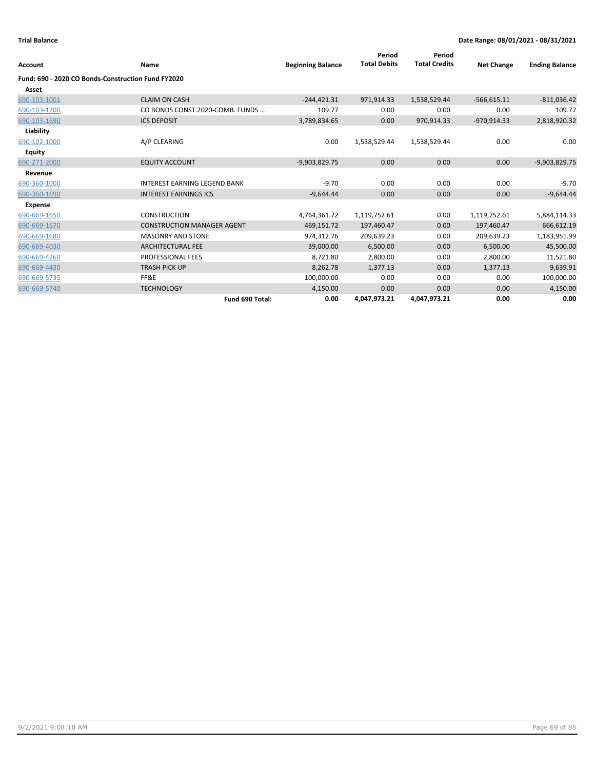| Account                                            | Name                                | <b>Beginning Balance</b> | Period<br><b>Total Debits</b> | Period<br><b>Total Credits</b> | <b>Net Change</b> | <b>Ending Balance</b> |
|----------------------------------------------------|-------------------------------------|--------------------------|-------------------------------|--------------------------------|-------------------|-----------------------|
| Fund: 690 - 2020 CO Bonds-Construction Fund FY2020 |                                     |                          |                               |                                |                   |                       |
| Asset                                              |                                     |                          |                               |                                |                   |                       |
|                                                    |                                     |                          |                               |                                |                   |                       |
| 690-103-1001                                       | <b>CLAIM ON CASH</b>                | $-244,421.31$            | 971,914.33                    | 1,538,529.44                   | $-566,615.11$     | $-811,036.42$         |
| 690-103-1200                                       | CO BONDS CONST.2020-COMB. FUNDS     | 109.77                   | 0.00                          | 0.00                           | 0.00              | 109.77                |
| 690-103-1690                                       | <b>ICS DEPOSIT</b>                  | 3,789,834.65             | 0.00                          | 970,914.33                     | $-970,914.33$     | 2,818,920.32          |
| Liability                                          |                                     |                          |                               |                                |                   |                       |
| 690-102-1000                                       | A/P CLEARING                        | 0.00                     | 1,538,529.44                  | 1,538,529.44                   | 0.00              | 0.00                  |
| Equity                                             |                                     |                          |                               |                                |                   |                       |
| 690-271-2000                                       | <b>EQUITY ACCOUNT</b>               | $-9,903,829.75$          | 0.00                          | 0.00                           | 0.00              | $-9,903,829.75$       |
| Revenue                                            |                                     |                          |                               |                                |                   |                       |
| 690-360-1000                                       | <b>INTEREST EARNING LEGEND BANK</b> | $-9.70$                  | 0.00                          | 0.00                           | 0.00              | $-9.70$               |
| 690-360-1690                                       | <b>INTEREST EARNINGS ICS</b>        | $-9,644.44$              | 0.00                          | 0.00                           | 0.00              | $-9,644.44$           |
| <b>Expense</b>                                     |                                     |                          |                               |                                |                   |                       |
| 690-669-1650                                       | <b>CONSTRUCTION</b>                 | 4,764,361.72             | 1,119,752.61                  | 0.00                           | 1,119,752.61      | 5,884,114.33          |
| 690-669-1670                                       | <b>CONSTRUCTION MANAGER AGENT</b>   | 469,151.72               | 197,460.47                    | 0.00                           | 197,460.47        | 666,612.19            |
| 690-669-1680                                       | <b>MASONRY AND STONE</b>            | 974,312.76               | 209,639.23                    | 0.00                           | 209,639.23        | 1,183,951.99          |
| 690-669-4030                                       | <b>ARCHITECTURAL FEE</b>            | 39,000.00                | 6,500.00                      | 0.00                           | 6,500.00          | 45,500.00             |
| 690-669-4260                                       | PROFESSIONAL FEES                   | 8,721.80                 | 2,800.00                      | 0.00                           | 2,800.00          | 11,521.80             |
| 690-669-4430                                       | <b>TRASH PICK UP</b>                | 8,262.78                 | 1,377.13                      | 0.00                           | 1,377.13          | 9,639.91              |
| 690-669-5735                                       | FF&E                                | 100,000.00               | 0.00                          | 0.00                           | 0.00              | 100,000.00            |
| 690-669-5740                                       | <b>TECHNOLOGY</b>                   | 4,150.00                 | 0.00                          | 0.00                           | 0.00              | 4,150.00              |
|                                                    | Fund 690 Total:                     | 0.00                     | 4,047,973.21                  | 4,047,973.21                   | 0.00              | 0.00                  |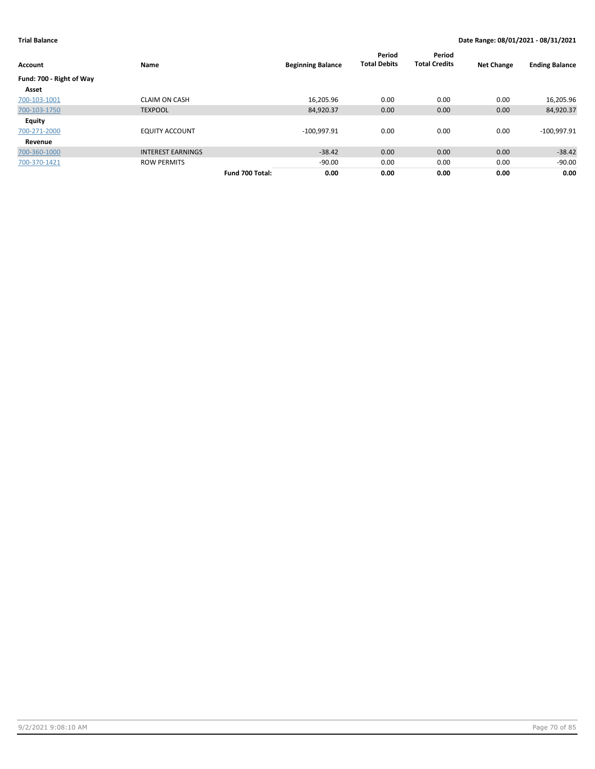| Account                  | Name                     |                 | <b>Beginning Balance</b> | Period<br><b>Total Debits</b> | Period<br><b>Total Credits</b> | <b>Net Change</b> | <b>Ending Balance</b> |
|--------------------------|--------------------------|-----------------|--------------------------|-------------------------------|--------------------------------|-------------------|-----------------------|
| Fund: 700 - Right of Way |                          |                 |                          |                               |                                |                   |                       |
| Asset                    |                          |                 |                          |                               |                                |                   |                       |
| 700-103-1001             | <b>CLAIM ON CASH</b>     |                 | 16,205.96                | 0.00                          | 0.00                           | 0.00              | 16,205.96             |
| 700-103-1750             | <b>TEXPOOL</b>           |                 | 84,920.37                | 0.00                          | 0.00                           | 0.00              | 84,920.37             |
| Equity                   |                          |                 |                          |                               |                                |                   |                       |
| 700-271-2000             | <b>EQUITY ACCOUNT</b>    |                 | $-100,997.91$            | 0.00                          | 0.00                           | 0.00              | $-100,997.91$         |
| Revenue                  |                          |                 |                          |                               |                                |                   |                       |
| 700-360-1000             | <b>INTEREST EARNINGS</b> |                 | $-38.42$                 | 0.00                          | 0.00                           | 0.00              | $-38.42$              |
| 700-370-1421             | <b>ROW PERMITS</b>       |                 | $-90.00$                 | 0.00                          | 0.00                           | 0.00              | $-90.00$              |
|                          |                          | Fund 700 Total: | 0.00                     | 0.00                          | 0.00                           | 0.00              | 0.00                  |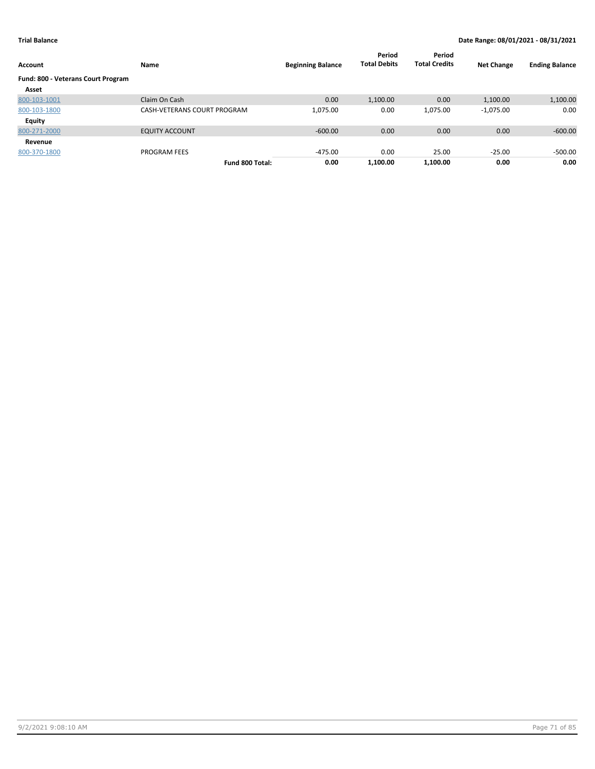| <b>Account</b>                     | Name                        | <b>Beginning Balance</b> | Period<br><b>Total Debits</b> | Period<br><b>Total Credits</b> | <b>Net Change</b> | <b>Ending Balance</b> |
|------------------------------------|-----------------------------|--------------------------|-------------------------------|--------------------------------|-------------------|-----------------------|
| Fund: 800 - Veterans Court Program |                             |                          |                               |                                |                   |                       |
| Asset                              |                             |                          |                               |                                |                   |                       |
| 800-103-1001                       | Claim On Cash               | 0.00                     | 1,100.00                      | 0.00                           | 1,100.00          | 1,100.00              |
| 800-103-1800                       | CASH-VETERANS COURT PROGRAM | 1,075.00                 | 0.00                          | 1,075.00                       | $-1,075.00$       | 0.00                  |
| Equity                             |                             |                          |                               |                                |                   |                       |
| 800-271-2000                       | <b>EQUITY ACCOUNT</b>       | $-600.00$                | 0.00                          | 0.00                           | 0.00              | $-600.00$             |
| Revenue                            |                             |                          |                               |                                |                   |                       |
| 800-370-1800                       | <b>PROGRAM FEES</b>         | $-475.00$                | 0.00                          | 25.00                          | $-25.00$          | $-500.00$             |
|                                    | Fund 800 Total:             | 0.00                     | 1.100.00                      | 1.100.00                       | 0.00              | 0.00                  |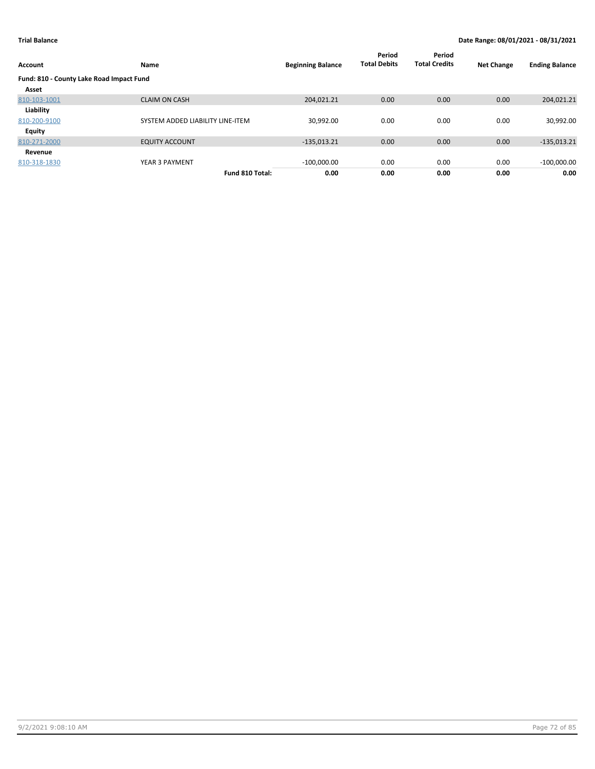| <b>Account</b>                           | Name                             | <b>Beginning Balance</b> | Period<br><b>Total Debits</b> | Period<br><b>Total Credits</b> | <b>Net Change</b> | <b>Ending Balance</b> |
|------------------------------------------|----------------------------------|--------------------------|-------------------------------|--------------------------------|-------------------|-----------------------|
| Fund: 810 - County Lake Road Impact Fund |                                  |                          |                               |                                |                   |                       |
| Asset                                    |                                  |                          |                               |                                |                   |                       |
| 810-103-1001                             | <b>CLAIM ON CASH</b>             | 204,021.21               | 0.00                          | 0.00                           | 0.00              | 204,021.21            |
| Liability                                |                                  |                          |                               |                                |                   |                       |
| 810-200-9100                             | SYSTEM ADDED LIABILITY LINE-ITEM | 30,992.00                | 0.00                          | 0.00                           | 0.00              | 30,992.00             |
| <b>Equity</b>                            |                                  |                          |                               |                                |                   |                       |
| 810-271-2000                             | <b>EQUITY ACCOUNT</b>            | $-135,013.21$            | 0.00                          | 0.00                           | 0.00              | $-135,013.21$         |
| Revenue                                  |                                  |                          |                               |                                |                   |                       |
| 810-318-1830                             | YEAR 3 PAYMENT                   | $-100,000.00$            | 0.00                          | 0.00                           | 0.00              | $-100,000.00$         |
|                                          | Fund 810 Total:                  | 0.00                     | 0.00                          | 0.00                           | 0.00              | 0.00                  |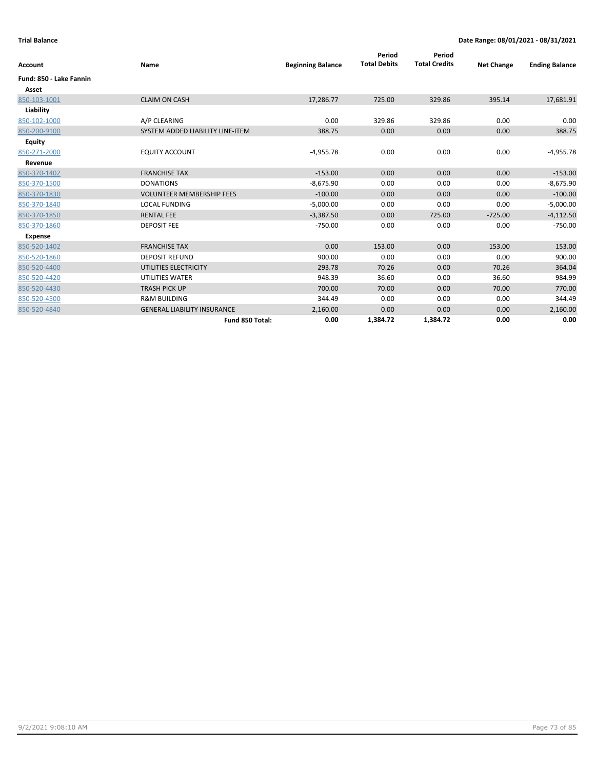| <b>Account</b>          | Name                               | <b>Beginning Balance</b> | Period<br><b>Total Debits</b> | Period<br><b>Total Credits</b> | <b>Net Change</b> | <b>Ending Balance</b> |
|-------------------------|------------------------------------|--------------------------|-------------------------------|--------------------------------|-------------------|-----------------------|
| Fund: 850 - Lake Fannin |                                    |                          |                               |                                |                   |                       |
| Asset                   |                                    |                          |                               |                                |                   |                       |
| 850-103-1001            | <b>CLAIM ON CASH</b>               | 17,286.77                | 725.00                        | 329.86                         | 395.14            | 17,681.91             |
| Liability               |                                    |                          |                               |                                |                   |                       |
| 850-102-1000            | A/P CLEARING                       | 0.00                     | 329.86                        | 329.86                         | 0.00              | 0.00                  |
| 850-200-9100            | SYSTEM ADDED LIABILITY LINE-ITEM   | 388.75                   | 0.00                          | 0.00                           | 0.00              | 388.75                |
| <b>Equity</b>           |                                    |                          |                               |                                |                   |                       |
| 850-271-2000            | <b>EQUITY ACCOUNT</b>              | $-4,955.78$              | 0.00                          | 0.00                           | 0.00              | $-4,955.78$           |
| Revenue                 |                                    |                          |                               |                                |                   |                       |
| 850-370-1402            | <b>FRANCHISE TAX</b>               | $-153.00$                | 0.00                          | 0.00                           | 0.00              | $-153.00$             |
| 850-370-1500            | <b>DONATIONS</b>                   | $-8,675.90$              | 0.00                          | 0.00                           | 0.00              | $-8,675.90$           |
| 850-370-1830            | <b>VOLUNTEER MEMBERSHIP FEES</b>   | $-100.00$                | 0.00                          | 0.00                           | 0.00              | $-100.00$             |
| 850-370-1840            | <b>LOCAL FUNDING</b>               | $-5,000.00$              | 0.00                          | 0.00                           | 0.00              | $-5,000.00$           |
| 850-370-1850            | <b>RENTAL FEE</b>                  | $-3,387.50$              | 0.00                          | 725.00                         | $-725.00$         | $-4,112.50$           |
| 850-370-1860            | <b>DEPOSIT FEE</b>                 | $-750.00$                | 0.00                          | 0.00                           | 0.00              | $-750.00$             |
| <b>Expense</b>          |                                    |                          |                               |                                |                   |                       |
| 850-520-1402            | <b>FRANCHISE TAX</b>               | 0.00                     | 153.00                        | 0.00                           | 153.00            | 153.00                |
| 850-520-1860            | <b>DEPOSIT REFUND</b>              | 900.00                   | 0.00                          | 0.00                           | 0.00              | 900.00                |
| 850-520-4400            | UTILITIES ELECTRICITY              | 293.78                   | 70.26                         | 0.00                           | 70.26             | 364.04                |
| 850-520-4420            | <b>UTILITIES WATER</b>             | 948.39                   | 36.60                         | 0.00                           | 36.60             | 984.99                |
| 850-520-4430            | <b>TRASH PICK UP</b>               | 700.00                   | 70.00                         | 0.00                           | 70.00             | 770.00                |
| 850-520-4500            | <b>R&amp;M BUILDING</b>            | 344.49                   | 0.00                          | 0.00                           | 0.00              | 344.49                |
| 850-520-4840            | <b>GENERAL LIABILITY INSURANCE</b> | 2,160.00                 | 0.00                          | 0.00                           | 0.00              | 2,160.00              |
|                         | Fund 850 Total:                    | 0.00                     | 1,384.72                      | 1,384.72                       | 0.00              | 0.00                  |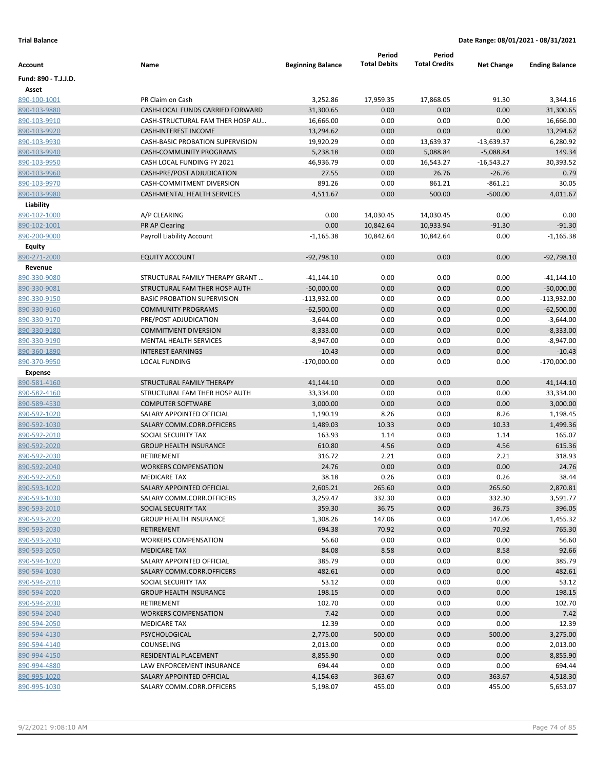|                              |                                                      |                          | Period              | Period               |                   |                       |
|------------------------------|------------------------------------------------------|--------------------------|---------------------|----------------------|-------------------|-----------------------|
| Account                      | Name                                                 | <b>Beginning Balance</b> | <b>Total Debits</b> | <b>Total Credits</b> | <b>Net Change</b> | <b>Ending Balance</b> |
| Fund: 890 - T.J.J.D.         |                                                      |                          |                     |                      |                   |                       |
| Asset                        |                                                      |                          |                     |                      |                   |                       |
| 890-100-1001                 | PR Claim on Cash                                     | 3,252.86                 | 17,959.35           | 17,868.05            | 91.30             | 3,344.16              |
| 890-103-9880                 | CASH-LOCAL FUNDS CARRIED FORWARD                     | 31,300.65                | 0.00                | 0.00                 | 0.00              | 31,300.65             |
| 890-103-9910                 | CASH-STRUCTURAL FAM THER HOSP AU                     | 16,666.00                | 0.00                | 0.00                 | 0.00              | 16,666.00             |
| 890-103-9920                 | <b>CASH-INTEREST INCOME</b>                          | 13,294.62                | 0.00                | 0.00                 | 0.00              | 13,294.62             |
| 890-103-9930                 | CASH-BASIC PROBATION SUPERVISION                     | 19,920.29                | 0.00                | 13,639.37            | $-13,639.37$      | 6,280.92              |
| 890-103-9940                 | <b>CASH-COMMUNITY PROGRAMS</b>                       | 5,238.18                 | 0.00                | 5,088.84             | $-5,088.84$       | 149.34                |
| 890-103-9950                 | CASH LOCAL FUNDING FY 2021                           | 46,936.79                | 0.00                | 16,543.27            | $-16,543.27$      | 30,393.52             |
| 890-103-9960                 | CASH-PRE/POST ADJUDICATION                           | 27.55                    | 0.00                | 26.76                | $-26.76$          | 0.79                  |
| 890-103-9970                 | <b>CASH-COMMITMENT DIVERSION</b>                     | 891.26                   | 0.00                | 861.21               | $-861.21$         | 30.05                 |
| 890-103-9980                 | <b>CASH-MENTAL HEALTH SERVICES</b>                   | 4,511.67                 | 0.00                | 500.00               | $-500.00$         | 4,011.67              |
| Liability                    |                                                      |                          |                     |                      |                   |                       |
| 890-102-1000                 | A/P CLEARING                                         | 0.00                     | 14,030.45           | 14,030.45            | 0.00              | 0.00                  |
| 890-102-1001                 | PR AP Clearing                                       | 0.00                     | 10,842.64           | 10,933.94            | $-91.30$          | $-91.30$              |
| 890-200-9000                 | Payroll Liability Account                            | $-1,165.38$              | 10,842.64           | 10,842.64            | 0.00              | $-1,165.38$           |
| Equity                       |                                                      |                          |                     |                      |                   |                       |
| 890-271-2000                 | <b>EQUITY ACCOUNT</b>                                | $-92,798.10$             | 0.00                | 0.00                 | 0.00              | $-92,798.10$          |
| Revenue                      |                                                      |                          |                     |                      |                   |                       |
| 890-330-9080                 | STRUCTURAL FAMILY THERAPY GRANT                      | $-41,144.10$             | 0.00                | 0.00                 | 0.00              | -41,144.10            |
| 890-330-9081                 | STRUCTURAL FAM THER HOSP AUTH                        | $-50,000.00$             | 0.00                | 0.00                 | 0.00              | $-50,000.00$          |
| 890-330-9150                 | <b>BASIC PROBATION SUPERVISION</b>                   | $-113,932.00$            | 0.00                | 0.00                 | 0.00              | $-113,932.00$         |
| 890-330-9160                 | <b>COMMUNITY PROGRAMS</b>                            | $-62,500.00$             | 0.00                | 0.00                 | 0.00              | $-62,500.00$          |
| 890-330-9170                 | PRE/POST ADJUDICATION                                | $-3,644.00$              | 0.00                | 0.00                 | 0.00              | $-3,644.00$           |
| 890-330-9180                 | <b>COMMITMENT DIVERSION</b>                          | $-8,333.00$              | 0.00                | 0.00                 | 0.00              | $-8,333.00$           |
| 890-330-9190                 | <b>MENTAL HEALTH SERVICES</b>                        | $-8,947.00$              | 0.00                | 0.00                 | 0.00              | $-8,947.00$           |
| 890-360-1890                 | <b>INTEREST EARNINGS</b>                             | $-10.43$                 | 0.00                | 0.00                 | 0.00              | $-10.43$              |
| 890-370-9950                 | LOCAL FUNDING                                        | $-170,000.00$            | 0.00                | 0.00                 | 0.00              | $-170,000.00$         |
| <b>Expense</b>               |                                                      |                          |                     |                      |                   |                       |
| 890-581-4160                 | STRUCTURAL FAMILY THERAPY                            | 41,144.10                | 0.00                | 0.00                 | 0.00              | 41,144.10             |
| 890-582-4160                 | STRUCTURAL FAM THER HOSP AUTH                        | 33,334.00                | 0.00                | 0.00                 | 0.00              | 33,334.00             |
| 890-589-4530                 | <b>COMPUTER SOFTWARE</b>                             | 3,000.00                 | 0.00                | 0.00                 | 0.00              | 3,000.00              |
| 890-592-1020                 | SALARY APPOINTED OFFICIAL                            | 1,190.19                 | 8.26                | 0.00                 | 8.26              | 1,198.45              |
| 890-592-1030                 | SALARY COMM.CORR.OFFICERS                            | 1,489.03                 | 10.33               | 0.00                 | 10.33             | 1,499.36              |
| 890-592-2010                 | SOCIAL SECURITY TAX                                  | 163.93                   | 1.14                | 0.00                 | 1.14              | 165.07                |
| 890-592-2020                 | <b>GROUP HEALTH INSURANCE</b>                        | 610.80                   | 4.56                | 0.00                 | 4.56              | 615.36                |
| 890-592-2030                 | RETIREMENT                                           | 316.72                   | 2.21                | 0.00                 | 2.21              | 318.93                |
| 890-592-2040                 | <b>WORKERS COMPENSATION</b>                          | 24.76                    | 0.00                | 0.00                 | 0.00              | 24.76                 |
| 890-592-2050                 | <b>MEDICARE TAX</b>                                  | 38.18                    | 0.26                | 0.00                 | 0.26              | 38.44                 |
| 890-593-1020                 | SALARY APPOINTED OFFICIAL                            | 2,605.21                 | 265.60              | 0.00                 | 265.60            | 2,870.81              |
| 890-593-1030                 | SALARY COMM.CORR.OFFICERS                            | 3,259.47                 | 332.30              | 0.00                 | 332.30            | 3,591.77              |
| 890-593-2010                 | SOCIAL SECURITY TAX<br><b>GROUP HEALTH INSURANCE</b> | 359.30                   | 36.75               | 0.00                 | 36.75             | 396.05                |
| 890-593-2020<br>890-593-2030 | RETIREMENT                                           | 1,308.26<br>694.38       | 147.06<br>70.92     | 0.00<br>0.00         | 147.06<br>70.92   | 1,455.32<br>765.30    |
| 890-593-2040                 | <b>WORKERS COMPENSATION</b>                          | 56.60                    | 0.00                | 0.00                 | 0.00              | 56.60                 |
| 890-593-2050                 | <b>MEDICARE TAX</b>                                  | 84.08                    | 8.58                | 0.00                 | 8.58              | 92.66                 |
| 890-594-1020                 | SALARY APPOINTED OFFICIAL                            | 385.79                   | 0.00                | 0.00                 | 0.00              | 385.79                |
| 890-594-1030                 | SALARY COMM.CORR.OFFICERS                            | 482.61                   | 0.00                | 0.00                 | 0.00              | 482.61                |
| 890-594-2010                 | SOCIAL SECURITY TAX                                  | 53.12                    | 0.00                | 0.00                 | 0.00              | 53.12                 |
| 890-594-2020                 | <b>GROUP HEALTH INSURANCE</b>                        | 198.15                   | 0.00                | 0.00                 | 0.00              | 198.15                |
| 890-594-2030                 | RETIREMENT                                           | 102.70                   | 0.00                | 0.00                 | 0.00              | 102.70                |
| 890-594-2040                 | <b>WORKERS COMPENSATION</b>                          | 7.42                     | 0.00                | 0.00                 | 0.00              | 7.42                  |
| 890-594-2050                 | <b>MEDICARE TAX</b>                                  | 12.39                    | 0.00                | 0.00                 | 0.00              | 12.39                 |
| 890-594-4130                 | <b>PSYCHOLOGICAL</b>                                 | 2,775.00                 | 500.00              | 0.00                 | 500.00            | 3,275.00              |
| 890-594-4140                 | COUNSELING                                           | 2,013.00                 | 0.00                | 0.00                 | 0.00              | 2,013.00              |
| 890-994-4150                 | RESIDENTIAL PLACEMENT                                | 8,855.90                 | 0.00                | 0.00                 | 0.00              | 8,855.90              |
| 890-994-4880                 | LAW ENFORCEMENT INSURANCE                            | 694.44                   | 0.00                | 0.00                 | 0.00              | 694.44                |
| 890-995-1020                 | SALARY APPOINTED OFFICIAL                            | 4,154.63                 | 363.67              | 0.00                 | 363.67            | 4,518.30              |
| 890-995-1030                 | SALARY COMM.CORR.OFFICERS                            | 5,198.07                 | 455.00              | 0.00                 | 455.00            | 5,653.07              |
|                              |                                                      |                          |                     |                      |                   |                       |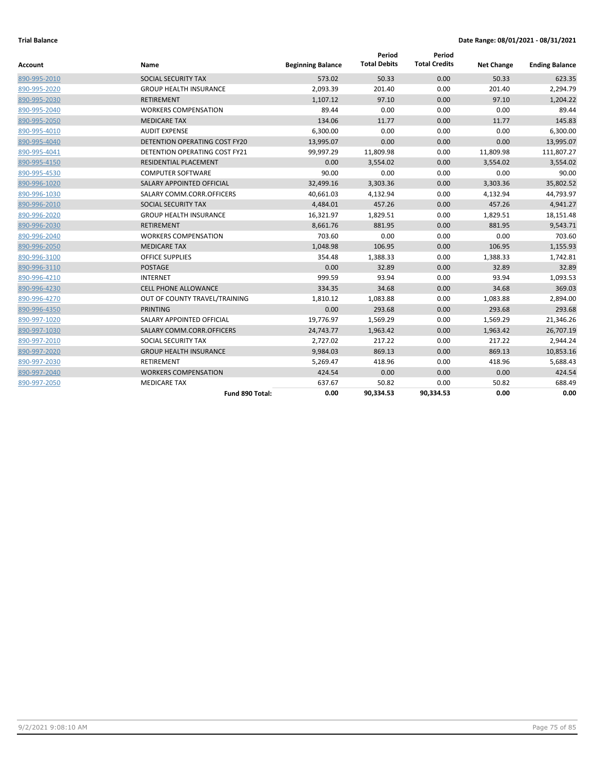| Account      | Name                                 | <b>Beginning Balance</b> | Period<br><b>Total Debits</b> | Period<br><b>Total Credits</b> | <b>Net Change</b> | <b>Ending Balance</b> |
|--------------|--------------------------------------|--------------------------|-------------------------------|--------------------------------|-------------------|-----------------------|
| 890-995-2010 | SOCIAL SECURITY TAX                  | 573.02                   | 50.33                         | 0.00                           | 50.33             | 623.35                |
| 890-995-2020 | <b>GROUP HEALTH INSURANCE</b>        | 2,093.39                 | 201.40                        | 0.00                           | 201.40            | 2,294.79              |
| 890-995-2030 | <b>RETIREMENT</b>                    | 1,107.12                 | 97.10                         | 0.00                           | 97.10             | 1,204.22              |
| 890-995-2040 | <b>WORKERS COMPENSATION</b>          | 89.44                    | 0.00                          | 0.00                           | 0.00              | 89.44                 |
| 890-995-2050 | <b>MEDICARE TAX</b>                  | 134.06                   | 11.77                         | 0.00                           | 11.77             | 145.83                |
| 890-995-4010 | <b>AUDIT EXPENSE</b>                 | 6,300.00                 | 0.00                          | 0.00                           | 0.00              | 6,300.00              |
| 890-995-4040 | DETENTION OPERATING COST FY20        | 13,995.07                | 0.00                          | 0.00                           | 0.00              | 13,995.07             |
| 890-995-4041 | <b>DETENTION OPERATING COST FY21</b> | 99,997.29                | 11,809.98                     | 0.00                           | 11,809.98         | 111,807.27            |
| 890-995-4150 | RESIDENTIAL PLACEMENT                | 0.00                     | 3,554.02                      | 0.00                           | 3,554.02          | 3,554.02              |
| 890-995-4530 | <b>COMPUTER SOFTWARE</b>             | 90.00                    | 0.00                          | 0.00                           | 0.00              | 90.00                 |
| 890-996-1020 | SALARY APPOINTED OFFICIAL            | 32,499.16                | 3,303.36                      | 0.00                           | 3,303.36          | 35,802.52             |
| 890-996-1030 | SALARY COMM.CORR.OFFICERS            | 40,661.03                | 4,132.94                      | 0.00                           | 4,132.94          | 44,793.97             |
| 890-996-2010 | SOCIAL SECURITY TAX                  | 4,484.01                 | 457.26                        | 0.00                           | 457.26            | 4,941.27              |
| 890-996-2020 | <b>GROUP HEALTH INSURANCE</b>        | 16,321.97                | 1,829.51                      | 0.00                           | 1,829.51          | 18,151.48             |
| 890-996-2030 | <b>RETIREMENT</b>                    | 8,661.76                 | 881.95                        | 0.00                           | 881.95            | 9,543.71              |
| 890-996-2040 | <b>WORKERS COMPENSATION</b>          | 703.60                   | 0.00                          | 0.00                           | 0.00              | 703.60                |
| 890-996-2050 | <b>MEDICARE TAX</b>                  | 1,048.98                 | 106.95                        | 0.00                           | 106.95            | 1,155.93              |
| 890-996-3100 | <b>OFFICE SUPPLIES</b>               | 354.48                   | 1,388.33                      | 0.00                           | 1,388.33          | 1,742.81              |
| 890-996-3110 | <b>POSTAGE</b>                       | 0.00                     | 32.89                         | 0.00                           | 32.89             | 32.89                 |
| 890-996-4210 | <b>INTERNET</b>                      | 999.59                   | 93.94                         | 0.00                           | 93.94             | 1,093.53              |
| 890-996-4230 | <b>CELL PHONE ALLOWANCE</b>          | 334.35                   | 34.68                         | 0.00                           | 34.68             | 369.03                |
| 890-996-4270 | OUT OF COUNTY TRAVEL/TRAINING        | 1,810.12                 | 1,083.88                      | 0.00                           | 1,083.88          | 2,894.00              |
| 890-996-4350 | <b>PRINTING</b>                      | 0.00                     | 293.68                        | 0.00                           | 293.68            | 293.68                |
| 890-997-1020 | SALARY APPOINTED OFFICIAL            | 19,776.97                | 1,569.29                      | 0.00                           | 1,569.29          | 21,346.26             |
| 890-997-1030 | SALARY COMM.CORR.OFFICERS            | 24,743.77                | 1,963.42                      | 0.00                           | 1,963.42          | 26,707.19             |
| 890-997-2010 | SOCIAL SECURITY TAX                  | 2,727.02                 | 217.22                        | 0.00                           | 217.22            | 2,944.24              |
| 890-997-2020 | <b>GROUP HEALTH INSURANCE</b>        | 9,984.03                 | 869.13                        | 0.00                           | 869.13            | 10,853.16             |
| 890-997-2030 | <b>RETIREMENT</b>                    | 5,269.47                 | 418.96                        | 0.00                           | 418.96            | 5,688.43              |
| 890-997-2040 | <b>WORKERS COMPENSATION</b>          | 424.54                   | 0.00                          | 0.00                           | 0.00              | 424.54                |
| 890-997-2050 | <b>MEDICARE TAX</b>                  | 637.67                   | 50.82                         | 0.00                           | 50.82             | 688.49                |
|              | Fund 890 Total:                      | 0.00                     | 90,334.53                     | 90,334.53                      | 0.00              | 0.00                  |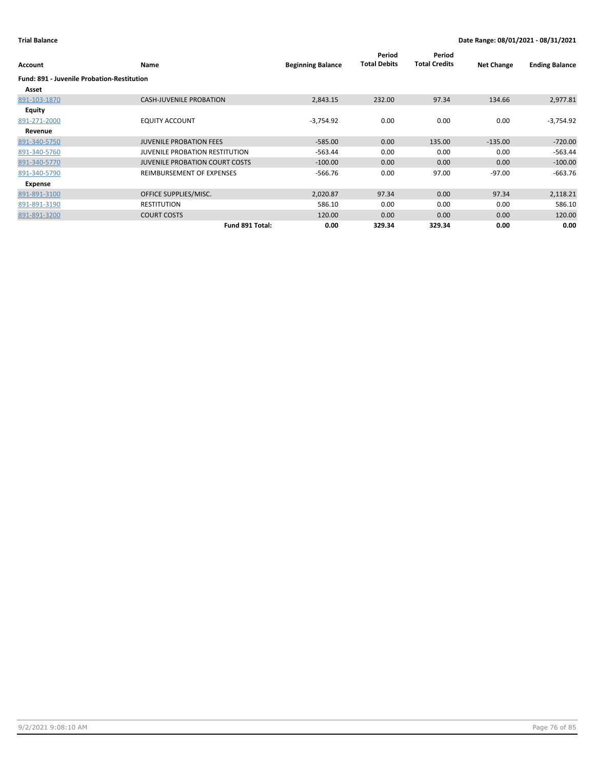| Account                                           | Name                                  | <b>Beginning Balance</b> | Period<br><b>Total Debits</b> | Period<br><b>Total Credits</b> | <b>Net Change</b> | <b>Ending Balance</b> |
|---------------------------------------------------|---------------------------------------|--------------------------|-------------------------------|--------------------------------|-------------------|-----------------------|
| <b>Fund: 891 - Juvenile Probation-Restitution</b> |                                       |                          |                               |                                |                   |                       |
| Asset                                             |                                       |                          |                               |                                |                   |                       |
| 891-103-1870                                      | <b>CASH-JUVENILE PROBATION</b>        | 2,843.15                 | 232.00                        | 97.34                          | 134.66            | 2,977.81              |
| Equity                                            |                                       |                          |                               |                                |                   |                       |
| 891-271-2000                                      | <b>EQUITY ACCOUNT</b>                 | $-3,754.92$              | 0.00                          | 0.00                           | 0.00              | $-3,754.92$           |
| Revenue                                           |                                       |                          |                               |                                |                   |                       |
| 891-340-5750                                      | <b>JUVENILE PROBATION FEES</b>        | $-585.00$                | 0.00                          | 135.00                         | $-135.00$         | $-720.00$             |
| 891-340-5760                                      | <b>JUVENILE PROBATION RESTITUTION</b> | $-563.44$                | 0.00                          | 0.00                           | 0.00              | $-563.44$             |
| 891-340-5770                                      | <b>JUVENILE PROBATION COURT COSTS</b> | $-100.00$                | 0.00                          | 0.00                           | 0.00              | $-100.00$             |
| 891-340-5790                                      | REIMBURSEMENT OF EXPENSES             | $-566.76$                | 0.00                          | 97.00                          | $-97.00$          | $-663.76$             |
| Expense                                           |                                       |                          |                               |                                |                   |                       |
| 891-891-3100                                      | OFFICE SUPPLIES/MISC.                 | 2,020.87                 | 97.34                         | 0.00                           | 97.34             | 2,118.21              |
| 891-891-3190                                      | <b>RESTITUTION</b>                    | 586.10                   | 0.00                          | 0.00                           | 0.00              | 586.10                |
| 891-891-3200                                      | <b>COURT COSTS</b>                    | 120.00                   | 0.00                          | 0.00                           | 0.00              | 120.00                |
|                                                   | Fund 891 Total:                       | 0.00                     | 329.34                        | 329.34                         | 0.00              | 0.00                  |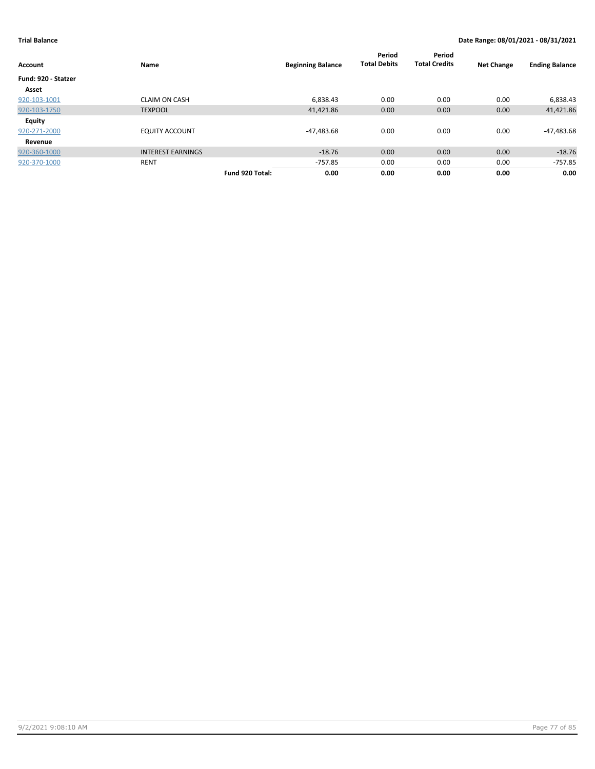| <b>Account</b>      | Name                     |                 | <b>Beginning Balance</b> | Period<br><b>Total Debits</b> | Period<br><b>Total Credits</b> | <b>Net Change</b> | <b>Ending Balance</b> |
|---------------------|--------------------------|-----------------|--------------------------|-------------------------------|--------------------------------|-------------------|-----------------------|
| Fund: 920 - Statzer |                          |                 |                          |                               |                                |                   |                       |
| Asset               |                          |                 |                          |                               |                                |                   |                       |
| 920-103-1001        | <b>CLAIM ON CASH</b>     |                 | 6,838.43                 | 0.00                          | 0.00                           | 0.00              | 6,838.43              |
| 920-103-1750        | <b>TEXPOOL</b>           |                 | 41,421.86                | 0.00                          | 0.00                           | 0.00              | 41,421.86             |
| Equity              |                          |                 |                          |                               |                                |                   |                       |
| 920-271-2000        | <b>EQUITY ACCOUNT</b>    |                 | $-47,483.68$             | 0.00                          | 0.00                           | 0.00              | -47,483.68            |
| Revenue             |                          |                 |                          |                               |                                |                   |                       |
| 920-360-1000        | <b>INTEREST EARNINGS</b> |                 | $-18.76$                 | 0.00                          | 0.00                           | 0.00              | $-18.76$              |
| 920-370-1000        | <b>RENT</b>              |                 | $-757.85$                | 0.00                          | 0.00                           | 0.00              | $-757.85$             |
|                     |                          | Fund 920 Total: | 0.00                     | 0.00                          | 0.00                           | 0.00              | 0.00                  |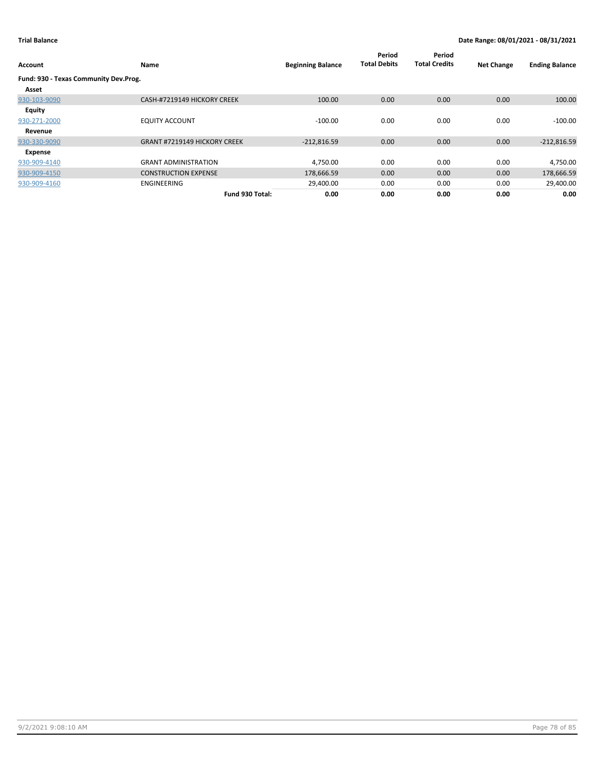| Account                               | <b>Name</b>                         | <b>Beginning Balance</b> | Period<br><b>Total Debits</b> | Period<br><b>Total Credits</b> | <b>Net Change</b> | <b>Ending Balance</b> |
|---------------------------------------|-------------------------------------|--------------------------|-------------------------------|--------------------------------|-------------------|-----------------------|
| Fund: 930 - Texas Community Dev.Prog. |                                     |                          |                               |                                |                   |                       |
| Asset                                 |                                     |                          |                               |                                |                   |                       |
| 930-103-9090                          | CASH-#7219149 HICKORY CREEK         | 100.00                   | 0.00                          | 0.00                           | 0.00              | 100.00                |
| <b>Equity</b>                         |                                     |                          |                               |                                |                   |                       |
| 930-271-2000                          | <b>EQUITY ACCOUNT</b>               | $-100.00$                | 0.00                          | 0.00                           | 0.00              | $-100.00$             |
| Revenue                               |                                     |                          |                               |                                |                   |                       |
| 930-330-9090                          | <b>GRANT #7219149 HICKORY CREEK</b> | $-212,816.59$            | 0.00                          | 0.00                           | 0.00              | $-212,816.59$         |
| Expense                               |                                     |                          |                               |                                |                   |                       |
| 930-909-4140                          | <b>GRANT ADMINISTRATION</b>         | 4,750.00                 | 0.00                          | 0.00                           | 0.00              | 4,750.00              |
| 930-909-4150                          | <b>CONSTRUCTION EXPENSE</b>         | 178,666.59               | 0.00                          | 0.00                           | 0.00              | 178,666.59            |
| 930-909-4160                          | ENGINEERING                         | 29,400.00                | 0.00                          | 0.00                           | 0.00              | 29,400.00             |
|                                       | Fund 930 Total:                     | 0.00                     | 0.00                          | 0.00                           | 0.00              | 0.00                  |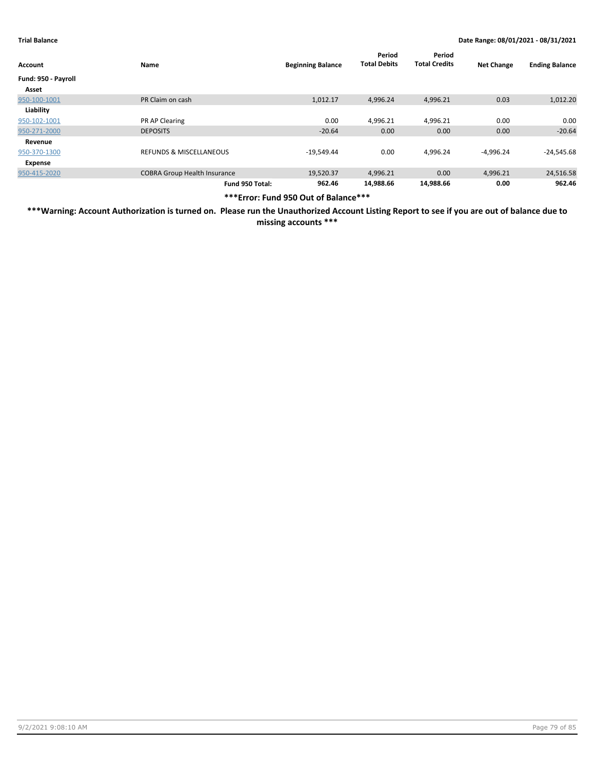| Account             | Name                                | <b>Beginning Balance</b> | Period<br><b>Total Debits</b> | Period<br><b>Total Credits</b> | <b>Net Change</b> | <b>Ending Balance</b> |
|---------------------|-------------------------------------|--------------------------|-------------------------------|--------------------------------|-------------------|-----------------------|
| Fund: 950 - Payroll |                                     |                          |                               |                                |                   |                       |
| Asset               |                                     |                          |                               |                                |                   |                       |
| 950-100-1001        | PR Claim on cash                    | 1,012.17                 | 4,996.24                      | 4,996.21                       | 0.03              | 1,012.20              |
| Liability           |                                     |                          |                               |                                |                   |                       |
| 950-102-1001        | PR AP Clearing                      | 0.00                     | 4,996.21                      | 4,996.21                       | 0.00              | 0.00                  |
| 950-271-2000        | <b>DEPOSITS</b>                     | $-20.64$                 | 0.00                          | 0.00                           | 0.00              | $-20.64$              |
| Revenue             |                                     |                          |                               |                                |                   |                       |
| 950-370-1300        | REFUNDS & MISCELLANEOUS             | $-19,549.44$             | 0.00                          | 4,996.24                       | $-4,996.24$       | $-24,545.68$          |
| Expense             |                                     |                          |                               |                                |                   |                       |
| 950-415-2020        | <b>COBRA Group Health Insurance</b> | 19,520.37                | 4,996.21                      | 0.00                           | 4,996.21          | 24,516.58             |
|                     | Fund 950 Total:                     | 962.46                   | 14.988.66                     | 14,988.66                      | 0.00              | 962.46                |

**\*\*\*Error: Fund 950 Out of Balance\*\*\***

**\*\*\*Warning: Account Authorization is turned on. Please run the Unauthorized Account Listing Report to see if you are out of balance due to missing accounts \*\*\***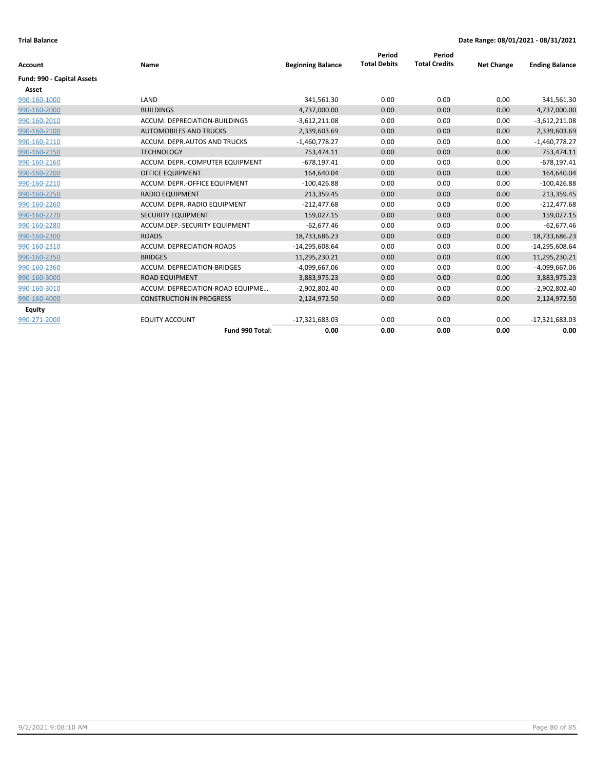|                            |                                  |                          | Period              | Period               |                   |                       |
|----------------------------|----------------------------------|--------------------------|---------------------|----------------------|-------------------|-----------------------|
| <b>Account</b>             | Name                             | <b>Beginning Balance</b> | <b>Total Debits</b> | <b>Total Credits</b> | <b>Net Change</b> | <b>Ending Balance</b> |
| Fund: 990 - Capital Assets |                                  |                          |                     |                      |                   |                       |
| Asset                      |                                  |                          |                     |                      |                   |                       |
| 990-160-1000               | LAND                             | 341,561.30               | 0.00                | 0.00                 | 0.00              | 341,561.30            |
| 990-160-2000               | <b>BUILDINGS</b>                 | 4,737,000.00             | 0.00                | 0.00                 | 0.00              | 4,737,000.00          |
| 990-160-2010               | ACCUM. DEPRECIATION-BUILDINGS    | $-3,612,211.08$          | 0.00                | 0.00                 | 0.00              | $-3,612,211.08$       |
| 990-160-2100               | <b>AUTOMOBILES AND TRUCKS</b>    | 2,339,603.69             | 0.00                | 0.00                 | 0.00              | 2,339,603.69          |
| 990-160-2110               | ACCUM. DEPR.AUTOS AND TRUCKS     | $-1,460,778.27$          | 0.00                | 0.00                 | 0.00              | $-1,460,778.27$       |
| 990-160-2150               | <b>TECHNOLOGY</b>                | 753,474.11               | 0.00                | 0.00                 | 0.00              | 753,474.11            |
| 990-160-2160               | ACCUM. DEPR.-COMPUTER EQUIPMENT  | $-678,197.41$            | 0.00                | 0.00                 | 0.00              | $-678, 197.41$        |
| 990-160-2200               | <b>OFFICE EQUIPMENT</b>          | 164,640.04               | 0.00                | 0.00                 | 0.00              | 164,640.04            |
| 990-160-2210               | ACCUM. DEPR.-OFFICE EQUIPMENT    | $-100,426.88$            | 0.00                | 0.00                 | 0.00              | $-100,426.88$         |
| 990-160-2250               | <b>RADIO EQUIPMENT</b>           | 213,359.45               | 0.00                | 0.00                 | 0.00              | 213,359.45            |
| 990-160-2260               | ACCUM. DEPR.-RADIO EQUIPMENT     | $-212,477.68$            | 0.00                | 0.00                 | 0.00              | $-212,477.68$         |
| 990-160-2270               | <b>SECURITY EQUIPMENT</b>        | 159,027.15               | 0.00                | 0.00                 | 0.00              | 159,027.15            |
| 990-160-2280               | ACCUM.DEP.-SECURITY EQUIPMENT    | $-62,677.46$             | 0.00                | 0.00                 | 0.00              | $-62,677.46$          |
| 990-160-2300               | <b>ROADS</b>                     | 18,733,686.23            | 0.00                | 0.00                 | 0.00              | 18,733,686.23         |
| 990-160-2310               | ACCUM. DEPRECIATION-ROADS        | $-14,295,608.64$         | 0.00                | 0.00                 | 0.00              | $-14,295,608.64$      |
| 990-160-2350               | <b>BRIDGES</b>                   | 11,295,230.21            | 0.00                | 0.00                 | 0.00              | 11,295,230.21         |
| 990-160-2360               | ACCUM. DEPRECIATION-BRIDGES      | $-4,099,667.06$          | 0.00                | 0.00                 | 0.00              | -4,099,667.06         |
| 990-160-3000               | <b>ROAD EQUIPMENT</b>            | 3,883,975.23             | 0.00                | 0.00                 | 0.00              | 3,883,975.23          |
| 990-160-3010               | ACCUM. DEPRECIATION-ROAD EQUIPME | -2,902,802.40            | 0.00                | 0.00                 | 0.00              | $-2,902,802.40$       |
| 990-160-4000               | <b>CONSTRUCTION IN PROGRESS</b>  | 2,124,972.50             | 0.00                | 0.00                 | 0.00              | 2,124,972.50          |
| Equity                     |                                  |                          |                     |                      |                   |                       |
| 990-271-2000               | <b>EQUITY ACCOUNT</b>            | $-17,321,683.03$         | 0.00                | 0.00                 | 0.00              | $-17,321,683.03$      |
|                            | Fund 990 Total:                  | 0.00                     | 0.00                | 0.00                 | 0.00              | 0.00                  |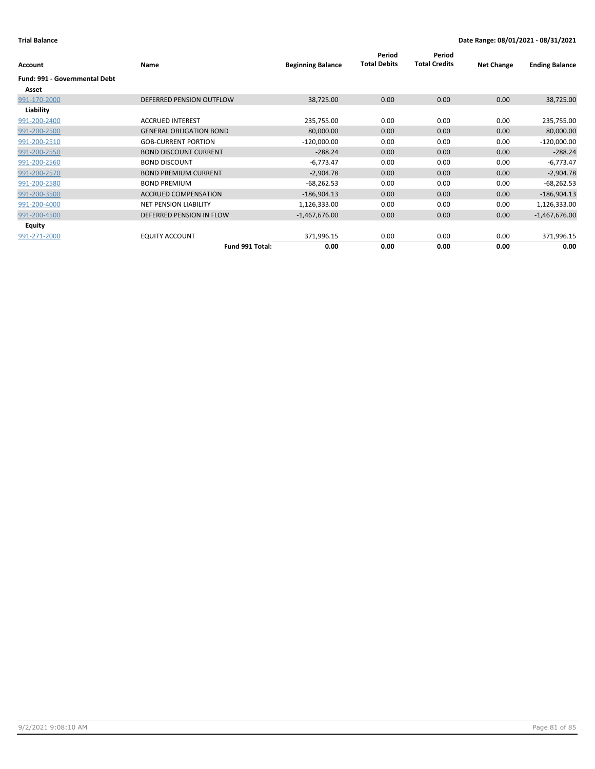| Account                       | Name                           | <b>Beginning Balance</b> | Period<br><b>Total Debits</b> | Period<br><b>Total Credits</b> | <b>Net Change</b> | <b>Ending Balance</b> |
|-------------------------------|--------------------------------|--------------------------|-------------------------------|--------------------------------|-------------------|-----------------------|
| Fund: 991 - Governmental Debt |                                |                          |                               |                                |                   |                       |
| Asset                         |                                |                          |                               |                                |                   |                       |
| 991-170-2000                  | DEFERRED PENSION OUTFLOW       | 38,725.00                | 0.00                          | 0.00                           | 0.00              | 38,725.00             |
| Liability                     |                                |                          |                               |                                |                   |                       |
| 991-200-2400                  | <b>ACCRUED INTEREST</b>        | 235,755.00               | 0.00                          | 0.00                           | 0.00              | 235,755.00            |
| 991-200-2500                  | <b>GENERAL OBLIGATION BOND</b> | 80,000.00                | 0.00                          | 0.00                           | 0.00              | 80,000.00             |
| 991-200-2510                  | <b>GOB-CURRENT PORTION</b>     | $-120,000.00$            | 0.00                          | 0.00                           | 0.00              | $-120,000.00$         |
| 991-200-2550                  | <b>BOND DISCOUNT CURRENT</b>   | $-288.24$                | 0.00                          | 0.00                           | 0.00              | $-288.24$             |
| 991-200-2560                  | <b>BOND DISCOUNT</b>           | $-6,773.47$              | 0.00                          | 0.00                           | 0.00              | $-6,773.47$           |
| 991-200-2570                  | <b>BOND PREMIUM CURRENT</b>    | $-2,904.78$              | 0.00                          | 0.00                           | 0.00              | $-2,904.78$           |
| 991-200-2580                  | <b>BOND PREMIUM</b>            | $-68,262.53$             | 0.00                          | 0.00                           | 0.00              | $-68,262.53$          |
| 991-200-3500                  | <b>ACCRUED COMPENSATION</b>    | $-186,904.13$            | 0.00                          | 0.00                           | 0.00              | $-186,904.13$         |
| 991-200-4000                  | <b>NET PENSION LIABILITY</b>   | 1,126,333.00             | 0.00                          | 0.00                           | 0.00              | 1,126,333.00          |
| 991-200-4500                  | DEFERRED PENSION IN FLOW       | $-1,467,676.00$          | 0.00                          | 0.00                           | 0.00              | $-1,467,676.00$       |
| <b>Equity</b>                 |                                |                          |                               |                                |                   |                       |
| 991-271-2000                  | <b>EQUITY ACCOUNT</b>          | 371,996.15               | 0.00                          | 0.00                           | 0.00              | 371,996.15            |
|                               | Fund 991 Total:                | 0.00                     | 0.00                          | 0.00                           | 0.00              | 0.00                  |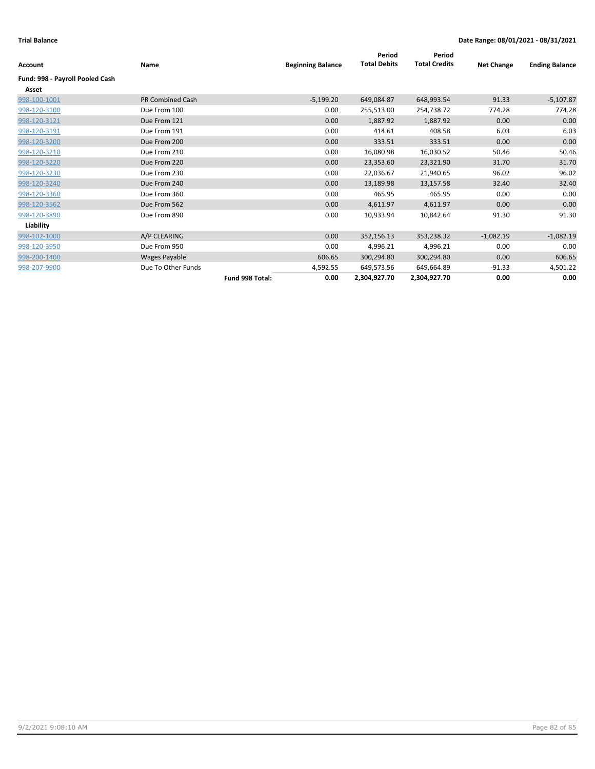| Account                         | Name                    |                 | <b>Beginning Balance</b> | Period<br><b>Total Debits</b> | Period<br><b>Total Credits</b> | <b>Net Change</b> | <b>Ending Balance</b> |
|---------------------------------|-------------------------|-----------------|--------------------------|-------------------------------|--------------------------------|-------------------|-----------------------|
| Fund: 998 - Payroll Pooled Cash |                         |                 |                          |                               |                                |                   |                       |
| Asset                           |                         |                 |                          |                               |                                |                   |                       |
| 998-100-1001                    | <b>PR Combined Cash</b> |                 | $-5,199.20$              | 649,084.87                    | 648,993.54                     | 91.33             | $-5,107.87$           |
| 998-120-3100                    | Due From 100            |                 | 0.00                     | 255,513.00                    | 254,738.72                     | 774.28            | 774.28                |
| 998-120-3121                    | Due From 121            |                 | 0.00                     | 1,887.92                      | 1,887.92                       | 0.00              | 0.00                  |
| 998-120-3191                    | Due From 191            |                 | 0.00                     | 414.61                        | 408.58                         | 6.03              | 6.03                  |
| 998-120-3200                    | Due From 200            |                 | 0.00                     | 333.51                        | 333.51                         | 0.00              | 0.00                  |
| 998-120-3210                    | Due From 210            |                 | 0.00                     | 16,080.98                     | 16,030.52                      | 50.46             | 50.46                 |
| 998-120-3220                    | Due From 220            |                 | 0.00                     | 23,353.60                     | 23,321.90                      | 31.70             | 31.70                 |
| 998-120-3230                    | Due From 230            |                 | 0.00                     | 22,036.67                     | 21,940.65                      | 96.02             | 96.02                 |
| 998-120-3240                    | Due From 240            |                 | 0.00                     | 13,189.98                     | 13,157.58                      | 32.40             | 32.40                 |
| 998-120-3360                    | Due From 360            |                 | 0.00                     | 465.95                        | 465.95                         | 0.00              | 0.00                  |
| 998-120-3562                    | Due From 562            |                 | 0.00                     | 4,611.97                      | 4,611.97                       | 0.00              | 0.00                  |
| 998-120-3890                    | Due From 890            |                 | 0.00                     | 10,933.94                     | 10,842.64                      | 91.30             | 91.30                 |
| Liability                       |                         |                 |                          |                               |                                |                   |                       |
| 998-102-1000                    | A/P CLEARING            |                 | 0.00                     | 352,156.13                    | 353,238.32                     | $-1,082.19$       | $-1,082.19$           |
| 998-120-3950                    | Due From 950            |                 | 0.00                     | 4,996.21                      | 4,996.21                       | 0.00              | 0.00                  |
| 998-200-1400                    | Wages Payable           |                 | 606.65                   | 300,294.80                    | 300,294.80                     | 0.00              | 606.65                |
| 998-207-9900                    | Due To Other Funds      |                 | 4,592.55                 | 649,573.56                    | 649,664.89                     | $-91.33$          | 4,501.22              |
|                                 |                         | Fund 998 Total: | 0.00                     | 2,304,927.70                  | 2,304,927.70                   | 0.00              | 0.00                  |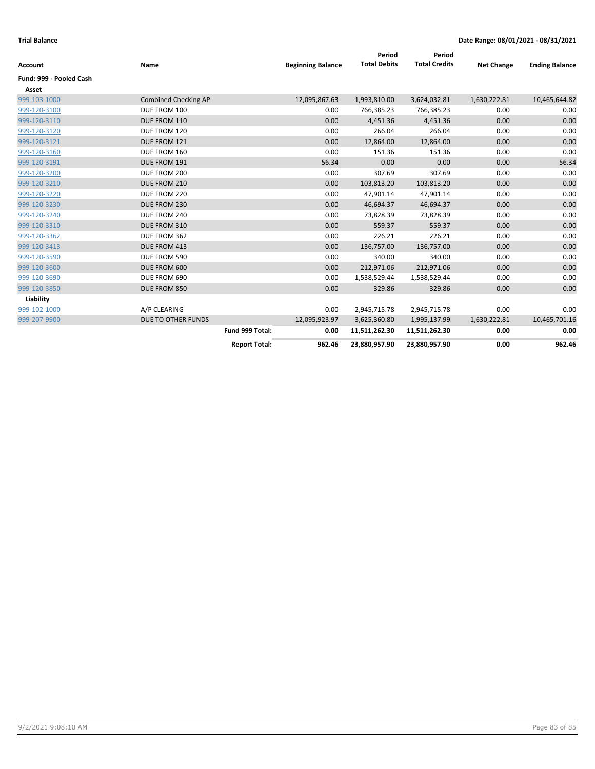| <b>Account</b>          | Name                        |                      | <b>Beginning Balance</b> | Period<br><b>Total Debits</b> | Period<br><b>Total Credits</b> | <b>Net Change</b> | <b>Ending Balance</b> |
|-------------------------|-----------------------------|----------------------|--------------------------|-------------------------------|--------------------------------|-------------------|-----------------------|
| Fund: 999 - Pooled Cash |                             |                      |                          |                               |                                |                   |                       |
| Asset                   |                             |                      |                          |                               |                                |                   |                       |
| 999-103-1000            | <b>Combined Checking AP</b> |                      | 12,095,867.63            | 1,993,810.00                  | 3,624,032.81                   | $-1,630,222.81$   | 10,465,644.82         |
| 999-120-3100            | DUE FROM 100                |                      | 0.00                     | 766,385.23                    | 766,385.23                     | 0.00              | 0.00                  |
| 999-120-3110            | DUE FROM 110                |                      | 0.00                     | 4,451.36                      | 4,451.36                       | 0.00              | 0.00                  |
| 999-120-3120            | DUE FROM 120                |                      | 0.00                     | 266.04                        | 266.04                         | 0.00              | 0.00                  |
| 999-120-3121            | DUE FROM 121                |                      | 0.00                     | 12,864.00                     | 12,864.00                      | 0.00              | 0.00                  |
| 999-120-3160            | DUE FROM 160                |                      | 0.00                     | 151.36                        | 151.36                         | 0.00              | 0.00                  |
| 999-120-3191            | DUE FROM 191                |                      | 56.34                    | 0.00                          | 0.00                           | 0.00              | 56.34                 |
| 999-120-3200            | DUE FROM 200                |                      | 0.00                     | 307.69                        | 307.69                         | 0.00              | 0.00                  |
| 999-120-3210            | DUE FROM 210                |                      | 0.00                     | 103,813.20                    | 103,813.20                     | 0.00              | 0.00                  |
| 999-120-3220            | DUE FROM 220                |                      | 0.00                     | 47,901.14                     | 47,901.14                      | 0.00              | 0.00                  |
| 999-120-3230            | DUE FROM 230                |                      | 0.00                     | 46,694.37                     | 46,694.37                      | 0.00              | 0.00                  |
| 999-120-3240            | DUE FROM 240                |                      | 0.00                     | 73,828.39                     | 73,828.39                      | 0.00              | 0.00                  |
| 999-120-3310            | DUE FROM 310                |                      | 0.00                     | 559.37                        | 559.37                         | 0.00              | 0.00                  |
| 999-120-3362            | DUE FROM 362                |                      | 0.00                     | 226.21                        | 226.21                         | 0.00              | 0.00                  |
| 999-120-3413            | DUE FROM 413                |                      | 0.00                     | 136,757.00                    | 136,757.00                     | 0.00              | 0.00                  |
| 999-120-3590            | DUE FROM 590                |                      | 0.00                     | 340.00                        | 340.00                         | 0.00              | 0.00                  |
| 999-120-3600            | DUE FROM 600                |                      | 0.00                     | 212,971.06                    | 212,971.06                     | 0.00              | 0.00                  |
| 999-120-3690            | DUE FROM 690                |                      | 0.00                     | 1,538,529.44                  | 1,538,529.44                   | 0.00              | 0.00                  |
| 999-120-3850            | DUE FROM 850                |                      | 0.00                     | 329.86                        | 329.86                         | 0.00              | 0.00                  |
| Liability               |                             |                      |                          |                               |                                |                   |                       |
| 999-102-1000            | A/P CLEARING                |                      | 0.00                     | 2,945,715.78                  | 2,945,715.78                   | 0.00              | 0.00                  |
| 999-207-9900            | DUE TO OTHER FUNDS          |                      | $-12,095,923.97$         | 3,625,360.80                  | 1,995,137.99                   | 1,630,222.81      | $-10,465,701.16$      |
|                         |                             | Fund 999 Total:      | 0.00                     | 11,511,262.30                 | 11,511,262.30                  | 0.00              | 0.00                  |
|                         |                             | <b>Report Total:</b> | 962.46                   | 23,880,957.90                 | 23,880,957.90                  | 0.00              | 962.46                |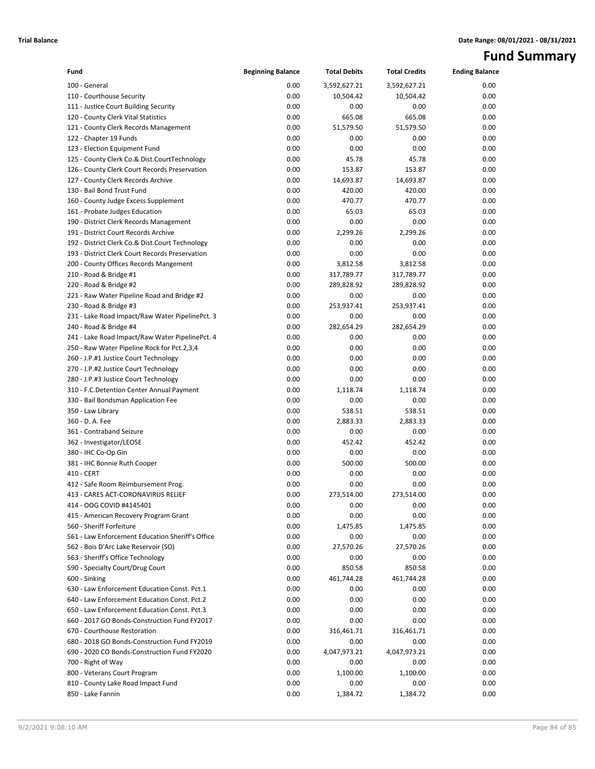# **Fund Summary**

| 100 - General<br>0.00<br>3,592,627.21<br>3,592,627.21<br>0.00<br>0.00<br>110 - Courthouse Security<br>10,504.42<br>0.00<br>10,504.42<br>111 - Justice Court Building Security<br>0.00<br>0.00<br>0.00<br>0.00<br>0.00<br>120 - County Clerk Vital Statistics<br>665.08<br>665.08<br>0.00<br>0.00<br>51,579.50<br>51,579.50<br>0.00<br>121 - County Clerk Records Management<br>0.00<br>122 - Chapter 19 Funds<br>0.00<br>0.00<br>0.00<br>0.00<br>0.00<br>0.00<br>123 - Election Equipment Fund<br>0.00<br>0.00<br>45.78<br>125 - County Clerk Co.& Dist.CourtTechnology<br>45.78<br>0.00<br>0.00<br>126 - County Clerk Court Records Preservation<br>153.87<br>153.87<br>0.00<br>0.00<br>127 - County Clerk Records Archive<br>14,693.87<br>14,693.87<br>0.00<br>0.00<br>130 - Bail Bond Trust Fund<br>420.00<br>420.00<br>0.00<br>0.00<br>470.77<br>470.77<br>0.00<br>160 - County Judge Excess Supplement<br>0.00<br>65.03<br>65.03<br>0.00<br>161 - Probate Judges Education<br>0.00<br>190 - District Clerk Records Management<br>0.00<br>0.00<br>0.00<br>0.00<br>191 - District Court Records Archive<br>2,299.26<br>2,299.26<br>0.00<br>0.00<br>0.00<br>0.00<br>0.00<br>192 - District Clerk Co.& Dist.Court Technology<br>0.00<br>0.00<br>0.00<br>0.00<br>193 - District Clerk Court Records Preservation<br>0.00<br>3,812.58<br>3,812.58<br>0.00<br>200 - County Offices Records Mangement<br>0.00<br>210 - Road & Bridge #1<br>317,789.77<br>317,789.77<br>0.00<br>0.00<br>220 - Road & Bridge #2<br>289,828.92<br>289,828.92<br>0.00<br>0.00<br>221 - Raw Water Pipeline Road and Bridge #2<br>0.00<br>0.00<br>0.00<br>0.00<br>253,937.41<br>230 - Road & Bridge #3<br>253,937.41<br>0.00<br>0.00<br>231 - Lake Road Impact/Raw Water PipelinePct. 3<br>0.00<br>0.00<br>0.00<br>0.00<br>240 - Road & Bridge #4<br>282,654.29<br>282,654.29<br>0.00<br>0.00<br>0.00<br>0.00<br>0.00<br>241 - Lake Road Impact/Raw Water PipelinePct. 4<br>0.00<br>250 - Raw Water Pipeline Rock for Pct.2,3,4<br>0.00<br>0.00<br>0.00<br>0.00<br>0.00<br>0.00<br>0.00<br>260 - J.P.#1 Justice Court Technology<br>0.00<br>0.00<br>0.00<br>0.00<br>270 - J.P.#2 Justice Court Technology<br>0.00<br>280 - J.P.#3 Justice Court Technology<br>0.00<br>0.00<br>0.00<br>0.00<br>1,118.74<br>1,118.74<br>0.00<br>310 - F.C.Detention Center Annual Payment<br>0.00<br>0.00<br>0.00<br>0.00<br>330 - Bail Bondsman Application Fee<br>0.00<br>538.51<br>538.51<br>0.00<br>350 - Law Library<br>0.00<br>360 - D. A. Fee<br>2,883.33<br>2,883.33<br>0.00<br>0.00<br>361 - Contraband Seizure<br>0.00<br>0.00<br>0.00<br>0.00<br>452.42<br>452.42<br>0.00<br>362 - Investigator/LEOSE<br>0.00<br>380 - IHC Co-Op Gin<br>0.00<br>0.00<br>0.00<br>0.00<br>500.00<br>500.00<br>0.00<br>381 - IHC Bonnie Ruth Cooper<br>410 - CERT<br>0.00<br>0.00<br>0.00<br>0.00<br>0.00<br>412 - Safe Room Reimbursement Prog.<br>0.00<br>0.00<br>0.00<br>0.00<br>273,514.00<br>273,514.00<br>0.00<br>413 - CARES ACT-CORONAVIRUS RELIEF<br>414 - OOG COVID #4145401<br>0.00<br>0.00<br>0.00<br>0.00<br>0.00<br>0.00<br>0.00<br>0.00<br>415 - American Recovery Program Grant<br>560 - Sheriff Forfeiture<br>0.00<br>1,475.85<br>1,475.85<br>0.00<br>0.00<br>561 - Law Enforcement Education Sheriff's Office<br>0.00<br>0.00<br>0.00<br>562 - Bois D'Arc Lake Reservoir (SO)<br>0.00<br>27,570.26<br>27,570.26<br>0.00<br>0.00<br>563 - Sheriff's Office Technology<br>0.00<br>0.00<br>0.00<br>0.00<br>590 - Specialty Court/Drug Court<br>850.58<br>850.58<br>0.00<br>600 - Sinking<br>0.00<br>461,744.28<br>461,744.28<br>0.00<br>0.00<br>630 - Law Enforcement Education Const. Pct.1<br>0.00<br>0.00<br>0.00<br>640 - Law Enforcement Education Const. Pct.2<br>0.00<br>0.00<br>0.00<br>0.00<br>0.00<br>650 - Law Enforcement Education Const. Pct.3<br>0.00<br>0.00<br>0.00<br>0.00<br>0.00<br>660 - 2017 GO Bonds-Construction Fund FY2017<br>0.00<br>0.00<br>670 - Courthouse Restoration<br>0.00<br>316,461.71<br>316,461.71<br>0.00<br>680 - 2018 GO Bonds-Construction Fund FY2019<br>0.00<br>0.00<br>0.00<br>0.00<br>690 - 2020 CO Bonds-Construction Fund FY2020<br>0.00<br>4,047,973.21<br>4,047,973.21<br>0.00<br>0.00<br>0.00<br>700 - Right of Way<br>0.00<br>0.00<br>0.00<br>1,100.00<br>1,100.00<br>0.00<br>800 - Veterans Court Program<br>0.00<br>0.00<br>0.00<br>0.00<br>810 - County Lake Road Impact Fund<br>0.00<br>850 - Lake Fannin<br>0.00 | Fund | <b>Beginning Balance</b> | <b>Total Debits</b> | <b>Total Credits</b> | <b>Ending Balance</b> |
|---------------------------------------------------------------------------------------------------------------------------------------------------------------------------------------------------------------------------------------------------------------------------------------------------------------------------------------------------------------------------------------------------------------------------------------------------------------------------------------------------------------------------------------------------------------------------------------------------------------------------------------------------------------------------------------------------------------------------------------------------------------------------------------------------------------------------------------------------------------------------------------------------------------------------------------------------------------------------------------------------------------------------------------------------------------------------------------------------------------------------------------------------------------------------------------------------------------------------------------------------------------------------------------------------------------------------------------------------------------------------------------------------------------------------------------------------------------------------------------------------------------------------------------------------------------------------------------------------------------------------------------------------------------------------------------------------------------------------------------------------------------------------------------------------------------------------------------------------------------------------------------------------------------------------------------------------------------------------------------------------------------------------------------------------------------------------------------------------------------------------------------------------------------------------------------------------------------------------------------------------------------------------------------------------------------------------------------------------------------------------------------------------------------------------------------------------------------------------------------------------------------------------------------------------------------------------------------------------------------------------------------------------------------------------------------------------------------------------------------------------------------------------------------------------------------------------------------------------------------------------------------------------------------------------------------------------------------------------------------------------------------------------------------------------------------------------------------------------------------------------------------------------------------------------------------------------------------------------------------------------------------------------------------------------------------------------------------------------------------------------------------------------------------------------------------------------------------------------------------------------------------------------------------------------------------------------------------------------------------------------------------------------------------------------------------------------------------------------------------------------------------------------------------------------------------------------------------------------------------------------------------------------------------------------------------------------------------------------------------------------------------------------------------------------------------------------------------------------------------------------------------------------------------------------------------------------------------------------------------------------------------------------------------------------------------------------------------------------------------------------------------------------------------------------------------|------|--------------------------|---------------------|----------------------|-----------------------|
|                                                                                                                                                                                                                                                                                                                                                                                                                                                                                                                                                                                                                                                                                                                                                                                                                                                                                                                                                                                                                                                                                                                                                                                                                                                                                                                                                                                                                                                                                                                                                                                                                                                                                                                                                                                                                                                                                                                                                                                                                                                                                                                                                                                                                                                                                                                                                                                                                                                                                                                                                                                                                                                                                                                                                                                                                                                                                                                                                                                                                                                                                                                                                                                                                                                                                                                                                                                                                                                                                                                                                                                                                                                                                                                                                                                                                                                                                                                                                                                                                                                                                                                                                                                                                                                                                                                                                                                                                                       |      |                          |                     |                      |                       |
|                                                                                                                                                                                                                                                                                                                                                                                                                                                                                                                                                                                                                                                                                                                                                                                                                                                                                                                                                                                                                                                                                                                                                                                                                                                                                                                                                                                                                                                                                                                                                                                                                                                                                                                                                                                                                                                                                                                                                                                                                                                                                                                                                                                                                                                                                                                                                                                                                                                                                                                                                                                                                                                                                                                                                                                                                                                                                                                                                                                                                                                                                                                                                                                                                                                                                                                                                                                                                                                                                                                                                                                                                                                                                                                                                                                                                                                                                                                                                                                                                                                                                                                                                                                                                                                                                                                                                                                                                                       |      |                          |                     |                      |                       |
|                                                                                                                                                                                                                                                                                                                                                                                                                                                                                                                                                                                                                                                                                                                                                                                                                                                                                                                                                                                                                                                                                                                                                                                                                                                                                                                                                                                                                                                                                                                                                                                                                                                                                                                                                                                                                                                                                                                                                                                                                                                                                                                                                                                                                                                                                                                                                                                                                                                                                                                                                                                                                                                                                                                                                                                                                                                                                                                                                                                                                                                                                                                                                                                                                                                                                                                                                                                                                                                                                                                                                                                                                                                                                                                                                                                                                                                                                                                                                                                                                                                                                                                                                                                                                                                                                                                                                                                                                                       |      |                          |                     |                      |                       |
|                                                                                                                                                                                                                                                                                                                                                                                                                                                                                                                                                                                                                                                                                                                                                                                                                                                                                                                                                                                                                                                                                                                                                                                                                                                                                                                                                                                                                                                                                                                                                                                                                                                                                                                                                                                                                                                                                                                                                                                                                                                                                                                                                                                                                                                                                                                                                                                                                                                                                                                                                                                                                                                                                                                                                                                                                                                                                                                                                                                                                                                                                                                                                                                                                                                                                                                                                                                                                                                                                                                                                                                                                                                                                                                                                                                                                                                                                                                                                                                                                                                                                                                                                                                                                                                                                                                                                                                                                                       |      |                          |                     |                      |                       |
|                                                                                                                                                                                                                                                                                                                                                                                                                                                                                                                                                                                                                                                                                                                                                                                                                                                                                                                                                                                                                                                                                                                                                                                                                                                                                                                                                                                                                                                                                                                                                                                                                                                                                                                                                                                                                                                                                                                                                                                                                                                                                                                                                                                                                                                                                                                                                                                                                                                                                                                                                                                                                                                                                                                                                                                                                                                                                                                                                                                                                                                                                                                                                                                                                                                                                                                                                                                                                                                                                                                                                                                                                                                                                                                                                                                                                                                                                                                                                                                                                                                                                                                                                                                                                                                                                                                                                                                                                                       |      |                          |                     |                      |                       |
|                                                                                                                                                                                                                                                                                                                                                                                                                                                                                                                                                                                                                                                                                                                                                                                                                                                                                                                                                                                                                                                                                                                                                                                                                                                                                                                                                                                                                                                                                                                                                                                                                                                                                                                                                                                                                                                                                                                                                                                                                                                                                                                                                                                                                                                                                                                                                                                                                                                                                                                                                                                                                                                                                                                                                                                                                                                                                                                                                                                                                                                                                                                                                                                                                                                                                                                                                                                                                                                                                                                                                                                                                                                                                                                                                                                                                                                                                                                                                                                                                                                                                                                                                                                                                                                                                                                                                                                                                                       |      |                          |                     |                      |                       |
|                                                                                                                                                                                                                                                                                                                                                                                                                                                                                                                                                                                                                                                                                                                                                                                                                                                                                                                                                                                                                                                                                                                                                                                                                                                                                                                                                                                                                                                                                                                                                                                                                                                                                                                                                                                                                                                                                                                                                                                                                                                                                                                                                                                                                                                                                                                                                                                                                                                                                                                                                                                                                                                                                                                                                                                                                                                                                                                                                                                                                                                                                                                                                                                                                                                                                                                                                                                                                                                                                                                                                                                                                                                                                                                                                                                                                                                                                                                                                                                                                                                                                                                                                                                                                                                                                                                                                                                                                                       |      |                          |                     |                      |                       |
|                                                                                                                                                                                                                                                                                                                                                                                                                                                                                                                                                                                                                                                                                                                                                                                                                                                                                                                                                                                                                                                                                                                                                                                                                                                                                                                                                                                                                                                                                                                                                                                                                                                                                                                                                                                                                                                                                                                                                                                                                                                                                                                                                                                                                                                                                                                                                                                                                                                                                                                                                                                                                                                                                                                                                                                                                                                                                                                                                                                                                                                                                                                                                                                                                                                                                                                                                                                                                                                                                                                                                                                                                                                                                                                                                                                                                                                                                                                                                                                                                                                                                                                                                                                                                                                                                                                                                                                                                                       |      |                          |                     |                      |                       |
|                                                                                                                                                                                                                                                                                                                                                                                                                                                                                                                                                                                                                                                                                                                                                                                                                                                                                                                                                                                                                                                                                                                                                                                                                                                                                                                                                                                                                                                                                                                                                                                                                                                                                                                                                                                                                                                                                                                                                                                                                                                                                                                                                                                                                                                                                                                                                                                                                                                                                                                                                                                                                                                                                                                                                                                                                                                                                                                                                                                                                                                                                                                                                                                                                                                                                                                                                                                                                                                                                                                                                                                                                                                                                                                                                                                                                                                                                                                                                                                                                                                                                                                                                                                                                                                                                                                                                                                                                                       |      |                          |                     |                      |                       |
|                                                                                                                                                                                                                                                                                                                                                                                                                                                                                                                                                                                                                                                                                                                                                                                                                                                                                                                                                                                                                                                                                                                                                                                                                                                                                                                                                                                                                                                                                                                                                                                                                                                                                                                                                                                                                                                                                                                                                                                                                                                                                                                                                                                                                                                                                                                                                                                                                                                                                                                                                                                                                                                                                                                                                                                                                                                                                                                                                                                                                                                                                                                                                                                                                                                                                                                                                                                                                                                                                                                                                                                                                                                                                                                                                                                                                                                                                                                                                                                                                                                                                                                                                                                                                                                                                                                                                                                                                                       |      |                          |                     |                      |                       |
|                                                                                                                                                                                                                                                                                                                                                                                                                                                                                                                                                                                                                                                                                                                                                                                                                                                                                                                                                                                                                                                                                                                                                                                                                                                                                                                                                                                                                                                                                                                                                                                                                                                                                                                                                                                                                                                                                                                                                                                                                                                                                                                                                                                                                                                                                                                                                                                                                                                                                                                                                                                                                                                                                                                                                                                                                                                                                                                                                                                                                                                                                                                                                                                                                                                                                                                                                                                                                                                                                                                                                                                                                                                                                                                                                                                                                                                                                                                                                                                                                                                                                                                                                                                                                                                                                                                                                                                                                                       |      |                          |                     |                      |                       |
|                                                                                                                                                                                                                                                                                                                                                                                                                                                                                                                                                                                                                                                                                                                                                                                                                                                                                                                                                                                                                                                                                                                                                                                                                                                                                                                                                                                                                                                                                                                                                                                                                                                                                                                                                                                                                                                                                                                                                                                                                                                                                                                                                                                                                                                                                                                                                                                                                                                                                                                                                                                                                                                                                                                                                                                                                                                                                                                                                                                                                                                                                                                                                                                                                                                                                                                                                                                                                                                                                                                                                                                                                                                                                                                                                                                                                                                                                                                                                                                                                                                                                                                                                                                                                                                                                                                                                                                                                                       |      |                          |                     |                      |                       |
|                                                                                                                                                                                                                                                                                                                                                                                                                                                                                                                                                                                                                                                                                                                                                                                                                                                                                                                                                                                                                                                                                                                                                                                                                                                                                                                                                                                                                                                                                                                                                                                                                                                                                                                                                                                                                                                                                                                                                                                                                                                                                                                                                                                                                                                                                                                                                                                                                                                                                                                                                                                                                                                                                                                                                                                                                                                                                                                                                                                                                                                                                                                                                                                                                                                                                                                                                                                                                                                                                                                                                                                                                                                                                                                                                                                                                                                                                                                                                                                                                                                                                                                                                                                                                                                                                                                                                                                                                                       |      |                          |                     |                      |                       |
|                                                                                                                                                                                                                                                                                                                                                                                                                                                                                                                                                                                                                                                                                                                                                                                                                                                                                                                                                                                                                                                                                                                                                                                                                                                                                                                                                                                                                                                                                                                                                                                                                                                                                                                                                                                                                                                                                                                                                                                                                                                                                                                                                                                                                                                                                                                                                                                                                                                                                                                                                                                                                                                                                                                                                                                                                                                                                                                                                                                                                                                                                                                                                                                                                                                                                                                                                                                                                                                                                                                                                                                                                                                                                                                                                                                                                                                                                                                                                                                                                                                                                                                                                                                                                                                                                                                                                                                                                                       |      |                          |                     |                      |                       |
|                                                                                                                                                                                                                                                                                                                                                                                                                                                                                                                                                                                                                                                                                                                                                                                                                                                                                                                                                                                                                                                                                                                                                                                                                                                                                                                                                                                                                                                                                                                                                                                                                                                                                                                                                                                                                                                                                                                                                                                                                                                                                                                                                                                                                                                                                                                                                                                                                                                                                                                                                                                                                                                                                                                                                                                                                                                                                                                                                                                                                                                                                                                                                                                                                                                                                                                                                                                                                                                                                                                                                                                                                                                                                                                                                                                                                                                                                                                                                                                                                                                                                                                                                                                                                                                                                                                                                                                                                                       |      |                          |                     |                      |                       |
|                                                                                                                                                                                                                                                                                                                                                                                                                                                                                                                                                                                                                                                                                                                                                                                                                                                                                                                                                                                                                                                                                                                                                                                                                                                                                                                                                                                                                                                                                                                                                                                                                                                                                                                                                                                                                                                                                                                                                                                                                                                                                                                                                                                                                                                                                                                                                                                                                                                                                                                                                                                                                                                                                                                                                                                                                                                                                                                                                                                                                                                                                                                                                                                                                                                                                                                                                                                                                                                                                                                                                                                                                                                                                                                                                                                                                                                                                                                                                                                                                                                                                                                                                                                                                                                                                                                                                                                                                                       |      |                          |                     |                      |                       |
|                                                                                                                                                                                                                                                                                                                                                                                                                                                                                                                                                                                                                                                                                                                                                                                                                                                                                                                                                                                                                                                                                                                                                                                                                                                                                                                                                                                                                                                                                                                                                                                                                                                                                                                                                                                                                                                                                                                                                                                                                                                                                                                                                                                                                                                                                                                                                                                                                                                                                                                                                                                                                                                                                                                                                                                                                                                                                                                                                                                                                                                                                                                                                                                                                                                                                                                                                                                                                                                                                                                                                                                                                                                                                                                                                                                                                                                                                                                                                                                                                                                                                                                                                                                                                                                                                                                                                                                                                                       |      |                          |                     |                      |                       |
|                                                                                                                                                                                                                                                                                                                                                                                                                                                                                                                                                                                                                                                                                                                                                                                                                                                                                                                                                                                                                                                                                                                                                                                                                                                                                                                                                                                                                                                                                                                                                                                                                                                                                                                                                                                                                                                                                                                                                                                                                                                                                                                                                                                                                                                                                                                                                                                                                                                                                                                                                                                                                                                                                                                                                                                                                                                                                                                                                                                                                                                                                                                                                                                                                                                                                                                                                                                                                                                                                                                                                                                                                                                                                                                                                                                                                                                                                                                                                                                                                                                                                                                                                                                                                                                                                                                                                                                                                                       |      |                          |                     |                      |                       |
|                                                                                                                                                                                                                                                                                                                                                                                                                                                                                                                                                                                                                                                                                                                                                                                                                                                                                                                                                                                                                                                                                                                                                                                                                                                                                                                                                                                                                                                                                                                                                                                                                                                                                                                                                                                                                                                                                                                                                                                                                                                                                                                                                                                                                                                                                                                                                                                                                                                                                                                                                                                                                                                                                                                                                                                                                                                                                                                                                                                                                                                                                                                                                                                                                                                                                                                                                                                                                                                                                                                                                                                                                                                                                                                                                                                                                                                                                                                                                                                                                                                                                                                                                                                                                                                                                                                                                                                                                                       |      |                          |                     |                      |                       |
|                                                                                                                                                                                                                                                                                                                                                                                                                                                                                                                                                                                                                                                                                                                                                                                                                                                                                                                                                                                                                                                                                                                                                                                                                                                                                                                                                                                                                                                                                                                                                                                                                                                                                                                                                                                                                                                                                                                                                                                                                                                                                                                                                                                                                                                                                                                                                                                                                                                                                                                                                                                                                                                                                                                                                                                                                                                                                                                                                                                                                                                                                                                                                                                                                                                                                                                                                                                                                                                                                                                                                                                                                                                                                                                                                                                                                                                                                                                                                                                                                                                                                                                                                                                                                                                                                                                                                                                                                                       |      |                          |                     |                      |                       |
|                                                                                                                                                                                                                                                                                                                                                                                                                                                                                                                                                                                                                                                                                                                                                                                                                                                                                                                                                                                                                                                                                                                                                                                                                                                                                                                                                                                                                                                                                                                                                                                                                                                                                                                                                                                                                                                                                                                                                                                                                                                                                                                                                                                                                                                                                                                                                                                                                                                                                                                                                                                                                                                                                                                                                                                                                                                                                                                                                                                                                                                                                                                                                                                                                                                                                                                                                                                                                                                                                                                                                                                                                                                                                                                                                                                                                                                                                                                                                                                                                                                                                                                                                                                                                                                                                                                                                                                                                                       |      |                          |                     |                      |                       |
|                                                                                                                                                                                                                                                                                                                                                                                                                                                                                                                                                                                                                                                                                                                                                                                                                                                                                                                                                                                                                                                                                                                                                                                                                                                                                                                                                                                                                                                                                                                                                                                                                                                                                                                                                                                                                                                                                                                                                                                                                                                                                                                                                                                                                                                                                                                                                                                                                                                                                                                                                                                                                                                                                                                                                                                                                                                                                                                                                                                                                                                                                                                                                                                                                                                                                                                                                                                                                                                                                                                                                                                                                                                                                                                                                                                                                                                                                                                                                                                                                                                                                                                                                                                                                                                                                                                                                                                                                                       |      |                          |                     |                      |                       |
|                                                                                                                                                                                                                                                                                                                                                                                                                                                                                                                                                                                                                                                                                                                                                                                                                                                                                                                                                                                                                                                                                                                                                                                                                                                                                                                                                                                                                                                                                                                                                                                                                                                                                                                                                                                                                                                                                                                                                                                                                                                                                                                                                                                                                                                                                                                                                                                                                                                                                                                                                                                                                                                                                                                                                                                                                                                                                                                                                                                                                                                                                                                                                                                                                                                                                                                                                                                                                                                                                                                                                                                                                                                                                                                                                                                                                                                                                                                                                                                                                                                                                                                                                                                                                                                                                                                                                                                                                                       |      |                          |                     |                      |                       |
|                                                                                                                                                                                                                                                                                                                                                                                                                                                                                                                                                                                                                                                                                                                                                                                                                                                                                                                                                                                                                                                                                                                                                                                                                                                                                                                                                                                                                                                                                                                                                                                                                                                                                                                                                                                                                                                                                                                                                                                                                                                                                                                                                                                                                                                                                                                                                                                                                                                                                                                                                                                                                                                                                                                                                                                                                                                                                                                                                                                                                                                                                                                                                                                                                                                                                                                                                                                                                                                                                                                                                                                                                                                                                                                                                                                                                                                                                                                                                                                                                                                                                                                                                                                                                                                                                                                                                                                                                                       |      |                          |                     |                      |                       |
|                                                                                                                                                                                                                                                                                                                                                                                                                                                                                                                                                                                                                                                                                                                                                                                                                                                                                                                                                                                                                                                                                                                                                                                                                                                                                                                                                                                                                                                                                                                                                                                                                                                                                                                                                                                                                                                                                                                                                                                                                                                                                                                                                                                                                                                                                                                                                                                                                                                                                                                                                                                                                                                                                                                                                                                                                                                                                                                                                                                                                                                                                                                                                                                                                                                                                                                                                                                                                                                                                                                                                                                                                                                                                                                                                                                                                                                                                                                                                                                                                                                                                                                                                                                                                                                                                                                                                                                                                                       |      |                          |                     |                      |                       |
|                                                                                                                                                                                                                                                                                                                                                                                                                                                                                                                                                                                                                                                                                                                                                                                                                                                                                                                                                                                                                                                                                                                                                                                                                                                                                                                                                                                                                                                                                                                                                                                                                                                                                                                                                                                                                                                                                                                                                                                                                                                                                                                                                                                                                                                                                                                                                                                                                                                                                                                                                                                                                                                                                                                                                                                                                                                                                                                                                                                                                                                                                                                                                                                                                                                                                                                                                                                                                                                                                                                                                                                                                                                                                                                                                                                                                                                                                                                                                                                                                                                                                                                                                                                                                                                                                                                                                                                                                                       |      |                          |                     |                      |                       |
|                                                                                                                                                                                                                                                                                                                                                                                                                                                                                                                                                                                                                                                                                                                                                                                                                                                                                                                                                                                                                                                                                                                                                                                                                                                                                                                                                                                                                                                                                                                                                                                                                                                                                                                                                                                                                                                                                                                                                                                                                                                                                                                                                                                                                                                                                                                                                                                                                                                                                                                                                                                                                                                                                                                                                                                                                                                                                                                                                                                                                                                                                                                                                                                                                                                                                                                                                                                                                                                                                                                                                                                                                                                                                                                                                                                                                                                                                                                                                                                                                                                                                                                                                                                                                                                                                                                                                                                                                                       |      |                          |                     |                      |                       |
|                                                                                                                                                                                                                                                                                                                                                                                                                                                                                                                                                                                                                                                                                                                                                                                                                                                                                                                                                                                                                                                                                                                                                                                                                                                                                                                                                                                                                                                                                                                                                                                                                                                                                                                                                                                                                                                                                                                                                                                                                                                                                                                                                                                                                                                                                                                                                                                                                                                                                                                                                                                                                                                                                                                                                                                                                                                                                                                                                                                                                                                                                                                                                                                                                                                                                                                                                                                                                                                                                                                                                                                                                                                                                                                                                                                                                                                                                                                                                                                                                                                                                                                                                                                                                                                                                                                                                                                                                                       |      |                          |                     |                      |                       |
|                                                                                                                                                                                                                                                                                                                                                                                                                                                                                                                                                                                                                                                                                                                                                                                                                                                                                                                                                                                                                                                                                                                                                                                                                                                                                                                                                                                                                                                                                                                                                                                                                                                                                                                                                                                                                                                                                                                                                                                                                                                                                                                                                                                                                                                                                                                                                                                                                                                                                                                                                                                                                                                                                                                                                                                                                                                                                                                                                                                                                                                                                                                                                                                                                                                                                                                                                                                                                                                                                                                                                                                                                                                                                                                                                                                                                                                                                                                                                                                                                                                                                                                                                                                                                                                                                                                                                                                                                                       |      |                          |                     |                      |                       |
|                                                                                                                                                                                                                                                                                                                                                                                                                                                                                                                                                                                                                                                                                                                                                                                                                                                                                                                                                                                                                                                                                                                                                                                                                                                                                                                                                                                                                                                                                                                                                                                                                                                                                                                                                                                                                                                                                                                                                                                                                                                                                                                                                                                                                                                                                                                                                                                                                                                                                                                                                                                                                                                                                                                                                                                                                                                                                                                                                                                                                                                                                                                                                                                                                                                                                                                                                                                                                                                                                                                                                                                                                                                                                                                                                                                                                                                                                                                                                                                                                                                                                                                                                                                                                                                                                                                                                                                                                                       |      |                          |                     |                      |                       |
|                                                                                                                                                                                                                                                                                                                                                                                                                                                                                                                                                                                                                                                                                                                                                                                                                                                                                                                                                                                                                                                                                                                                                                                                                                                                                                                                                                                                                                                                                                                                                                                                                                                                                                                                                                                                                                                                                                                                                                                                                                                                                                                                                                                                                                                                                                                                                                                                                                                                                                                                                                                                                                                                                                                                                                                                                                                                                                                                                                                                                                                                                                                                                                                                                                                                                                                                                                                                                                                                                                                                                                                                                                                                                                                                                                                                                                                                                                                                                                                                                                                                                                                                                                                                                                                                                                                                                                                                                                       |      |                          |                     |                      |                       |
|                                                                                                                                                                                                                                                                                                                                                                                                                                                                                                                                                                                                                                                                                                                                                                                                                                                                                                                                                                                                                                                                                                                                                                                                                                                                                                                                                                                                                                                                                                                                                                                                                                                                                                                                                                                                                                                                                                                                                                                                                                                                                                                                                                                                                                                                                                                                                                                                                                                                                                                                                                                                                                                                                                                                                                                                                                                                                                                                                                                                                                                                                                                                                                                                                                                                                                                                                                                                                                                                                                                                                                                                                                                                                                                                                                                                                                                                                                                                                                                                                                                                                                                                                                                                                                                                                                                                                                                                                                       |      |                          |                     |                      |                       |
|                                                                                                                                                                                                                                                                                                                                                                                                                                                                                                                                                                                                                                                                                                                                                                                                                                                                                                                                                                                                                                                                                                                                                                                                                                                                                                                                                                                                                                                                                                                                                                                                                                                                                                                                                                                                                                                                                                                                                                                                                                                                                                                                                                                                                                                                                                                                                                                                                                                                                                                                                                                                                                                                                                                                                                                                                                                                                                                                                                                                                                                                                                                                                                                                                                                                                                                                                                                                                                                                                                                                                                                                                                                                                                                                                                                                                                                                                                                                                                                                                                                                                                                                                                                                                                                                                                                                                                                                                                       |      |                          |                     |                      |                       |
|                                                                                                                                                                                                                                                                                                                                                                                                                                                                                                                                                                                                                                                                                                                                                                                                                                                                                                                                                                                                                                                                                                                                                                                                                                                                                                                                                                                                                                                                                                                                                                                                                                                                                                                                                                                                                                                                                                                                                                                                                                                                                                                                                                                                                                                                                                                                                                                                                                                                                                                                                                                                                                                                                                                                                                                                                                                                                                                                                                                                                                                                                                                                                                                                                                                                                                                                                                                                                                                                                                                                                                                                                                                                                                                                                                                                                                                                                                                                                                                                                                                                                                                                                                                                                                                                                                                                                                                                                                       |      |                          |                     |                      |                       |
|                                                                                                                                                                                                                                                                                                                                                                                                                                                                                                                                                                                                                                                                                                                                                                                                                                                                                                                                                                                                                                                                                                                                                                                                                                                                                                                                                                                                                                                                                                                                                                                                                                                                                                                                                                                                                                                                                                                                                                                                                                                                                                                                                                                                                                                                                                                                                                                                                                                                                                                                                                                                                                                                                                                                                                                                                                                                                                                                                                                                                                                                                                                                                                                                                                                                                                                                                                                                                                                                                                                                                                                                                                                                                                                                                                                                                                                                                                                                                                                                                                                                                                                                                                                                                                                                                                                                                                                                                                       |      |                          |                     |                      |                       |
|                                                                                                                                                                                                                                                                                                                                                                                                                                                                                                                                                                                                                                                                                                                                                                                                                                                                                                                                                                                                                                                                                                                                                                                                                                                                                                                                                                                                                                                                                                                                                                                                                                                                                                                                                                                                                                                                                                                                                                                                                                                                                                                                                                                                                                                                                                                                                                                                                                                                                                                                                                                                                                                                                                                                                                                                                                                                                                                                                                                                                                                                                                                                                                                                                                                                                                                                                                                                                                                                                                                                                                                                                                                                                                                                                                                                                                                                                                                                                                                                                                                                                                                                                                                                                                                                                                                                                                                                                                       |      |                          |                     |                      |                       |
|                                                                                                                                                                                                                                                                                                                                                                                                                                                                                                                                                                                                                                                                                                                                                                                                                                                                                                                                                                                                                                                                                                                                                                                                                                                                                                                                                                                                                                                                                                                                                                                                                                                                                                                                                                                                                                                                                                                                                                                                                                                                                                                                                                                                                                                                                                                                                                                                                                                                                                                                                                                                                                                                                                                                                                                                                                                                                                                                                                                                                                                                                                                                                                                                                                                                                                                                                                                                                                                                                                                                                                                                                                                                                                                                                                                                                                                                                                                                                                                                                                                                                                                                                                                                                                                                                                                                                                                                                                       |      |                          |                     |                      |                       |
|                                                                                                                                                                                                                                                                                                                                                                                                                                                                                                                                                                                                                                                                                                                                                                                                                                                                                                                                                                                                                                                                                                                                                                                                                                                                                                                                                                                                                                                                                                                                                                                                                                                                                                                                                                                                                                                                                                                                                                                                                                                                                                                                                                                                                                                                                                                                                                                                                                                                                                                                                                                                                                                                                                                                                                                                                                                                                                                                                                                                                                                                                                                                                                                                                                                                                                                                                                                                                                                                                                                                                                                                                                                                                                                                                                                                                                                                                                                                                                                                                                                                                                                                                                                                                                                                                                                                                                                                                                       |      |                          |                     |                      |                       |
|                                                                                                                                                                                                                                                                                                                                                                                                                                                                                                                                                                                                                                                                                                                                                                                                                                                                                                                                                                                                                                                                                                                                                                                                                                                                                                                                                                                                                                                                                                                                                                                                                                                                                                                                                                                                                                                                                                                                                                                                                                                                                                                                                                                                                                                                                                                                                                                                                                                                                                                                                                                                                                                                                                                                                                                                                                                                                                                                                                                                                                                                                                                                                                                                                                                                                                                                                                                                                                                                                                                                                                                                                                                                                                                                                                                                                                                                                                                                                                                                                                                                                                                                                                                                                                                                                                                                                                                                                                       |      |                          |                     |                      |                       |
|                                                                                                                                                                                                                                                                                                                                                                                                                                                                                                                                                                                                                                                                                                                                                                                                                                                                                                                                                                                                                                                                                                                                                                                                                                                                                                                                                                                                                                                                                                                                                                                                                                                                                                                                                                                                                                                                                                                                                                                                                                                                                                                                                                                                                                                                                                                                                                                                                                                                                                                                                                                                                                                                                                                                                                                                                                                                                                                                                                                                                                                                                                                                                                                                                                                                                                                                                                                                                                                                                                                                                                                                                                                                                                                                                                                                                                                                                                                                                                                                                                                                                                                                                                                                                                                                                                                                                                                                                                       |      |                          |                     |                      |                       |
|                                                                                                                                                                                                                                                                                                                                                                                                                                                                                                                                                                                                                                                                                                                                                                                                                                                                                                                                                                                                                                                                                                                                                                                                                                                                                                                                                                                                                                                                                                                                                                                                                                                                                                                                                                                                                                                                                                                                                                                                                                                                                                                                                                                                                                                                                                                                                                                                                                                                                                                                                                                                                                                                                                                                                                                                                                                                                                                                                                                                                                                                                                                                                                                                                                                                                                                                                                                                                                                                                                                                                                                                                                                                                                                                                                                                                                                                                                                                                                                                                                                                                                                                                                                                                                                                                                                                                                                                                                       |      |                          |                     |                      |                       |
|                                                                                                                                                                                                                                                                                                                                                                                                                                                                                                                                                                                                                                                                                                                                                                                                                                                                                                                                                                                                                                                                                                                                                                                                                                                                                                                                                                                                                                                                                                                                                                                                                                                                                                                                                                                                                                                                                                                                                                                                                                                                                                                                                                                                                                                                                                                                                                                                                                                                                                                                                                                                                                                                                                                                                                                                                                                                                                                                                                                                                                                                                                                                                                                                                                                                                                                                                                                                                                                                                                                                                                                                                                                                                                                                                                                                                                                                                                                                                                                                                                                                                                                                                                                                                                                                                                                                                                                                                                       |      |                          |                     |                      |                       |
|                                                                                                                                                                                                                                                                                                                                                                                                                                                                                                                                                                                                                                                                                                                                                                                                                                                                                                                                                                                                                                                                                                                                                                                                                                                                                                                                                                                                                                                                                                                                                                                                                                                                                                                                                                                                                                                                                                                                                                                                                                                                                                                                                                                                                                                                                                                                                                                                                                                                                                                                                                                                                                                                                                                                                                                                                                                                                                                                                                                                                                                                                                                                                                                                                                                                                                                                                                                                                                                                                                                                                                                                                                                                                                                                                                                                                                                                                                                                                                                                                                                                                                                                                                                                                                                                                                                                                                                                                                       |      |                          |                     |                      |                       |
|                                                                                                                                                                                                                                                                                                                                                                                                                                                                                                                                                                                                                                                                                                                                                                                                                                                                                                                                                                                                                                                                                                                                                                                                                                                                                                                                                                                                                                                                                                                                                                                                                                                                                                                                                                                                                                                                                                                                                                                                                                                                                                                                                                                                                                                                                                                                                                                                                                                                                                                                                                                                                                                                                                                                                                                                                                                                                                                                                                                                                                                                                                                                                                                                                                                                                                                                                                                                                                                                                                                                                                                                                                                                                                                                                                                                                                                                                                                                                                                                                                                                                                                                                                                                                                                                                                                                                                                                                                       |      |                          |                     |                      |                       |
|                                                                                                                                                                                                                                                                                                                                                                                                                                                                                                                                                                                                                                                                                                                                                                                                                                                                                                                                                                                                                                                                                                                                                                                                                                                                                                                                                                                                                                                                                                                                                                                                                                                                                                                                                                                                                                                                                                                                                                                                                                                                                                                                                                                                                                                                                                                                                                                                                                                                                                                                                                                                                                                                                                                                                                                                                                                                                                                                                                                                                                                                                                                                                                                                                                                                                                                                                                                                                                                                                                                                                                                                                                                                                                                                                                                                                                                                                                                                                                                                                                                                                                                                                                                                                                                                                                                                                                                                                                       |      |                          |                     |                      |                       |
|                                                                                                                                                                                                                                                                                                                                                                                                                                                                                                                                                                                                                                                                                                                                                                                                                                                                                                                                                                                                                                                                                                                                                                                                                                                                                                                                                                                                                                                                                                                                                                                                                                                                                                                                                                                                                                                                                                                                                                                                                                                                                                                                                                                                                                                                                                                                                                                                                                                                                                                                                                                                                                                                                                                                                                                                                                                                                                                                                                                                                                                                                                                                                                                                                                                                                                                                                                                                                                                                                                                                                                                                                                                                                                                                                                                                                                                                                                                                                                                                                                                                                                                                                                                                                                                                                                                                                                                                                                       |      |                          |                     |                      |                       |
|                                                                                                                                                                                                                                                                                                                                                                                                                                                                                                                                                                                                                                                                                                                                                                                                                                                                                                                                                                                                                                                                                                                                                                                                                                                                                                                                                                                                                                                                                                                                                                                                                                                                                                                                                                                                                                                                                                                                                                                                                                                                                                                                                                                                                                                                                                                                                                                                                                                                                                                                                                                                                                                                                                                                                                                                                                                                                                                                                                                                                                                                                                                                                                                                                                                                                                                                                                                                                                                                                                                                                                                                                                                                                                                                                                                                                                                                                                                                                                                                                                                                                                                                                                                                                                                                                                                                                                                                                                       |      |                          |                     |                      |                       |
|                                                                                                                                                                                                                                                                                                                                                                                                                                                                                                                                                                                                                                                                                                                                                                                                                                                                                                                                                                                                                                                                                                                                                                                                                                                                                                                                                                                                                                                                                                                                                                                                                                                                                                                                                                                                                                                                                                                                                                                                                                                                                                                                                                                                                                                                                                                                                                                                                                                                                                                                                                                                                                                                                                                                                                                                                                                                                                                                                                                                                                                                                                                                                                                                                                                                                                                                                                                                                                                                                                                                                                                                                                                                                                                                                                                                                                                                                                                                                                                                                                                                                                                                                                                                                                                                                                                                                                                                                                       |      |                          |                     |                      |                       |
|                                                                                                                                                                                                                                                                                                                                                                                                                                                                                                                                                                                                                                                                                                                                                                                                                                                                                                                                                                                                                                                                                                                                                                                                                                                                                                                                                                                                                                                                                                                                                                                                                                                                                                                                                                                                                                                                                                                                                                                                                                                                                                                                                                                                                                                                                                                                                                                                                                                                                                                                                                                                                                                                                                                                                                                                                                                                                                                                                                                                                                                                                                                                                                                                                                                                                                                                                                                                                                                                                                                                                                                                                                                                                                                                                                                                                                                                                                                                                                                                                                                                                                                                                                                                                                                                                                                                                                                                                                       |      |                          |                     |                      |                       |
|                                                                                                                                                                                                                                                                                                                                                                                                                                                                                                                                                                                                                                                                                                                                                                                                                                                                                                                                                                                                                                                                                                                                                                                                                                                                                                                                                                                                                                                                                                                                                                                                                                                                                                                                                                                                                                                                                                                                                                                                                                                                                                                                                                                                                                                                                                                                                                                                                                                                                                                                                                                                                                                                                                                                                                                                                                                                                                                                                                                                                                                                                                                                                                                                                                                                                                                                                                                                                                                                                                                                                                                                                                                                                                                                                                                                                                                                                                                                                                                                                                                                                                                                                                                                                                                                                                                                                                                                                                       |      |                          |                     |                      |                       |
|                                                                                                                                                                                                                                                                                                                                                                                                                                                                                                                                                                                                                                                                                                                                                                                                                                                                                                                                                                                                                                                                                                                                                                                                                                                                                                                                                                                                                                                                                                                                                                                                                                                                                                                                                                                                                                                                                                                                                                                                                                                                                                                                                                                                                                                                                                                                                                                                                                                                                                                                                                                                                                                                                                                                                                                                                                                                                                                                                                                                                                                                                                                                                                                                                                                                                                                                                                                                                                                                                                                                                                                                                                                                                                                                                                                                                                                                                                                                                                                                                                                                                                                                                                                                                                                                                                                                                                                                                                       |      |                          |                     |                      |                       |
|                                                                                                                                                                                                                                                                                                                                                                                                                                                                                                                                                                                                                                                                                                                                                                                                                                                                                                                                                                                                                                                                                                                                                                                                                                                                                                                                                                                                                                                                                                                                                                                                                                                                                                                                                                                                                                                                                                                                                                                                                                                                                                                                                                                                                                                                                                                                                                                                                                                                                                                                                                                                                                                                                                                                                                                                                                                                                                                                                                                                                                                                                                                                                                                                                                                                                                                                                                                                                                                                                                                                                                                                                                                                                                                                                                                                                                                                                                                                                                                                                                                                                                                                                                                                                                                                                                                                                                                                                                       |      |                          |                     |                      |                       |
|                                                                                                                                                                                                                                                                                                                                                                                                                                                                                                                                                                                                                                                                                                                                                                                                                                                                                                                                                                                                                                                                                                                                                                                                                                                                                                                                                                                                                                                                                                                                                                                                                                                                                                                                                                                                                                                                                                                                                                                                                                                                                                                                                                                                                                                                                                                                                                                                                                                                                                                                                                                                                                                                                                                                                                                                                                                                                                                                                                                                                                                                                                                                                                                                                                                                                                                                                                                                                                                                                                                                                                                                                                                                                                                                                                                                                                                                                                                                                                                                                                                                                                                                                                                                                                                                                                                                                                                                                                       |      |                          |                     |                      |                       |
|                                                                                                                                                                                                                                                                                                                                                                                                                                                                                                                                                                                                                                                                                                                                                                                                                                                                                                                                                                                                                                                                                                                                                                                                                                                                                                                                                                                                                                                                                                                                                                                                                                                                                                                                                                                                                                                                                                                                                                                                                                                                                                                                                                                                                                                                                                                                                                                                                                                                                                                                                                                                                                                                                                                                                                                                                                                                                                                                                                                                                                                                                                                                                                                                                                                                                                                                                                                                                                                                                                                                                                                                                                                                                                                                                                                                                                                                                                                                                                                                                                                                                                                                                                                                                                                                                                                                                                                                                                       |      |                          |                     |                      |                       |
|                                                                                                                                                                                                                                                                                                                                                                                                                                                                                                                                                                                                                                                                                                                                                                                                                                                                                                                                                                                                                                                                                                                                                                                                                                                                                                                                                                                                                                                                                                                                                                                                                                                                                                                                                                                                                                                                                                                                                                                                                                                                                                                                                                                                                                                                                                                                                                                                                                                                                                                                                                                                                                                                                                                                                                                                                                                                                                                                                                                                                                                                                                                                                                                                                                                                                                                                                                                                                                                                                                                                                                                                                                                                                                                                                                                                                                                                                                                                                                                                                                                                                                                                                                                                                                                                                                                                                                                                                                       |      |                          |                     |                      |                       |
|                                                                                                                                                                                                                                                                                                                                                                                                                                                                                                                                                                                                                                                                                                                                                                                                                                                                                                                                                                                                                                                                                                                                                                                                                                                                                                                                                                                                                                                                                                                                                                                                                                                                                                                                                                                                                                                                                                                                                                                                                                                                                                                                                                                                                                                                                                                                                                                                                                                                                                                                                                                                                                                                                                                                                                                                                                                                                                                                                                                                                                                                                                                                                                                                                                                                                                                                                                                                                                                                                                                                                                                                                                                                                                                                                                                                                                                                                                                                                                                                                                                                                                                                                                                                                                                                                                                                                                                                                                       |      |                          |                     |                      |                       |
|                                                                                                                                                                                                                                                                                                                                                                                                                                                                                                                                                                                                                                                                                                                                                                                                                                                                                                                                                                                                                                                                                                                                                                                                                                                                                                                                                                                                                                                                                                                                                                                                                                                                                                                                                                                                                                                                                                                                                                                                                                                                                                                                                                                                                                                                                                                                                                                                                                                                                                                                                                                                                                                                                                                                                                                                                                                                                                                                                                                                                                                                                                                                                                                                                                                                                                                                                                                                                                                                                                                                                                                                                                                                                                                                                                                                                                                                                                                                                                                                                                                                                                                                                                                                                                                                                                                                                                                                                                       |      |                          |                     |                      |                       |
|                                                                                                                                                                                                                                                                                                                                                                                                                                                                                                                                                                                                                                                                                                                                                                                                                                                                                                                                                                                                                                                                                                                                                                                                                                                                                                                                                                                                                                                                                                                                                                                                                                                                                                                                                                                                                                                                                                                                                                                                                                                                                                                                                                                                                                                                                                                                                                                                                                                                                                                                                                                                                                                                                                                                                                                                                                                                                                                                                                                                                                                                                                                                                                                                                                                                                                                                                                                                                                                                                                                                                                                                                                                                                                                                                                                                                                                                                                                                                                                                                                                                                                                                                                                                                                                                                                                                                                                                                                       |      |                          | 1,384.72            | 1,384.72             |                       |